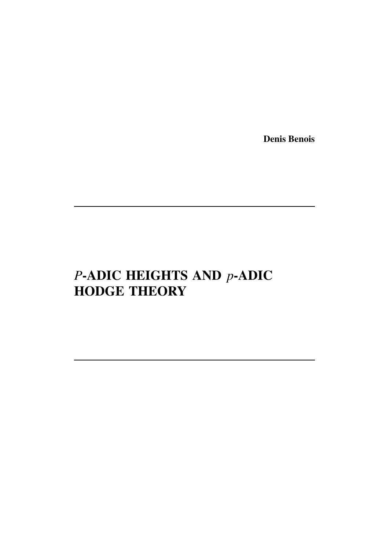Denis Benois

# *P*-ADIC HEIGHTS AND *p*-ADIC HODGE THEORY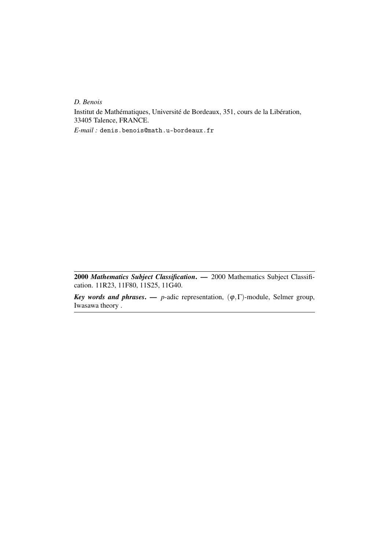*D. Benois*

Institut de Mathématiques, Université de Bordeaux, 351, cours de la Libération, 33405 Talence, FRANCE.

*E-mail :* denis.benois@math.u-bordeaux.fr

2000 *Mathematics Subject Classification*. — 2000 Mathematics Subject Classification. 11R23, 11F80, 11S25, 11G40.

*Key words and phrases.* — *p*-adic representation,  $(\varphi, \Gamma)$ -module, Selmer group, Iwasawa theory .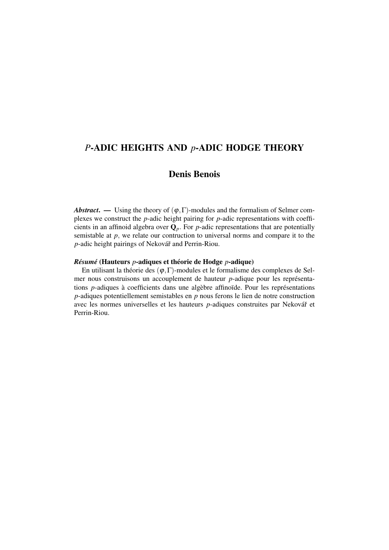## *P*-ADIC HEIGHTS AND *p*-ADIC HODGE THEORY

## Denis Benois

*Abstract.* — Using the theory of  $(\varphi, \Gamma)$ -modules and the formalism of Selmer complexes we construct the *p*-adic height pairing for *p*-adic representations with coefficients in an affinoid algebra over  $\mathbf{Q}_p$ . For *p*-adic representations that are potentially semistable at *p*, we relate our contruction to universal norms and compare it to the *p*-adic height pairings of Nekovář and Perrin-Riou.

#### *Résumé* (Hauteurs *p*-adiques et théorie de Hodge *p*-adique)

En utilisant la théorie des  $(\varphi, \Gamma)$ -modules et le formalisme des complexes de Selmer nous construisons un accouplement de hauteur *p*-adique pour les représentations *p*-adiques à coefficients dans une algèbre affinoïde. Pour les représentations *p*-adiques potentiellement semistables en *p* nous ferons le lien de notre construction avec les normes universelles et les hauteurs *p*-adiques construites par Nekovář et Perrin-Riou.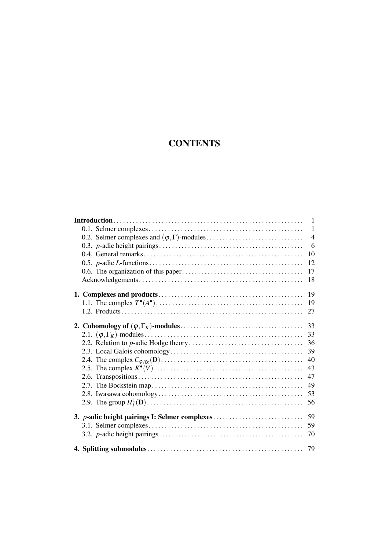## **CONTENTS**

|                                                       | $\mathbf{1}$   |
|-------------------------------------------------------|----------------|
|                                                       | $\mathbf{1}$   |
|                                                       | $\overline{4}$ |
|                                                       | 6              |
|                                                       | 10             |
|                                                       | 12             |
|                                                       | 17             |
|                                                       | 18             |
|                                                       | 19             |
|                                                       | 19             |
|                                                       | 27             |
|                                                       |                |
|                                                       | 33             |
|                                                       | 33             |
|                                                       | 36             |
|                                                       | 39             |
|                                                       | 40             |
|                                                       | 43             |
|                                                       | 47             |
|                                                       | 49             |
|                                                       | 53             |
|                                                       | 56             |
| 3. <i>p</i> -adic height pairings I: Selmer complexes | 59             |
|                                                       | 59             |
|                                                       | 70             |
|                                                       |                |
|                                                       |                |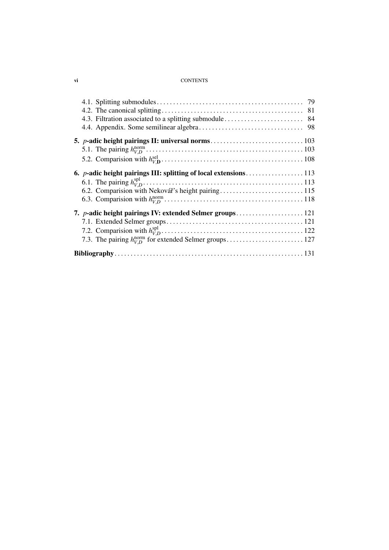#### vi CONTENTS

| 6.2. Comparision with Nekovář's height pairing115        |  |
|----------------------------------------------------------|--|
|                                                          |  |
| 7. p-adic height pairings IV: extended Selmer groups 121 |  |
|                                                          |  |
|                                                          |  |
|                                                          |  |
|                                                          |  |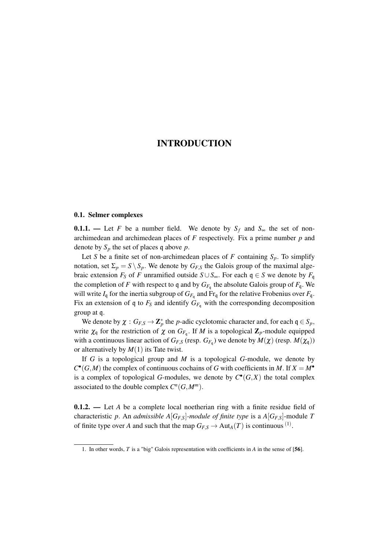#### 0.1. Selmer complexes

**0.1.1.** — Let *F* be a number field. We denote by  $S_f$  and  $S_\infty$  the set of nonarchimedean and archimedean places of *F* respectively. Fix a prime number *p* and denote by  $S_p$  the set of places q above  $p$ .

Let *S* be a finite set of non-archimedean places of *F* containing  $S_p$ . To simplify notation, set  $\Sigma_p = S \setminus S_p$ . We denote by  $G_{F,S}$  the Galois group of the maximal algebraic extension *F*<sup>*S*</sup> of *F* unramified outside  $S \cup S_{\infty}$ . For each q ∈ *S* we denote by *F*<sub>q</sub> the completion of *F* with respect to q and by  $G_{F_q}$  the absolute Galois group of  $F_q$ . We will write  $I_q$  for the inertia subgroup of  $G_{F_q}$  and  $Fr_q$  for the relative Frobenius over  $F_q$ . Fix an extension of q to  $F_S$  and identify  $G_{F_q}$  with the corresponding decomposition group at q.

We denote by  $\chi : G_{F,S} \to \mathbb{Z}_p^*$  the *p*-adic cyclotomic character and, for each  $\mathfrak{q} \in S_p$ , write  $\chi_q$  for the restriction of  $\chi$  on  $G_{F_q}$ . If *M* is a topological  $\mathbb{Z}_p$ -module equipped with a continuous linear action of  $G_{F,S}$  (resp.  $G_{F,q}$ ) we denote by  $M(\chi)$  (resp.  $M(\chi_{\mathfrak{q}})$ ) or alternatively by *M*(1) its Tate twist.

If *G* is a topological group and *M* is a topological *G*-module, we denote by  $C^{\bullet}(G,M)$  the complex of continuous cochains of *G* with coefficients in *M*. If  $X = M^{\bullet}$ is a complex of topological *G*-modules, we denote by  $C^{\bullet}(G,X)$  the total complex associated to the double complex  $C^n(G, M^m)$ .

**0.1.2.** — Let *A* be a complete local noetherian ring with a finite residue field of characteristic *p*. An *admissible*  $A[G_{FS}]$ *-module of finite type* is a  $A[G_{FS}]$ -module *T* of finite type over *A* and such that the map  $G_{F,S} \to Aut_A(T)$  is continuous <sup>(1)</sup>.

<sup>1.</sup> In other words, *T* is a "big" Galois representation with coefficients in *A* in the sense of [56].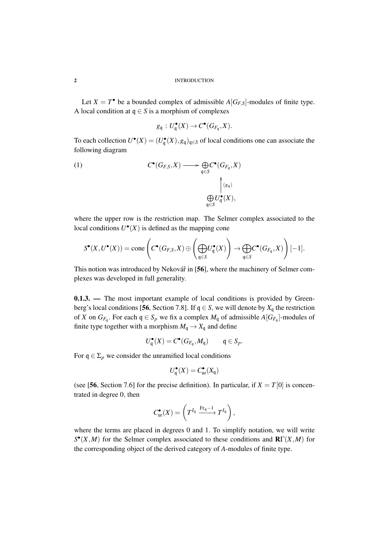Let  $X = T^{\bullet}$  be a bounded complex of admissible  $A[G_{F,S}]$ -modules of finite type. A local condition at  $q \in S$  is a morphism of complexes

$$
g_{\mathfrak{q}}: U_{\mathfrak{q}}^{\bullet}(X) \to C^{\bullet}(G_{F_{\mathfrak{q}}}, X).
$$

To each collection  $U^{\bullet}(X) = (U^{\bullet}_{\mathfrak{q}}(X), g_{\mathfrak{q}})_{\mathfrak{q} \in S}$  of local conditions one can associate the following diagram

(1) 
$$
C^{\bullet}(G_{F,S}, X) \longrightarrow \bigoplus_{\mathfrak{q} \in S} C^{\bullet}(G_{F_{\mathfrak{q}}}, X)
$$

$$
\uparrow_{(g_{\mathfrak{q}})}^{\wedge}
$$

$$
\bigoplus_{\mathfrak{q} \in S} U_{\mathfrak{q}}^{\bullet}(X),
$$

where the upper row is the restriction map. The Selmer complex associated to the local conditions  $U^{\bullet}(X)$  is defined as the mapping cone

$$
S^{\bullet}(X, U^{\bullet}(X)) = \text{cone}\left(C^{\bullet}(G_{F,S}, X) \oplus \left(\bigoplus_{\mathfrak{q} \in S} U_{\mathfrak{q}}^{\bullet}(X)\right) \to \bigoplus_{\mathfrak{q} \in S} C^{\bullet}(G_{F_{\mathfrak{q}}}, X)\right)[-1].
$$

This notion was introduced by Nekovář in  $[56]$ , where the machinery of Selmer complexes was developed in full generality.

**0.1.3.** — The most important example of local conditions is provided by Greenberg's local conditions [56, Section 7.8]. If  $q \in S$ , we will denote by  $X_q$  the restriction of *X* on  $G_{F_q}$ . For each  $q \in S_p$  we fix a complex  $M_q$  of admissible  $A[G_{F_q}]$ -modules of finite type together with a morphism  $M_q \to X_q$  and define

$$
U_{\mathfrak{q}}^{\bullet}(X) = C^{\bullet}(G_{F_{\mathfrak{q}}}, M_{\mathfrak{q}}) \qquad \mathfrak{q} \in S_p.
$$

For  $q \in \Sigma_p$  we consider the unramified local conditions

$$
U_{\mathfrak{q}}^{\bullet}(X) = C_{\text{ur}}^{\bullet}(X_{\mathfrak{q}})
$$

(see [56, Section 7.6] for the precise definition). In particular, if  $X = T[0]$  is concentrated in degree 0, then

$$
C_{\text{ur}}^{\bullet}(X) = \left(T^{I_{\mathfrak{q}}} \xrightarrow{\text{Fr}_{\mathfrak{q}}-1} T^{I_{\mathfrak{q}}} \right),
$$

where the terms are placed in degrees 0 and 1. To simplify notation, we will write *S* • (*X*,*M*) for the Selmer complex associated to these conditions and RΓ(*X*,*M*) for the corresponding object of the derived category of *A*-modules of finite type.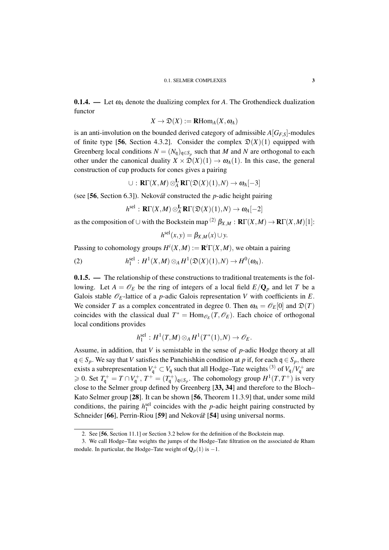**0.1.4.** — Let  $\omega_A$  denote the dualizing complex for A. The Grothendieck dualization functor

$$
X\to \mathfrak{D}(X):=\mathbf{R}\mathrm{Hom}_A(X,\omega_A)
$$

is an anti-involution on the bounded derived category of admissible  $A[G_{F,S}]$ -modules of finite type [56, Section 4.3.2]. Consider the complex  $\mathfrak{D}(X)(1)$  equipped with Greenberg local conditions  $N = (N_q)_{q \in S_p}$  such that *M* and *N* are orthogonal to each other under the canonical duality  $X \times \mathcal{D}(X)(1) \to \omega_A(1)$ . In this case, the general construction of cup products for cones gives a pairing

$$
\cup: \mathbf{R}\Gamma(X,M) \otimes_A^{\mathbf{L}} \mathbf{R}\Gamma(\mathfrak{D}(X)(1),N) \to \omega_A[-3]
$$

(see [56, Section 6.3]). Nekovář constructed the *p*-adic height pairing

$$
h^{\text{sel}} : \mathbf{R}\Gamma(X, M) \otimes_A^{\mathbf{L}} \mathbf{R}\Gamma(\mathfrak{D}(X)(1), N) \to \omega_A[-2]
$$

as the composition of  $\cup$  with the Bockstein map <sup>(2)</sup>  $\beta_{X,M} : \mathbf{R}\Gamma(X,M) \to \mathbf{R}\Gamma(X,M)[1]$ :

$$
h^{\text{sel}}(x, y) = \beta_{X, M}(x) \cup y.
$$

Passing to cohomology groups  $H^i(X, M) := \mathbf{R}^i \Gamma(X, M)$ , we obtain a pairing

(2) 
$$
h_1^{\text{sel}}: H^1(X,M) \otimes_A H^1(\mathfrak{D}(X)(1),N) \to H^0(\omega_A).
$$

**0.1.5.** — The relationship of these constructions to traditional treatements is the following. Let  $A = \mathcal{O}_E$  be the ring of integers of a local field  $E/Q_p$  and let *T* be a Galois stable  $\mathcal{O}_E$ -lattice of a *p*-adic Galois representation *V* with coefficients in *E*. We consider *T* as a complex concentrated in degree 0. Then  $\omega_A = \mathcal{O}_E[0]$  and  $\mathfrak{D}(T)$ coincides with the classical dual  $T^* = \text{Hom}_{\mathcal{O}_E}(T, \mathcal{O}_E)$ . Each choice of orthogonal local conditions provides

$$
h_1^{\text{sel}}: H^1(T,M) \otimes_A H^1(T^*(1),N) \to \mathscr{O}_E.
$$

Assume, in addition, that *V* is semistable in the sense of *p*-adic Hodge theory at all  $q \in S_p$ . We say that *V* satisfies the Panchishkin condition at *p* if, for each  $q \in S_p$ , there exists a subrepresentation  $V_{\mathfrak{q}}^+ \subset V_{\mathfrak{q}}$  such that all Hodge–Tate weights <sup>(3)</sup> of  $V_{\mathfrak{q}}/V_{\mathfrak{q}}^+$  are  $\geq 0$ . Set  $T_q^+ = T \cap V_q^+$ ,  $T^+ = (T_q^+)_{q \in S_p}$ . The cohomology group  $H^1(T, T^+)$  is very close to the Selmer group defined by Greenberg [33, 34] and therefore to the Bloch– Kato Selmer group [28]. It can be shown [56, Theorem 11.3.9] that, under some mild conditions, the pairing  $h_1^{\text{sel}}$  coincides with the *p*-adic height pairing constructed by Schneider [66], Perrin-Riou [59] and Nekovář [54] using universal norms.

<sup>2.</sup> See [56, Section 11.1] or Section 3.2 below for the definition of the Bockstein map.

<sup>3.</sup> We call Hodge–Tate weights the jumps of the Hodge–Tate filtration on the associated de Rham module. In particular, the Hodge–Tate weight of  $\mathbf{Q}_p(1)$  is  $-1$ .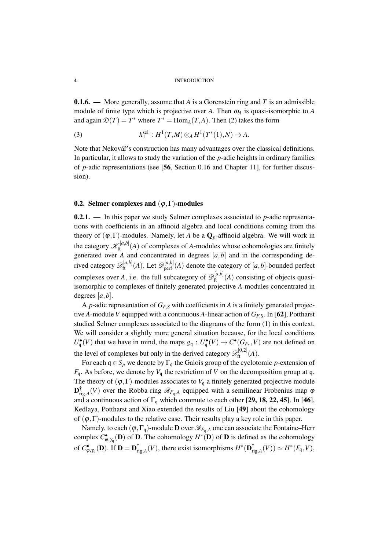**0.1.6.** — More generally, assume that A is a Gorenstein ring and T is an admissible module of finite type which is projective over A. Then  $\omega_A$  is quasi-isomorphic to A and again  $\mathfrak{D}(T) = T^*$  where  $T^* = \text{Hom}_A(T, A)$ . Then (2) takes the form

(3) 
$$
h_1^{\text{sel}} : H^1(T,M) \otimes_A H^1(T^*(1),N) \to A.
$$

Note that Nekovář's construction has many advantages over the classical definitions. In particular, it allows to study the variation of the *p*-adic heights in ordinary families of *p*-adic representations (see [56, Section 0.16 and Chapter 11], for further discussion).

#### 0.2. Selmer complexes and  $(\varphi, \Gamma)$ -modules

0.2.1. — In this paper we study Selmer complexes associated to *p*-adic representations with coefficients in an affinoid algebra and local conditions coming from the theory of  $(\varphi, \Gamma)$ -modules. Namely, let *A* be a  $\mathbf{Q}_p$ -affinoid algebra. We will work in the category  $\mathscr{K}_{\text{ft}}^{[a,b]}(A)$  of complexes of *A*-modules whose cohomologies are finitely generated over  $\vec{A}$  and concentrated in degrees  $[a, b]$  and in the corresponding derived category  $\mathscr{D}_{\text{ft}}^{[a,b]}(A)$ . Let  $\mathscr{D}_{\text{perf}}^{[a,b]}(A)$  denote the category of  $[a,b]$ -bounded perfect complexes over *A*, i.e. the full subcategory of  $\mathscr{D}_{\text{ft}}^{[a,b]}(A)$  consisting of objects quasiisomorphic to complexes of finitely generated projective *A*-modules concentrated in degrees [*a*,*b*].

A *p*-adic representation of *GF*,*<sup>S</sup>* with coefficients in *A* is a finitely generated projective *A*-module*V* equipped with a continuous *A*-linear action of *GF*,*S*. In [62], Pottharst studied Selmer complexes associated to the diagrams of the form (1) in this context. We will consider a slightly more general situation because, for the local conditions  $U_q^{\bullet}(V)$  that we have in mind, the maps  $g_q: U_q^{\bullet}(V) \to C^{\bullet}(G_{F_q}, V)$  are not defined on the level of complexes but only in the derived category  $\mathscr{D}_{\text{ft}}^{[0,2]}(A)$ .

For each  $q \in S_p$  we denote by  $\Gamma_q$  the Galois group of the cyclotomic *p*-extension of  $F_q$ . As before, we denote by  $V_q$  the restriction of *V* on the decomposition group at q. The theory of  $(\varphi, \Gamma)$ -modules associates to  $V_q$  a finitely generated projective module  $\mathbf{D}^\dagger_{\mathbf{r}}$  $T_{\text{rig},A}$  $(V)$  over the Robba ring  $\mathscr{R}_{F_q,A}$  equipped with a semilinear Frobenius map  $\varphi$ and a continuous action of  $\Gamma_q$  which commute to each other [29, 18, 22, 45]. In [46], Kedlaya, Pottharst and Xiao extended the results of Liu [49] about the cohomology of  $(\varphi, \Gamma)$ -modules to the relative case. Their results play a key role in this paper.

Namely, to each  $(\varphi, \Gamma_{\mathfrak{q}})$ -module **D** over  $\mathcal{R}_{F_{\mathfrak{q}},A}$  one can associate the Fontaine–Herr complex *C*<sup>•</sup><sub>*φ*,γ<sub>q</sub></sub>(**D**) of **D**. The cohomology *H*<sup>∗</sup>(**D**) of **D** is defined as the cohomology of  $C_{\varphi,\gamma_{\mathsf{q}}}^{\bullet}(\mathbf{D})$ . If  $\mathbf{D}=\mathbf{D}_{\mathrm{ri}}^{\dagger}$  $r_{\text{rig},A}^{\dagger}(V),$  there exist isomorphisms  $H^*(\mathbf{D}_{\text{r}}^{\dagger})$  $f^{\dagger}_{\text{rig},A}(V)) \simeq H^*(F_{\mathfrak{q}},V),$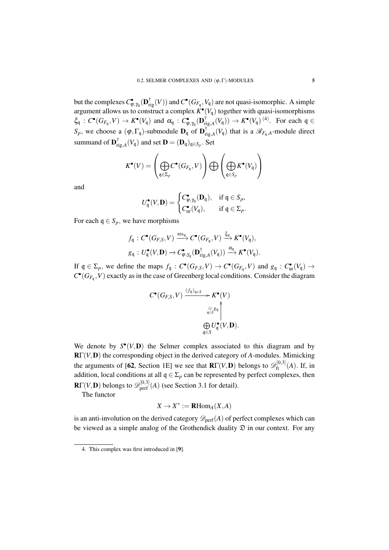but the complexes  $C_{\varphi,\gamma_{q}}^{\bullet}(\mathbf{D}_{\mathrm{rig}}^{\dagger}(V))$  and  $C^{\bullet}(G_{F_{q}},V_{q})$  are not quasi-isomorphic. A simple argument allows us to construct a complex  $K^{\bullet}(V_q)$  together with quasi-isomorphisms  $\xi_{\mathfrak{q}}: C^{\bullet}(G_{F_{\mathfrak{q}}}, V) \to K^{\bullet}(V_{\mathfrak{q}})$  and  $\alpha_{\mathfrak{q}}: C^{\bullet}_{\varphi, \gamma_{\mathfrak{q}}}(\mathbf{D}_{\mathrm{r}}^{\dagger})$  $r_{\text{rig},A}^{\dagger}(V_{\mathfrak{q}})) \to K^{\bullet}(V_{\mathfrak{q}})^{(4)}$ . For each  $\mathfrak{q} \in$  $S_p$ , we choose a  $(\varphi, \Gamma_q)$ -submodule  $D_q$  of  $D_{r_i}^{\dagger}$  $\lim_{T \to \infty} (V_q)$  that is a  $\mathcal{R}_{F_q,A}$ -module direct summand of  $\mathbf{D}_{\text{ri}}^{\dagger}$  $\prod_{\text{rig},A}^{\text{T}}(V_{\mathfrak{q}})$  and set  $\mathbf{D} = (\mathbf{D}_{\mathfrak{q}})_{\mathfrak{q} \in S_p}$ . Set

$$
K^\bullet(V)=\left(\bigoplus_{\mathfrak{q}\in \Sigma_p}C^\bullet(G_{F_\mathfrak{q}},V)\right)\bigoplus \left(\bigoplus_{\mathfrak{q}\in S_p}K^\bullet(V_\mathfrak{q})\right)
$$

and

$$
U_q^{\bullet}(V, \mathbf{D}) = \begin{cases} C_{\varphi, \gamma_q}^{\bullet}(\mathbf{D}_q), & \text{if } q \in S_p, \\ C_{\text{ur}}^{\bullet}(V_q), & \text{if } q \in \Sigma_p. \end{cases}
$$

For each  $q \in S_p$ , we have morphisms

$$
f_{\mathfrak{q}}: C^{\bullet}(G_{F,S}, V) \xrightarrow{\text{res}_{\mathfrak{q}}} C^{\bullet}(G_{F_{\mathfrak{q}}}, V) \xrightarrow{\xi_{\mathfrak{q}}} K^{\bullet}(V_{\mathfrak{q}}),
$$
  

$$
g_{\mathfrak{q}}: U_{\mathfrak{q}}^{\bullet}(V, \mathbf{D}) \to C^{\bullet}_{\varphi, \gamma_{\mathfrak{q}}}(\mathbf{D}_{\text{rig}, A}^{\dagger}(V_{\mathfrak{q}})) \xrightarrow{\alpha_{\mathfrak{q}}} K^{\bullet}(V_{\mathfrak{q}}).
$$

If  $\mathfrak{q} \in \Sigma_p$ , we define the maps  $f_{\mathfrak{q}} : C^{\bullet}(G_{F,S}, V) \to C^{\bullet}(G_{F_{\mathfrak{q}}}, V)$  and  $g_{\mathfrak{q}} : C^{\bullet}_{ur}(V_{\mathfrak{q}}) \to$  $C^{\bullet}(G_{F_q}, V)$  exactly as in the case of Greenberg local conditions. Consider the diagram

$$
C^{\bullet}(G_{F,S}, V) \xrightarrow{\left(f_{\mathfrak{q}}\right)_{\mathfrak{q}\in S}} K^{\bullet}(V)
$$

$$
\bigoplus_{\mathfrak{q}\in S} g_{\mathfrak{q}} \uparrow
$$

$$
\bigoplus_{\mathfrak{q}\in S} U^{\bullet}_{\mathfrak{q}}(V, \mathbf{D}).
$$

We denote by  $S^{\bullet}(V, \mathbf{D})$  the Selmer complex associated to this diagram and by RΓ(*V*,D) the corresponding object in the derived category of *A*-modules. Mimicking the arguments of [62, Section 1E] we see that  $\mathbf{R}\Gamma(V,\mathbf{D})$  belongs to  $\mathscr{D}_{\text{ft}}^{[0,3]}(A)$ . If, in addition, local conditions at all  $q \in \Sigma_p$  can be represented by perfect complexes, then  $\mathbf{R}\Gamma(V,\mathbf{D})$  belongs to  $\mathscr{D}_{\mathrm{perf}}^{[0,3]}(A)$  (see Section 3.1 for detail).

The functor

$$
X \to X^* := \mathbf{R}\mathrm{Hom}_A(X, A)
$$

is an anti-involution on the derived category  $\mathscr{D}_{\text{perf}}(A)$  of perfect complexes which can be viewed as a simple analog of the Grothendick duality  $\mathfrak D$  in our context. For any

<sup>4.</sup> This complex was first introduced in [9].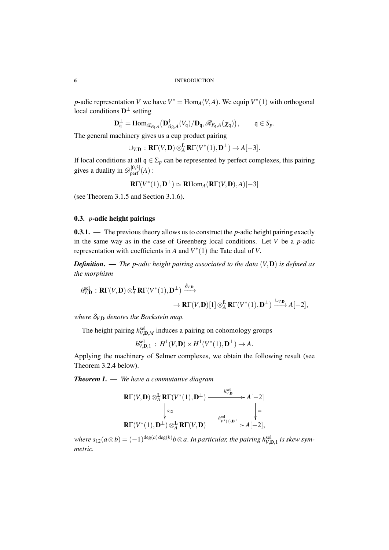*p*-adic representation *V* we have  $V^* = \text{Hom}_A(V, A)$ . We equip  $V^*(1)$  with orthogonal local conditions  $D^{\perp}$  setting

$$
\mathbf{D}_{\mathfrak{q}}^{\perp}=\text{Hom}_{\mathscr{R}_{F_{\mathfrak{q}},A}}\big(\mathbf{D}_{\text{rig},A}^{\dagger}(V_{\mathfrak{q}})/\mathbf{D}_{\mathfrak{q}},\mathscr{R}_{F_{\mathfrak{q}},A}(\chi_{\mathfrak{q}})\big),\qquad \mathfrak{q}\in S_p.
$$

The general machinery gives us a cup product pairing

$$
\cup_{V,\mathbf{D}} : \mathbf{R}\Gamma(V,\mathbf{D}) \otimes_A^{\mathbf{L}} \mathbf{R}\Gamma(V^*(1),\mathbf{D}^{\perp}) \to A[-3].
$$

If local conditions at all  $q \in \Sigma_p$  can be represented by perfect complexes, this pairing gives a duality in  $\mathscr{D}_{\text{perf}}^{[0,3]}(A)$ :

$$
\mathbf{R}\Gamma(V^*(1),\mathbf{D}^{\perp})\simeq\mathbf{R}\mathrm{Hom}_A(\mathbf{R}\Gamma(V,\mathbf{D}),A)[-3]
$$

(see Theorem 3.1.5 and Section 3.1.6).

#### 0.3. *p*-adic height pairings

0.3.1. — The previous theory allows us to construct the *p*-adic height pairing exactly in the same way as in the case of Greenberg local conditions. Let *V* be a *p*-adic representation with coefficients in  $A$  and  $V^*(1)$  the Tate dual of  $V$ .

*Definition*. — *The p-adic height pairing associated to the data* (*V*,D) *is defined as the morphism*

$$
h_{V,\mathbf{D}}^{\text{sel}} : \mathbf{R}\Gamma(V,\mathbf{D}) \otimes_A^{\mathbf{L}} \mathbf{R}\Gamma(V^*(1),\mathbf{D}^{\perp}) \xrightarrow{\delta_{V,\mathbf{D}}} \rightarrow \mathbf{R}\Gamma(V,\mathbf{D})[1] \otimes_A^{\mathbf{L}} \mathbf{R}\Gamma(V^*(1),\mathbf{D}^{\perp}) \xrightarrow{\cup_{V,\mathbf{D}}} A[-2],
$$

*where* δ*V*,<sup>D</sup> *denotes the Bockstein map.*

The height pairing  $h^{\text{sel}}_{V, \mathbf{D}, M}$  induces a pairing on cohomology groups

 $h_{V,\mathbf{D},1}^{\text{sel}}$  :  $H^1(V,\mathbf{D}) \times H^1(V^*(1),\mathbf{D}^{\perp}) \to A$ .

Applying the machinery of Selmer complexes, we obtain the following result (see Theorem 3.2.4 below).

*Theorem I*. — *We have a commutative diagram*

$$
\mathbf{R}\Gamma(V,\mathbf{D})\otimes_A^{\mathbf{L}}\mathbf{R}\Gamma(V^*(1),\mathbf{D}^{\perp})\xrightarrow{\qquad \qquad h_{V,\mathbf{D}}^{\text{sel}}}A[-2] \atop{\qquad \qquad h_{V^*(1),\mathbf{D}^{\perp}}^{\text{sel}}}A[-2]\atop{\qquad \qquad h_{V^*(1),\mathbf{D}^{\perp}}^{\text{sel}}}.
$$
\n
$$
\mathbf{R}\Gamma(V^*(1),\mathbf{D}^{\perp})\otimes_A^{\mathbf{L}}\mathbf{R}\Gamma(V,\mathbf{D})\xrightarrow{\qquad \qquad h_{V^*(1),\mathbf{D}^{\perp}}^{\text{sel}}}A[-2],
$$

where  $s_{12}(a\otimes b)=(-1)^{\deg(a)\deg(b)}b\otimes a.$  In particular, the pairing  $h^{\rm sel}_{V,{\bf D},1}$  is skew sym*metric.*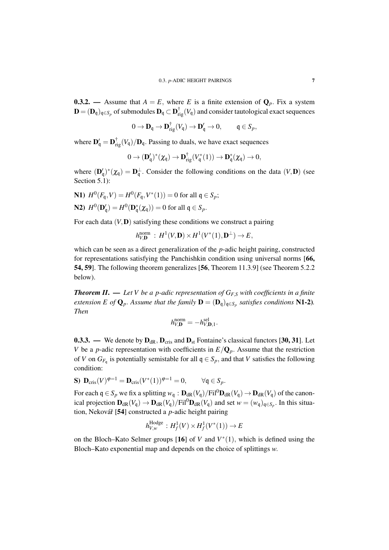**0.3.2.** — Assume that  $A = E$ , where *E* is a finite extension of  $\mathbf{Q}_p$ . Fix a system  $\mathbf{D} = (\mathbf{D}_\mathfrak{q})_{\mathfrak{q} \in S_p}$  of submodules  $\mathbf{D}_\mathfrak{q} \subset \mathbf{D}^{\dagger}_{\mathrm{rig}}(V_\mathfrak{q})$  and consider tautological exact sequences

$$
0 \to \mathbf{D}_{\mathfrak{q}} \to \mathbf{D}_{\mathrm{rig}}^{\dagger}(V_{\mathfrak{q}}) \to \mathbf{D}_{\mathfrak{q}}' \to 0, \quad \mathfrak{q} \in S_p,
$$

where  $\mathbf{D}_{\mathbf{q}}' = \mathbf{D}_{\text{rig}}^{\dagger}(V_{\mathbf{q}})/\mathbf{D}_{\mathbf{q}}$ . Passing to duals, we have exact sequences

$$
0\rightarrow (\mathbf{D}'_{\mathfrak{q}})^*(\chi_{\mathfrak{q}})\rightarrow \mathbf{D}_{\mathrm{rig}}^{\dagger}(V_{\mathfrak{q}}^*(1))\rightarrow \mathbf{D}_{\mathfrak{q}}^*(\chi_{\mathfrak{q}})\rightarrow 0,
$$

where  $(D'_q)^*(\chi_q) = D_q^{\perp}$ . Consider the following conditions on the data  $(V, D)$  (see Section 5.1):

\n- **N1**) 
$$
H^0(F_{\mathfrak{q}}, V) = H^0(F_{\mathfrak{q}}, V^*(1)) = 0
$$
 for all  $\mathfrak{q} \in S_p$ ;
\n- **N2**)  $H^0(\mathbf{D}_{\mathfrak{q}}') = H^0(\mathbf{D}_{\mathfrak{q}}^*(\chi_{\mathfrak{q}})) = 0$  for all  $\mathfrak{q} \in S_p$ .
\n

For each data (*V*,D) satisfying these conditions we construct a pairing

$$
h_{V,\mathbf{D}}^{\text{norm}}\,:\,H^1(V,\mathbf{D})\times H^1(V^*(1),\mathbf{D}^\perp)\to E\,,
$$

which can be seen as a direct generalization of the *p*-adic height pairing, constructed for representations satisfying the Panchishkin condition using universal norms [66, 54, 59]. The following theorem generalizes [56, Theorem 11.3.9] (see Theorem 5.2.2 below).

*Theorem II*. — *Let V be a p-adic representation of GF*,*<sup>S</sup> with coefficients in a finite extension E of*  $\mathbf{Q}_p$ . Assume that the family  $\mathbf{D} = (\mathbf{D}_q)_{q \in S_p}$  satisfies conditions N1-2). *Then*

$$
h_{V,\mathbf{D}}^{\text{norm}} = -h_{V,\mathbf{D},1}^{\text{sel}}.
$$

0.3.3. — We denote by  $D_{dR}$ ,  $D_{cris}$  and  $D_{st}$  Fontaine's classical functors [30, 31]. Let *V* be a *p*-adic representation with coefficients in  $E/Q_p$ . Assume that the restriction of *V* on  $G_{F_q}$  is potentially semistable for all  $q \in S_p$ , and that *V* satisfies the following condition:

$$
\textbf{S}) \ \mathbf{D}_{\text{cris}}(V)^{\varphi=1} = \mathbf{D}_{\text{cris}}(V^*(1))^{\varphi=1} = 0, \qquad \forall \mathfrak{q} \in S_p.
$$

For each  $q \in S_p$  we fix a splitting  $w_q : D_{dR}(V_q)/Fil^0D_{dR}(V_q) \to D_{dR}(V_q)$  of the canonical projection  $D_{dR}(V_q) \to D_{dR}(V_q)/\text{Fil}^0D_{dR}(V_q)$  and set  $w = (w_q)_{q \in S_p}$ . In this situation, Nekovář [54] constructed a *p*-adic height pairing

$$
h_{V,w}^{\text{Hodge}}: H^1_f(V) \times H^1_f(V^*(1)) \to E
$$

on the Bloch–Kato Selmer groups [16] of *V* and  $V^*(1)$ , which is defined using the Bloch–Kato exponential map and depends on the choice of splittings *w*.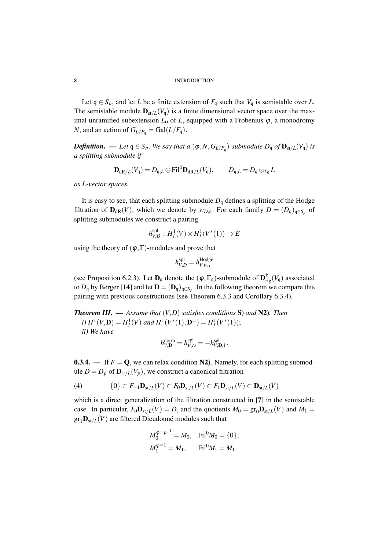Let  $q \in S_p$ , and let *L* be a finite extension of  $F_q$  such that  $V_q$  is semistable over *L*. The semistable module  $\mathbf{D}_{st/L}(V_q)$  is a finite dimensional vector space over the maximal unramified subextension  $L_0$  of  $L$ , equipped with a Frobenius  $\varphi$ , a monodromy *N*, and an action of  $G_{L/F_q} = \text{Gal}(L/F_q)$ .

*Definition. — Let*  $\mathfrak{q} \in S_p$ *. We say that a*  $(\varphi, N, G_{L/F_q})$ *-submodule*  $D_{\mathfrak{q}}$  *of*  $\mathbf{D}_{\text{st}/L}(V_{\mathfrak{q}})$  *is a splitting submodule if*

$$
\mathbf{D}_{\mathrm{dR}/L}(V_{\mathfrak{q}}) = D_{\mathfrak{q},L} \oplus \mathrm{Fil}^0 \mathbf{D}_{\mathrm{dR}/L}(V_{\mathfrak{q}}), \qquad D_{\mathfrak{q},L} = D_{\mathfrak{q}} \otimes_{L_0} L
$$

*as L-vector spaces.*

It is easy to see, that each splitting submodule  $D_q$  defines a splitting of the Hodge filtration of  $\mathbf{D}_{dR}(V)$ , which we denote by  $w_{D,q}$ . For each family  $D = (D_q)_{q \in S_p}$  of splitting submodules we construct a pairing

$$
h_{V,D}^{\text{spl}}: H^1_f(V) \times H^1_f(V^*(1)) \to E
$$

using the theory of  $(\varphi, \Gamma)$ -modules and prove that

$$
h_{V,D}^{\text{spl}} = h_{V,w_D}^{\text{Hodge}}
$$

(see Proposition 6.2.3). Let  $\mathbf{D}_{q}$  denote the  $(\varphi, \Gamma_{q})$ -submodule of  $\mathbf{D}_{rig}^{\dagger}(V_{q})$  associated to  $D_{\mathfrak{q}}$  by Berger [14] and let  $\mathbf{D} = (\mathbf{D}_{\mathfrak{q}})_{\mathfrak{q} \in S_p}$ . In the following theorem we compare this pairing with previous constructions (see Theorem 6.3.3 and Corollary 6.3.4).

*Theorem III*. — *Assume that* (*V*,*D*) *satisfies conditions* S) *and* N2)*. Then i*)  $H^1(V, \mathbf{D}) = H^1_f(V)$  and  $H^1(V^*(1), \mathbf{D}^{\perp}) = H^1_f(V^*(1));$ *ii) We have*

$$
h_{V,\mathbf{D}}^{\text{norm}} = h_{V,D}^{\text{spl}} = -h_{V,\mathbf{D},1}^{\text{sel}}.
$$

0.3.4. — If  $F = Q$ , we can relax condition N2). Namely, for each splitting submodule  $D = D_p$  of  $\mathbf{D}_{st/L}(V_p)$ , we construct a canonical filtration

(4) 
$$
\{0\} \subset F_{-1} \mathbf{D}_{st/L}(V) \subset F_0 \mathbf{D}_{st/L}(V) \subset F_1 \mathbf{D}_{st/L}(V) \subset \mathbf{D}_{st/L}(V)
$$

which is a direct generalization of the filtration constructed in [7] in the semistable case. In particular,  $F_0 \mathbf{D}_{st/L}(V) = D$ , and the quotients  $M_0 = \text{gr}_0 \mathbf{D}_{st/L}(V)$  and  $M_1 =$  $gr_1D_{st/L}(V)$  are filtered Dieudonné modules such that

$$
M_0^{\varphi=p^{-1}} = M_0, \quad \text{Fil}^0 M_0 = \{0\},
$$
  

$$
M_1^{\varphi=1} = M_1, \quad \text{Fil}^0 M_1 = M_1.
$$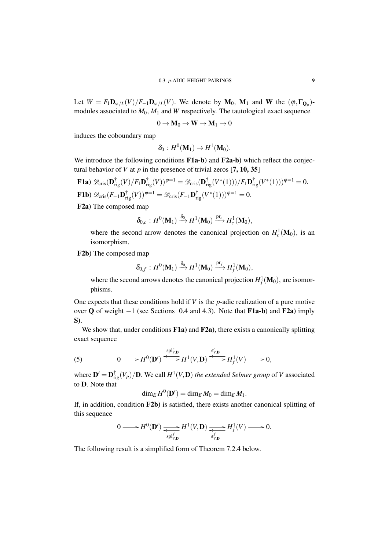Let  $W = F_1 \mathbf{D}_{st/L}(V)/F_{-1} \mathbf{D}_{st/L}(V)$ . We denote by  $\mathbf{M}_0$ ,  $\mathbf{M}_1$  and W the  $(\varphi, \Gamma_{\mathbf{Q}_p})$ modules associated to  $M_0$ ,  $M_1$  and *W* respectively. The tautological exact sequence

$$
0\to\boldsymbol{M}_0\to\boldsymbol{W}\to\boldsymbol{M}_1\to 0
$$

induces the coboundary map

$$
\delta_0: H^0(\mathbf{M}_1)\to H^1(\mathbf{M}_0).
$$

We introduce the following conditions F1a-b) and F2a-b) which reflect the conjectural behavior of *V* at  $p$  in the presence of trivial zeros [7, 10, 35]

 ${\bf F1a)}\ {\mathscr D}_{\rm cris}({\bf D}_{\rm rig}^\dagger(V)/F_1{\bf D}_{\rm rig}^\dagger(V))^{\boldsymbol{\varphi}=1} = {\mathscr D}_{\rm cris}({\bf D}_{\rm rig}^\dagger(V^*(1)))/F_1{\bf D}_{\rm rig}^\dagger(V^*(1)))^{\boldsymbol{\varphi}=1}=0.$ **F1b**)  $\mathscr{D}_{\mathrm{cris}}(F_{-1}\mathbf{D}_{\mathrm{rig}}^{\dagger}(V))^{\varphi=1} = \mathscr{D}_{\mathrm{cris}}(F_{-1}\mathbf{D}_{\mathrm{rig}}^{\dagger}(V^*(1)))^{\varphi=1} = 0.$ F2a) The composed map

$$
\delta_{0,c}: H^0(\mathbf{M}_1) \xrightarrow{\delta_0} H^1(\mathbf{M}_0) \xrightarrow{\mathrm{pr}_c} H^1_c(\mathbf{M}_0),
$$

where the second arrow denotes the canonical projection on  $H_c^1(\mathbf{M}_0)$ , is an isomorphism.

F2b) The composed map

$$
\delta_{0,f}: H^0(\mathbf{M}_1) \xrightarrow{\delta_0} H^1(\mathbf{M}_0) \xrightarrow{\text{pr}_f} H^1_f(\mathbf{M}_0),
$$

where the second arrows denotes the canonical projection  $H_f^1(\mathbf{M}_0)$ , are isomorphisms.

One expects that these conditions hold if *V* is the *p*-adic realization of a pure motive over **Q** of weight  $-1$  (see Sections 0.4 and 4.3). Note that **F1a-b**) and **F2a**) imply S).

We show that, under conditions F1a) and F2a), there exists a canonically splitting exact sequence

(5) 
$$
0 \longrightarrow H^{0}(\mathbf{D}') \xrightarrow{\text{spl}_{V,\mathbf{D}}^{c}} H^{1}(V,\mathbf{D}) \xrightarrow{\text{g}_{V,\mathbf{D}}^{c}} H^{1}_{f}(V) \longrightarrow 0,
$$

where  $\mathbf{D}' = \mathbf{D}_{\text{rig}}^{\dagger}(V_p)/\mathbf{D}$ . We call  $H^1(V,\mathbf{D})$  *the extended Selmer group* of *V* associated to D. Note that

$$
\dim_E H^0(\mathbf{D}') = \dim_E M_0 = \dim_E M_1.
$$

If, in addition, condition F2b) is satisfied, there exists another canonical splitting of this sequence

$$
0 \longrightarrow H^0(\mathbf{D}') \xrightarrow[\text{sp}]^f_{V,\mathbf{D}} H^1(V,\mathbf{D}) \xrightarrow[\text{sp}]^f_{V,\mathbf{D}} H^1_f(V) \longrightarrow 0.
$$

The following result is a simplified form of Theorem 7.2.4 below.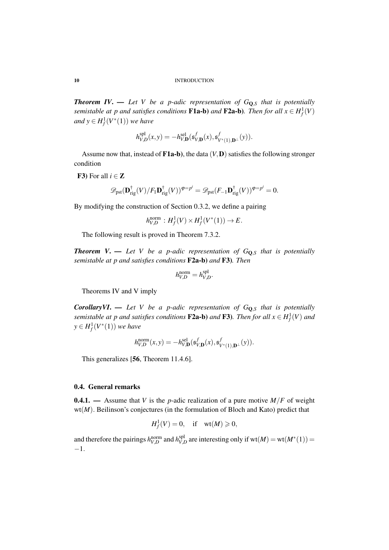*Theorem IV.* — Let V be a p-adic representation of  $G_{\mathbf{Q},S}$  that is potentially *semistable at p and satisfies conditions* **F1a-b**) *and* **F2a-b**). Then for all  $x \in H_f^1(V)$ *and*  $y \in H_f^1(V^*(1))$  *we have* 

$$
h_{V,\mathbf{D}}^{\mathrm{spl}}(x,y)=-h_{V,\mathbf{D}}^{\mathrm{sel}}(\mathfrak{s}_{V,\mathbf{D}}^f(x),\mathfrak{s}_{V^*(1),\mathbf{D}^\perp}^f(y)).
$$

Assume now that, instead of  $F1a-b$ ), the data  $(V, D)$  satisfies the following stronger condition

F3) For all  $i \in \mathbb{Z}$ 

$$
\mathscr{D}_{\mathrm{pst}}(\mathbf{D}^{\dagger}_{\mathrm{rig}}(V)/F_1\mathbf{D}^{\dagger}_{\mathrm{rig}}(V))^{\varphi=p^i} = \mathscr{D}_{\mathrm{pst}}(F_{-1}\mathbf{D}^{\dagger}_{\mathrm{rig}}(V))^{\varphi=p^i} = 0.
$$

By modifying the construction of Section 0.3.2, we define a pairing

$$
h_{V,D}^{\text{norm}} : H^1_f(V) \times H^1_f(V^*(1)) \to E.
$$

The following result is proved in Theorem 7.3.2.

**Theorem V.** — Let V be a p-adic representation of  $G_{\mathbf{Q},S}$  that is potentially *semistable at p and satisfies conditions* F2a-b) *and* F3)*. Then*

$$
h_{V,D}^{\text{norm}} = h_{V,D}^{\text{spl}}.
$$

Theorems IV and V imply

*CorollaryVI*. — *Let V be a p-adic representation of G*Q,*<sup>S</sup> that is potentially semistable at p and satisfies conditions*  $F2a-b$ ) *and*  $F3$ ). *Then for all*  $x \in H_f^1(V)$  *and*  $y \in H_f^1(V^*(1))$  *we have* 

$$
h_{V,D}^{\text{norm}}(x,y) = -h_{V,\mathbf{D}}^{\text{sel}}(\mathfrak{s}_{V,\mathbf{D}}^{f}(x),\mathfrak{s}_{V^*(1),\mathbf{D}^\perp}^{f}(y)).
$$

This generalizes [56, Theorem 11.4.6].

#### 0.4. General remarks

**0.4.1.** — Assume that *V* is the *p*-adic realization of a pure motive  $M/F$  of weight wt(*M*). Beilinson's conjectures (in the formulation of Bloch and Kato) predict that

$$
H_f^1(V) = 0, \quad \text{if} \quad \text{wt}(M) \geq 0,
$$

and therefore the pairings  $h_{V,D}^{\text{norm}}$  and  $h_{V,I}^{\text{spl}}$  $V_{V,D}^{\text{spl}}$  are interesting only if wt $(M) = \text{wt}(M^*(1)) =$ −1.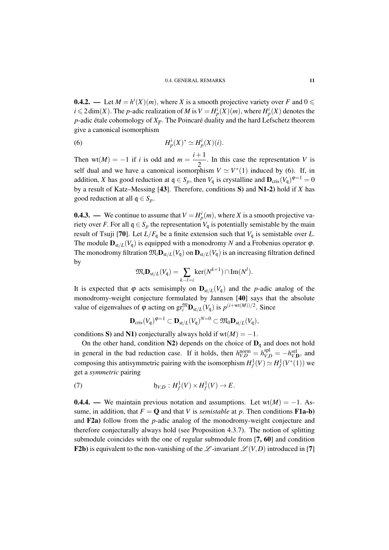**0.4.2.** — Let  $M = h^{i}(X)(m)$ , where X is a smooth projective variety over F and  $0 \le$  $i \leq 2 \dim(X)$ . The *p*-adic realization of *M* is  $V = H_p^i(X)(m)$ , where  $H_p^i(X)$  denotes the *p*-adic étale cohomology of  $X_{\overline{F}}$ . The Poincaré duality and the hard Lefschetz theorem give a canonical isomorphism

(6) 
$$
H_p^i(X)^* \simeq H_p^i(X)(i).
$$

Then wt(*M*) = -1 if *i* is odd and  $m = \frac{i+1}{2}$  $\frac{1}{2}$ . In this case the representation *V* is self dual and we have a canonical isomorphism  $V \simeq V^*(1)$  induced by (6). If, in addition, *X* has good reduction at  $q \in S_p$ , then  $V_q$  is crystalline and  $\mathbf{D}_{\text{cris}}(V_q)^{\varphi=1} = 0$ by a result of Katz–Messing [43]. Therefore, conditions S) and N1-2) hold if *X* has good reduction at all  $q \in S_p$ .

**0.4.3.** — We continue to assume that  $V = H_p^i(m)$ , where *X* is a smooth projective variety over *F*. For all  $q \in S_p$  the representation  $V_q$  is potentially semistable by the main result of Tsuji [70]. Let  $L/F_q$  be a finite extension such that  $V_q$  is semistable over *L*. The module  $\mathbf{D}_{st/L}(V_q)$  is equipped with a monodromy *N* and a Frobenius operator  $\varphi$ . The monodromy filtration  $\mathfrak{M}_i \mathbf{D}_{st/L}(V_q)$  on  $\mathbf{D}_{st/L}(V_q)$  is an increasing filtration defined by

$$
\mathfrak{M}_i \mathbf{D}_{st/L}(V_{\mathfrak{q}}) = \sum_{k-l=i} \ker(N^{k+1}) \cap \text{Im}(N^l).
$$

It is expected that  $\varphi$  acts semisimply on  $\mathbf{D}_{st/L}(V_q)$  and the *p*-adic analog of the monodromy-weight conjecture formulated by Jannsen [40] says that the absolute value of eigenvalues of  $\varphi$  acting on  $\operatorname{gr}^{\mathfrak{M}}_{i} \mathbf{D}_{st/L}(V_{\mathfrak{q}})$  is  $p^{(i+\text{wt}(M))/2}$ . Since

$$
\mathbf{D}_{\mathrm{cris}}(V_{\mathfrak{q}})^{\phi=1}\subset \mathbf{D}_{\mathrm{st}/L}(V_{\mathfrak{q}})^{N=0}\subset \mathfrak{M}_{0}\mathbf{D}_{\mathrm{st}/L}(V_{\mathfrak{q}}),
$$

conditions S) and N1) conjecturally always hold if  $wt(M) = -1$ .

On the other hand, condition N2) depends on the choice of  $D_q$  and does not hold in general in the bad reduction case. If it holds, then  $h_{V,D}^{\text{norm}} = h_{V,D}^{\text{spl}} = -h_{V,D}^{\text{sel}}$ , and composing this antisymmetric pairing with the isomorphism  $H_f^1(V) \simeq H_f^1(V^*(1))$  we get a *symmetric* pairing

(7) 
$$
\mathfrak{h}_{V,D}: H^1_f(V) \times H^1_f(V) \to E.
$$

**0.4.4.** — We maintain previous notation and assumptions. Let wt $(M) = -1$ . Assume, in addition, that  $F = \mathbf{O}$  and that *V* is *semistable* at *p*. Then conditions **F1a-b**) and F2a) follow from the *p*-adic analog of the monodromy-weight conjecture and therefore conjecturally always hold (see Proposition 4.3.7). The notion of splitting submodule coincides with the one of regular submodule from [7, 60] and condition **F2b**) is equivalent to the non-vanishing of the  $\mathscr{L}$ -invariant  $\mathscr{L}(V,D)$  introduced in [7]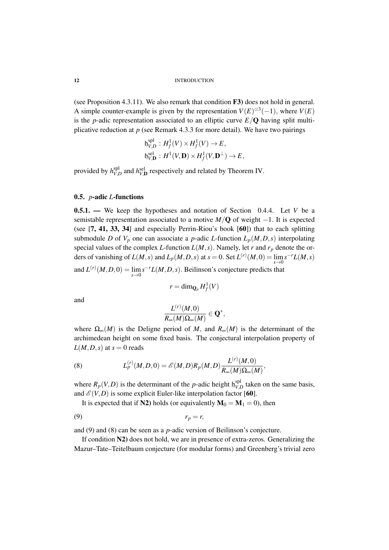(see Proposition 4.3.11). We also remark that condition F3) does not hold in general. A simple counter-example is given by the representation  $V(E)^{\otimes 3}(-1)$ , where  $V(E)$ is the *p*-adic representation associated to an elliptic curve  $E/Q$  having split multiplicative reduction at *p* (see Remark 4.3.3 for more detail). We have two pairings

$$
\mathfrak{h}_{V,D}^{\text{spl}}: H^1_f(V) \times H^1_f(V) \to E,
$$
  

$$
\mathfrak{h}_{V,D}^{\text{sel}}: H^1(V,D) \times H^1_f(V,D^{\perp}) \to E,
$$

provided by  $h_{V, I}^{spl}$  $V_{V,D}^{\text{spl}}$  and *h*<sub> $V_{V,D}^{\text{sel}}$  respectively and related by Theorem IV.</sub>

#### 0.5. *p*-adic *L*-functions

0.5.1. — We keep the hypotheses and notation of Section 0.4.4. Let *V* be a semistable representation associated to a motive  $M/O$  of weight  $-1$ . It is expected (see [7, 41, 33, 34] and especially Perrin-Riou's book [60]) that to each splitting submodule *D* of  $V_p$  one can associate a *p*-adic *L*-function  $L_p(M, D, s)$  interpolating special values of the complex *L*-function  $L(M, s)$ . Namely, let *r* and  $r_p$  denote the orders of vanishing of  $L(M, s)$  and  $L_p(M, D, s)$  at  $s = 0$ . Set  $L^{(r)}(M, 0) = \lim_{s \to 0} s^{-r}L(M, s)$ *s*→0 and  $L^{(r)}(M, D, 0) = \lim_{s \to 0} s^{-r} L(M, D, s)$ . Beilinson's conjecture predicts that

$$
r=\dim_{{\mathbf Q}_p}H^1_f(V)
$$

and

$$
\frac{L^{(r)}(M,0)}{R_\infty(M)\Omega_\infty(M)}\in \mathbf{Q}^*,
$$

where  $\Omega_{\infty}(M)$  is the Deligne period of *M*, and  $R_{\infty}(M)$  is the determinant of the archimedean height on some fixed basis. The conjectural interpolation property of  $L(M, D, s)$  at  $s = 0$  reads

(8) 
$$
L_p^{(r)}(M,D,0) = \mathscr{E}(M,D)R_p(M,D)\frac{L^{(r)}(M,0)}{R_\infty(M)\Omega_\infty(M)},
$$

where  $R_p(V,D)$  is the determinant of the *p*-adic height  $\mathfrak{h}_{V,L}^{spl}$  $V_{V,D}^{\text{sp1}}$  taken on the same basis, and  $\mathcal{E}(V,D)$  is some explicit Euler-like interpolation factor [60].

It is expected that if N2) holds (or equivalently  $M_0 = M_1 = 0$ ), then

$$
(9) \t\t\t\t r_p = r,
$$

and (9) and (8) can be seen as a *p*-adic version of Beilinson's conjecture.

If condition N2) does not hold, we are in presence of extra-zeros. Generalizing the Mazur–Tate–Teitelbaum conjecture (for modular forms) and Greenberg's trivial zero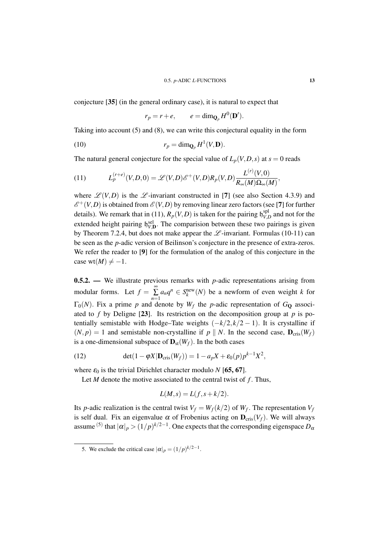conjecture [35] (in the general ordinary case), it is natural to expect that

$$
r_p = r + e, \qquad e = \dim_{\mathbf{Q}_p} H^0(\mathbf{D}').
$$

Taking into account (5) and (8), we can write this conjectural equality in the form

(10) 
$$
r_p = \dim_{\mathbf{Q}_p} H^1(V, \mathbf{D}).
$$

The natural general conjecture for the special value of  $L_p(V, D, s)$  at  $s = 0$  reads

(11) 
$$
L_p^{(r+e)}(V,D,0) = \mathscr{L}(V,D)\mathscr{E}^+(V,D)R_p(V,D)\frac{L^{(r)}(V,0)}{R_\infty(M)\Omega_\infty(M)},
$$

where  $\mathcal{L}(V,D)$  is the  $\mathcal{L}$ -invariant constructed in [7] (see also Section 4.3.9) and  $\mathscr{E}^+(V,D)$  is obtained from  $\mathscr{E}(V,D)$  by removing linear zero factors (see [7] for further details). We remark that in (11),  $R_p(V,D)$  is taken for the pairing  $\mathfrak{h}_{V,I}^{\text{spl}}$  $V_{V,D}^{\text{sp1}}$  and not for the extended height pairing  $\mathfrak{h}_{V,D}^{\text{sel}}$ . The comparision between these two pairings is given by Theorem 7.2.4, but does not make appear the  $\mathscr L$ -invariant. Formulas (10-11) can be seen as the *p*-adic version of Beilinson's conjecture in the presence of extra-zeros. We refer the reader to [9] for the formulation of the analog of this conjecture in the case wt( $M$ )  $\neq -1$ .

0.5.2. — We illustrate previous remarks with *p*-adic representations arising from modular forms. Let  $f = \sum_{n=1}^{\infty}$  $\sum_{n=1} a_n q^n \in S_k^{\text{new}}(N)$  be a newform of even weight *k* for  $\Gamma_0(N)$ . Fix a prime p and denote by  $W_f$  the p-adic representation of  $G_Q$  associated to  $f$  by Deligne [23]. Its restriction on the decomposition group at  $p$  is potentially semistable with Hodge–Tate weights  $(-k/2, k/2 - 1)$ . It is crystalline if  $(N, p) = 1$  and semistable non-crystalline if  $p \parallel N$ . In the second case,  $D_{\text{cris}}(W_f)$ is a one-dimensional subspace of  $\mathbf{D}_{st}(W_f)$ . In the both cases

(12) 
$$
\det(1 - \varphi X | \mathbf{D}_{\mathrm{cris}}(W_f)) = 1 - a_p X + \varepsilon_0(p) p^{k-1} X^2,
$$

where  $\varepsilon_0$  is the trivial Dirichlet character modulo *N* [65, 67].

Let *M* denote the motive associated to the central twist of *f*. Thus,

$$
L(M,s) = L(f,s+k/2).
$$

Its *p*-adic realization is the central twist  $V_f = W_f(k/2)$  of  $W_f$ . The representation  $V_f$ is self dual. Fix an eigenvalue  $\alpha$  of Frobenius acting on  $\mathbf{D}_{\text{cris}}(V_f)$ . We will always assume <sup>(5)</sup> that  $|\alpha|_p > (1/p)^{k/2-1}$ . One expects that the corresponding eigenspace  $D_0$ 

<sup>5.</sup> We exclude the critical case  $|\alpha|_p = (1/p)^{k/2-1}$ .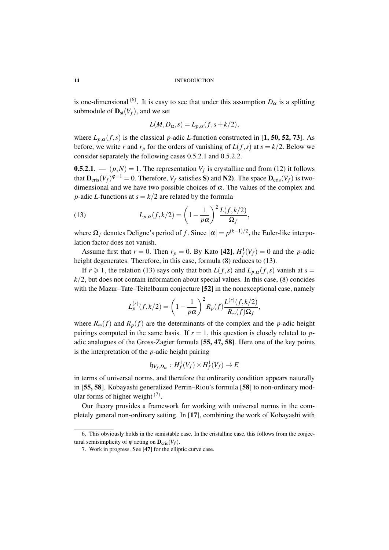is one-dimensional <sup>(6)</sup>. It is easy to see that under this assumption  $D_{\alpha}$  is a splitting submodule of  $\mathbf{D}_{st}(V_f)$ , and we set

$$
L(M, D_{\alpha}, s) = L_{p,\alpha}(f, s + k/2),
$$

where  $L_{p,\alpha}(f,s)$  is the classical *p*-adic *L*-function constructed in [1, 50, 52, 73]. As before, we write *r* and  $r_p$  for the orders of vanishing of  $L(f, s)$  at  $s = k/2$ . Below we consider separately the following cases 0.5.2.1 and 0.5.2.2.

**0.5.2.1**.  $\qquad (p,N) = 1$ . The representation  $V_f$  is crystalline and from (12) it follows that  $\mathbf{D}_{\mathrm{cris}}(V_f)^{\varphi=1} = 0$ . Therefore,  $V_f$  satisfies S) and N2). The space  $\mathbf{D}_{\mathrm{cris}}(V_f)$  is twodimensional and we have two possible choices of  $\alpha$ . The values of the complex and *p*-adic *L*-functions at  $s = k/2$  are related by the formula

(13) 
$$
L_{p,\alpha}(f,k/2) = \left(1 - \frac{1}{p\alpha}\right)^2 \frac{L(f,k/2)}{\Omega_f},
$$

where  $\Omega_f$  denotes Deligne's period of f. Since  $|\alpha| = p^{(k-1)/2}$ , the Euler-like interpolation factor does not vanish.

Assume first that  $r = 0$ . Then  $r_p = 0$ . By Kato [42],  $H_f^1(V_f) = 0$  and the *p*-adic height degenerates. Therefore, in this case, formula (8) reduces to (13).

If  $r \ge 1$ , the relation (13) says only that both  $L(f, s)$  and  $L_{p,\alpha}(f, s)$  vanish at  $s =$  $k/2$ , but does not contain information about special values. In this case,  $(8)$  concides with the Mazur–Tate–Teitelbaum conjecture [52] in the nonexceptional case, namely

$$
L_p^{(r)}(f, k/2) = \left(1 - \frac{1}{p\alpha}\right)^2 R_p(f) \frac{L^{(r)}(f, k/2)}{R_\infty(f)\Omega_f},
$$

where  $R_\infty(f)$  and  $R_p(f)$  are the determinants of the complex and the *p*-adic height pairings computed in the same basis. If  $r = 1$ , this question is closely related to padic analogues of the Gross-Zagier formula [55, 47, 58]. Here one of the key points is the interpretation of the *p*-adic height pairing

$$
\mathfrak{h}_{V_f,D_\alpha}:H^1_f(V_f)\times H^1_f(V_f)\to E
$$

in terms of universal norms, and therefore the ordinarity condition appears naturally in [55, 58]. Kobayashi generalized Perrin–Riou's formula [58] to non-ordinary modular forms of higher weight  $(7)$ .

Our theory provides a framework for working with universal norms in the completely general non-ordinary setting. In [17], combining the work of Kobayashi with

<sup>6.</sup> This obviously holds in the semistable case. In the cristalline case, this follows from the conjectural semisimplicity of  $\varphi$  acting on  $\mathbf{D}_{\text{cris}}(V_f)$ .

<sup>7.</sup> Work in progress. See [47] for the elliptic curve case.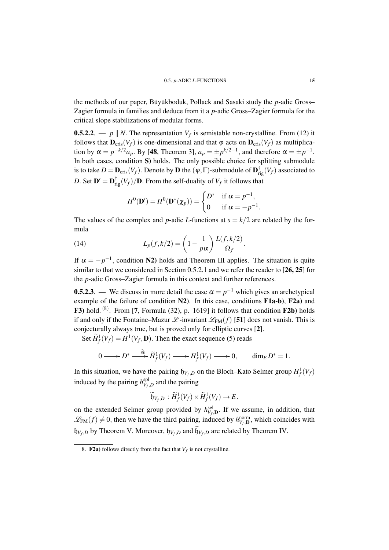the methods of our paper, Büyükboduk, Pollack and Sasaki study the *p*-adic Gross– Zagier formula in families and deduce from it a *p*-adic Gross–Zagier formula for the critical slope stabilizations of modular forms.

**0.5.2.2.** —  $p \parallel N$ . The representation  $V_f$  is semistable non-crystalline. From (12) it follows that  $\mathbf{D}_{\text{cris}}(V_f)$  is one-dimensional and that  $\varphi$  acts on  $\mathbf{D}_{\text{cris}}(V_f)$  as multiplication by  $\alpha = p^{-k/2}a_p$ . By [48, Theorem 3],  $a_p = \pm p^{k/2-1}$ , and therefore  $\alpha = \pm p^{-1}$ . In both cases, condition S) holds. The only possible choice for splitting submodule is to take  $D = \mathbf{D}_{\text{cris}}(V_f)$ . Denote by  $\mathbf{D}$  the  $(\varphi, \Gamma)$ -submodule of  $\mathbf{D}_{\text{rig}}^{\dagger}(V_f)$  associated to *D*. Set  $\mathbf{D}' = \mathbf{D}_{\text{rig}}^{\dagger}(V_f)/\mathbf{D}$ . From the self-duality of  $V_f$  it follows that

$$
H^{0}(\mathbf{D}') = H^{0}(\mathbf{D}^{*}(\chi_{p})) = \begin{cases} D^{*} & \text{if } \alpha = p^{-1}, \\ 0 & \text{if } \alpha = -p^{-1}. \end{cases}
$$

The values of the complex and *p*-adic *L*-functions at  $s = k/2$  are related by the formula

(14) 
$$
L_p(f,k/2) = \left(1 - \frac{1}{p\alpha}\right) \frac{L(f,k/2)}{\Omega_f}.
$$

If  $\alpha = -p^{-1}$ , condition N2) holds and Theorem III applies. The situation is quite similar to that we considered in Section 0.5.2.1 and we refer the reader to [26, 25] for the *p*-adic Gross–Zagier formula in this context and further references.

**0.5.2.3**. — We discuss in more detail the case  $\alpha = p^{-1}$  which gives an archetypical example of the failure of condition N2). In this case, conditions F1a-b), F2a) and **F3**) hold. <sup>(8)</sup>. From [7, Formula (32), p. 1619] it follows that condition  $\bf{F2b}$ ) holds if and only if the Fontaine–Mazur  $\mathscr{L}$ -invariant  $\mathscr{L}_{FM}(f)$  [51] does not vanish. This is conjecturally always true, but is proved only for elliptic curves [2].

Set  $\widetilde{H}^1_f(V_f) = H^1(V_f, \mathbf{D})$ . Then the exact sequence (5) reads

$$
0 \longrightarrow D^* \xrightarrow{\partial_0} \widetilde{H}^1_f(V_f) \longrightarrow H^1_f(V_f) \longrightarrow 0, \qquad \dim_E D^* = 1.
$$

In this situation, we have the pairing  $\mathfrak{h}_{V_f,D}$  on the Bloch–Kato Selmer group  $H_f^1(V_f)$ induced by the pairing  $h_{V_c}^{\text{spl}}$  $V_f$ , *D* and the pairing

$$
\widetilde{\mathfrak{h}}_{V_f,D} : \widetilde{H}^1_f(V_f) \times \widetilde{H}^1_f(V_f) \to E.
$$

on the extended Selmer group provided by  $h_{V_f,\mathbf{D}}^{sel}$ . If we assume, in addition, that  $\mathscr{L}_{FM}(f) \neq 0$ , then we have the third pairing, induced by  $h_{V_f,\mathbf{D}}^{\text{norm}}$ , which coincides with  $\mathfrak{h}_{V_f,D}$  by Theorem V. Moreover,  $\mathfrak{h}_{V_f,D}$  and  $\mathfrak{h}_{V_f,D}$  are related by Theorem IV.

<sup>8.</sup> **F2a**) follows directly from the fact that  $V_f$  is not crystalline.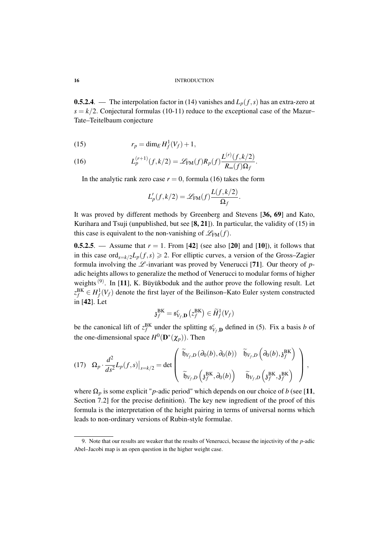**0.5.2.4**. — The interpolation factor in (14) vanishes and  $L_p(f, s)$  has an extra-zero at  $s = k/2$ . Conjectural formulas (10-11) reduce to the exceptional case of the Mazur– Tate–Teitelbaum conjecture

$$
(15) \t\t\t r_p = \dim_E H_f^1(V_f) + 1,
$$

(16) 
$$
L_p^{(r+1)}(f,k/2) = \mathscr{L}_{FM}(f)R_p(f)\frac{L^{(r)}(f,k/2)}{R_\infty(f)\Omega_f}.
$$

In the analytic rank zero case  $r = 0$ , formula (16) takes the form

$$
L'_p(f,k/2) = \mathcal{L}_{\text{FM}}(f) \frac{L(f,k/2)}{\Omega_f}.
$$

It was proved by different methods by Greenberg and Stevens [36, 69] and Kato, Kurihara and Tsuji (unpublished, but see  $[8, 21]$ ). In particular, the validity of (15) in this case is equivalent to the non-vanishing of  $\mathscr{L}_{FM}(f)$ .

**0.5.2.5.** — Assume that  $r = 1$ . From [42] (see also [20] and [10]), it follows that in this case ord<sub>s= $k/2$ </sub> $L_p(f, s) \ge 2$ . For elliptic curves, a version of the Gross–Zagier formula involving the  $\mathscr L$ -invariant was proved by Venerucci [71]. Our theory of  $p$ adic heights allows to generalize the method of Venerucci to modular forms of higher weights<sup>(9)</sup>. In [11], K. Büyükboduk and the author prove the following result. Let *z*<sup>BK</sup> ∈ *H*<sup>1</sup><sub>*f*</sub>(*V<sub>f</sub>*) denote the first layer of the Beilinson–Kato Euler system constructed in [42]. Let

$$
\mathfrak{z}_f^{\mathrm{BK}} = \mathfrak{s}_{V_f,\mathbf{D}}^c\left(z_f^{\mathrm{BK}}\right) \in \widetilde{H}^1_f(V_f)
$$

be the canonical lift of  $z_f^{BK}$  under the splitting  $\mathfrak{s}_{V_f,\mathbf{D}}^c$  defined in (5). Fix a basis *b* of the one-dimensional space  $H^0(\mathbf{D}^*(\chi_p))$ . Then

$$
(17) \quad \Omega_p \cdot \frac{d^2}{ds^2} L_p(f,s)|_{s=k/2} = \det \begin{pmatrix} \widetilde{\mathfrak{h}}_{V_f,D}(\partial_0(b), \partial_0(b)) & \widetilde{\mathfrak{h}}_{V_f,D}(\partial_0(b), \mathfrak{z}_f^{BK}) \\ \widetilde{\mathfrak{h}}_{V_f,D}(\mathfrak{z}_f^{BK}, \partial_0(b)) & \widetilde{\mathfrak{h}}_{V_f,D}(\mathfrak{z}_f^{BK}, \mathfrak{z}_f^{BK}) \end{pmatrix},
$$

where  $\Omega_p$  is some explicit "*p*-adic period" which depends on our choice of *b* (see [11, Section 7.2] for the precise definition). The key new ingredient of the proof of this formula is the interpretation of the height pairing in terms of universal norms which leads to non-ordinary versions of Rubin-style formulae.

<sup>9.</sup> Note that our results are weaker that the results of Venerucci, because the injectivity of the *p*-adic Abel–Jacobi map is an open question in the higher weight case.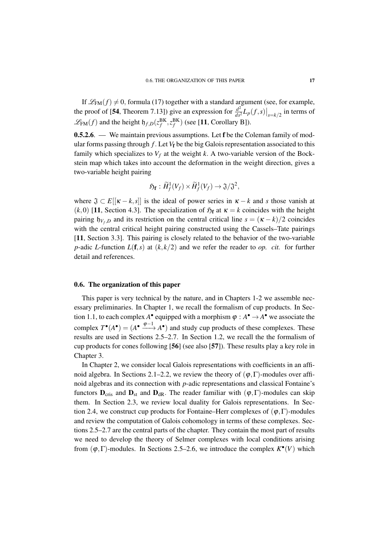If  $\mathcal{L}_{FM}(f) \neq 0$ , formula (17) together with a standard argument (see, for example, the proof of [54, Theorem 7.13]) give an expression for  $\frac{d^2}{ds^2}L_p(f,s)|_{s=k/2}$  in terms of  $\mathscr{L}_{FM}(f)$  and the height  $\mathfrak{h}_{f,D}(z_f^{BK}, z_f^{BK})$  (see [11, Corollary B]).

**0.5.2.6.** — We maintain previous assumptions. Let f be the Coleman family of modular forms passing through  $f$ . Let  $V_f$  be the big Galois representation associated to this family which specializes to  $V_f$  at the weight *k*. A two-variable version of the Bockstein map which takes into account the deformation in the weight direction, gives a two-variable height pairing

$$
\mathfrak{H}_{\mathbf{f}}:\widetilde{H}^1_f(V_f)\times\widetilde{H}^1_f(V_f)\to \mathfrak{J}/\mathfrak{J}^2,
$$

where  $\mathfrak{J} \subset E[[\kappa - k, s]]$  is the ideal of power series in  $\kappa - k$  and *s* those vanish at (*k*,0) [11, Section 4.3]. The specialization of  $\mathfrak{H}_{f}$  at  $\kappa = k$  coincides with the height pairing  $\mathfrak{h}_{V_f,D}$  and its restriction on the central critical line  $s = (\kappa - k)/2$  coincides with the central critical height pairing constructed using the Cassels–Tate pairings [11, Section 3.3]. This pairing is closely related to the behavior of the two-variable *p*-adic *L*-function  $L(f, s)$  at  $(k, k/2)$  and we refer the reader to *op. cit.* for further detail and references.

#### 0.6. The organization of this paper

This paper is very technical by the nature, and in Chapters 1-2 we assemble necessary preliminaries. In Chapter 1, we recall the formalism of cup products. In Section 1.1, to each complex  $A^{\bullet}$  equipped with a morphism  $\varphi : A^{\bullet} \to A^{\bullet}$  we associate the complex  $T^{\bullet}(A^{\bullet}) = (A^{\bullet} \xrightarrow{\phi-1} A^{\bullet})$  and study cup products of these complexes. These results are used in Sections 2.5–2.7. In Section 1.2, we recall the the formalism of cup products for cones following [56] (see also [57]). These results play a key role in Chapter 3.

In Chapter 2, we consider local Galois representations with coefficients in an affinoid algebra. In Sections 2.1–2.2, we review the theory of  $(\varphi, \Gamma)$ -modules over affinoid algebras and its connection with *p*-adic representations and classical Fontaine's functors  $D_{\text{cris}}$  and  $D_{\text{st}}$  and  $D_{\text{dR}}$ . The reader familiar with  $(\varphi, \Gamma)$ -modules can skip them. In Section 2.3, we review local duality for Galois representations. In Section 2.4, we construct cup products for Fontaine–Herr complexes of  $(\varphi, \Gamma)$ -modules and review the computation of Galois cohomology in terms of these complexes. Sections 2.5–2.7 are the central parts of the chapter. They contain the most part of results we need to develop the theory of Selmer complexes with local conditions arising from  $(\varphi, \Gamma)$ -modules. In Sections 2.5–2.6, we introduce the complex  $K^{\bullet}(V)$  which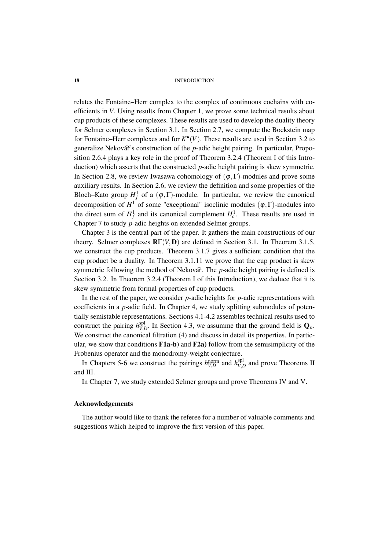relates the Fontaine–Herr complex to the complex of continuous cochains with coefficients in *V*. Using results from Chapter 1, we prove some technical results about cup products of these complexes. These results are used to develop the duality theory for Selmer complexes in Section 3.1. In Section 2.7, we compute the Bockstein map for Fontaine–Herr complexes and for  $K^{\bullet}(V)$ . These results are used in Section 3.2 to generalize Nekovář's construction of the *p*-adic height pairing. In particular, Proposition 2.6.4 plays a key role in the proof of Theorem 3.2.4 (Theorem I of this Introduction) which asserts that the constructed *p*-adic height pairing is skew symmetric. In Section 2.8, we review Iwasawa cohomology of  $(\varphi, \Gamma)$ -modules and prove some auxiliary results. In Section 2.6, we review the definition and some properties of the Bloch–Kato group  $H_f^1$  of a  $(\varphi, \Gamma)$ -module. In particular, we review the canonical decomposition of  $H^1$  of some "exceptional" isoclinic modules  $(\varphi, \Gamma)$ -modules into the direct sum of  $H_f^1$  and its canonical complement  $H_c^1$ . These results are used in Chapter 7 to study *p*-adic heights on extended Selmer groups.

Chapter 3 is the central part of the paper. It gathers the main constructions of our theory. Selmer complexes  $\mathbf{R}\Gamma(V,\mathbf{D})$  are defined in Section 3.1. In Theorem 3.1.5, we construct the cup products. Theorem 3.1.7 gives a sufficient condition that the cup product be a duality. In Theorem 3.1.11 we prove that the cup product is skew symmetric following the method of Nekovář. The *p*-adic height pairing is defined is Section 3.2. In Theorem 3.2.4 (Theorem I of this Introduction), we deduce that it is skew symmetric from formal properties of cup products.

In the rest of the paper, we consider *p*-adic heights for *p*-adic representations with coefficients in a *p*-adic field. In Chapter 4, we study splitting submodules of potentially semistable representations. Sections 4.1-4.2 assembles technical results used to construct the pairing  $h_{VI}^{spl}$  $V_{V,D}^{\text{sp}}$ . In Section 4.3, we assumme that the ground field is  $\mathbf{Q}_p$ . We construct the canonical filtration (4) and discuss in detail its properties. In particular, we show that conditions  $F1a-b$  and  $F2a$  follow from the semisimplicity of the Frobenius operator and the monodromy-weight conjecture.

In Chapters 5-6 we construct the pairings  $h_{V,D}^{\text{norm}}$  and  $h_{V,L}^{\text{spl}}$  $V_{V,D}^{\text{sp1}}$  and prove Theorems II and III.

In Chapter 7, we study extended Selmer groups and prove Theorems IV and V.

## Acknowledgements

The author would like to thank the referee for a number of valuable comments and suggestions which helped to improve the first version of this paper.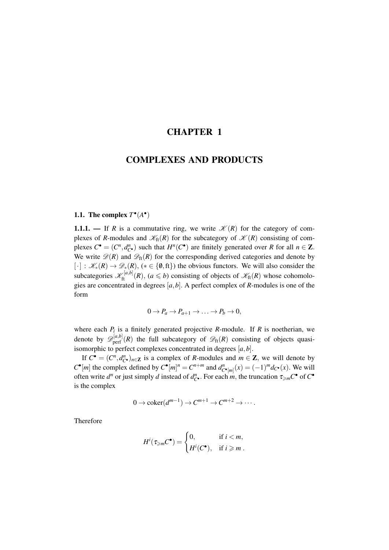## CHAPTER 1

## COMPLEXES AND PRODUCTS

## 1.1. The complex  $T^{\bullet}(A^{\bullet})$

1.1.1. — If *R* is a commutative ring, we write  $\mathcal{K}(R)$  for the category of complexes of *R*-modules and  $\mathcal{K}_{\text{ft}}(R)$  for the subcategory of  $\mathcal{K}(R)$  consisting of complexes  $C^{\bullet} = (C^n, d^n_{C^{\bullet}})$  such that  $H^n(C^{\bullet})$  are finitely generated over *R* for all  $n \in \mathbb{Z}$ . We write  $\mathcal{D}(R)$  and  $\mathcal{D}_{\text{ft}}(R)$  for the corresponding derived categories and denote by  $[\cdot] : \mathcal{K}_*(R) \to \mathcal{D}_*(R),$  ( $* \in \{0, \text{ft}\}\$ ) the obvious functors. We will also consider the subcategories  $\mathcal{K}_{ft}^{[a,b]}(R)$ ,  $(a \leq b)$  consisting of objects of  $\mathcal{K}_{ft}(R)$  whose cohomologies are concentrated in degrees [*a*,*b*]. A perfect complex of *R*-modules is one of the form

$$
0 \to P_a \to P_{a+1} \to \ldots \to P_b \to 0,
$$

where each  $P_i$  is a finitely generated projective  $R$ -module. If  $R$  is noetherian, we denote by  $\mathscr{D}_{\text{perf}}^{[a,b]}(R)$  the full subcategory of  $\mathscr{D}_{\text{ft}}(R)$  consisting of objects quasiisomorphic to perfect complexes concentrated in degrees [*a*,*b*].

If  $C^{\bullet} = (C^n, d_{C^{\bullet}}^n)_{n \in \mathbb{Z}}$  is a complex of *R*-modules and  $m \in \mathbb{Z}$ , we will denote by  $C^{\bullet}[m]$  the complex defined by  $C^{\bullet}[m]^{n} = C^{n+m}$  and  $d_{C^{\bullet}[m]}^{n}(x) = (-1)^{m} d_{C^{\bullet}}(x)$ . We will often write  $d^n$  or just simply *d* instead of  $d^n_{C^{\bullet}}$ . For each *m*, the truncation  $\tau_{\geq m}C^{\bullet}$  of  $C^{\bullet}$ is the complex

$$
0 \to \mathrm{coker}(d^{m-1}) \to C^{m+1} \to C^{m+2} \to \cdots.
$$

Therefore

$$
H^{i}(\tau_{\geqslant m}C^{\bullet}) = \begin{cases} 0, & \text{if } i < m, \\ H^{i}(C^{\bullet}), & \text{if } i \geqslant m. \end{cases}
$$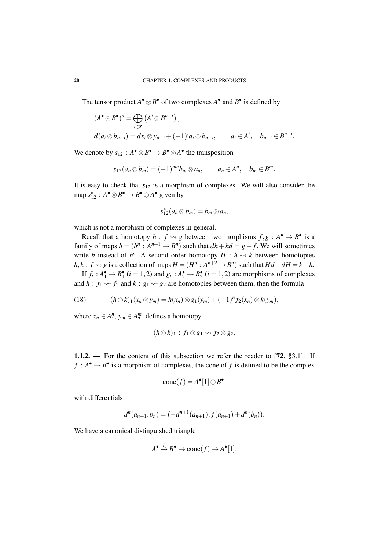The tensor product  $A^{\bullet} \otimes B^{\bullet}$  of two complexes  $A^{\bullet}$  and  $B^{\bullet}$  is defined by

$$
(A^{\bullet} \otimes B^{\bullet})^n = \bigoplus_{i \in \mathbb{Z}} (A^i \otimes B^{n-i}),
$$
  
\n
$$
d(a_i \otimes b_{n-i}) = dx_i \otimes y_{n-i} + (-1)^i a_i \otimes b_{n-i}, \qquad a_i \in A^i, \quad b_{n-i} \in B^{n-i}.
$$

We denote by  $s_{12}: A^{\bullet} \otimes B^{\bullet} \to B^{\bullet} \otimes A^{\bullet}$  the transposition

$$
s_{12}(a_n \otimes b_m) = (-1)^{nm} b_m \otimes a_n, \qquad a_n \in A^n, \quad b_m \in B^m.
$$

It is easy to check that *s*<sup>12</sup> is a morphism of complexes. We will also consider the map  $s_{12}^* : A^{\bullet} \otimes B^{\bullet} \to B^{\bullet} \otimes A^{\bullet}$  given by

$$
s_{12}^*(a_n \otimes b_m) = b_m \otimes a_n,
$$

which is not a morphism of complexes in general.

Recall that a homotopy  $h : f \rightsquigarrow g$  between two morphisms  $f, g : A^{\bullet} \rightarrow B^{\bullet}$  is a family of maps  $h = (h^n : A^{n+1} \to B^n)$  such that  $dh + hd = g - f$ . We will sometimes write *h* instead of  $h^n$ . A second order homotopy  $H : h \rightarrow k$  between homotopies  $h, k : f \rightsquigarrow g$  is a collection of maps  $H = (H^n : A^{n+2} \rightarrow B^n)$  such that  $Hd - dH = k - h$ . If  $f_i: A_1^{\bullet} \to B_1^{\bullet}$  ( $i = 1, 2$ ) and  $g_i: A_2^{\bullet} \to B_2^{\bullet}$  ( $i = 1, 2$ ) are morphisms of complexes

and  $h : f_1 \rightarrow f_2$  and  $k : g_1 \rightarrow g_2$  are homotopies between them, then the formula

(18) 
$$
(h \otimes k)_{1}(x_{n} \otimes y_{m}) = h(x_{n}) \otimes g_{1}(y_{m}) + (-1)^{n} f_{2}(x_{n}) \otimes k(y_{m}),
$$

where  $x_n \in A_1^n$ ,  $y_m \in A_2^m$ , defines a homotopy

$$
(h\otimes k)_1: f_1\otimes g_1\leadsto f_2\otimes g_2.
$$

1.1.2. — For the content of this subsection we refer the reader to [72, §3.1]. If  $f : A^{\bullet} \to B^{\bullet}$  is a morphism of complexes, the cone of *f* is defined to be the complex

$$
cone(f) = A^{\bullet}[1] \oplus B^{\bullet},
$$

with differentials

$$
d^{n}(a_{n+1},b_n)=(-d^{n+1}(a_{n+1}),f(a_{n+1})+d^{n}(b_n)).
$$

We have a canonical distinguished triangle

$$
A^{\bullet} \xrightarrow{f} B^{\bullet} \to \text{cone}(f) \to A^{\bullet}[1].
$$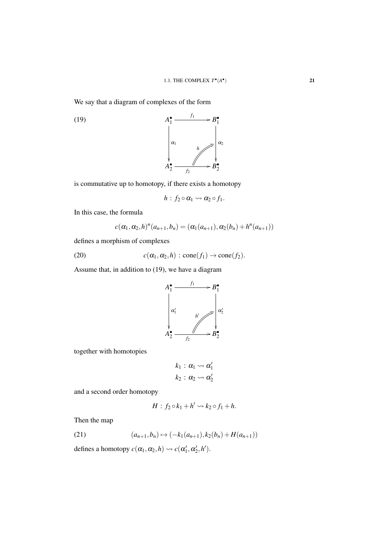We say that a diagram of complexes of the form



is commutative up to homotopy, if there exists a homotopy

$$
h: f_2 \circ \alpha_1 \leadsto \alpha_2 \circ f_1.
$$

In this case, the formula

$$
c(\alpha_1, \alpha_2, h)^n(a_{n+1}, b_n) = (\alpha_1(a_{n+1}), \alpha_2(b_n) + h^n(a_{n+1}))
$$

defines a morphism of complexes

(20) 
$$
c(\alpha_1, \alpha_2, h) : \text{cone}(f_1) \to \text{cone}(f_2).
$$

Assume that, in addition to (19), we have a diagram



together with homotopies

$$
k_1 : \alpha_1 \leadsto \alpha'_1
$$
  

$$
k_2 : \alpha_2 \leadsto \alpha'_2
$$

and a second order homotopy

$$
H : f_2 \circ k_1 + h' \rightsquigarrow k_2 \circ f_1 + h.
$$

Then the map

(21) 
$$
(a_{n+1}, b_n) \mapsto (-k_1(a_{n+1}), k_2(b_n) + H(a_{n+1}))
$$

defines a homotopy  $c(\alpha_1, \alpha_2, h) \rightsquigarrow c(\alpha'_1, \alpha'_2, h').$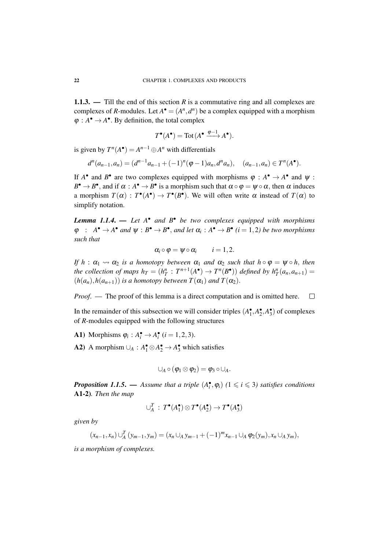1.1.3. — Till the end of this section *R* is a commutative ring and all complexes are complexes of *R*-modules. Let  $A^{\bullet} = (A^n, d^n)$  be a complex equipped with a morphism  $\varphi: A^{\bullet} \to A^{\bullet}$ . By definition, the total complex

$$
T^{\bullet}(A^{\bullet}) = \text{Tot}(A^{\bullet} \xrightarrow{\varphi-1} A^{\bullet}).
$$

is given by  $T^n(A^{\bullet}) = A^{n-1} \oplus A^n$  with differentials

$$
d^{n}(a_{n-1},a_n)=(d^{n-1}a_{n-1}+(-1)^{n}(\varphi-1)a_n,d^{n}a_n), (a_{n-1},a_n)\in T^{n}(A^{\bullet}).
$$

If  $A^{\bullet}$  and  $B^{\bullet}$  are two complexes equipped with morphisms  $\varphi : A^{\bullet} \to A^{\bullet}$  and  $\psi$ :  $B^{\bullet} \to B^{\bullet}$ , and if  $\alpha : A^{\bullet} \to B^{\bullet}$  is a morphism such that  $\alpha \circ \varphi = \psi \circ \alpha$ , then  $\alpha$  induces a morphism  $T(\alpha) : T^{\bullet}(A^{\bullet}) \to T^{\bullet}(B^{\bullet})$ . We will often write  $\alpha$  instead of  $T(\alpha)$  to simplify notation.

*Lemma 1.1.4*. — *Let A*• *and B*• *be two complexes equipped with morphisms*  $\varphi$  :  $A^{\bullet} \to A^{\bullet}$  *and*  $\psi : B^{\bullet} \to B^{\bullet}$ , *and let*  $\alpha_i : A^{\bullet} \to B^{\bullet}$  (*i* = 1,2*) be two morphisms such that*

$$
\alpha_i\circ\varphi=\psi\circ\alpha_i\qquad i=1,2.
$$

*If*  $h : \alpha_1 \leadsto \alpha_2$  *is a homotopy between*  $\alpha_1$  *and*  $\alpha_2$  *such that*  $h \circ \varphi = \psi \circ h$ *, then the collection of maps*  $h_T = (h_T^n : T^{n+1}(A^{\bullet}) \to T^n(B^{\bullet}))$  *defined by*  $h_T^n(a_n, a_{n+1}) =$  $(h(a_n), h(a_{n+1}))$  *is a homotopy between*  $T(\alpha_1)$  *and*  $T(\alpha_2)$ *.* 

*Proof.* — The proof of this lemma is a direct computation and is omitted here.  $\Box$ 

In the remainder of this subsection we will consider triples  $(A_1^{\bullet}, A_2^{\bullet}, A_3^{\bullet})$  of complexes of *R*-modules equipped with the following structures

A1) Morphisms  $\varphi_i : A_i^{\bullet} \to A_i^{\bullet}$  ( $i = 1, 2, 3$ ).

A2) A morphism  $\cup_A : A_1^{\bullet} \otimes A_2^{\bullet} \rightarrow A_3^{\bullet}$  which satisfies

$$
\cup_A\circ(\phi_1\otimes\phi_2)=\phi_3\circ\cup_A.
$$

*Proposition 1.1.5.* — *Assume that a triple*  $(A_i^{\bullet}, \varphi_i)$  ( $1 \leq i \leq 3$ ) satisfies conditions A1-2)*. Then the map*

$$
\cup_A^T : T^{\bullet}(A_1^{\bullet}) \otimes T^{\bullet}(A_2^{\bullet}) \to T^{\bullet}(A_3^{\bullet})
$$

*given by*

$$
(x_{n-1},x_n)\bigcup_A^T(y_{m-1},y_m)=(x_n\bigcup_A y_{m-1}+(-1)^mx_{n-1}\bigcup_A\varphi_2(y_m),x_n\bigcup_A y_m),
$$

*is a morphism of complexes.*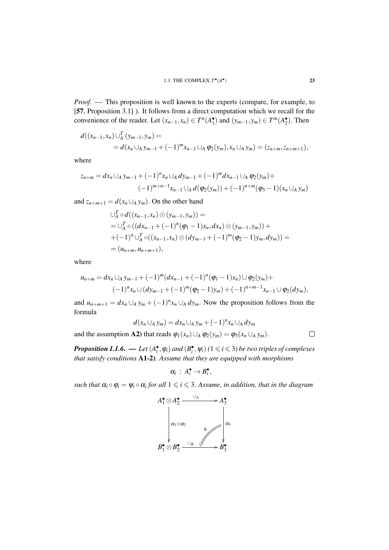*Proof.* — This proposition is well known to the experts (compare, for example, to [57, Proposition 3.1]). It follows from a direct computation which we recall for the convenience of the reader. Let  $(x_{n-1}, x_n) \in T^n(A_1^{\bullet})$  and  $(y_{m-1}, y_m) \in T^m(A_2^{\bullet})$ . Then

$$
d((x_{n-1},x_n)\bigcup_A^T (y_{m-1},y_m)=
$$
  
=  $d(x_n\bigcup_A y_{m-1}+(-1)^m x_{n-1}\bigcup_A \varphi_2(y_m),x_n\bigcup_A y_m)=(z_{n+m},z_{n+m+1}),$ 

where

$$
z_{n+m} = dx_n \cup_A y_{m-1} + (-1)^n x_n \cup_A dy_{m-1} + (-1)^m dx_{n-1} \cup_A \varphi_2(y_m) + (-1)^{m+n-1} x_{n-1} \cup_A d(\varphi_2(y_m)) + (-1)^{n+m} (\varphi_3 - 1)(x_n \cup_A y_m)
$$

and  $z_{n+m+1} = d(x_n \cup_A y_m)$ . On the other hand

$$
\bigcup_{A}^{T} \circ d((x_{n-1},x_n) \otimes (y_{m-1},y_m)) =
$$
\n
$$
= \bigcup_{A}^{T} \circ ((dx_{n-1} + (-1)^n (\varphi_1 - 1)x_n, dx_n) \otimes (y_{m-1},y_m)) +
$$
\n
$$
+ (-1)^n \bigcup_{A}^{T} \circ ((x_{n-1},x_n) \otimes (dy_{m-1} + (-1)^m (\varphi_2 - 1)y_m, dy_m)) =
$$
\n
$$
= (u_{n+m}, u_{n+m+1}),
$$

where

and the assumption A2) that reads ϕ1(*xn*)∪*<sup>A</sup>* ϕ2(*ym*) = ϕ3(*x<sup>n</sup>* ∪*<sup>A</sup> ym*).

$$
u_{n+m} = dx_n \cup_A y_{m-1} + (-1)^m (dx_{n-1} + (-1)^n (\varphi_1 - 1) x_n) \cup \varphi_2(y_m) + (-1)^n x_n \cup (dy_{m-1} + (-1)^m (\varphi_2 - 1) y_m) + (-1)^{n+m-1} x_{n-1} \cup \varphi_2(dy_m),
$$

and  $u_{n+m+1} = dx_n \cup_A y_m + (-1)^n x_n \cup_A dy_m$ . Now the proposition follows from the formula

$$
d(x_n \cup_A y_m) = dx_n \cup_A y_m + (-1)^n x_n \cup_A dy_m
$$
  
**A2)** that reads  $\varphi_1(x_n) \cup_A \varphi_2(y_m) = \varphi_3(x_n \cup_A y_m)$ .

*Proposition 1.1.6.* — Let  $(A_i^{\bullet}, \varphi_i)$  and  $(B_i^{\bullet}, \psi_i)$  ( $1 \leq i \leq 3$ ) be two triples of complexes *that satisfy conditions* A1-2)*. Assume that they are equipped with morphisms*

$$
\alpha_i\,:\,A_i^{\bullet}\to B_i^{\bullet},
$$

*such that*  $\alpha_i \circ \varphi_i = \psi_i \circ \alpha_i$  for all  $1 \leq i \leq 3$ . Assume, in addition, that in the diagram

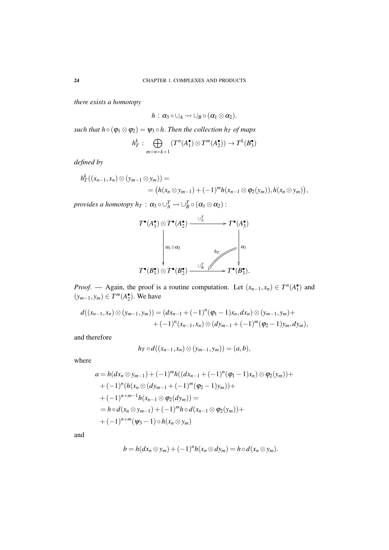*there exists a homotopy*

$$
h: \alpha_3 \circ \cup_A \leadsto \cup_B \circ (\alpha_1 \otimes \alpha_2).
$$

*such that h*  $\circ$  ( $\varphi_1 \otimes \varphi_2$ ) =  $\psi_3 \circ h$ . *Then the collection h<sub><i>T*</sub> of maps</sub>

$$
h_T^k : \bigoplus_{m+n=k+1} (T^n(A_1^{\bullet}) \otimes T^m(A_2^{\bullet})) \to T^k(B_3^{\bullet})
$$

*defined by*

$$
h_T^k((x_{n-1},x_n) \otimes (y_{m-1} \otimes y_m)) =
$$
  
=  $(h(x_n \otimes y_{m-1}) + (-1)^m h(x_{n-1} \otimes \varphi_2(y_m)), h(x_n \otimes y_m)),$ 

*provides a homotopy h<sub>T</sub>* :  $\alpha_3 \circ \cup_A^T \leadsto \cup_B^T \circ (\alpha_1 \otimes \alpha_2)$  :



*Proof.* — Again, the proof is a routine computation. Let  $(x_{n-1}, x_n) \in T^n(A_1^{\bullet})$  and  $(y_{m-1}, y_m)$  ∈  $T^m(A_2^{\bullet})$ . We have

$$
d((x_{n-1},x_n) \otimes (y_{m-1},y_m)) = (dx_{n-1} + (-1)^n (\varphi_1 - 1)x_n, dx_n) \otimes (y_{m-1},y_m) + (-1)^n (x_{n-1},x_n) \otimes (dy_{m-1} + (-1)^m (\varphi_2 - 1)y_m, dy_m),
$$

and therefore

$$
h_T \circ d((x_{n-1},x_n) \otimes (y_{m-1},y_m)) = (a,b),
$$

where

$$
a = h(dx_n \otimes y_{m-1}) + (-1)^m h((dx_{n-1} + (-1)^n (\varphi_1 - 1)x_n) \otimes \varphi_2(y_m)) +
$$
  
+  $(-1)^n (h(x_n \otimes (dy_{m-1} + (-1)^m (\varphi_2 - 1)y_m)) +$   
+  $(-1)^{n+m-1} h(x_{n-1} \otimes \varphi_2(dy_m)) =$   
=  $h \circ d(x_n \otimes y_{m-1}) + (-1)^m h \circ d(x_{n-1} \otimes \varphi_2(y_m)) +$   
+  $(-1)^{n+m} (\psi_3 - 1) \circ h(x_n \otimes y_m)$ 

and

$$
b = h(dx_n \otimes y_m) + (-1)^n h(x_n \otimes dy_m) = h \circ d(x_n \otimes y_m).
$$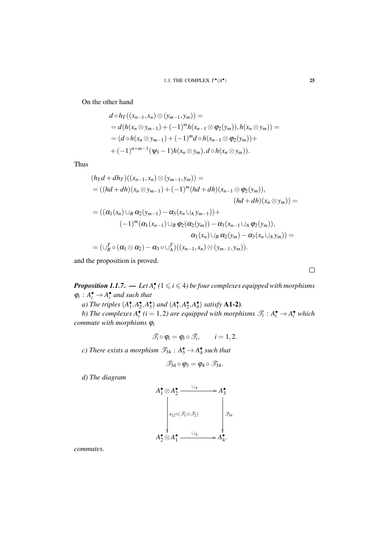On the other hand

$$
d \circ h_T((x_{n-1}, x_n) \otimes (y_{m-1}, y_m)) =
$$
  
=  $d(h(x_n \otimes y_{m-1}) + (-1)^m h(x_{n-1} \otimes \varphi_2(y_m)), h(x_n \otimes y_m)) =$   
=  $(d \circ h(x_n \otimes y_{m-1}) + (-1)^m d \circ h(x_{n-1} \otimes \varphi_2(y_m)) +$   
+  $(-1)^{n+m-1} (\psi_3 - 1) h(x_n \otimes y_m), d \circ h(x_n \otimes y_m)).$ 

Thus

$$
(h_T d + dh_T)((x_{n-1}, x_n) \otimes (y_{m-1}, y_m)) =
$$
  
=  $((hd + dh)(x_n \otimes y_{m-1}) + (-1)^m (hd + dh)(x_{n-1} \otimes \varphi_2(y_m)),$   

$$
(hd + dh)(x_n \otimes y_m)) =
$$
  
=  $((\alpha_1(x_n) \cup_B \alpha_2(y_{m-1}) - \alpha_3(x_n \cup_A y_{m-1})) +$   

$$
(-1)^m (\alpha_1(x_{n-1}) \cup_B \varphi_2(\alpha_2(y_m)) - \alpha_3(x_{n-1} \cup_A \varphi_2(y_m)),
$$
  

$$
\alpha_1(x_n) \cup_B \alpha_2(y_m) - \alpha_3(x_n \cup_A y_m)) =
$$
  
=  $(\cup_B^T \circ (\alpha_1 \otimes \alpha_2) - \alpha_3 \circ \cup_A^T)((x_{n-1}, x_n) \otimes (y_{m-1}, y_m)).$ 

and the proposition is proved.

*Proposition 1.1.7.* — Let  $A_i^{\bullet}$  ( $1 \leqslant i \leqslant 4$ ) be four complexes equipped with morphisms  $\varphi_i : A_i^{\bullet} \to A_i^{\bullet}$  *and such that* 

*a*) *The triples*  $(A_1^{\bullet}, A_2^{\bullet}, A_3^{\bullet})$  *and*  $(A_1^{\bullet}, A_2^{\bullet}, A_4^{\bullet})$  *satisfy* **A1-2***)*.

*b*) The complexes  $A_i^{\bullet}$  (*i* = 1,2) are equipped with morphisms  $\mathcal{T}_i : A_i^{\bullet} \to A_i^{\bullet}$  which *commute with morphisms* ϕ*<sup>i</sup>*

$$
\mathscr{T}_i \circ \varphi_i = \varphi_i \circ \mathscr{T}_i, \qquad i = 1, 2.
$$

*c*) There exists a morphism  $\mathcal{I}_{34}$  :  $A_3^{\bullet} \rightarrow A_4^{\bullet}$  such that

$$
\mathscr{T}_{34}\circ\varphi_3=\varphi_4\circ\mathscr{T}_{34}.
$$

*d) The diagram*



*commutes.*

 $\Box$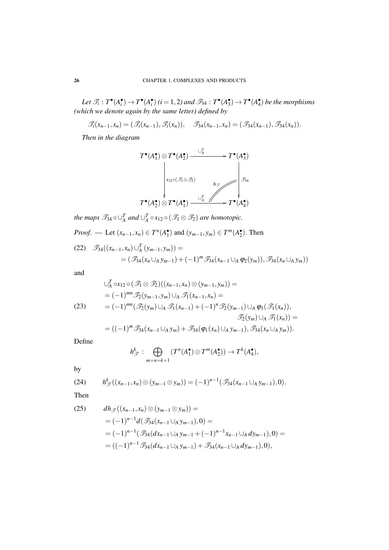Let  $\mathcal{T}_i: T^{\bullet}(A_i^{\bullet}) \to T^{\bullet}(A_i^{\bullet})$   $(i = 1, 2)$  and  $\mathcal{T}_{34}: T^{\bullet}(A_3^{\bullet}) \to T^{\bullet}(A_4^{\bullet})$  be the morphisms *(which we denote again by the same letter) defined by*

 $\mathscr{T}_i(x_{n-1}, x_n) = (\mathscr{T}_i(x_{n-1}), \mathscr{T}_i(x_n)), \quad \mathscr{T}_{34}(x_{n-1}, x_n) = (\mathscr{T}_{34}(x_{n-1}), \mathscr{T}_{34}(x_n)).$ 

*Then in the diagram*

$$
T^{\bullet}(A_1^{\bullet}) \otimes T^{\bullet}(A_2^{\bullet}) \xrightarrow{\cup_{A}^{T}} T^{\bullet}(A_3^{\bullet})
$$
\n
$$
\downarrow^{s_{12} \circ (\mathcal{F}_1 \otimes \mathcal{F}_2)} \downarrow^{h_{\mathcal{F}}} \downarrow^{g_{34}}
$$
\n
$$
T^{\bullet}(A_2^{\bullet}) \otimes T^{\bullet}(A_1^{\bullet}) \xrightarrow{\cup_{A}^{T}} T^{\bullet}(A_4^{\bullet})
$$

*the maps*  $\mathscr{T}_{34} \circ \cup_{A}^{T}$  *and*  $\cup_{A}^{T} \circ s_{12} \circ (\mathscr{T}_{1} \otimes \mathscr{T}_{2})$  *are homotopic.* 

*Proof.* — Let  $(x_{n-1}, x_n) \in T^n(A_1^{\bullet})$  and  $(y_{m-1}, y_m) \in T^m(A_2^{\bullet})$ . Then

$$
(22) \quad \mathcal{F}_{34}((x_{n-1}, x_n) \cup_A^T (y_{m-1}, y_m)) =
$$
  
=  $(\mathcal{F}_{34}(x_n \cup_A y_{m-1}) + (-1)^m \mathcal{F}_{34}(x_{n-1} \cup_A \varphi_2(y_m)), \mathcal{F}_{34}(x_n \cup_A y_m))$ 

and

$$
\bigcup_{A}^{T} \circ s_{12} \circ (\mathcal{T}_{1} \otimes \mathcal{T}_{2})((x_{n-1}, x_{n}) \otimes (y_{m-1}, y_{m})) =
$$
\n
$$
= (-1)^{mn} \mathcal{T}_{2}(y_{m-1}, y_{m}) \cup_{A} \mathcal{T}_{1}(x_{n-1}, x_{n}) =
$$
\n(23)\n
$$
= (-1)^{mn} (\mathcal{T}_{2}(y_{m}) \cup_{A} \mathcal{T}_{1}(x_{n-1}) + (-1)^{n} \mathcal{T}_{2}(y_{m-1}) \cup_{A} \varphi_{1}(\mathcal{T}_{1}(x_{n})),
$$
\n
$$
\mathcal{T}_{2}(y_{m}) \cup_{A} \mathcal{T}_{1}(x_{n})) =
$$
\n
$$
= ((-1)^{m} \mathcal{T}_{34}(x_{n-1} \cup_{A} y_{m}) + \mathcal{T}_{34}(\varphi_{1}(x_{n}) \cup_{A} y_{m-1}), \mathcal{T}_{34}(x_{n} \cup_{A} y_{m})).
$$

Define

$$
h_{\mathscr{T}}^k : \bigoplus_{m+n=k+1} (T^n(A_1^{\bullet}) \otimes T^m(A_2^{\bullet})) \to T^k(A_4^{\bullet}),
$$

by

$$
(24) \t h_{\mathscr{T}}^{k}((x_{n-1},x_{n})\otimes (y_{m-1}\otimes y_{m}))=(-1)^{n-1}(\mathscr{T}_{34}(x_{n-1}\cup_{A} y_{m-1}),0).
$$

Then

(25) 
$$
dh_{\mathcal{F}}((x_{n-1}, x_n) \otimes (y_{m-1} \otimes y_m)) =
$$
  
=  $(-1)^{n-1}d(\mathcal{F}_{34}(x_{n-1} \cup_A y_{m-1}), 0) =$   
=  $(-1)^{n-1}(\mathcal{F}_{34}(dx_{n-1} \cup_A y_{m-1} + (-1)^{n-1}x_{n-1} \cup_A dy_{m-1}), 0) =$   
=  $((-1)^{n-1}\mathcal{F}_{34}(dx_{n-1} \cup_A y_{m-1}) + \mathcal{F}_{34}(x_{n-1} \cup_A dy_{m-1}), 0),$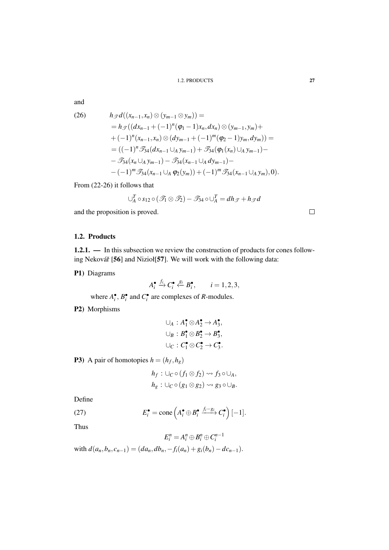#### 1.2. PRODUCTS 27

and

(26) 
$$
h_{\mathcal{F}}d((x_{n-1},x_n) \otimes (y_{m-1} \otimes y_m)) =
$$
  
\n
$$
= h_{\mathcal{F}}((dx_{n-1} + (-1)^n(\varphi_1 - 1)x_n, dx_n) \otimes (y_{m-1}, y_m) +
$$
  
\n
$$
+ (-1)^n(x_{n-1},x_n) \otimes (dy_{m-1} + (-1)^m(\varphi_2 - 1)y_m, dy_m)) =
$$
  
\n
$$
= ((-1)^n \mathcal{F}_{34}(dx_{n-1} \cup_A y_{m-1}) + \mathcal{F}_{34}(\varphi_1(x_n) \cup_A y_{m-1}) -
$$
  
\n
$$
- \mathcal{F}_{34}(x_n \cup_A y_{m-1}) - \mathcal{F}_{34}(x_{n-1} \cup_A dy_{m-1}) -
$$
  
\n
$$
- (-1)^m \mathcal{F}_{34}(x_{n-1} \cup_A \varphi_2(y_m)) + (-1)^m \mathcal{F}_{34}(x_{n-1} \cup_A y_m), 0).
$$

From (22-26) it follows that

$$
\cup_{A}^{T} \circ s_{12} \circ (\mathcal{T}_1 \otimes \mathcal{T}_2) - \mathcal{T}_{34} \circ \cup_{A}^{T} = dh_{\mathcal{T}} + h_{\mathcal{T}}d
$$

and the proposition is proved.

### 1.2. Products

1.2.1. — In this subsection we review the construction of products for cones following Nekovář [56] and Nizioł[57]. We will work with the following data:

P1) Diagrams

 $A_i^{\bullet} \stackrel{f_i}{\rightarrow} C_i^{\bullet} \stackrel{g_i}{\leftarrow} B_i^{\bullet}, \qquad i = 1, 2, 3,$ 

where  $A_i^{\bullet}$ ,  $B_i^{\bullet}$  and  $C_i^{\bullet}$  are complexes of *R*-modules.

P2) Morphisms

$$
\bigcup_{A} : A_{1}^{\bullet} \otimes A_{2}^{\bullet} \to A_{3}^{\bullet},
$$
  

$$
\bigcup_{B} : B_{1}^{\bullet} \otimes B_{2}^{\bullet} \to B_{3}^{\bullet},
$$
  

$$
\bigcup_{C} : C_{1}^{\bullet} \otimes C_{2}^{\bullet} \to C_{3}^{\bullet}.
$$

**P3**) A pair of homotopies  $h = (h_f, h_g)$ 

$$
h_f: \bigcup_C \circ (f_1 \otimes f_2) \rightsquigarrow f_3 \circ \bigcup_A, h_g: \bigcup_C \circ (g_1 \otimes g_2) \rightsquigarrow g_3 \circ \bigcup_B.
$$

Define

(27) 
$$
E_i^{\bullet} = \text{cone}\left(A_i^{\bullet} \oplus B_i^{\bullet} \xrightarrow{f_i - g_i} C_i^{\bullet}\right)[-1].
$$

Thus

$$
E_i^n = A_i^n \oplus B_i^n \oplus C_i^{n-1}
$$
  
with  $d(a_n, b_n, c_{n-1}) = (da_n, db_n, -f_i(a_n) + g_i(b_n) - dc_{n-1}).$ 

 $\Box$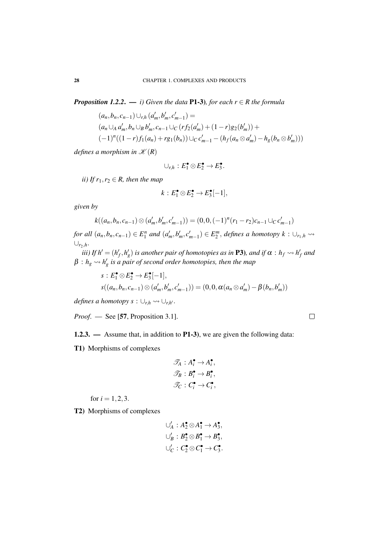*Proposition 1.2.2.* — *i)* Given the data P1-3), for each  $r \in R$  the formula

$$
(a_n, b_n, c_{n-1}) \cup_{r,h} (a'_m, b'_m, c'_{m-1}) =
$$
  
\n
$$
(a_n \cup_A a'_m, b_n \cup_B b'_m, c_{n-1} \cup_C (rf_2(a'_m) + (1-r)g_2(b'_m)) +
$$
  
\n
$$
(-1)^n((1-r)f_1(a_n) + rg_1(b_n)) \cup_C c'_{m-1} - (h_f(a_n \otimes a'_m) - h_g(b_n \otimes b'_m)))
$$

*defines a morphism in*  $K(R)$ 

$$
\cup_{r,h}:E_1^{\bullet}\otimes E_2^{\bullet}\to E_3^{\bullet}.
$$

*ii)* If  $r_1, r_2 \in R$ *, then the map* 

$$
k: E_1^{\bullet} \otimes E_2^{\bullet} \to E_3^{\bullet}[-1],
$$

*given by*

$$
k((a_n,b_n,c_{n-1})\otimes (a'_m,b'_m,c'_{m-1}))=(0,0,(-1)^n(r_1-r_2)c_{n-1}\cup_C c'_{m-1})
$$

for all  $(a_n, b_n, c_{n-1}) \in E_1^n$  and  $(a'_m, b'_m, c'_{m-1}) \in E_2^m$ , defines a homotopy  $k: \cup_{r_1,h} \leadsto$ ∪*r*2,*h*.

*iii)* If  $h' = (h'_f, h'_g)$  is another pair of homotopies as in **P3**), and if  $\alpha : h_f \leadsto h'_f$  and  $\beta : h_g \leadsto h'_g$  is a pair of second order homotopies, then the map

$$
s: E_1^{\bullet} \otimes E_2^{\bullet} \to E_3^{\bullet}[-1],
$$
  

$$
s((a_n, b_n, c_{n-1}) \otimes (a'_m, b'_m, c'_{m-1})) = (0, 0, \alpha(a_n \otimes a'_m) - \beta(b_n, b'_m))
$$

 $\alpha$ *defines a homotopy s* :  $\cup_{r,h} \leadsto \cup_{r,h}$ .

*Proof.* — See [57, Proposition 3.1].

**1.2.3.** — Assume that, in addition to **P1-3**), we are given the following data:\n
$$
[Equation goes here]
$$

T1) Morphisms of complexes

$$
\mathscr{T}_A: A_i^{\bullet} \to A_i^{\bullet},
$$
  

$$
\mathscr{T}_B: B_i^{\bullet} \to B_i^{\bullet},
$$
  

$$
\mathscr{T}_C: C_i^{\bullet} \to C_i^{\bullet},
$$

for  $i = 1, 2, 3$ .

T2) Morphisms of complexes

$$
\bigcup_{A} : A_{2}^{\bullet} \otimes A_{1}^{\bullet} \to A_{3}^{\bullet},
$$
  

$$
\bigcup_{B}': B_{2}^{\bullet} \otimes B_{1}^{\bullet} \to B_{3}^{\bullet},
$$
  

$$
\bigcup_{C}': C_{2}^{\bullet} \otimes C_{1}^{\bullet} \to C_{3}^{\bullet}.
$$

 $\Box$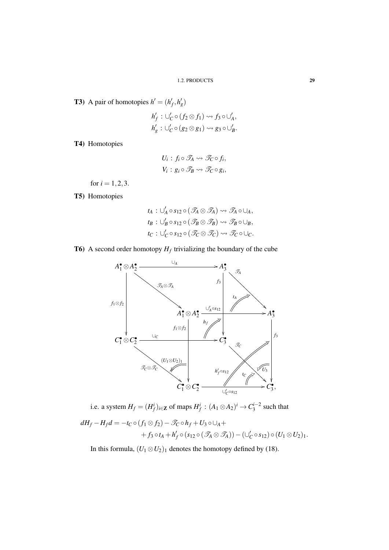**T3**) A pair of homotopies  $h' = (h'_f, h'_g)$ 

$$
h'_f: \bigcup_{C}^{\prime} \circ (f_2 \otimes f_1) \rightsquigarrow f_3 \circ \bigcup_{A}^{\prime},
$$
  

$$
h'_g: \bigcup_{C}^{\prime} \circ (g_2 \otimes g_1) \rightsquigarrow g_3 \circ \bigcup_{B}^{\prime}.
$$

T4) Homotopies

$$
U_i: f_i \circ \mathcal{T}_A \leadsto \mathcal{T}_C \circ f_i,
$$
  

$$
V_i: g_i \circ \mathcal{T}_B \leadsto \mathcal{T}_C \circ g_i,
$$

for  $i = 1, 2, 3$ .

T5) Homotopies

$$
t_A: \bigcup'_A \circ s_{12} \circ (\mathcal{T}_A \otimes \mathcal{T}_A) \rightsquigarrow \mathcal{T}_A \circ \bigcup_A, t_B: \bigcup'_B \circ s_{12} \circ (\mathcal{T}_B \otimes \mathcal{T}_B) \rightsquigarrow \mathcal{T}_B \circ \bigcup_B, t_C: \bigcup'_C \circ s_{12} \circ (\mathcal{T}_C \otimes \mathcal{T}_C) \rightsquigarrow \mathcal{T}_C \circ \bigcup_C.
$$

**T6**) A second order homotopy  $H_f$  trivializing the boundary of the cube



i.e. a system  $H_f = (H_f^i)_{i \in \mathbb{Z}}$  of maps  $H_f^i : (A_1 \otimes A_2)^i \to C_3^{i-2}$  such that

$$
dH_f - H_f d = -t_C \circ (f_1 \otimes f_2) - \mathcal{T}_C \circ h_f + U_3 \circ \cup_A ++ f_3 \circ t_A + h'_f \circ (s_{12} \circ (\mathcal{T}_A \otimes \mathcal{T}_A)) - (\cup'_C \circ s_{12}) \circ (U_1 \otimes U_2).
$$

In this formula,  $(U_1 \otimes U_2)_1$  denotes the homotopy defined by (18).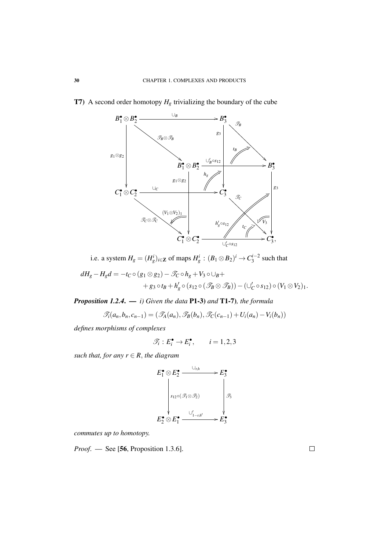

## **T7**) A second order homotopy  $H_g$  trivializing the boundary of the cube

i.e. a system  $H_g = (H_g^i)_{i \in \mathbb{Z}}$  of maps  $H_g^i : (B_1 \otimes B_2)^i \to C_3^{i-2}$  such that

$$
dH_g-H_gd=-t_C\circ (g_1\otimes g_2)-\mathcal{T}_C\circ h_g+V_3\circ \cup_B+\\+g_3\circ t_B+h'_g\circ (s_{12}\circ (\mathcal{T}_B\otimes \mathcal{T}_B))-(\cup_C'\circ s_{12})\circ (V_1\otimes V_2).
$$

*Proposition 1.2.4*. — *i) Given the data* P1-3) *and* T1-7)*, the formula*

$$
\mathscr{T}_i(a_n,b_n,c_{n-1})=(\mathscr{T}_A(a_n),\mathscr{T}_B(b_n),\mathscr{T}_C(c_{n-1})+U_i(a_n)-V_i(b_n))
$$

*defines morphisms of complexes*

$$
\mathscr{T}_i: E_i^{\bullet} \to E_i^{\bullet}, \qquad i = 1, 2, 3
$$

*such that, for any*  $r \in R$ *, the diagram* 

$$
E_1^{\bullet} \otimes E_2^{\bullet} \xrightarrow{\bigcup_{r,h} \searrow} E_3^{\bullet}
$$
\n
$$
s_{12} \circ (\mathcal{F}_1 \otimes \mathcal{F}_2)
$$
\n
$$
E_2^{\bullet} \otimes E_1^{\bullet} \xrightarrow{\bigcup_{l-r,h'} \searrow} E_3^{\bullet}
$$

*commutes up to homotopy.*

*Proof*. — See [56, Proposition 1.3.6].

 $\Box$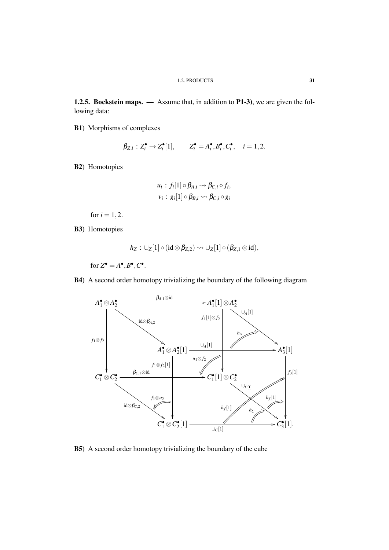1.2.5. Bockstein maps. — Assume that, in addition to P1-3), we are given the following data:

B1) Morphisms of complexes

$$
\beta_{Z,i}: Z_i^{\bullet} \to Z_i^{\bullet}[1], \qquad Z_i^{\bullet} = A_i^{\bullet}, B_i^{\bullet}, C_i^{\bullet}, \quad i = 1, 2.
$$

B2) Homotopies

$$
u_i : f_i[1] \circ \beta_{A,i} \leadsto \beta_{C,i} \circ f_i,
$$
  

$$
v_i : g_i[1] \circ \beta_{B,i} \leadsto \beta_{C,i} \circ g_i
$$

for  $i = 1, 2$ .

B3) Homotopies

$$
h_Z: \cup_Z[1]\circ (\mathop{\hbox{id}}\otimes \beta_{Z,2})\leadsto \cup_Z[1]\circ (\beta_{Z,1}\otimes \mathop{\hbox{id}}),
$$

for  $Z^{\bullet} = A^{\bullet}, B^{\bullet}, C^{\bullet}$ .

B4) A second order homotopy trivializing the boundary of the following diagram



B5) A second order homotopy trivializing the boundary of the cube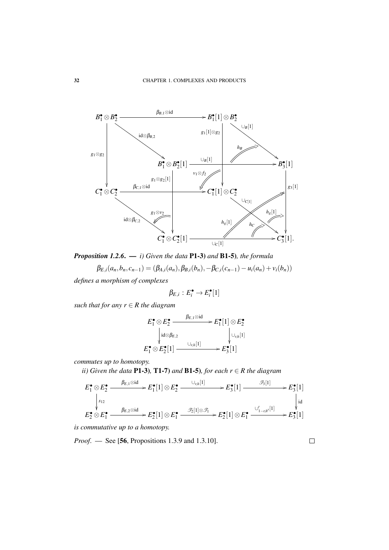

*Proposition 1.2.6*. — *i) Given the data* P1-3) *and* B1-5)*, the formula*

$$
\beta_{E,i}(a_n,b_n,c_{n-1})=(\beta_{A,i}(a_n),\beta_{B,i}(b_n),-\beta_{C,i}(c_{n-1})-u_i(a_n)+v_i(b_n))
$$

*defines a morphism of complexes*

$$
\beta_{E,i}:E_i^{\bullet}\to E_i^{\bullet}[1]
$$

*such that for any r* ∈ *R the diagram*

$$
E_1^{\bullet} \otimes E_2^{\bullet} \xrightarrow{\beta_{E,1} \otimes \mathrm{id}} E_1^{\bullet}[1] \otimes E_2^{\bullet}
$$
  
\n
$$
\downarrow id \otimes \beta_{E,2} \qquad \qquad \downarrow \cup_{r,h}[1]
$$
  
\n
$$
E_1^{\bullet} \otimes E_2^{\bullet}[1] \xrightarrow{\cup_{r,h}[1]} E_3^{\bullet}[1]
$$

*commutes up to homotopy.*

*ii*) Given the data P1-3), T1-7) and B1-5), for each  $r \in R$  the diagram

$$
E_1^{\bullet} \otimes E_2^{\bullet} \xrightarrow{\beta_{E,1} \otimes id} E_1^{\bullet}[1] \otimes E_2^{\bullet} \xrightarrow{\cup_{r,h}[1]} E_3^{\bullet}[1] \xrightarrow{\beta_3[1]} E_3^{\bullet}[1] \downarrow E_2^{\bullet}[1] \xrightarrow{\downarrow} E_3^{\bullet}[1] \xrightarrow{\downarrow} E_3^{\bullet}[1] \downarrow E_2^{\bullet} \otimes E_1^{\bullet} \xrightarrow{\beta_{E,2} \otimes id} E_2^{\bullet}[1] \otimes E_1^{\bullet} \xrightarrow{\beta_2[1] \otimes \mathcal{F}_1} E_2^{\bullet}[1] \otimes E_1^{\bullet} \xrightarrow{\cup'_{1-r,h'}[1]} E_3^{\bullet}[1]
$$

*is commutative up to a homotopy.*

*Proof.* — See [56, Propositions 1.3.9 and 1.3.10].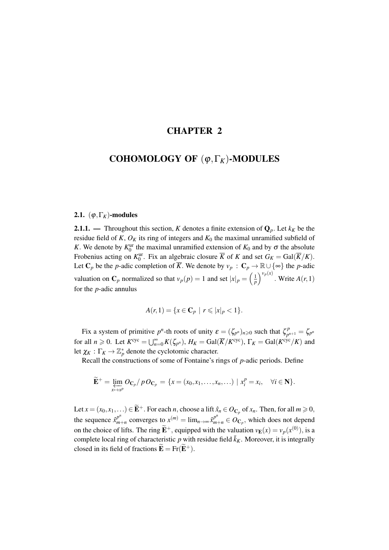# CHAPTER 2

# COHOMOLOGY OF (ϕ,Γ*K*)-MODULES

## 2.1.  $(\varphi, \Gamma_K)$ -modules

**2.1.1.** — Throughout this section, *K* denotes a finite extension of  $\mathbf{Q}_p$ . Let  $k_K$  be the residue field of  $K$ ,  $O_K$  its ring of integers and  $K_0$  the maximal unramified subfield of *K*. We denote by  $K_0^{\text{ur}}$  the maximal unramified extension of  $K_0$  and by  $\sigma$  the absolute Frobenius acting on  $K_0^{\text{ur}}$ . Fix an algebraic closure  $\overline{K}$  of *K* and set  $G_K = \text{Gal}(\overline{K}/K)$ . Let  $\mathbb{C}_p$  be the *p*-adic completion of  $\overline{K}$ . We denote by  $v_p : \mathbb{C}_p \to \mathbb{R} \cup \{\infty\}$  the *p*-adic valuation on  $\mathbf{C}_p$  normalized so that  $v_p(p) = 1$  and set  $|x|_p = \left(\frac{1}{p}\right)^{v_p(x)}$ . Write  $A(r, 1)$ for the *p*-adic annulus

$$
A(r,1) = \{x \in \mathbf{C}_p \mid r \leq |x|_p < 1\}.
$$

Fix a system of primitive  $p^n$ -th roots of unity  $\varepsilon = (\zeta_{p^n})_{n \geq 0}$  such that  $\zeta_{p^n}^p$  $\zeta_{p^{n+1}}^p = \zeta_{p^n}$ for all  $n \ge 0$ . Let  $K^{\text{cyc}} = \bigcup_{n=0}^{\infty} K(\zeta_{p^n})$ ,  $H_K = \text{Gal}(\overline{K}/K^{\text{cyc}})$ ,  $\Gamma_K = \text{Gal}(K^{\text{cyc}}/K)$  and let  $\chi_K : \Gamma_K \to \mathbb{Z}_p^*$  denote the cyclotomic character.

Recall the constructions of some of Fontaine's rings of *p*-adic periods. Define

$$
\widetilde{\mathbf{E}}^{+} = \varprojlim_{x \mapsto x^{p}} O_{\mathbf{C}_{p}} / p O_{\mathbf{C}_{p}} = \{x = (x_{0}, x_{1}, \ldots, x_{n}, \ldots) \mid x_{i}^{p} = x_{i}, \quad \forall i \in \mathbf{N}\}.
$$

Let  $x = (x_0, x_1, \ldots) \in \widetilde{\mathbf{E}}^+$ . For each *n*, choose a lift  $\hat{x}_n \in O_{\mathbf{C}_p}$  of  $x_n$ . Then, for all  $m \ge 0$ , the sequence  $\hat{x}_m^{p^n}$  $p^{n}$ <sub>*m*+*n*</sub> converges to  $x^{(m)} = \lim_{n \to \infty} \hat{x}^{p^{n}}_{m+n} \in O_{\mathbb{C}_p}$ , which does not depend on the choice of lifts. The ring  $\widetilde{\mathbf{E}}^+$ , equipped with the valuation  $v_{\mathbf{E}}(x) = v_p(x^{(0)})$ , is a complete local ring of characteristic *p* with residue field  $\bar{k}_K$ . Moreover, it is integrally closed in its field of fractions  $\widetilde{\mathbf{E}} = \text{Fr}(\widetilde{\mathbf{E}}^+)$ .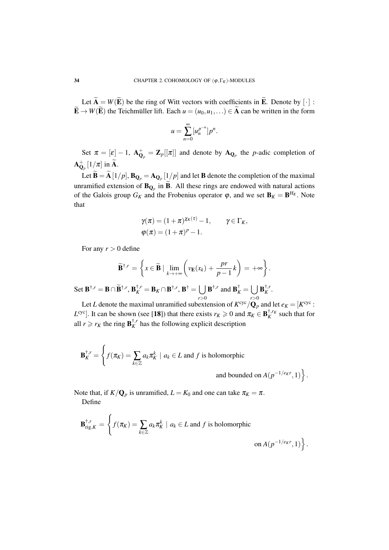Let  $\widetilde{A} = W(\widetilde{E})$  be the ring of Witt vectors with coefficients in  $\widetilde{E}$ . Denote by  $[\cdot]$ :  $\widetilde{\mathbf{E}} \to W(\widetilde{\mathbf{E}})$  the Teichmüller lift. Each  $u = (u_0, u_1, \dots) \in \widetilde{\mathbf{A}}$  can be written in the form

$$
u=\sum_{n=0}^{\infty} [u_n^{p^{-n}}]p^n.
$$

Set  $\pi = [\varepsilon] - 1$ ,  $A_{\mathbf{Q}_p}^+ = \mathbf{Z}_p[[\pi]]$  and denote by  $A_{\mathbf{Q}_p}$  the *p*-adic completion of  ${\bf A}_{{\bf Q}_p}^+ \left[1/\pi\right]$  in  $\widetilde{\bf A}$ .

Let  $\mathbf{B} = \mathbf{A} [1/p]$ ,  $\mathbf{B}_{\mathbf{Q}_p} = \mathbf{A}_{\mathbf{Q}_p} [1/p]$  and let  $\mathbf{B}$  denote the completion of the maximal unramified extension of  $\mathbf{B}_{\mathbf{Q}_p}$  in **B**. All these rings are endowed with natural actions of the Galois group  $G_K$  and the Frobenius operator  $\varphi$ , and we set  $\mathbf{B}_K = \mathbf{B}^{H_K}$ . Note that

$$
\gamma(\pi) = (1+\pi)^{\chi_K(\tau)} - 1, \qquad \gamma \in \Gamma_K,
$$
  

$$
\varphi(\pi) = (1+\pi)^p - 1.
$$

For any  $r > 0$  define

$$
\widetilde{\mathbf{B}}^{\dagger,r} = \left\{ x \in \widetilde{\mathbf{B}} \mid \lim_{k \to +\infty} \left( v_{\mathbf{E}}(x_k) + \frac{pr}{p-1} k \right) = +\infty \right\}.
$$

 $\operatorname{Set} \mathbf{B}^{\dagger,r} = \mathbf{B} \cap \widetilde{\mathbf{B}}^{\dagger,r}, \mathbf{B}_K^{\dagger,r} = \mathbf{B}_K \cap \mathbf{B}^{\dagger,r}, \mathbf{B}^{\dagger} = \bigcup$ *r*>0  $\mathbf{B}^{\dagger,r}$  and  $\mathbf{B}_K^{\dagger} = \bigcup$ *r*>0  $\mathbf{B}^{\dagger,\prime}_K$  $\frac{1}{K}$ .

Let *L* denote the maximal unramified subextension of  $K^{\text{cyc}}/\mathbf{Q}_p$  and let  $e_K = [K^{\text{cyc}}:$ *L*<sup>cyc</sup>]. It can be shown (see [18]) that there exists  $r_K \ge 0$  and  $\pi_K \in \mathbf{B}_K^{\dagger,r_K}$  such that for all  $r \ge r_K$  the ring  $\mathbf{B}_K^{\dagger,r}$  $K<sub>K</sub>$  has the following explicit description

$$
\mathbf{B}_{K}^{\dagger,r} = \left\{ f(\pi_{K}) = \sum_{k \in \mathbb{Z}} a_{k} \pi_{K}^{k} \mid a_{k} \in L \text{ and } f \text{ is holomorphic} \right\}
$$

and bounded on  $A(p^{-1/e_K r}, 1)$ .

Note that, if  $K/Q_p$  is unramified,  $L = K_0$  and one can take  $\pi_K = \pi$ . Define

$$
\mathbf{B}_{\mathrm{rig},K}^{\dagger,r} = \left\{ f(\pi_K) = \sum_{k \in \mathbb{Z}} a_k \pi_K^k \mid a_k \in L \text{ and } f \text{ is holomorphic} \right\}
$$
  
on  $A(p^{-1/exr}, 1) \right\}.$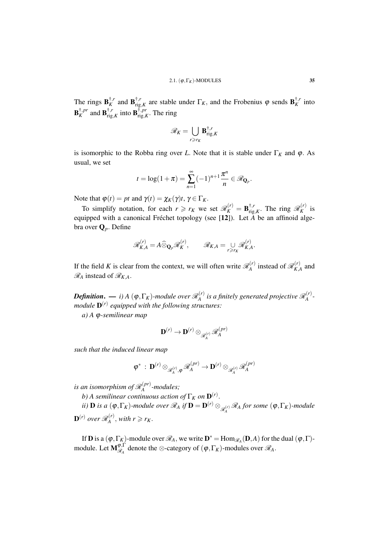The rings  $\mathbf{B}_K^{\dagger,r}$  $\mathbf{B}_{\text{rig}}^{\dagger,r}$  and  $\mathbf{B}_{\text{rig}}^{\dagger,r}$  $\mathbf{F}_{\text{rig},K}^{\dagger,r}$  are stable under  $\Gamma_K$ , and the Frobenius  $\varphi$  sends  $\mathbf{B}_K^{\dagger,r}$  $\frac{f}{K}$  into  $\mathbf{B}^{\dagger,pr}_K$  $\overline{K}$ , *pr* and  $\overline{\mathbf{B}}_{\text{rig}}^{\dagger,r}$  $\prod_{\text{rig},K}^{\dagger,r}$  into  $\mathbf{B}_{\text{rig},I}^{\dagger,pr}$  $\lim_{\text{rig},K}^{\dagger,pr}$ . The ring

$$
\mathscr{R}_K = \bigcup_{r \geq r_K} \mathbf{B}_{\mathrm{rig},K}^{\dagger,r}
$$

is isomorphic to the Robba ring over *L*. Note that it is stable under  $\Gamma_K$  and  $\varphi$ . As usual, we set

$$
t = \log(1+\pi) = \sum_{n=1}^{\infty} (-1)^{n+1} \frac{\pi^n}{n} \in \mathcal{R}_{\mathbf{Q}_p}.
$$

Note that  $\varphi(t) = pt$  and  $\gamma(t) = \chi_K(\gamma)t$ ,  $\gamma \in \Gamma_K$ .

To simplify notation, for each  $r \ge r_K$  we set  $\mathcal{R}_K^{(r)} = \mathbf{B}_{\text{rig}}^{\dagger,r}$  $\lim_{r \to r, K}$ . The ring  $\mathcal{R}_K^{(r)}$  $\frac{N}{K}$  is equipped with a canonical Fréchet topology (see [12]). Let *A* be an affinoid algebra over Q*p*. Define

$$
\mathscr{R}_{K,A}^{(r)} = A \widehat{\otimes}_{\mathbf{Q}_p} \mathscr{R}_K^{(r)}, \qquad \mathscr{R}_{K,A} = \bigcup_{r \ge r_K} \mathscr{R}_{K,A}^{(r)}.
$$

If the field K is clear from the context, we will often write  $\mathcal{R}_{A}^{(r)}$  $\mathcal{R}_{A}^{(r)}$  instead of  $\mathcal{R}_{K,\mu}^{(r)}$  $\chi^{(V)}_{K,A}$  and  $\mathcal{R}_A$  instead of  $\mathcal{R}_{K,A}$ .

 $\bm{Definition.} \bm{\longrightarrow} i)$  A  $(\bm{\mathsf{\phi}},\Gamma_K)$ -module over  $\mathscr{R}_{A}^{(r)}$  $\mathcal{R}_A^{(r)}$  is a finitely generated projective  $\mathscr{R}_A^{(r)}$ *A module* D (*r*) *equipped with the following structures:*

*a) A* ϕ*-semilinear map*

$$
\mathbf{D}^{(r)} \to \mathbf{D}^{(r)} \otimes_{\mathscr{R}^{(r)}_{A}} \mathscr{R}^{(pr)}_{A}
$$

*such that the induced linear map*

$$
\phi^* \,:\, \mathbf{D}^{(r)}\otimes_{\mathscr{R}^{(r)}_{A},\phi}\mathscr{R}^{(pr)}_{A}\to \mathbf{D}^{(r)}\otimes_{\mathscr{R}^{(r)}_{A}}\mathscr{R}^{(pr)}_{A}
$$

is an isomorphism of  $\mathscr{R}^{(pr)}_{A}$ *A -modules;*

*b*) A semilinear continuous action of  $\Gamma_K$  on  $\mathbf{D}^{(r)}$ .

*ii)* **D** *is a* ( $\phi, \Gamma_K$ )*-module over*  $\mathscr{R}_A$  *if*  $\mathbf{D} = \mathbf{D}^{(r)} \otimes_{\mathscr{R}_A^{(r)}} \mathscr{R}_A$  for some  $(\phi, \Gamma_K)$ *-module*  $\mathbf{D}^{(r)}$  over  $\mathscr{R}_A^{(r)}$  $\chi_A^{(r)}$ , *with*  $r \ge r_K$ .

If **D** is a  $(\varphi, \Gamma_K)$ -module over  $\mathcal{R}_A$ , we write  $\mathbf{D}^* = \text{Hom}_{\mathcal{R}_A}(\mathbf{D}, A)$  for the dual  $(\varphi, \Gamma)$ module. Let  $\mathbf{M}_{\mathscr{R}_{\bullet}}^{\boldsymbol{\varphi},\Gamma}$  $\mathcal{R}_A^{\varphi,1}$  denote the  $\otimes$ -category of  $(\varphi,\Gamma_K)$ -modules over  $\mathcal{R}_A$ .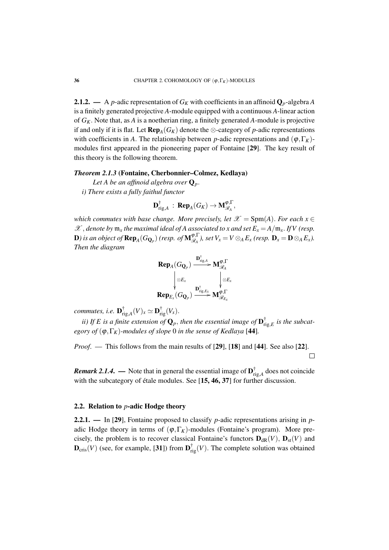**2.1.2.** — A *p*-adic representation of  $G_K$  with coefficients in an affinoid  $Q_p$ -algebra A is a finitely generated projective *A*-module equipped with a continuous *A*-linear action of *GK*. Note that, as *A* is a noetherian ring, a finitely generated *A*-module is projective if and only if it is flat. Let  $\mathbf{Rep}_{A}(G_K)$  denote the ⊗-category of *p*-adic representations with coefficients in *A*. The relationship between *p*-adic representations and  $(\varphi, \Gamma_K)$ modules first appeared in the pioneering paper of Fontaine [29]. The key result of this theory is the following theorem.

## *Theorem 2.1.3* (Fontaine, Cherbonnier–Colmez, Kedlaya)

*Let A be an affinoid algebra over*  $Q_p$ .

*i) There exists a fully faithul functor*

$$
\mathbf{D}_{\mathrm{rig},A}^{\dagger} \, : \, \mathbf{Rep}_A(G_K) \to \mathbf{M}_{\mathscr{R}_A}^{\phi,\Gamma},
$$

*which commutes with base change. More precisely, let*  $\mathscr{X} = \text{Spm}(A)$ *. For each x*  $\in$  $\mathscr{X}$ , denote by  $\mathfrak{m}_x$  the maximal ideal of A associated to x and set  $E_x = A/\mathfrak{m}_x$ . If V (resp.  ${\bf D}$ ) is an object of  ${\bf Rep}_A(G_{{\bf Q}_p})$  (resp. of  ${\bf M}_{\mathscr{R}_A}^{{\boldsymbol{\phi}},{\Gamma}}$  $\mathbb{E}_{\mathcal{R}_A}^{\varphi,1}$ , set  $V_x = V \otimes_A E_x$  (resp.  $\mathbf{D}_x = \mathbf{D} \otimes_A E_x$ ). *Then the diagram*

$$
\begin{array}{c}\n\mathbf{Rep}_{A}(G_{\mathbf{Q}_{p}}) \xrightarrow{\mathbf{D}_{\mathrm{rig},A}^{\dagger}} \mathbf{M}_{\mathscr{R}_{A}}^{\boldsymbol{\phi},\Gamma} \\
\downarrow^{\otimes E_{x}} \qquad \qquad \downarrow^{\otimes E_{x}} \\
\mathbf{Rep}_{E_{x}}(G_{\mathbf{Q}_{p}}) \xrightarrow{\mathbf{D}_{\mathrm{rig},E_{x}}^{\dagger}} \mathbf{M}_{\mathscr{R}_{E_{x}}}^{\boldsymbol{\phi},\Gamma}\n\end{array}
$$

*commutes, i.e.* D †  $\mathbf{r}_{\mathrm{rig},A}^{\dagger}(V)_x \simeq \mathbf{D}_{\mathrm{rig}}^{\dagger}(V_x).$ 

*ii)* If E is a finite extension of  $\mathbf{Q}_p$ , then the essential image of  $\mathbf{D}_r^{\dagger}$  $\int_{\text{rig},E}^{\text{T}}$  *is the subcategory of*  $(\varphi, \Gamma_K)$ *-modules of slope* 0 *in the sense of Kedlaya* [44]*.* 

*Proof.* — This follows from the main results of [29], [18] and [44]. See also [22].  $\Box$ 

*Remark 2.1.4.* — Note that in general the essential image of  $D_r^{\dagger}$  $\int_{\text{rig},A}^{I}$  does not coincide with the subcategory of étale modules. See [15, 46, 37] for further discussion.

#### 2.2. Relation to *p*-adic Hodge theory

2.2.1. — In [29], Fontaine proposed to classify *p*-adic representations arising in *p*adic Hodge theory in terms of  $(\varphi, \Gamma_K)$ -modules (Fontaine's program). More precisely, the problem is to recover classical Fontaine's functors  $D_{dR}(V)$ ,  $D_{st}(V)$  and  $\mathbf{D}_{\text{cris}}(V)$  (see, for example, [31]) from  $\mathbf{D}_{\text{rig}}^{\dagger}(V)$ . The complete solution was obtained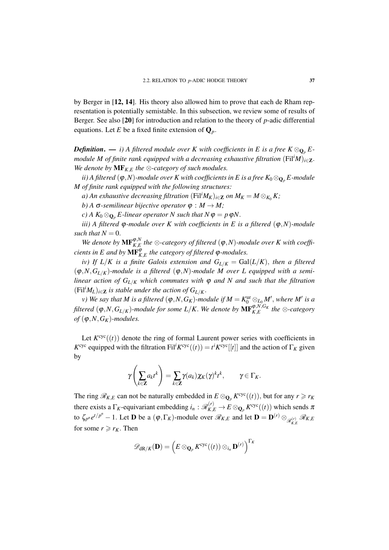by Berger in [12, 14]. His theory also allowed him to prove that each de Rham representation is potentially semistable. In this subsection, we review some of results of Berger. See also [20] for introduction and relation to the theory of *p*-adic differential equations. Let *E* be a fixed finite extension of  $\mathbf{Q}_p$ .

*Definition.* — *i*) A filtered module over K with coefficients in E is a free  $K \otimes_{\mathbf{O}_n} E$ *module M of finite rank equipped with a decreasing exhaustive filtration*  $(Fil^iM)_{i\in\mathbb{Z}}$ . *We denote by*  $\mathbf{MF}_{K,E}$  *the*  $\otimes$ *-category of such modules.* 

*ii*) A filtered  $(\varphi, N)$ -module over K with coefficients in E is a free  $K_0 \otimes_{\mathbf{O}_n} E$ -module *M of finite rank equipped with the following structures:*

*a)* An exhaustive decreasing filtration  $(Fil^iM_K)_{i\in\mathbb{Z}}$  on  $M_K = M \otimes_{K_0} K$ ;

*b*) *A*  $\sigma$ -semilinear bijective operator  $\varphi : M \to M$ ;

*c*) *A*  $K_0 \otimes_{\mathbf{O}_p} E$ -linear operator *N* such that  $N \varphi = p \varphi N$ .

*iii*) A filtered  $\varphi$ -module over K with coefficients in E is a filtered  $(\varphi, N)$ -module *such that*  $N = 0$ .

*We denote by*  $\mathbf{MF}_{K,E}^{\varphi,N}$  the  $\otimes$ -category of filtered  $(\varphi, N)$ -module over K with coeffi*cients in E and by*  $\mathbf{MF}_{K,E}^{\varphi}$  the category of filtered  $\varphi$ -modules.

*iv)* If  $L/K$  is a finite Galois extension and  $G_{L/K} = \text{Gal}(L/K)$ , then a filtered  $(\varphi, N, G_{L/K})$ -module is a filtered  $(\varphi, N)$ -module M over L equipped with a semi*linear action of*  $G_{L/K}$  *which commutes with*  $\varphi$  *and N and such that the filtration*  $(Fil^iM_L)_{i\in\mathbb{Z}}$  *is stable under the action of*  $G_{L/K}$ *.* 

*v*) We say that M is a filtered  $(\varphi, N, G_K)$ -module if  $M = K_0^{\text{ur}} \otimes_{L_0} M'$ , where M' is a  $filtered$   $(\phi, N, G_{L/K})$ -module for some  $L/K$ . We denote by  $\mathbf{MF}_{K,E}^{\phi, N, G_K}$  the  $\otimes$ -category  $of$  ( $\varphi$ ,*N*, $G_K$ )*-modules.* 

Let  $K^{\text{cyc}}((t))$  denote the ring of formal Laurent power series with coefficients in *K*<sup>cyc</sup> equipped with the filtration Fil<sup>*i*</sup>*K*<sup>cyc</sup>((*t*)) = *t*<sup>*i*</sup>*K*<sup>cyc</sup>[[*t*]] and the action of  $\Gamma_K$  given by

$$
\gamma\left(\sum_{k\in\mathbf{Z}}a_kt^k\right)=\sum_{k\in\mathbf{Z}}\gamma(a_k)\chi_K(\gamma)^kt^k,\qquad \gamma\in\Gamma_K.
$$

The ring  $\mathcal{R}_{K,E}$  can not be naturally embedded in  $E \otimes_{\mathbf{Q}_p} K^{\text{cyc}}((t))$ , but for any  $r \geq r_K$ there exists a  $\Gamma_K$ -equivariant embedding  $i_n : \mathscr{R}^{(r)}_{K,E} \to E \otimes_{\mathbf{Q}_p} K^{\text{cyc}}((t))$  which sends  $\pi$ to  $\zeta_{p^n} e^{t/p^n} - 1$ . Let **D** be a  $(\varphi, \Gamma_K)$ -module over  $\mathcal{R}_{K,E}$  and let  $\mathbf{D} = \mathbf{D}^{(r)} \otimes_{\mathcal{R}_{K,E}^{(r)}} \mathcal{R}_{K,E}$ for some  $r \ge r_K$ . Then

$$
\mathscr{D}_{\mathrm{dR}/K}(\mathbf{D}) = \left(E \otimes_{\mathbf{Q}_p} K^{\mathrm{cyc}}((t)) \otimes_{i_n} \mathbf{D}^{(r)}\right)^{\Gamma_K}
$$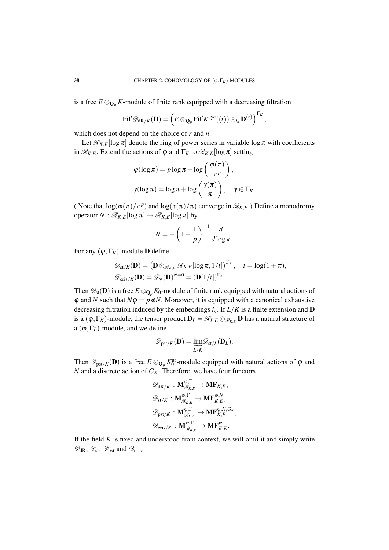is a free  $E \otimes_{\mathbf{Q}_p} K$ -module of finite rank equipped with a decreasing filtration

$$
\mathrm{Fil}^i\mathscr{D}_{\mathrm{dR}/K}(\mathbf{D})=\left(E\otimes_{\mathbf{Q}_p}\mathrm{Fil}^iK^{\mathrm{cyc}}((t))\otimes_{i_n}\mathbf{D}^{(r)}\right)^{\Gamma_K},
$$

which does not depend on the choice of *r* and *n*.

Let  $\mathcal{R}_{K,E}[\log \pi]$  denote the ring of power series in variable  $\log \pi$  with coefficients in  $\mathcal{R}_{K,E}$ . Extend the actions of  $\varphi$  and  $\Gamma_K$  to  $\mathcal{R}_{K,E}$ [log  $\pi$ ] setting

$$
\varphi(\log \pi) = p \log \pi + \log \left( \frac{\varphi(\pi)}{\pi^p} \right),
$$

$$
\gamma(\log \pi) = \log \pi + \log \left( \frac{\gamma(\pi)}{\pi} \right), \quad \gamma \in \Gamma_K.
$$

( Note that  $\log(\varphi(\pi)/\pi^p)$  and  $\log(\tau(\pi)/\pi)$  converge in  $\mathcal{R}_{K,E}$ .) Define a monodromy operator  $N : \mathcal{R}_{K,E}[\log \pi] \to \mathcal{R}_{K,E}[\log \pi]$  by

$$
N = -\left(1 - \frac{1}{p}\right)^{-1} \frac{d}{d \log \pi}.
$$

For any  $(\varphi, \Gamma_K)$ -module **D** define

$$
\mathscr{D}_{st/K}(\mathbf{D}) = \left(\mathbf{D} \otimes_{\mathscr{R}_{K,E}} \mathscr{R}_{K,E}[\log \pi, 1/t]\right)^{\Gamma_K}, \quad t = \log(1+\pi),
$$
  

$$
\mathscr{D}_{\mathrm{cris}/K}(\mathbf{D}) = \mathscr{D}_{st}(\mathbf{D})^{N=0} = (\mathbf{D}[1/t])^{\Gamma_K}.
$$

Then  $\mathscr{D}_{st}(\mathbf{D})$  is a free  $E \otimes_{\mathbf{Q}_p} K_0$ -module of finite rank equipped with natural actions of  $\varphi$  and *N* such that  $N\varphi = p\varphi N$ . Moreover, it is equipped with a canonical exhaustive decreasing filtration induced by the embeddings *in*. If *L*/*K* is a finite extension and D is a  $(\varphi, \Gamma_K)$ -module, the tensor product  $D_L = \mathscr{R}_{L,E} \otimes_{\mathscr{R}_{K,E}} D$  has a natural structure of a  $(\varphi, \Gamma_L)$ -module, and we define

$$
\mathscr{D}_{\mathrm{pst}/K}(\mathbf{D}) = \varinjlim_{L/K} \mathscr{D}_{\mathrm{st}/L}(\mathbf{D}_L).
$$

Then  $\mathscr{D}_{\text{pst}/K}(\mathbf{D})$  is a free  $E \otimes_{\mathbf{Q}_p} K_0^{\text{ur}}$ -module equipped with natural actions of  $\varphi$  and *N* and a discrete action of *GK*. Therefore, we have four functors

$$
\mathscr{D}_{\mathrm{dR}/K} : \mathbf{M}_{\mathscr{R}_{K,E}}^{\varphi,\Gamma} \to \mathbf{M} \mathbf{F}_{K,E},
$$
  

$$
\mathscr{D}_{\mathrm{st}/K} : \mathbf{M}_{\mathscr{R}_{K,E}}^{\varphi,\Gamma} \to \mathbf{M} \mathbf{F}_{K,E}^{\varphi,N},
$$
  

$$
\mathscr{D}_{\mathrm{pst}/K} : \mathbf{M}_{\mathscr{R}_{K,E}}^{\varphi,\Gamma} \to \mathbf{M} \mathbf{F}_{K,E}^{\varphi,N,G_K},
$$
  

$$
\mathscr{D}_{\mathrm{cris}/K} : \mathbf{M}_{\mathscr{R}_{K,E}}^{\varphi,\Gamma} \to \mathbf{M} \mathbf{F}_{K,E}^{\varphi}.
$$

If the field  $K$  is fixed and understood from context, we will omit it and simply write  $\mathscr{D}_{dR}, \mathscr{D}_{st}, \mathscr{D}_{pst}$  and  $\mathscr{D}_{cris}$ .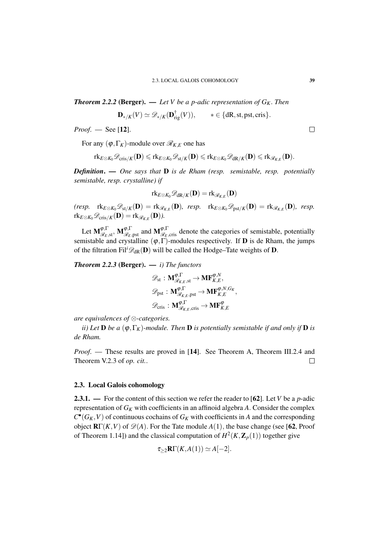*Theorem 2.2.2* **(Berger). — Let V be a p-adic representation of**  $G_K$ **. Then** 

$$
\mathbf{D}_{\ast/K}(V) \simeq \mathscr{D}_{\ast/K}(\mathbf{D}_{\mathrm{rig}}^{\dagger}(V)), \qquad \ast \in \{dR, st, \mathrm{pst}, \mathrm{cris}\}.
$$

*Proof*. — See [12].

For any  $(\varphi, \Gamma_K)$ -module over  $\mathcal{R}_{K,E}$  one has

$$
\mathrm{rk}_{E\otimes K_0}{\mathscr D}_{{\rm cris}/K}({\mathbf D})\leqslant \mathrm{rk}_{E\otimes K_0}{\mathscr D}_{{\rm st}/K}({\mathbf D})\leqslant \mathrm{rk}_{E\otimes K_0}{\mathscr D}_{{\rm dR}/K}({\mathbf D})\leqslant \mathrm{rk}_{{\mathscr R}_{K,E}}({\mathbf D}).
$$

*Definition*. — *One says that* D *is de Rham (resp. semistable, resp. potentially semistable, resp. crystalline) if*

$$
\mathrm{rk}_{E \otimes K_0} \mathscr{D}_{\mathrm{dR}/K}(\mathbf{D}) = \mathrm{rk}_{\mathscr{R}_{K,E}}(\mathbf{D})
$$

 $(\mathit{resp.}\quad \mathrm{rk}_{E\otimes K_0}\mathscr{D}_{\mathrm{st}/K}(\mathbf{D})=\mathrm{rk}_{\mathscr{R}_{K,E}}(\mathbf{D}),\;\;\mathit{resp.}\quad \mathrm{rk}_{E\otimes K_0}\mathscr{D}_{\mathrm{pst}/K}(\mathbf{D})=\mathrm{rk}_{\mathscr{R}_{K,E}}(\mathbf{D}),\;\;\mathit{resp.}$  $\mathrm{rk}_{E\otimes K_0}\mathscr{D}_{\mathrm{cris}/K}(\mathbf{D})=\mathrm{rk}_{\mathscr{R}_{K,E}}(\mathbf{D}).$ 

Let  $M_{\mathscr{R}_E, \text{st}}^{\varphi, \Gamma}, M_{\mathscr{R}_E, \text{pst}}^{\varphi, \Gamma}$  and  $M_{\mathscr{R}_E, \text{cris}}^{\varphi, \Gamma}$  denote the categories of semistable, potentially semistable and crystalline  $(\varphi, \Gamma)$ -modules respectively. If **D** is de Rham, the jumps of the filtration Fil<sup>*i*</sup> $\mathcal{D}_{dR}(\mathbf{D})$  will be called the Hodge–Tate weights of **D**.

*Theorem 2.2.3* (Berger). — *i) The functors*

$$
\mathscr{D}_{st}: \mathbf{M}_{\mathscr{R}_{K,E},st}^{\varphi,\Gamma} \to \mathbf{MF}_{K,E}^{\varphi,N},
$$
  

$$
\mathscr{D}_{pst}: \mathbf{M}_{\mathscr{R}_{K,E},pst}^{\varphi,\Gamma} \to \mathbf{MF}_{K,E}^{\varphi,N,G_K},
$$
  

$$
\mathscr{D}_{cris}: \mathbf{M}_{\mathscr{R}_{K,E},cris}^{\varphi,\Gamma} \to \mathbf{MF}_{K,E}^{\varphi}
$$

*are equivalences of* ⊗*-categories.*

*ii*) Let **D** be a  $(\varphi, \Gamma_K)$ -module. Then **D** is potentially semistable if and only if **D** is *de Rham.*

*Proof*. — These results are proved in [14]. See Theorem A, Theorem III.2.4 and Theorem V.2.3 of *op. cit.*.  $\Box$ 

## 2.3. Local Galois cohomology

2.3.1. — For the content of this section we refer the reader to [62]. Let *V* be a *p*-adic representation of *G<sup>K</sup>* with coefficients in an affinoid algebra *A*. Consider the complex  $C^{\bullet}(G_K, V)$  of continuous cochains of  $G_K$  with coefficients in *A* and the corresponding object  $\mathbf{R}\Gamma(K,V)$  of  $\mathscr{D}(A)$ . For the Tate module  $A(1)$ , the base change (see [62, Proof of Theorem 1.14]) and the classical computation of  $H^2(K, \mathbb{Z}_p(1))$  together give

$$
\tau_{\geq 2}\mathbf{R}\Gamma(K,A(1))\simeq A[-2].
$$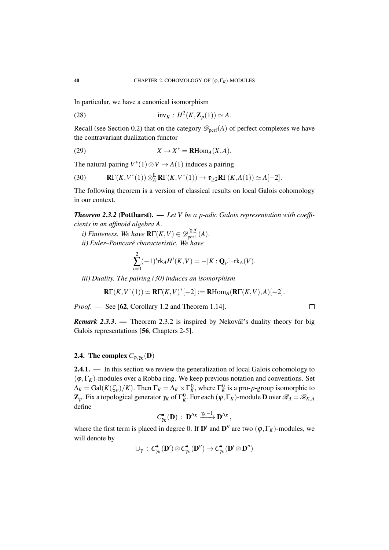In particular, we have a canonical isomorphism

(28) 
$$
\text{inv}_K : H^2(K, \mathbf{Z}_p(1)) \simeq A.
$$

Recall (see Section 0.2) that on the category  $\mathcal{D}_{\text{perf}}(A)$  of perfect complexes we have the contravariant dualization functor

(29) 
$$
X \to X^* = \mathbf{R} \text{Hom}_A(X, A).
$$

The natural pairing  $V^*(1) \otimes V \rightarrow A(1)$  induces a pairing

(30) 
$$
\mathbf{R}\Gamma(K,V^*(1))\otimes_A^{\mathbf{L}}\mathbf{R}\Gamma(K,V^*(1))\to \tau_{\geq 2}\mathbf{R}\Gamma(K,A(1))\simeq A[-2].
$$

The following theorem is a version of classical results on local Galois cohomology in our context.

*Theorem 2.3.2* (Pottharst). — *Let V be a p-adic Galois representation with coefficients in an affinoid algebra A*.

- *i)* Finiteness. We have  $\mathbf{R}\Gamma(K, V) \in \mathscr{D}_{\mathrm{perf}}^{[0,2]}(A)$ .
- *ii) Euler–Poincaré characteristic. We have*

$$
\sum_{i=0}^{2}(-1)^{i}\text{rk}_{A}H^{i}(K,V)=-[K:\mathbf{Q}_{p}]\cdot\text{rk}_{A}(V).
$$

*iii) Duality. The pairing (30) induces an isomorphism*

$$
\mathbf{R}\Gamma(K,V^*(1))\simeq \mathbf{R}\Gamma(K,V)^*[-2]:=\mathbf{R}\mathrm{Hom}_A(\mathbf{R}\Gamma(K,V),A)[-2].
$$

 $\Box$ 

*Proof.* — See [62, Corollary 1.2 and Theorem 1.14].

*Remark 2.3.3.* — Theorem 2.3.2 is inspired by Nekovář's duality theory for big Galois representations [56, Chapters 2-5].

# 2.4. The complex  $C_{\varphi,\gamma_K}(\mathbf{D})$

2.4.1. — In this section we review the generalization of local Galois cohomology to  $(\varphi, \Gamma_K)$ -modules over a Robba ring. We keep previous notation and conventions. Set  $\Delta_K = \text{Gal}(K(\zeta_p)/K)$ . Then  $\Gamma_K = \Delta_K \times \Gamma_K^0$ , where  $\Gamma_K^0$  is a pro-*p*-group isomorphic to  $\mathbf{Z}_p$ . Fix a topological generator  $\gamma_K$  of  $\Gamma_K^0$ . For each  $(\phi, \Gamma_K)$ -module  $\mathbf D$  over  $\mathscr R_A=\mathscr R_{K,A}$ define

$$
C^\bullet_{\gamma_K}(\mathbf{D})\;:\; \mathbf{D}^{\Delta_K}\xrightarrow{\gamma_K-1}\mathbf{D}^{\Delta_K}\,,
$$

where the first term is placed in degree 0. If  $\mathbf{D}'$  and  $\mathbf{D}''$  are two  $(\varphi, \Gamma_K)$ -modules, we will denote by

$$
\cup_{\gamma} \, : \, C^\bullet_{\gamma_K}(D') \otimes C^\bullet_{\gamma_K}(D'') \to C^\bullet_{\gamma_K}(D' \otimes D'')
$$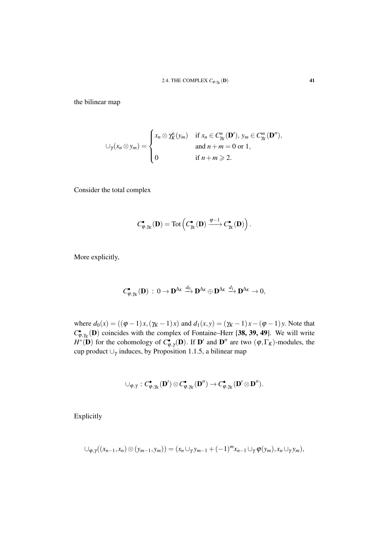the bilinear map

$$
\bigcup_{\gamma}(x_n \otimes y_m) = \begin{cases} x_n \otimes \gamma_K^n(y_m) & \text{if } x_n \in C_K^n(\mathbf{D}'), y_m \in C_K^m(\mathbf{D}''), \\ & \text{and } n+m = 0 \text{ or } 1, \\ 0 & \text{if } n+m \geqslant 2. \end{cases}
$$

Consider the total complex

$$
C_{\varphi,\gamma_K}^{\bullet}(\mathbf{D})=\mathrm{Tot}\left(C_{\gamma_K}^{\bullet}(\mathbf{D})\xrightarrow{\varphi-1} C_{\gamma_K}^{\bullet}(\mathbf{D})\right).
$$

More explicitly,

$$
C^{\bullet}_{\phi,\gamma_K}(\mathbf{D})\,:\, 0\to \mathbf{D}^{\Delta_K}\stackrel{d_0}{\longrightarrow} \mathbf{D}^{\Delta_K}\oplus \mathbf{D}^{\Delta_K}\stackrel{d_1}{\longrightarrow} \mathbf{D}^{\Delta_K}\to 0,
$$

where  $d_0(x) = ((\varphi - 1)x, (\gamma_K - 1)x)$  and  $d_1(x, y) = (\gamma_K - 1)x - (\varphi - 1)y$ . Note that  $C_{\varphi,\gamma_K}^{\bullet}(\mathbf{D})$  coincides with the complex of Fontaine–Herr [38, 39, 49]. We will write  $H^*(\mathbf{D})$  for the cohomology of  $C_{\phi,\gamma}$ <sup> $\mathbf{D}$ </sup>). If  $\mathbf{D}'$  and  $\mathbf{D}''$  are two  $(\phi,\Gamma_K)$ -modules, the cup product  $\cup_{\gamma}$  induces, by Proposition 1.1.5, a bilinear map

$$
\cup_{\phi,\gamma}: C^{\bullet}_{\phi,\gamma_K}(\mathbf{D}')\otimes C^{\bullet}_{\phi,\gamma_K}(\mathbf{D}'')\rightarrow C^{\bullet}_{\phi,\gamma_K}(\mathbf{D}'\otimes \mathbf{D}'').
$$

Explicitly

$$
\cup_{\varphi,\gamma}((x_{n-1},x_n)\otimes(y_{m-1},y_m))=(x_n\cup_\gamma y_{m-1}+(-1)^mx_{n-1}\cup_\gamma\varphi(y_m),x_n\cup_\gamma y_m),
$$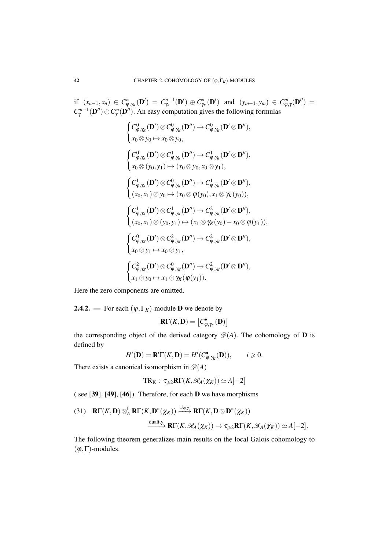if  $(x_{n-1},x_n) \in C^n_{\varphi,\gamma_K}(\mathbf{D}') = C^{n-1}_{\gamma_K}(\mathbf{D}') \oplus C^n_{\gamma_K}(\mathbf{D}')$  and  $(y_{m-1},y_m) \in C^m_{\varphi,\gamma}(\mathbf{D}'') =$  $C_{\gamma}^{m-1}(\mathbf{D}'') \oplus C_{\gamma}^{m}(\mathbf{D}'')$ . An easy computation gives the following formulas

$$
\begin{cases}\nC_{\varphi,\gamma_{K}}^{0}(\mathbf{D}')\otimes C_{\varphi,\gamma_{K}}^{0}(\mathbf{D}'')\rightarrow C_{\varphi,\gamma_{K}}^{0}(\mathbf{D}'\otimes \mathbf{D}''), \\
x_{0}\otimes y_{0}\mapsto x_{0}\otimes y_{0}, \\
\int C_{\varphi,\gamma_{K}}^{0}(\mathbf{D}')\otimes C_{\varphi,\gamma_{K}}^{1}(\mathbf{D}'')\rightarrow C_{\varphi,\gamma_{K}}^{1}(\mathbf{D}'\otimes \mathbf{D}''), \\
x_{0}\otimes (y_{0},y_{1})\mapsto (x_{0}\otimes y_{0},x_{0}\otimes y_{1}), \\
\int C_{\varphi,\gamma_{K}}^{1}(\mathbf{D}')\otimes C_{\varphi,\gamma_{K}}^{0}(\mathbf{D}'')\rightarrow C_{\varphi,\gamma_{K}}^{1}(\mathbf{D}'\otimes \mathbf{D}''), \\
(x_{0},x_{1})\otimes y_{0}\mapsto (x_{0}\otimes \varphi(y_{0}),x_{1}\otimes \gamma_{K}(y_{0})), \\
\int C_{\varphi,\gamma_{K}}^{1}(\mathbf{D}')\otimes C_{\varphi,\gamma_{K}}^{1}(\mathbf{D}'')\rightarrow C_{\varphi,\gamma_{K}}^{2}(\mathbf{D}'\otimes \mathbf{D}''), \\
(x_{0},x_{1})\otimes (y_{0},y_{1})\mapsto (x_{1}\otimes \gamma_{K}(y_{0})-x_{0}\otimes \varphi(y_{1})), \\
\int C_{\varphi,\gamma_{K}}^{0}(\mathbf{D}')\otimes C_{\varphi,\gamma_{K}}^{2}(\mathbf{D}'')\rightarrow C_{\varphi,\gamma_{K}}^{2}(\mathbf{D}'\otimes \mathbf{D}''), \\
x_{0}\otimes y_{1}\mapsto x_{0}\otimes y_{1}, \\
\int C_{\varphi,\gamma_{K}}^{2}(\mathbf{D}')\otimes C_{\varphi,\gamma_{K}}^{0}(\mathbf{D}'')\rightarrow C_{\varphi,\gamma_{K}}^{2}(\mathbf{D}'\otimes \mathbf{D}''), \\
x_{1}\otimes y_{0}\mapsto x_{1}\otimes \gamma_{K}(\varphi(y_{1})).\n\end{cases}
$$

Here the zero components are omitted.

**2.4.2.** — For each  $(\varphi, \Gamma_K)$ -module **D** we denote by

$$
\mathbf{R}\Gamma(K,\mathbf{D})=\left[C^{\bullet}_{\varphi,\gamma_K}(\mathbf{D})\right]
$$

the corresponding object of the derived category  $\mathscr{D}(A)$ . The cohomology of **D** is defined by

$$
H^i(\mathbf{D}) = \mathbf{R}^i \Gamma(K, \mathbf{D}) = H^i(C_{\varphi, \gamma_K}^{\bullet}(\mathbf{D})), \quad i \geq 0.
$$

There exists a canonical isomorphism in  $\mathcal{D}(A)$ 

$$
TR_K: \tau_{\geqslant 2} \mathbf{R} \Gamma(K, \mathscr{R}_A(\chi_K)) \simeq A[-2]
$$

( see [39], [49], [46]). Therefore, for each D we have morphisms

(31) 
$$
\mathbf{R}\Gamma(K,\mathbf{D})\otimes_{A}^{\mathbf{L}}\mathbf{R}\Gamma(K,\mathbf{D}^{*}(\chi_{K})) \xrightarrow{\cup_{\varphi,\gamma}} \mathbf{R}\Gamma(K,\mathbf{D}\otimes \mathbf{D}^{*}(\chi_{K}))
$$
  
\n $\xrightarrow{\text{duality}} \mathbf{R}\Gamma(K,\mathscr{R}_{A}(\chi_{K})) \to \tau_{\geq 2}\mathbf{R}\Gamma(K,\mathscr{R}_{A}(\chi_{K})) \simeq A[-2].$ 

The following theorem generalizes main results on the local Galois cohomology to  $(\varphi, \Gamma)$ -modules.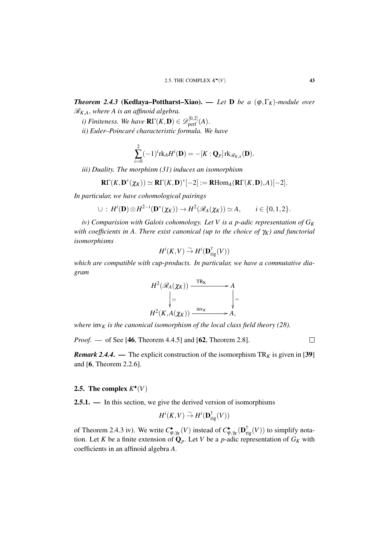*Theorem 2.4.3* (Kedlaya–Pottharst–Xiao). — *Let* D *be a* (ϕ,Γ*K*)*-module over* R*K*,*A*, *where A is an affinoid algebra.*

*i)* Finiteness. We have  $\mathbf{R}\Gamma(K,\mathbf{D})\in\mathscr{D}_{\mathrm{perf}}^{[0,2]}(A)$ .

*ii) Euler–Poincaré characteristic formula. We have*

$$
\sum_{i=0}^{2}(-1)^{i}\mathrm{rk}_{A}H^{i}(\mathbf{D})=-[K:\mathbf{Q}_{p}]\mathrm{rk}_{\mathscr{R}_{K,A}}(\mathbf{D}).
$$

*iii) Duality. The morphism (31) induces an isomorphism*

$$
\mathbf{R}\Gamma(K,\mathbf{D}^*(\chi_K))\simeq \mathbf{R}\Gamma(K,\mathbf{D})^*[-2]:=\mathbf{R}\mathrm{Hom}_A(\mathbf{R}\Gamma(K,\mathbf{D}),A)[-2].
$$

*In particular, we have cohomological pairings*

 $\cup$  :  $H^i(\mathbf{D}) \otimes H^{2-i}(\mathbf{D}^*(\chi_K)) \to H^2(\mathscr{R}_A(\chi_K)) \simeq A, \qquad i \in \{0, 1, 2\}.$ 

*iv) Comparision with Galois cohomology. Let V is a p-adic representation of G<sup>K</sup> with coefficients in A*. *There exist canonical (up to the choice of* γ*K) and functorial isomorphisms*

$$
H^i(K,V) \overset{\sim}{\to} H^i(\mathbf{D}_{\mathrm{rig}}^\dagger(V))
$$

*which are compatible with cup-products. In particular, we have a commutative diagram*



*where*  $\text{inv}_K$  *is the canonical isomorphism of the local class field theory (28).* 

*Proof*. — of See [46, Theorem 4.4.5] and [62, Theorem 2.8].

 $\Box$ 

*Remark 2.4.4.* — The explicit construction of the isomorphism  $TR<sub>K</sub>$  is given in [39] and [6, Theorem 2.2.6].

# 2.5. The complex  $K^{\bullet}(V)$

2.5.1. — In this section, we give the derived version of isomorphisms

$$
H^i(K,V) \overset{\sim}{\to} H^i(\mathbf{D}^\dagger_{\mathrm{rig}}(V))
$$

of Theorem 2.4.3 iv). We write  $C_{\varphi, \gamma_K}^{\bullet}(V)$  instead of  $C_{\varphi, \gamma_K}^{\bullet}(\mathbf{D}_{\text{rig}}^{\dagger}(V))$  to simplify notation. Let *K* be a finite extension of  $\mathbf{Q}_p$ . Let *V* be a *p*-adic representation of  $G_K$  with coefficients in an affinoid algebra *A*.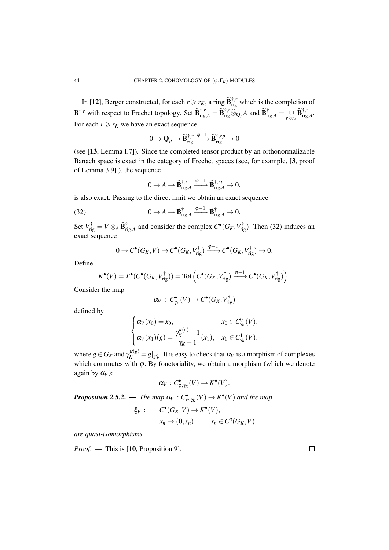In [12], Berger constructed, for each  $r \ge r_K$ , a ring  $\widetilde{\mathbf{B}}_{\text{rig}}^{\dagger,r}$  which is the completion of  $\mathbf{B}^{\dagger,r}$  with respect to Frechet topology. Set  $\widetilde{\mathbf{B}}_{\mathrm{rig},A}^{\dagger,r} = \widetilde{\mathbf{B}}_{\mathrm{rig}}^{\dagger,r} \widehat{\otimes}_{\mathbf{Q}_p} A$  and  $\widetilde{\mathbf{B}}_{\mathrm{rig},A}^{\dagger} = \bigcup_{r \ge r_K} \widetilde{\mathbf{B}}_{\mathrm{rig},A}^{\dagger,r}$ . For each  $r \ge r_K$  we have an exact sequence

$$
0 \to \mathbf{Q}_p \to \widetilde{\mathbf{B}}_{\mathrm{rig}}^{\dagger,r} \xrightarrow{\phi-1} \widetilde{\mathbf{B}}_{\mathrm{rig}}^{\dagger,rp} \to 0
$$

(see [13, Lemma I.7]). Since the completed tensor product by an orthonormalizable Banach space is exact in the category of Frechet spaces (see, for example, [3, proof of Lemma 3.9] ), the sequence

$$
0 \to A \to \widetilde{\mathbf{B}}_{\mathrm{rig},A}^{\dagger,r} \xrightarrow{\varphi-1} \widetilde{\mathbf{B}}_{\mathrm{rig},A}^{\dagger,rp} \to 0.
$$

is also exact. Passing to the direct limit we obtain an exact sequence

(32) 
$$
0 \to A \to \widetilde{\mathbf{B}}_{\mathrm{rig},A}^{\dagger} \xrightarrow{\varphi-1} \widetilde{\mathbf{B}}_{\mathrm{rig},A}^{\dagger} \to 0.
$$

Set  $V_{\text{rig}}^{\dagger} = V \otimes_A \widetilde{\mathbf{B}}_{\text{rig},A}^{\dagger}$  and consider the complex  $C^{\bullet}(G_K, V_{\text{rig}}^{\dagger})$ . Then (32) induces an exact sequence

$$
0 \to C^{\bullet}(G_K, V) \to C^{\bullet}(G_K, V_{\text{rig}}^{\dagger}) \xrightarrow{\varphi-1} C^{\bullet}(G_K, V_{\text{rig}}^{\dagger}) \to 0.
$$

Define

$$
K^{\bullet}(V) = T^{\bullet}(C^{\bullet}(G_K, V_{\text{rig}}^{\dagger})) = \text{Tot}\left(C^{\bullet}(G_K, V_{\text{rig}}^{\dagger}) \xrightarrow{\varphi-1} C^{\bullet}(G_K, V_{\text{rig}}^{\dagger})\right).
$$

Consider the map

$$
\alpha_V\,:\, C^\bullet_{\gamma_K}(V)\to C^\bullet(G_K,V_{\mathrm{rig}}^\dagger)
$$

defined by

$$
\begin{cases} \alpha_V(x_0) = x_0, & x_0 \in C^0_{\gamma_K}(V), \\ \alpha_V(x_1)(g) = \frac{\gamma_K^{\kappa(g)} - 1}{\gamma_K - 1}(x_1), & x_1 \in C^1_{\gamma_K}(V), \end{cases}
$$

where  $g \in G_K$  and  $\gamma_K^{\kappa(g)} = g|_{\Gamma_K^0}$ . It is easy to check that  $\alpha_V$  is a morphism of complexes which commutes with  $\varphi$ . By fonctoriality, we obtain a morphism (which we denote again by  $\alpha$ <sup>V</sup>):

$$
\alpha_V : C^{\bullet}_{\varphi, \gamma_K}(V) \to K^{\bullet}(V).
$$

*Proposition 2.5.2.* — *The map*  $\alpha_V : C^{\bullet}_{\varphi, \gamma_K}(V) \to K^{\bullet}(V)$  and the map

$$
\xi_V: \qquad C^{\bullet}(G_K, V) \to K^{\bullet}(V),
$$
  

$$
x_n \mapsto (0, x_n), \qquad x_n \in C^n(G_K, V)
$$

*are quasi-isomorphisms.*

*Proof*. — This is [10, Proposition 9].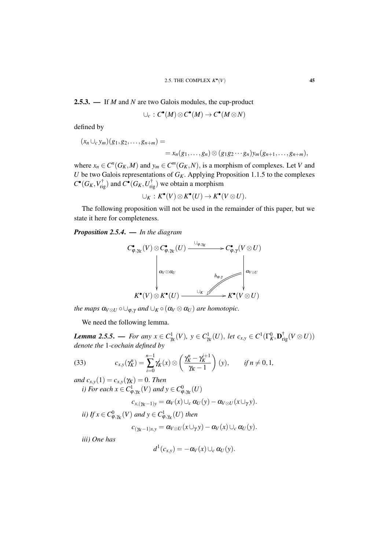2.5.3. — If *M* and *N* are two Galois modules, the cup-product

$$
\cup_c : C^{\bullet}(M) \otimes C^{\bullet}(M) \to C^{\bullet}(M \otimes N)
$$

defined by

$$
(x_n \cup_c y_m)(g_1, g_2, \dots, g_{n+m}) =
$$
  
=  $x_n(g_1, \dots, g_n) \otimes (g_1g_2 \cdots g_n)y_m(g_{n+1}, \dots, g_{n+m}),$ 

where  $x_n \in C^n(G_K, M)$  and  $y_m \in C^m(G_K, N)$ , is a morphism of complexes. Let *V* and *U* be two Galois representations of  $G_K$ . Applying Proposition 1.1.5 to the complexes  $C^{\bullet}(G_K, V_{\text{rig}}^{\dagger})$  and  $C^{\bullet}(G_K, U_{\text{rig}}^{\dagger})$  we obtain a morphism

$$
\cup_K: K^{\bullet}(V) \otimes K^{\bullet}(U) \to K^{\bullet}(V \otimes U).
$$

The following proposition will not be used in the remainder of this paper, but we state it here for completeness.

*Proposition 2.5.4*. — *In the diagram*



*the maps*  $\alpha_{V\otimes U}\circ \cup_{\varphi,\gamma}$  *and*  $\cup_K\circ(\alpha_V\otimes \alpha_U)$  *are homotopic.* 

We need the following lemma.

*Lemma 2.5.5.* — *For any*  $x \in C^1_{\mathcal{H}}(V)$ ,  $y \in C^1_{\mathcal{H}}(U)$ , let  $c_{x,y} \in C^1(\Gamma_K^0, \mathbf{D}_{\text{rig}}^{\dagger}(V \otimes U))$ *denote the* 1*-cochain defined by*

(33) 
$$
c_{x,y}(\gamma_K^n) = \sum_{i=0}^{n-1} \gamma_K^i(x) \otimes \left(\frac{\gamma_K^n - \gamma_K^{i+1}}{\gamma_K - 1}\right)(y), \quad \text{if } n \neq 0, 1,
$$

*and*  $c_{x,y}(1) = c_{x,y}(\gamma_K) = 0$ . *Then* 

*i*) For each  $x \in C^1_{\varphi, \gamma_K}(V)$  and  $y \in C^0_{\varphi, \gamma_K}(U)$ 

$$
c_{x,(\gamma_K-1)y} = \alpha_V(x) \cup_c \alpha_U(y) - \alpha_{V \otimes U}(x \cup_\gamma y).
$$

*ii)* If  $x \in C_{\varphi, \gamma_K}^0(V)$  and  $y \in C_{\varphi, \gamma_K}^1(U)$  then

$$
c_{(\gamma_K-1)x,y} = \alpha_{V\otimes U}(x\cup_\gamma y) - \alpha_V(x)\cup_c \alpha_U(y).
$$

*iii) One has*

$$
d^1(c_{x,y})=-\alpha_V(x)\cup_c \alpha_U(y).
$$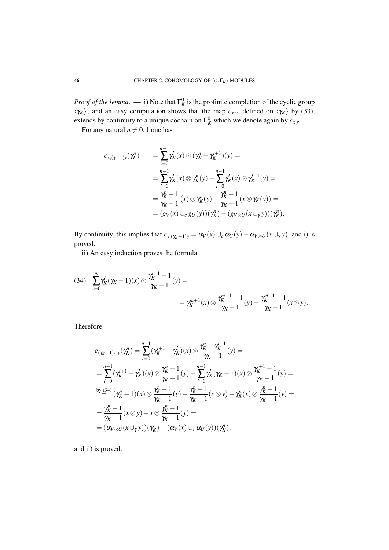*Proof of the lemma*. — i) Note that  $\Gamma_K^0$  is the profinite completion of the cyclic group  $\langle \gamma_K \rangle$ , and an easy computation shows that the map  $c_{x,y}$ , defined on  $\langle \gamma_K \rangle$  by (33), extends by continuity to a unique cochain on  $\Gamma_K^0$  which we denote again by  $c_{x,y}$ .

For any natural  $n \neq 0,1$  one has

$$
c_{x,(\gamma-1)y}(\gamma_K^n) = \sum_{i=0}^{n-1} \gamma_K^i(x) \otimes (\gamma_K^n - \gamma_K^{i+1})(y) =
$$
  
\n
$$
= \sum_{i=0}^{n-1} \gamma_K^i(x) \otimes \gamma_K^n(y) - \sum_{i=0}^{n-1} \gamma_K^i(x) \otimes \gamma_K^{i+1}(y) =
$$
  
\n
$$
= \frac{\gamma_K^n - 1}{\gamma_K - 1} (x) \otimes \gamma_K^n(y) - \frac{\gamma_K^n - 1}{\gamma_K - 1} (x \otimes \gamma_K(y)) =
$$
  
\n
$$
= (g_V(x) \cup_c g_U(y))(\gamma_K^n) - (g_V \otimes_U(x \cup_\gamma y))(\gamma_K^n).
$$

By continuity, this implies that  $c_{x,(y_K-1)y} = \alpha_V(x) \cup_c \alpha_U(y) - \alpha_{V \otimes U}(x \cup_{\gamma} y)$ , and i) is proved.

ii) An easy induction proves the formula

$$
(34) \quad \sum_{i=0}^{m} \gamma_K^i (\gamma_K - 1)(x) \otimes \frac{\gamma_K^{i+1} - 1}{\gamma_K - 1}(y) = \\ = \gamma_K^{m+1}(x) \otimes \frac{\gamma_K^{m+1} - 1}{\gamma_K - 1}(y) - \frac{\gamma_K^{m+1} - 1}{\gamma_K - 1}(x \otimes y).
$$

Therefore

$$
c_{(\gamma_K-1)x,y}(\gamma_K^n) = \sum_{i=0}^{n-1} (\gamma_K^{i+1} - \gamma_K^i)(x) \otimes \frac{\gamma_K^n - \gamma_K^{i+1}}{\gamma_K - 1}(y) =
$$
  
\n
$$
= \sum_{i=0}^{n-1} (\gamma_K^{i+1} - \gamma_K^i)(x) \otimes \frac{\gamma_K^n - 1}{\gamma_K - 1}(y) - \sum_{i=0}^{n-1} \gamma_K^i(\gamma_K - 1)(x) \otimes \frac{\gamma_K^{i+1} - 1}{\gamma_K - 1}(y) =
$$
  
\nby (34)  
\nby (34)  
\n
$$
(\gamma_K^n - 1)(x) \otimes \frac{\gamma_K^n - 1}{\gamma_K - 1}(y) + \frac{\gamma_K^n - 1}{\gamma_K - 1}(x \otimes y) - \gamma_K^n(x) \otimes \frac{\gamma_K^n - 1}{\gamma_K - 1}(y) =
$$
  
\n
$$
= \frac{\gamma_K^n - 1}{\gamma_K - 1}(x \otimes y) - x \otimes \frac{\gamma_K^n - 1}{\gamma_K - 1}(y) =
$$
  
\n
$$
= (\alpha_{V \otimes U}(x \cup_Y y))(\gamma_K^n) - (\alpha_V(x) \cup_c \alpha_U(y))(\gamma_K^n),
$$

and ii) is proved.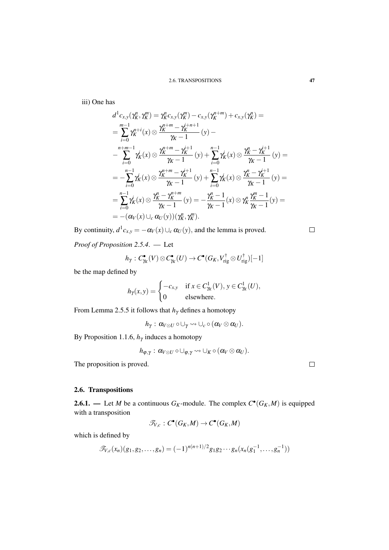iii) One has

$$
d^{1}c_{x,y}(\gamma_{K}^{n}, \gamma_{K}^{m}) = \gamma_{K}^{n}c_{x,y}(\gamma_{K}^{m}) - c_{x,y}(\gamma_{K}^{n+m}) + c_{x,y}(\gamma_{K}^{n}) =
$$
\n
$$
= \sum_{i=0}^{m-1} \gamma_{K}^{n+i}(x) \otimes \frac{\gamma_{K}^{n+m} - \gamma_{K}^{i+n+1}}{\gamma_{K} - 1}(y) -
$$
\n
$$
- \sum_{i=0}^{n+m-1} \gamma_{K}^{i}(x) \otimes \frac{\gamma_{K}^{n+m} - \gamma_{K}^{i+1}}{\gamma_{K} - 1}(y) + \sum_{i=0}^{n-1} \gamma_{K}^{i}(x) \otimes \frac{\gamma_{K}^{n} - \gamma_{K}^{i+1}}{\gamma_{K} - 1}(y) =
$$
\n
$$
= - \sum_{i=0}^{n-1} \gamma_{K}^{i}(x) \otimes \frac{\gamma_{K}^{n+m} - \gamma_{K}^{i+1}}{\gamma_{K} - 1}(y) + \sum_{i=0}^{n-1} \gamma_{K}^{i}(x) \otimes \frac{\gamma_{K}^{n} - \gamma_{K}^{i+1}}{\gamma_{K} - 1}(y) =
$$
\n
$$
= \sum_{i=0}^{n-1} \gamma_{K}^{i}(x) \otimes \frac{\gamma_{K}^{n} - \gamma_{K}^{n+m}}{\gamma_{K} - 1}(y) = - \frac{\gamma_{K}^{n} - 1}{\gamma_{K} - 1}(x) \otimes \gamma_{K}^{n} \frac{\gamma_{K}^{m} - 1}{\gamma_{K} - 1}(y) =
$$
\n
$$
= -(\alpha_{V}(x) \cup_{c} \alpha_{U}(y))(\gamma_{K}^{n}, \gamma_{K}^{m}).
$$

By continuity,  $d^1c_{x,y} = -\alpha_V(x) \cup_c \alpha_U(y)$ , and the lemma is proved.

*Proof of Proposition 2.5.4*. — Let

$$
h_{\gamma}: C^{\bullet}_{\gamma_K}(V) \otimes C^{\bullet}_{\gamma_K}(U) \to C^{\bullet}(G_K, V_{\text{rig}}^{\dagger} \otimes U_{\text{rig}}^{\dagger})[-1]
$$

be the map defined by

$$
h_{\gamma}(x, y) = \begin{cases} -c_{x, y} & \text{if } x \in C_{\gamma_K}^1(V), y \in C_{\gamma_K}^1(U), \\ 0 & \text{elsewhere.} \end{cases}
$$

From Lemma 2.5.5 it follows that  $h_{\gamma}$  defines a homotopy

 $h_{\gamma}: \alpha_{V\otimes U}\circ \cup_{\gamma}\leadsto \cup_{c}\circ(\alpha_{V}\otimes \alpha_{U}).$ 

By Proposition 1.1.6,  $h_{\gamma}$  induces a homotopy

$$
h_{\varphi,\gamma}:\, \alpha_{V\otimes U}\circ \cup_{\varphi,\gamma}\leadsto \cup_{K}\circ (\alpha_V\otimes \alpha_U).
$$

The proposition is proved.

## 2.6. Transpositions

**2.6.1.** — Let *M* be a continuous  $G_K$ -module. The complex  $C^{\bullet}(G_K, M)$  is equipped with a transposition

$$
\mathscr{T}_{V,c}:C^{\bullet}(G_K,M)\to C^{\bullet}(G_K,M)
$$

which is defined by

$$
\mathscr{T}_{V,c}(x_n)(g_1,g_2,\ldots,g_n) = (-1)^{n(n+1)/2} g_1 g_2 \cdots g_n (x_n(g_1^{-1},\ldots,g_n^{-1}))
$$

 $\Box$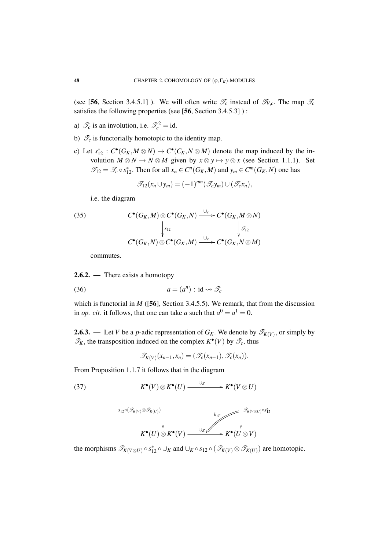(see [56, Section 3.4.5.1]). We will often write  $\mathcal{T}_c$  instead of  $\mathcal{T}_{V,c}$ . The map  $\mathcal{T}_c$ satisfies the following properties (see [56, Section 3.4.5.3] ) :

- a)  $\mathscr{T}_c$  is an involution, i.e.  $\mathscr{T}_c^2 = id$ .
- b)  $\mathcal{T}_c$  is functorially homotopic to the identity map.
- c) Let  $s_{12}^* : C^{\bullet}(G_K, M \otimes N) \to C^{\bullet}(C_K, N \otimes M)$  denote the map induced by the involution  $M \otimes N \to N \otimes M$  given by  $x \otimes y \mapsto y \otimes x$  (see Section 1.1.1). Set  $\mathscr{T}_{12} = \mathscr{T}_c \circ s_{12}^*$ . Then for all  $x_n \in C^n(G_K, M)$  and  $y_m \in C^m(G_K, N)$  one has

$$
\mathscr{T}_{12}(x_n \cup y_m) = (-1)^{nm}(\mathscr{T}_c y_m) \cup (\mathscr{T}_c x_n),
$$

i.e. the diagram

(35) 
$$
C^{\bullet}(G_K, M) \otimes C^{\bullet}(G_K, N) \xrightarrow{\cup_c} C^{\bullet}(G_K, M \otimes N)
$$

$$
\downarrow_{s_{12}} \qquad \qquad \downarrow_{s_{12}} \qquad \qquad \downarrow_{s_{12}}
$$

$$
C^{\bullet}(G_K, N) \otimes C^{\bullet}(G_K, M) \xrightarrow{\cup_c} C^{\bullet}(G_K, N \otimes M)
$$

commutes.

## 2.6.2. — There exists a homotopy

$$
(36) \t a = (a^n) : \mathrm{id} \leadsto \mathscr{T}_c
$$

which is functorial in  $M$  ([56], Section 3.4.5.5). We remark, that from the discussion in *op. cit.* it follows, that one can take *a* such that  $a^0 = a^1 = 0$ .

**2.6.3.** — Let *V* be a *p*-adic representation of  $G_K$ . We denote by  $\mathscr{T}_{K(V)}$ , or simply by  $\mathcal{T}_K$ , the transposition induced on the complex  $K^{\bullet}(V)$  by  $\mathcal{T}_c$ , thus

$$
\mathscr{T}_{K(V)}(x_{n-1},x_n)=(\mathscr{T}_c(x_{n-1}),\mathscr{T}_c(x_n)).
$$

From Proposition 1.1.7 it follows that in the diagram

(37)  
\n
$$
K^{\bullet}(V) \otimes K^{\bullet}(U) \xrightarrow{\cup_{K}} K^{\bullet}(V \otimes U)
$$
  
\n
$$
s_{12} \circ (\mathcal{I}_{K(V)} \otimes \mathcal{I}_{K(U)})
$$
\n
$$
K^{\bullet}(U) \otimes K^{\bullet}(V) \xrightarrow{\cup_{K} \swarrow} K^{\bullet}(U \otimes V)
$$

the morphisms  $\mathscr{T}_{K(V\otimes U)} \circ s_{12}^* \circ \cup_K$  and  $\cup_K \circ s_{12} \circ (\mathscr{T}_{K(V)} \otimes \mathscr{T}_{K(U)})$  are homotopic.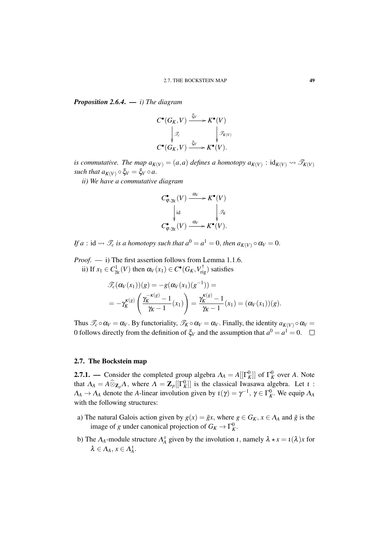*Proposition 2.6.4*. — *i) The diagram*

$$
C^{\bullet}(G_K, V) \xrightarrow{\xi_V} K^{\bullet}(V)
$$

$$
\downarrow \mathcal{F}_c
$$

$$
C^{\bullet}(G_K, V) \xrightarrow{\xi_V} K^{\bullet}(V).
$$

*is commutative. The map*  $a_{K(V)} = (a,a)$  *defines a homotopy*  $a_{K(V)} : id_{K(V)} \rightarrow \mathscr{T}_{K(V)}$ *such that*  $a_{K(V)} \circ \xi_V = \xi_V \circ a$ .

*ii) We have a commutative diagram*

$$
C_{\varphi,\gamma_K}^{\bullet}(V) \xrightarrow{\alpha_V} K^{\bullet}(V)
$$

$$
\downarrow \text{id}
$$

$$
C_{\varphi,\gamma_K}^{\bullet}(V) \xrightarrow{\alpha_V} K^{\bullet}(V).
$$

*If a* : id  $\rightsquigarrow$   $\mathscr{T}_c$  *is a homotopy such that*  $a^0 = a^1 = 0$ *, then*  $a_{K(V)} \circ \alpha_V = 0$ *.* 

*Proof*. — i) The first assertion follows from Lemma 1.1.6. ii) If  $x_1 \in C^1_{\gamma_K}(V)$  then  $\alpha_V(x_1) \in C^{\bullet}(G_K, V_{\text{rig}}^{\dagger})$  satisfies

$$
\mathcal{F}_c(\alpha_V(x_1))(g) = -g(\alpha_V(x_1)(g^{-1})) =
$$
  
=  $-\gamma_K^{\kappa(g)}\left(\frac{\gamma_K^{-\kappa(g)} - 1}{\gamma_K - 1}(x_1)\right) = \frac{\gamma_K^{\kappa(g)} - 1}{\gamma_K - 1}(x_1) = (\alpha_V(x_1))(g).$ 

Thus  $\mathcal{T}_c \circ \alpha_V = \alpha_V$ . By functoriality,  $\mathcal{T}_K \circ \alpha_V = \alpha_V$ . Finally, the identity  $a_{K(V)} \circ \alpha_V =$ 0 follows directly from the definition of  $\zeta_V$  and the assumption that  $a^0 = a^1 = 0$ .

### 2.7. The Bockstein map

**2.7.1.** — Consider the completed group algebra  $\Lambda_A = A[[\Gamma_K^0]]$  of  $\Gamma_K^0$  over *A*. Note that  $\Lambda_A = A \widehat{\otimes}_{\mathbf{Z}_p} \Lambda$ , where  $\Lambda = \mathbf{Z}_p[[\Gamma_K^0]]$  is the classical Iwasawa algebra. Let  $\iota$ :  $\Lambda_A \to \Lambda_A$  denote the *A*-linear involution given by  $\iota(\gamma) = \gamma^{-1}$ ,  $\gamma \in \Gamma_K^0$ . We equip  $\Lambda_A$ with the following structures:

- a) The natural Galois action given by  $g(x) = \overline{g}x$ , where  $g \in G_K$ ,  $x \in A_A$  and  $\overline{g}$  is the image of *g* under canonical projection of  $G_K \to \Gamma^0_K$ .
- b) The  $\Lambda_A$ -module structure  $\Lambda_A^i$  given by the involution  $\iota$ , namely  $\lambda \star x = \iota(\lambda)x$  for  $\lambda \in \Lambda_A$ ,  $x \in \Lambda_A^1$ .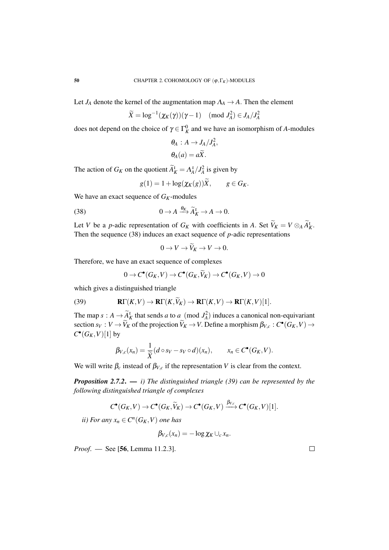Let  $J_A$  denote the kernel of the augmentation map  $\Lambda_A \to A$ . Then the element

$$
\widetilde{X} = \log^{-1}(\chi_K(\gamma))(\gamma - 1) \pmod{J_A^2} \in J_A/J_A^2
$$

does not depend on the choice of  $\gamma \in \Gamma_K^0$  and we have an isomorphism of *A*-modules

$$
\theta_A: A \to J_A/J_A^2,
$$
  

$$
\theta_A(a) = a\tilde{X}.
$$

The action of  $G_K$  on the quotient  $\widetilde{A}_K^1 = \Lambda_A^1/\widetilde{J}_A^2$  is given by

$$
g(1) = 1 + \log(\chi_K(g))\widetilde{X}, \qquad g \in G_K.
$$

We have an exact sequence of *GK*-modules

(38) 
$$
0 \to A \xrightarrow{\theta_K} \widetilde{A}_K^1 \to A \to 0.
$$

Let *V* be a *p*-adic representation of *G<sub>K</sub>* with coefficients in *A*. Set  $V_K = V \otimes_A A_K^L$ . Then the sequence (38) induces an exact sequence of *p*-adic representations

$$
0 \to V \to V_K \to V \to 0.
$$

Therefore, we have an exact sequence of complexes

$$
0 \to C^{\bullet}(G_K, V) \to C^{\bullet}(G_K, \widetilde{V}_K) \to C^{\bullet}(G_K, V) \to 0
$$

which gives a distinguished triangle

(39) 
$$
\mathbf{R}\Gamma(K,V) \to \mathbf{R}\Gamma(K,\tilde{V}_K) \to \mathbf{R}\Gamma(K,V) \to \mathbf{R}\Gamma(K,V)[1].
$$

The map  $s : A \to \tilde{A}_K^L$  that sends *a* to *a* (mod  $J_A^2$ ) induces a canonical non-equivariant section  $s_V : V \to \widetilde{V}_K$  of the projection  $\widetilde{V}_K \to V$ . Define a morphism  $\beta_{V,c} : C^{\bullet}(G_K, V) \to C^{\bullet}(\mathbb{C}^m)$  $C$ <sup> $\bullet$ </sup> $(G_K, V)$ [1] by

$$
\beta_{V,c}(x_n)=\frac{1}{\widetilde{X}}(d\circ s_V-s_V\circ d)(x_n),\qquad x_n\in C^\bullet(G_K,V).
$$

We will write  $\beta_c$  instead of  $\beta_{V,c}$  if the representation *V* is clear from the context.

*Proposition 2.7.2*. — *i) The distinguished triangle (39) can be represented by the following distinguished triangle of complexes*

$$
C^{\bullet}(G_K, V) \to C^{\bullet}(G_K, \widetilde{V}_K) \to C^{\bullet}(G_K, V) \xrightarrow{\beta_{V,c}} C^{\bullet}(G_K, V)[1].
$$

*ii*) For any  $x_n \in C^n(G_K, V)$  one has

$$
\beta_{V,c}(x_n)=-\log \chi_K\cup_c x_n.
$$

*Proof*. — See [56, Lemma 11.2.3].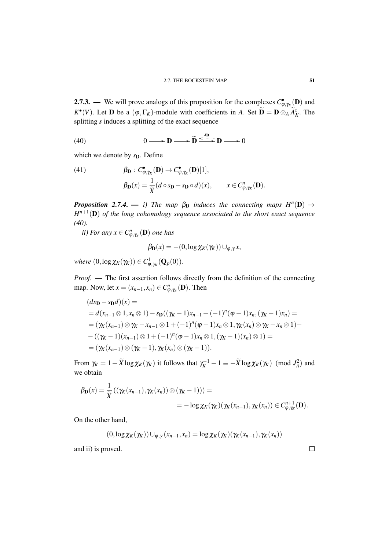**2.7.3.** — We will prove analogs of this proposition for the complexes  $C_{\varphi, \gamma_K}^{\bullet}(\mathbf{D})$  and  $K^{\bullet}(V)$ . Let **D** be a  $(\varphi, \Gamma_K)$ -module with coefficients in *A*. Set  $\widetilde{\mathbf{D}} = \mathbf{D} \otimes_A \widetilde{A}_K^{\iota}$ . The splitting *s* induces a splitting of the exact sequence

(40) 
$$
0 \longrightarrow D \longrightarrow \widetilde{D} \xrightarrow{\langle \delta D \rangle} D \longrightarrow 0
$$

which we denote by *s*<sub>D</sub>. Define

(41) 
$$
\beta_{\mathbf{D}} : C^{\bullet}_{\varphi, \gamma_K}(\mathbf{D}) \to C^{\bullet}_{\varphi, \gamma_K}(\mathbf{D})[1],
$$

$$
\beta_{\mathbf{D}}(x) = \frac{1}{\widetilde{X}} (d \circ s_{\mathbf{D}} - s_{\mathbf{D}} \circ d)(x), \qquad x \in C^n_{\varphi, \gamma_K}(\mathbf{D}).
$$

*Proposition 2.7.4.* — *i*) The map  $\beta_{\mathbf{D}}$  *induces the connecting maps*  $H^n(\mathbf{D}) \to$ *H n*+1 (D) *of the long cohomology sequence associated to the short exact sequence (40).*

*ii)* For any  $x \in C^n_{\varphi, \gamma_K}(\mathbf{D})$  one has

$$
\beta_{\mathbf{D}}(x) = -(0, \log \chi_K(\gamma_K)) \cup_{\varphi, \gamma} x,
$$

 $where (0, \log \chi_K(\gamma_K)) \in C^1_{\phi, \gamma_K}(\mathbf{Q}_p(0)).$ 

*Proof*. — The first assertion follows directly from the definition of the connecting map. Now, let  $x = (x_{n-1}, x_n) \in C^n_{\varphi, \gamma_K}(\mathbf{D})$ . Then

$$
(ds_{\mathbf{D}} - s_{\mathbf{D}}d)(x) =
$$
  
=  $d(x_{n-1} \otimes 1, x_n \otimes 1) - s_{\mathbf{D}}((\gamma_K - 1)x_{n-1} + (-1)^n(\varphi - 1)x_n, (\gamma_K - 1)x_n) =$   
=  $(\gamma_K(x_{n-1}) \otimes \gamma_K - x_{n-1} \otimes 1 + (-1)^n(\varphi - 1)x_n \otimes 1, \gamma_K(x_n) \otimes \gamma_K - x_n \otimes 1) -$   
-  $((\gamma_K - 1)(x_{n-1}) \otimes 1 + (-1)^n(\varphi - 1)x_n \otimes 1, (\gamma_K - 1)(x_n) \otimes 1) =$   
=  $(\gamma_K(x_{n-1}) \otimes (\gamma_K - 1), \gamma_K(x_n) \otimes (\gamma_K - 1)).$ 

From  $\gamma_K = 1 + \widetilde{X} \log \chi_K(\gamma_K)$  it follows that  $\gamma_K^{-1} - 1 \equiv -\widetilde{X} \log \chi_K(\gamma_K) \pmod{J_A^2}$  and we obtain

$$
\beta_{\mathbf{D}}(x) = \frac{1}{\widetilde{X}}\left( (\gamma_K(x_{n-1}), \gamma_K(x_n)) \otimes (\gamma_K - 1)) \right) =
$$
  
=  $-\log \chi_K(\gamma_K)(\gamma_K(x_{n-1}), \gamma_K(x_n)) \in C_{\varphi, \gamma_K}^{n+1}(\mathbf{D}).$ 

On the other hand,

$$
(0, \log \chi_K(\gamma_K)) \cup_{\varphi, \gamma} (x_{n-1}, x_n) = \log \chi_K(\gamma_K)(\gamma_K(x_{n-1}), \gamma_K(x_n))
$$

and ii) is proved.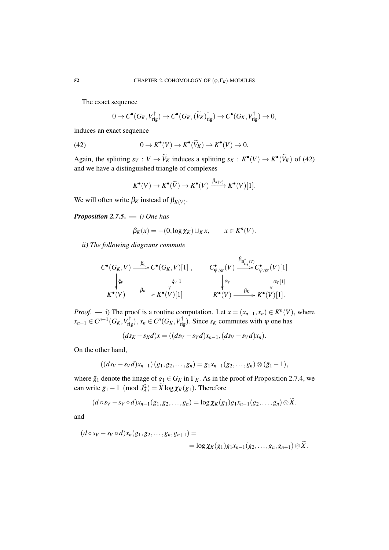The exact sequence

$$
0 \to C^{\bullet}(G_K, V_{\text{rig}}^{\dagger}) \to C^{\bullet}(G_K, (\widetilde{V}_K)_{\text{rig}}^{\dagger}) \to C^{\bullet}(G_K, V_{\text{rig}}^{\dagger}) \to 0,
$$

induces an exact sequence

(42) 
$$
0 \to K^{\bullet}(V) \to K^{\bullet}(\widetilde{V}_K) \to K^{\bullet}(V) \to 0.
$$

Again, the splitting  $s_V : V \to V_K$  induces a splitting  $s_K : K^{\bullet}(V) \to K^{\bullet}(\tilde{V}_K)$  of (42) and we have a distinguished triangle of complexes

$$
K^{\bullet}(V) \to K^{\bullet}(\widetilde{V}) \to K^{\bullet}(V) \xrightarrow{\beta_{K(V)}} K^{\bullet}(V)[1].
$$

We will often write  $\beta_K$  instead of  $\beta_{K(V)}$ .

*Proposition 2.7.5*. — *i) One has*

$$
\beta_K(x) = -(0, \log \chi_K) \cup_K x, \qquad x \in K^n(V).
$$

*ii) The following diagrams commute*

$$
C^{\bullet}(G_K, V) \xrightarrow{\beta_c} C^{\bullet}(G_K, V)[1], \qquad C^{\bullet}_{\varphi, \gamma_K}(V) \xrightarrow{\beta_{\text{D}^+_{\text{rig}}(V)}} C^{\bullet}_{\varphi, \gamma_K}(V)[1]
$$
  
\n
$$
\downarrow_{\zeta_V} \qquad \qquad \downarrow_{\zeta_V[1]} \qquad \qquad \downarrow_{\alpha_V} \qquad \qquad \downarrow_{\alpha_V[1]}
$$
  
\n
$$
K^{\bullet}(V) \xrightarrow{\beta_K} K^{\bullet}(V)[1] \qquad \qquad K^{\bullet}(V) \xrightarrow{\beta_K} K^{\bullet}(V)[1].
$$

ρ

*Proof.* — i) The proof is a routine computation. Let  $x = (x_{n-1}, x_n) \in K^n(V)$ , where  $x_{n-1} \in C^{n-1}(G_K, V_{\text{rig}}^{\dagger}), x_n \in C^n(G_K, V_{\text{rig}}^{\dagger}).$  Since  $s_K$  commutes with  $\varphi$  one has

$$
(ds_K - s_Kd)x = ((ds_V - s_Vd)x_{n-1}, (ds_V - s_Vd)x_n).
$$

On the other hand,

$$
((ds_V - s_Vd)x_{n-1})(g_1, g_2, \ldots, g_n) = g_1x_{n-1}(g_2, \ldots, g_n) \otimes (\bar{g}_1 - 1),
$$

where  $\bar{g}_1$  denote the image of  $g_1 \in G_K$  in  $\Gamma_K$ . As in the proof of Proposition 2.7.4, we can write  $\bar{g}_1 - 1 \pmod{J_A^2} = \tilde{X} \log \chi_K(g_1)$ . Therefore

$$
(d\circ s_V-s_V\circ d)x_{n-1}(g_1,g_2,\ldots,g_n)=\log\chi_K(g_1)g_1x_{n-1}(g_2,\ldots,g_n)\otimes X.
$$

and

$$
(d \circ s_V - s_V \circ d)x_n(g_1, g_2, \dots, g_n, g_{n+1}) =
$$
  
= log  $\chi_K(g_1)g_1x_{n-1}(g_2, \dots, g_n, g_{n+1}) \otimes \widetilde{X}$ .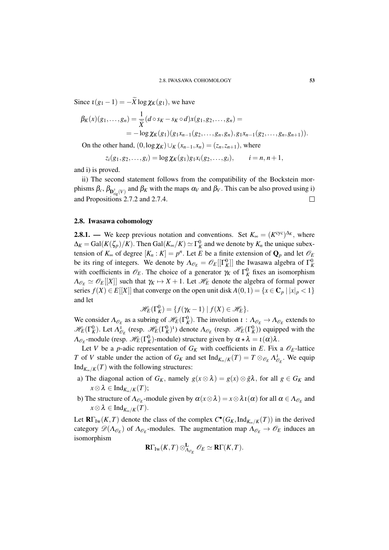Since  $\iota(g_1 - 1) = -\widetilde{X} \log \chi_K(g_1)$ , we have

$$
\beta_K(x)(g_1,\ldots,g_n) = \frac{1}{\widetilde{X}}(d \circ s_K - s_K \circ d)x(g_1,g_2,\ldots,g_n) =
$$
  
= 
$$
-\log \chi_K(g_1)(g_1x_{n-1}(g_2,\ldots,g_n,g_n),g_1x_{n-1}(g_2,\ldots,g_n,g_{n+1})).
$$

On the other hand,  $(0, \log \chi_K) \cup_K (x_{n-1}, x_n) = (z_n, z_{n+1}),$  where

$$
z_i(g_1, g_2,..., g_i) = \log \chi_K(g_1)g_1x_i(g_2,..., g_i),
$$
   
  $i = n, n + 1,$ 

and i) is proved.

ii) The second statement follows from the compatibility of the Bockstein morphisms  $β_c$ ,  $β_{\mathbf{D}_{\text{rig}}^{\dagger}(V)}$  and  $β_K$  with the maps  $α_V$  and  $β_V$ . This can be also proved using i) and Propositions 2.7.2 and 2.7.4.  $\Box$ 

### 2.8. Iwasawa cohomology

**2.8.1.** — We keep previous notation and conventions. Set  $K_{\infty} = (K^{\text{cyc}})^{\Delta_K}$ , where  $\Delta_K = \text{Gal}(K(\zeta_p)/K)$ . Then  $\text{Gal}(K_\infty/K) \simeq \Gamma_K^0$  and we denote by  $K_n$  the unique subextension of  $K_{\infty}$  of degree  $[K_n : K] = p^n$ . Let *E* be a finite extension of  $\mathbf{Q}_p$  and let  $\mathcal{O}_E$ be its ring of integers. We denote by  $\Lambda_{\mathscr{O}_E} = \mathscr{O}_E[[\Gamma_K^0]]$  the Iwasawa algebra of  $\Gamma_K^0$ with coefficients in  $\mathcal{O}_E$ . The choice of a generator  $\gamma_K$  of  $\Gamma_K^0$  fixes an isomorphism  $\Lambda_{\mathscr{O}_E} \simeq \mathscr{O}_E[[X]]$  such that  $\gamma_K \mapsto X + 1$ . Let  $\mathscr{H}_E$  denote the algebra of formal power series  $f(X) \in E[[X]]$  that converge on the open unit disk  $A(0,1) = \{x \in \mathbb{C}_p \mid |x|_p < 1\}$ and let

$$
\mathscr{H}_E(\Gamma_K^0) = \{ f(\gamma_K - 1) \mid f(X) \in \mathscr{H}_E \}.
$$

We consider  $\Lambda_{\mathcal{O}_E}$  as a subring of  $\mathcal{H}_E(\Gamma_K^0)$ . The involution  $\iota : \Lambda_{\mathcal{O}_E} \to \Lambda_{\mathcal{O}_E}$  extends to  $\mathcal{H}_E(\Gamma_K^0)$ . Let  $\Lambda_{\mathcal{O}_E}^1$  (resp.  $\mathcal{H}_E(\Gamma_K^0)^1$ ) denote  $\Lambda_{\mathcal{O}_E}$  (resp.  $\mathcal{H}_E(\Gamma_K^0)$ ) equipped with the  $\Lambda_{\mathscr{O}_E}$ -module (resp.  $\mathscr{H}_E(\Gamma_K^0)$ -module) structure given by  $\alpha \star \lambda = \iota(\alpha)\lambda$ .

Let *V* be a *p*-adic representation of  $G_K$  with coefficients in *E*. Fix a  $\mathcal{O}_E$ -lattice *T* of *V* stable under the action of  $G_K$  and set  $\text{Ind}_{K_\infty/K}(T) = T \otimes_{\mathcal{O}_E} \Lambda_{\mathcal{O}_E}^1$ . We equip Ind $_{K_\infty/K}(T)$  with the following structures:

- a) The diagonal action of  $G_K$ , namely  $g(x \otimes \lambda) = g(x) \otimes \overline{g}\lambda$ , for all  $g \in G_K$  and  $x \otimes \lambda \in \text{Ind}_{K_{\infty}/K}(T);$
- b) The structure of  $\Lambda_{\mathscr{O}_E}$ -module given by  $\alpha(x \otimes \lambda) = x \otimes \lambda \iota(\alpha)$  for all  $\alpha \in \Lambda_{\mathscr{O}_E}$  and  $x \otimes \lambda \in \text{Ind}_{K_{\infty}/K}(T)$ .

Let  $\mathbf{R}\Gamma_{\text{Iw}}(K,T)$  denote the class of the complex  $C^{\bullet}(G_K, \text{Ind}_{K_{\infty}/K}(T))$  in the derived category  $\mathscr{D}(\Lambda_{\mathscr{O}_E})$  of  $\Lambda_{\mathscr{O}_E}$ -modules. The augmentation map  $\Lambda_{\mathscr{O}_E} \to \mathscr{O}_E$  induces an isomorphism

$$
\mathbf{R}\Gamma_{\mathrm{Iw}}(K,T)\otimes^{\mathbf{L}}_{\Lambda_{\mathscr{O}_E}}\mathscr{O}_E\simeq \mathbf{R}\Gamma(K,T).
$$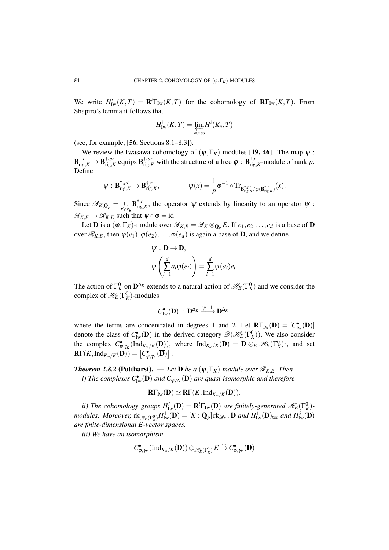We write  $H^i_{\text{Iw}}(K,T) = \mathbf{R}^i \Gamma_{\text{Iw}}(K,T)$  for the cohomology of  $\mathbf{R} \Gamma_{\text{Iw}}(K,T)$ . From Shapiro's lemma it follows that

$$
H^i_{\mathrm{Iw}}(K,T) = \varprojlim_{\mathrm{cores}} H^i(K_n,T)
$$

(see, for example,  $[56, \text{Sections } 8.1-8.3]$ ).

We review the Iwasawa cohomology of  $(\varphi, \Gamma_K)$ -modules [19, 46]. The map  $\varphi$ :  $\mathbf{B}_{\mathrm{rig},K}^{\dagger,r}\to\mathbf{B}_{\mathrm{rig},K}^{\dagger,pr}$ <sup>†,*pr*</sup></sup> equips  $\mathbf{B}^{\dagger,pr}_{\text{rig},K}$  with the structure of a free  $\varphi : \mathbf{B}^{\dagger,r}_{\text{rig}}$  $r_{\text{rig},K}^{f,r}$ -module of rank *p*. Define

$$
\psi: \mathbf{B}_{\mathrm{rig},K}^{\dagger,pr} \to \mathbf{B}_{\mathrm{rig},K}^{\dagger,r}, \qquad \psi(x) = \frac{1}{p} \phi^{-1} \circ \mathrm{Tr}_{\mathbf{B}_{\mathrm{rig},K}^{\dagger,pr}/\phi(\mathbf{B}_{\mathrm{rig},K}^{\dagger,r})}(x).
$$

Since  $\mathcal{R}_{K,\mathbf{Q}_p} = \bigcup_{r \ge r_K} \mathbf{B}_{\mathrm{rig}}^{\dagger,r}$  $T_i^r$ , the operator  $\psi$  extends by linearity to an operator  $\psi$ :  $\mathcal{R}_{K,E} \to \mathcal{R}_{K,E}$  such that  $\psi \circ \varphi = id$ .

Let **D** is a  $(\varphi, \Gamma_K)$ -module over  $\mathcal{R}_{K,E} = \mathcal{R}_K \otimes_{\mathbf{O}_n} E$ . If  $e_1, e_2, \ldots, e_d$  is a base of **D** over  $\mathcal{R}_{K,E}$ , then  $\varphi(e_1), \varphi(e_2), \ldots, \varphi(e_d)$  is again a base of **D**, and we define

$$
\psi : \mathbf{D} \to \mathbf{D},
$$
  

$$
\psi\left(\sum_{i=1}^d a_i \varphi(e_i)\right) = \sum_{i=1}^d \psi(a_i) e_i.
$$

The action of  $\Gamma_K^0$  on  $\mathbf{D}^{\Delta_K}$  extends to a natural action of  $\mathcal{H}_E(\Gamma_K^0)$  and we consider the complex of  $\mathscr{H}_E(\Gamma^0_K)$ -modules

$$
C^\bullet_{\mathrm{Iw}}(\mathbf{D})\ :\ \mathbf{D}^{\Delta_K}\xrightarrow{\psi-1}\mathbf{D}^{\Delta_K},
$$

where the terms are concentrated in degrees 1 and 2. Let  $\mathbf{R}\Gamma_{\text{Iw}}(\mathbf{D}) = [C^{\bullet}_{\text{Iw}}(\mathbf{D})]$ denote the class of  $C^{\bullet}_{\text{Iw}}(\mathbf{D})$  in the derived category  $\mathscr{D}(\mathscr{H}_E(\Gamma^0_K))$ . We also consider the complex  $C_{\varphi,\gamma_K}^{\bullet}(\text{Ind}_{K_\infty/K}(D))$ , where  $\text{Ind}_{K_\infty/K}(D) = D \otimes_E \mathcal{H}_E(\Gamma_K^0)^1$ , and set  $\mathbf{R}\Gamma(K,\mathrm{Ind}_{K_\infty/K}(\mathbf{D}))=\left[C^\bullet_{\boldsymbol\phi,\boldsymbol\gamma_K}(\overline{\mathbf{D}})\right].$ 

*<i>Theorem 2.8.2* **(Pottharst). —** *Let* **<b>D** *be a* ( $\varphi$ ,  $\Gamma_K$ )*-module over*  $\mathcal{R}_{K,E}$ *. Then i)* The complexes  $C^{\bullet}_{\mathrm{Iw}}(\mathbf{D})$  and  $C_{\varphi,\gamma_K}(\overline{\mathbf{D}})$  are quasi-isomorphic and therefore

$$
\mathbf{R}\Gamma_{\mathrm{Iw}}(\mathbf{D})\simeq \mathbf{R}\Gamma(K,\mathrm{Ind}_{K_{\infty}/K}(\mathbf{D})).
$$

*ii*) The cohomology groups  $H^i_{\text{Iw}}(\mathbf{D}) = \mathbf{R}^i \Gamma_{\text{Iw}}(\mathbf{D})$  are finitely-generated  $\mathscr{H}_E(\Gamma_K^0)$ *modules. Moreover,*  $\text{rk}_{\mathscr{H}_E(\Gamma^0_K)} H^1_{\text{Iw}}(\mathbf{D}) = [K : \mathbf{Q}_p] \text{rk}_{\mathscr{R}_{K,E}} \mathbf{D}$  and  $H^1_{\text{Iw}}(\mathbf{D})_{\text{tor}}$  and  $H^2_{\text{Iw}}(\mathbf{D})$ *are finite-dimensional E-vector spaces.*

*iii) We have an isomorphism*

$$
C_{\varphi,\gamma_K}^{\bullet}(\mathrm{Ind}_{K_\infty/K}(\mathbf{D}))\otimes_{\mathscr{H}_E(\Gamma_K^0)}E\xrightarrow{\sim} C_{\varphi,\gamma_K}^{\bullet}(\mathbf{D})
$$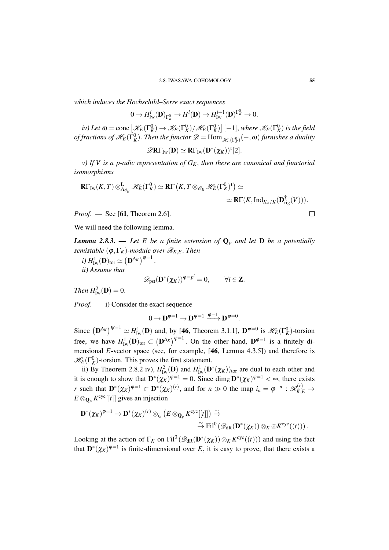*which induces the Hochschild–Serre exact sequences*

 $0 \to H^i_{\mathrm{Iw}}(\mathbf{D})_{\Gamma_K^0} \to H^i(\mathbf{D}) \to H^{i+1}_{\mathrm{Iw}}(\mathbf{D})^{\Gamma_K^0} \to 0.$ 

*iv)* Let  $\omega =$  cone  $\left[ \mathscr{K}_E(\Gamma_K^0) \to \mathscr{K}_E(\Gamma_K^0) / \mathscr{H}_E(\Gamma_K^0) \right] [-1]$ , where  $\mathscr{K}_E(\Gamma_K^0)$  is the field *of fractions of*  $\mathscr{H}_E(\Gamma^0_K)$ *. Then the functor*  $\mathscr{D} = \text{Hom}_{\mathscr{H}_E(\Gamma^0_K)}(-,\bm{a})$  *furnishes a duality* 

$$
\mathscr{D}\mathbf{R}\Gamma_{\mathrm{Iw}}(\mathbf{D})\simeq \mathbf{R}\Gamma_{\mathrm{Iw}}(\mathbf{D}^*(\chi_K))^t[2].
$$

*v) If V is a p-adic representation of GK*, *then there are canonical and functorial isomorphisms*

$$
\mathbf{R}\Gamma_{\mathrm{Iw}}(K,T)\otimes^{\mathbf{L}}_{\Lambda_{\mathscr{O}_E}}\mathscr{H}_E(\Gamma^0_K)\simeq\mathbf{R}\Gamma\left(K,T\otimes_{\mathscr{O}_E}\mathscr{H}_E(\Gamma^0_K)^{\dagger}\right)\simeq
$$

$$
\simeq\mathbf{R}\Gamma(K,\mathrm{Ind}_{K_{\infty}/K}(\mathbf{D}_{\mathrm{rig}}^{\dagger}(V))).
$$

*Proof*. — See [61, Theorem 2.6].

We will need the following lemma.

*Lemma 2.8.3.* — Let E be a finite extension of  $\mathbf{Q}_p$  and let **D** be a potentially *semistable* ( $\varphi$ ,  $\Gamma_K$ )*-module over*  $\mathcal{R}_{K,E}$ *. Then* 

*i)*  $H^1_{\mathrm{Iw}}(\mathbf{D})_{\mathrm{tor}} \simeq (\mathbf{D}^{\Delta_K})^{\varphi=1}$ . *ii) Assume that*

$$
\mathscr{D}_{\text{pst}}(\mathbf{D}^*(\chi_K))^{\varphi=p^i}=0, \qquad \forall i \in \mathbf{Z}.
$$

*Then*  $H^2_{\text{Iw}}(\mathbf{D}) = 0$ .

*Proof*. — i) Consider the exact sequence

$$
0 \to \mathbf{D}^{\varphi=1} \to \mathbf{D}^{\psi=1} \xrightarrow{\varphi-1} \mathbf{D}^{\psi=0}.
$$

Since  $(D^{\Delta_K})^{\psi=1} \simeq H^1_{\text{Iw}}(D)$  and, by [46, Theorem 3.1.1],  $D^{\psi=0}$  is  $\mathscr{H}_E(\Gamma_K^0)$ -torsion free, we have  $H^1_{\mathrm{Iw}}(\mathbf{D})_{\mathrm{tor}} \subset (\mathbf{D}^{\Delta_K})^{\varphi=1}$ . On the other hand,  $\mathbf{D}^{\varphi=1}$  is a finitely dimensional *E*-vector space (see, for example, [46, Lemma 4.3.5]) and therefore is  $\mathscr{H}_E(\Gamma_K^0)$ -torsion. This proves the first statement.

ii) By Theorem 2.8.2 iv),  $H_{\text{Iw}}^2(\mathbf{D})$  and  $H_{\text{Iw}}^1(\mathbf{D}^*(\chi_K))_{\text{tor}}$  are dual to each other and it is enough to show that  $\mathbf{D}^*(\chi_K)^{\varphi=1} = 0$ . Since  $\dim_E \mathbf{D}^*(\chi_K)^{\varphi=1} < \infty$ , there exists *r* such that  $\mathbf{D}^*(\chi_K)^{\varphi=1} \subset \mathbf{D}^*(\chi_K)^{(r)}$ , and for  $n \gg 0$  the map  $i_n = \varphi^{-n} : \mathcal{R}_{K,E}^{(r)} \to$  $E \otimes_{\mathbf{Q}_p} K^{\text{cyc}}[[t]]$  gives an injection

$$
\mathbf{D}^*(\chi_K)^{\phi=1} \to \mathbf{D}^*(\chi_K)^{(r)} \otimes_{i_n} \left( E \otimes_{\mathbf{Q}_p} K^{\operatorname{cyc}}[[t]] \right) \overset{\sim}{\to} \\ \overset{\sim}{\to} \operatorname{Fil}^0\left( \mathscr{D}_{\operatorname{dR}}(\mathbf{D}^*(\chi_K)) \otimes_K \otimes K^{\operatorname{cyc}}((t)) \right).
$$

Looking at the action of  $\Gamma_K$  on  $Fil^0(\mathscr{D}_{dR}(\mathbf{D}^*(\chi_K))\otimes_K K^{\text{cyc}}((t)))$  and using the fact that  $\mathbf{D}^{*}(\chi_K)^{\varphi=1}$  is finite-dimensional over E, it is easy to prove, that there exists a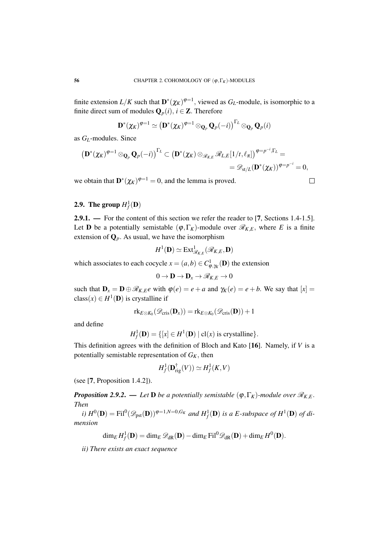finite extension  $L/K$  such that  $\mathbf{D}^*(\chi_K)^{\varphi=1}$ , viewed as  $G_L$ -module, is isomorphic to a finite direct sum of modules  $\mathbf{Q}_p(i)$ ,  $i \in \mathbf{Z}$ . Therefore

$$
\mathbf{D}^*(\chi_K)^{\varphi=1} \simeq \left(\mathbf{D}^*(\chi_K)^{\varphi=1} \otimes_{\mathbf{Q}_p} \mathbf{Q}_p(-i)\right)^{\Gamma_L} \otimes_{\mathbf{Q}_p} \mathbf{Q}_p(i)
$$

as *GL*-modules. Since

$$
\left(\mathbf{D}^*(\chi_K)^{\varphi=1}\otimes_{\mathbf{Q}_p}\mathbf{Q}_p(-i)\right)^{\Gamma_L}\subset \left(\mathbf{D}^*(\chi_K)\otimes_{\mathscr{R}_{K,E}}\mathscr{R}_{L,E}[1/t,\ell_{\pi}]\right)^{\varphi=p^{-i},\Gamma_L}=\\ =\mathscr{D}_{\mathrm{st}/L}(\mathbf{D}^*(\chi_K))^{\varphi=p^{-i}}=0,
$$

we obtain that  $\mathbf{D}^*(\chi_K)^{\varphi=1} = 0$ , and the lemma is proved.

 $\Box$ 

# **2.9.** The group  $H_f^1(\mathbf{D})$

2.9.1. — For the content of this section we refer the reader to [7, Sections 1.4-1.5]. Let **D** be a potentially semistable  $(\varphi, \Gamma_K)$ -module over  $\mathcal{R}_{K,E}$ , where *E* is a finite extension of  $\mathbf{Q}_p$ . As usual, we have the isomorphism

$$
H^1(\mathbf{D}) \simeq \text{Ext}^1_{\mathscr{R}_{K,E}}(\mathscr{R}_{K,E},\mathbf{D})
$$

which associates to each cocycle  $x = (a, b) \in C^1_{\varphi, \gamma_K}(\mathbf{D})$  the extension

$$
0\to \mathbf{D}\to \mathbf{D}_x\to \mathscr{R}_{K,E}\to 0
$$

such that  $\mathbf{D}_x = \mathbf{D} \oplus \mathcal{R}_{K,E}e$  with  $\varphi(e) = e + a$  and  $\gamma_K(e) = e + b$ . We say that  $[x] =$ class( $x$ )  $\in$  *H*<sup>1</sup>(**D**) is crystalline if

$$
\mathrm{rk}_{E \otimes K_0}(\mathscr{D}_{\mathrm{cris}}(\mathbf{D}_x)) = \mathrm{rk}_{E \otimes K_0}(\mathscr{D}_{\mathrm{cris}}(\mathbf{D})) + 1
$$

and define

$$
H_f^1(\mathbf{D}) = \{ [x] \in H^1(\mathbf{D}) \mid \text{cl}(x) \text{ is crystalline} \}.
$$

This definition agrees with the definition of Bloch and Kato [16]. Namely, if *V* is a potentially semistable representation of  $G_K$ , then

$$
H^1_f(\mathbf{D}_{\mathrm{rig}}^\dagger(V)) \simeq H^1_f(K, V)
$$

(see [7, Proposition 1.4.2]).

*Proposition 2.9.2.* — *Let* **D** *be a potentially semistable*  $(\varphi, \Gamma_K)$ *-module over*  $\mathcal{R}_{K,E}$ *. Then*

*i)*  $H^0(\mathbf{D}) = \text{Fil}^0(\mathscr{D}_{\text{pst}}(\mathbf{D}))^{\varphi=1,N=0,G_K}$  and  $H^1_f(\mathbf{D})$  is a E-subspace of  $H^1(\mathbf{D})$  of di*mension*

$$
\dim_E H^1_f(\mathbf{D}) = \dim_E \mathscr{D}_{\mathrm{dR}}(\mathbf{D}) - \dim_E \mathrm{Fil}^0 \mathscr{D}_{\mathrm{dR}}(\mathbf{D}) + \dim_E H^0(\mathbf{D}).
$$

*ii) There exists an exact sequence*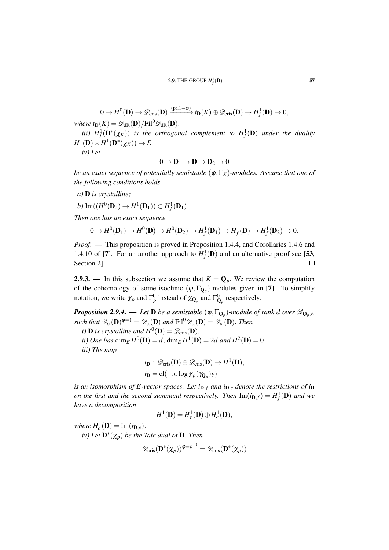$$
0 \to H^0(\mathbf{D}) \to \mathscr{D}_{\text{cris}}(\mathbf{D}) \xrightarrow{(\text{pr},1-\varphi)} t_{\mathbf{D}}(K) \oplus \mathscr{D}_{\text{cris}}(\mathbf{D}) \to H^1_f(\mathbf{D}) \to 0,
$$

*where t***D**( $K$ ) =  $\mathscr{D}_{dR}(\mathbf{D})$ /Fil<sup>0</sup> $\mathscr{D}_{dR}(\mathbf{D})$ .

*iii*)  $H_f^1(\mathbf{D}^*(\chi_K))$  *is the orthogonal complement to*  $H_f^1(\mathbf{D})$  *under the duality*  $H^1(\mathbf{D}) \times H^1(\mathbf{D}^*(\chi_K)) \to E.$ 

*iv) Let*

$$
0 \to \mathbf{D}_1 \to \mathbf{D} \to \mathbf{D}_2 \to 0
$$

*be an exact sequence of potentially semistable*  $(\varphi, \Gamma_K)$ *-modules. Assume that one of the following conditions holds*

*a)* D *is crystalline;*

$$
b)\operatorname{Im}((H^0(\mathbf{D}_2) \to H^1(\mathbf{D}_1)) \subset H^1_f(\mathbf{D}_1).
$$

*Then one has an exact sequence*

$$
0 \to H^0(\mathbf{D}_1) \to H^0(\mathbf{D}) \to H^0(\mathbf{D}_2) \to H^1_f(\mathbf{D}_1) \to H^1_f(\mathbf{D}) \to H^1_f(\mathbf{D}_2) \to 0.
$$

*Proof*. — This proposition is proved in Proposition 1.4.4, and Corollaries 1.4.6 and 1.4.10 of [7]. For an another approach to  $H_f^1(\mathbf{D})$  and an alternative proof see [53, Section 2].  $\Box$ 

2.9.3. — In this subsection we assume that  $K = \mathbf{Q}_p$ . We review the computation of the cohomology of some isoclinic  $(\varphi, \Gamma_{\mathbf{Q}_p})$ -modules given in [7]. To simplify notation, we write  $\chi_p$  and  $\Gamma_p^0$  instead of  $\chi_{\mathbf{Q}_p}$  and  $\Gamma_{\mathbf{Q}_p}^0$  respectively.

*Proposition 2.9.4. — Let*  ${\bf D}$  *be a semistable*  $(\phi, \Gamma_{{\bf Q}_p})$ *-module of rank*  $d$  *over*  $\mathscr{R}_{{\bf Q}_p, E}$ such that  $\mathscr{D}_{\rm st}(\mathbf{D})^{\varphi=1}=\mathscr{D}_{\rm st}(\mathbf{D})$  and  $\text{Fil}^0\mathscr{D}_{\rm st}(\mathbf{D})=\mathscr{D}_{\rm st}(\mathbf{D}).$  Then

- *i*) **D** *is crystalline and*  $H^0(\mathbf{D}) = \mathscr{D}_{\text{cris}}(\mathbf{D})$ *.*
- *ii)* One has  $\dim_E H^0(\mathbf{D}) = d$ ,  $\dim_E H^1(\mathbf{D}) = 2d$  and  $H^2(\mathbf{D}) = 0$ . *iii) The map*
	- $i_{\mathbf{D}}:\mathscr{D}_{\mathrm{cris}}(\mathbf{D})\oplus\mathscr{D}_{\mathrm{cris}}(\mathbf{D})\to H^1(\mathbf{D}),$  $i_{\mathbf{D}} = \text{cl}(-x, \log \chi_p(\gamma_{\mathbf{Q}_p})y)$

*is an isomorphism of E-vector spaces. Let*  $i_{D,f}$  *and*  $i_{D,c}$  *denote the restrictions of*  $i_D$ *on the first and the second summand respectively. Then*  $\text{Im}(i_{\mathbf{D},f}) = H_f^1(\mathbf{D})$  *and we have a decomposition*

$$
H^1(\mathbf{D})=H^1_f(\mathbf{D})\oplus H^1_c(\mathbf{D}),
$$

*where*  $H_c^1(\mathbf{D}) = \text{Im}(i_{\mathbf{D},c})$ .

 $\mathbf{D}^*(\mathbf{X}_p)$  *be the Tate dual of* **D**. Then

$$
\mathscr{D}_{\mathrm{cris}}(\mathbf{D}^*(\pmb{\chi}_p))^{\boldsymbol{\phi}=\boldsymbol{p}^{-1}}=\mathscr{D}_{\mathrm{cris}}(\mathbf{D}^*(\pmb{\chi}_p))
$$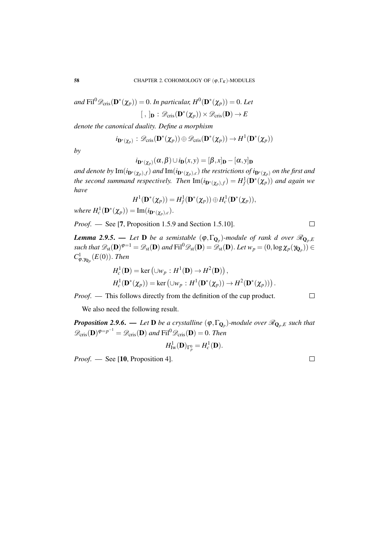$and \text{ Fil}^0\mathscr{D}_{\text{cris}}(\mathbf{D}^*(\boldsymbol{\chi}_p))=0.$  In particular,  $H^0(\mathbf{D}^*(\boldsymbol{\chi}_p))=0.$  Let  $[ , ]_{\mathbf{D}} : \mathscr{D}_{\mathrm{cris}}(\mathbf{D}^*(\chi_p)) \times \mathscr{D}_{\mathrm{cris}}(\mathbf{D}) \to E$ 

*denote the canonical duality. Define a morphism*

$$
i_{\mathbf{D}^*(\boldsymbol{\chi}_p)}:\mathscr{D}_{\text{cris}}(\mathbf{D}^*(\boldsymbol{\chi}_p))\oplus\mathscr{D}_{\text{cris}}(\mathbf{D}^*(\boldsymbol{\chi}_p))\to H^1(\mathbf{D}^*(\boldsymbol{\chi}_p))
$$

*by*

$$
i_{\mathbf{D}^*(\chi_p)}(\alpha,\beta) \cup i_{\mathbf{D}}(x,y) = [\beta,x]_{\mathbf{D}} - [\alpha,y]_{\mathbf{D}}
$$

and denote by  $\text{Im}(i_{\mathbf{D}^*(\pmb{\chi}_p),f})$  and  $\text{Im}(i_{\mathbf{D}^*(\pmb{\chi}_p),c})$  the restrictions of  $i_{\mathbf{D}^*(\pmb{\chi}_p)}$  on the first and *the second summand respectively. Then*  $\text{Im}(i_{\mathbf{D}^*(\boldsymbol{\chi}_p),f}) = H_f^1(\mathbf{D}^*(\boldsymbol{\chi}_p))$  and again we *have*

$$
H^1(\mathbf{D}^*(\chi_p)) = H^1_f(\mathbf{D}^*(\chi_p)) \oplus H^1_c(\mathbf{D}^*(\chi_p)),
$$

 $where H_c^1(\mathbf{D}^*(\chi_p)) = \text{Im}(i_{\mathbf{D}^*(\chi_p),c}).$ 

*Proof*. — See [7, Proposition 1.5.9 and Section 1.5.10].

*Lemma 2.9.5.* — Let  $D$  be a semistable  $(\varphi, \Gamma_{Q_p})$ -module of rank d over  $\mathscr{R}_{Q_p,E}$  $\mathscr{A}_\mathrm{st}(h)$   $\mathscr{D}_\mathrm{st}(D)^{\varphi=1} = \mathscr{D}_\mathrm{st}(D)$  and  $\mathrm{Fil}^0 \mathscr{D}_\mathrm{st}(D) = \mathscr{D}_\mathrm{st}(D)$ . Let  $w_p = (0, \log \chi_p(\gamma_{\mathbf{Q}_p})) \in \mathscr{D}_\mathrm{st}(D)$  $C^1_{\varphi,\gamma_{\mathbf{Q}_p}}(E(0))$ . *Then* 

$$
H_c^1(\mathbf{D}) = \ker (\cup w_p : H^1(\mathbf{D}) \to H^2(\mathbf{D})),
$$
  
\n
$$
H_c^1(\mathbf{D}^*(\chi_p)) = \ker (\cup w_p : H^1(\mathbf{D}^*(\chi_p)) \to H^2(\mathbf{D}^*(\chi_p))).
$$

*Proof.* — This follows directly from the definition of the cup product.

We also need the following result.

*Proposition 2.9.6.* — *Let* **D** *be a crystalline*  $(\varphi, \Gamma_{\mathbf{Q}_p})$ *-module over*  $\mathscr{R}_{\mathbf{Q}_p,E}$  such that  $\mathscr{D}_{\mathrm{cris}}(\mathbf{D})^{\varphi=p^{-1}}=\mathscr{D}_{\mathrm{cris}}(\mathbf{D})$  and  $\mathrm{Fil}^0\mathscr{D}_{\mathrm{cris}}(\mathbf{D})=0$ . *Then* 

$$
H^1_{\mathrm{Iw}}(\mathbf{D})_{\Gamma^0_p}=H^1_c(\mathbf{D}).
$$

*Proof.* — See [10, Proposition 4].

 $\Box$ 

 $\Box$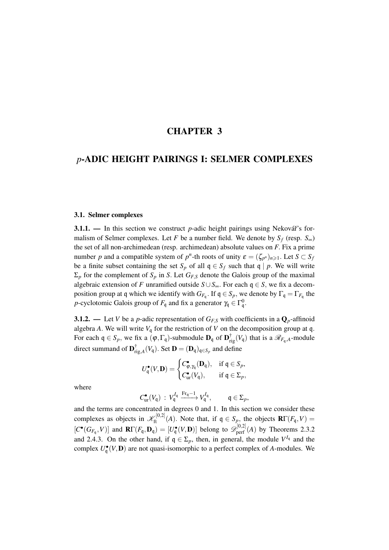# CHAPTER 3

# *p*-ADIC HEIGHT PAIRINGS I: SELMER COMPLEXES

#### 3.1. Selmer complexes

3.1.1. — In this section we construct *p*-adic height pairings using Nekovář's formalism of Selmer complexes. Let *F* be a number field. We denote by  $S_f$  (resp.  $S_{\infty}$ ) the set of all non-archimedean (resp. archimedean) absolute values on *F*. Fix a prime number *p* and a compatible system of  $p^n$ -th roots of unity  $\varepsilon = (\zeta_{p^n})_{n \geq 1}$ . Let  $S \subset S_j$ be a finite subset containing the set  $S_p$  of all  $q \in S_f$  such that  $q \mid p$ . We will write  $\Sigma_p$  for the complement of  $S_p$  in *S*. Let  $G_{F,S}$  denote the Galois group of the maximal algebraic extension of *F* unramified outside  $S \cup S_{\infty}$ . For each  $q \in S$ , we fix a decomposition group at q which we identify with  $G_{F_q}$ . If  $\mathfrak{q} \in S_p$ , we denote by  $\Gamma_{\mathfrak{q}} = \Gamma_{F_q}$  the *p*-cyclotomic Galois group of  $F_{\mathfrak{q}}$  and fix a generator  $\gamma_{\mathfrak{q}} \in \Gamma_{\mathfrak{q}}^0$ .

3.1.2. — Let *V* be a *p*-adic representation of  $G_{FS}$  with coefficients in a  $\mathbf{Q}_p$ -affinoid algebra *A*. We will write  $V_q$  for the restriction of *V* on the decomposition group at q. For each  $\mathfrak{q} \in S_p$ , we fix a  $(\varphi, \Gamma_{\mathfrak{q}})$ -submodule  $\mathbf{D}_{\mathfrak{q}}$  of  $\mathbf{D}_{\text{rig}}^{\dagger}(V_{\mathfrak{q}})$  that is a  $\mathscr{R}_{F_{\mathfrak{q}},A}$ -module direct summand of  $\mathbf{D}_{\mathrm{r}}^{\dagger}$  $\prod_{\text{rig},A}^{\text{T}}(V_{\mathfrak{q}})$ . Set  $\mathbf{D} = (\mathbf{D}_{\mathfrak{q}})_{\mathfrak{q} \in S_p}$  and define

$$
U_q^{\bullet}(V, \mathbf{D}) = \begin{cases} C_{\phi, \gamma_q}^{\bullet}(\mathbf{D}_q), & \text{if } q \in S_p, \\ C_{\text{ur}}^{\bullet}(V_q), & \text{if } q \in \Sigma_p, \end{cases}
$$

where

$$
C_{\text{ur}}^{\bullet}(V_{\mathfrak{q}}) : V_{\mathfrak{q}}^{I_{\mathfrak{q}}} \xrightarrow{\text{Fr}_{\mathfrak{q}}-1} V_{\mathfrak{q}}^{I_{\mathfrak{q}}}, \qquad \mathfrak{q} \in \Sigma_p,
$$

and the terms are concentrated in degrees 0 and 1. In this section we consider these complexes as objects in  $\mathcal{K}_{ft}^{[0,2]}(A)$ . Note that, if  $\mathfrak{q} \in S_p$ , the objects  $\mathbf{R}\Gamma(F_{\mathfrak{q}}, V)$  =  $[C^{\bullet}(G_{F_q}, V)]$  and  $\mathbf{R}\Gamma(F_q, \mathbf{D}_q) = [U_q^{\bullet}(V, \mathbf{D})]$  belong to  $\mathscr{D}_{\text{perf}}^{[0,2]}(A)$  by Theorems 2.3.2 and 2.4.3. On the other hand, if  $q \in \Sigma_p$ , then, in general, the module  $V^{I_q}$  and the complex  $U_q^{\bullet}(V, \mathbf{D})$  are not quasi-isomorphic to a perfect complex of *A*-modules. We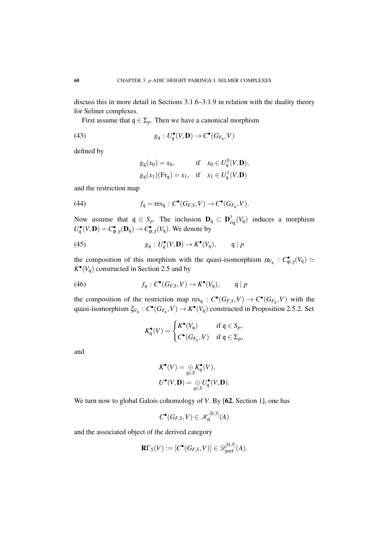discuss this in more detail in Sections 3.1.6–3.1.9 in relation with the duality theory for Selmer complexes.

First assume that  $q \in \Sigma_p$ . Then we have a canonical morphism

(43) 
$$
g_{\mathfrak{q}}: U_{\mathfrak{q}}^{\bullet}(V, \mathbf{D}) \to C^{\bullet}(G_{F_{\mathfrak{q}}}, V)
$$

defined by

$$
g_q(x_0) = x_0, \quad \text{if} \quad x_0 \in U_q^0(V, \mathbf{D}),
$$
  

$$
g_q(x_1)(\text{Fr}_q) = x_1, \quad \text{if} \quad x_1 \in U_q^1(V, \mathbf{D})
$$

and the restriction map

(44) 
$$
f_{\mathfrak{q}} = \operatorname{res}_{\mathfrak{q}} : C^{\bullet}(G_{F,S}, V) \to C^{\bullet}(G_{F_{\mathfrak{q}}}, V).
$$

Now assume that  $q \in S_p$ . The inclusion  $D_q \subset D_{\text{rig}}^{\dagger}(V_q)$  induces a morphism  $U_q^{\bullet}(V, \mathbf{D}) = C_{\varphi, \gamma}^{\bullet}(\mathbf{D}_q) \rightarrow C_{\varphi, \gamma}^{\bullet}(V_q)$ . We denote by

(45) 
$$
g_{\mathfrak{q}}: U_{\mathfrak{q}}^{\bullet}(V, \mathbf{D}) \to K^{\bullet}(V_{\mathfrak{q}}), \qquad \mathfrak{q} \mid p
$$

the composition of this morphism with the quasi-isomorphism  $\alpha_{V_q}$ :  $C_{\varphi,\gamma}(V_q) \simeq$  $K^{\bullet}(V_{\mathfrak{q}})$  constructed in Section 2.5 and by

(46) 
$$
f_{\mathfrak{q}}: C^{\bullet}(G_{F,S}, V) \to K^{\bullet}(V_{\mathfrak{q}}), \qquad \mathfrak{q} | p
$$

the composition of the restriction map  $res_q : C^{\bullet}(G_{F,S}, V) \to C^{\bullet}(G_{F_q}, V)$  with the quasi-isomorphism  $\xi_{V_q}: C^{\bullet}(G_{F_q}, V) \to K^{\bullet}(V_q)$  constructed in Proposition 2.5.2. Set

$$
K_{\mathfrak{q}}^{\bullet}(V) = \begin{cases} K^{\bullet}(V_{\mathfrak{q}}) & \text{if } \mathfrak{q} \in S_p, \\ C^{\bullet}(G_{F_{\mathfrak{q}}}, V) & \text{if } \mathfrak{q} \in \Sigma_p, \end{cases}
$$

and

$$
K^{\bullet}(V) = \underset{\mathfrak{q} \in S}{\oplus} K^{\bullet}_{\mathfrak{q}}(V),
$$
  

$$
U^{\bullet}(V, \mathbf{D}) = \underset{\mathfrak{q} \in S}{\oplus} U^{\bullet}_{\mathfrak{q}}(V, \mathbf{D}).
$$

We turn now to global Galois cohomology of *V*. By [62, Section 1], one has

$$
C^{\bullet}(G_{F,S},V)\in \mathscr{K}_{\mathrm{ft}}^{[0,3]}(A)
$$

and the associated object of the derived category

$$
\mathbf{R}\Gamma_{S}(V):=[C^{\bullet}(G_{F,S},V)]\in \mathscr{D}_{\mathrm{perf}}^{[0,3]}(A).
$$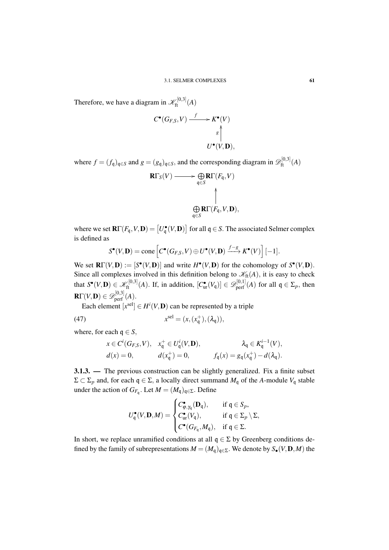Therefore, we have a diagram in  $\mathscr{K}_{\text{ft}}^{[0,3]}(A)$ 

$$
C^{\bullet}(G_{F,S}, V) \xrightarrow{f} K^{\bullet}(V)
$$
  

$$
g \uparrow
$$
  

$$
U^{\bullet}(V, \mathbf{D}),
$$

where  $f = (f_q)_{q \in S}$  and  $g = (g_q)_{q \in S}$ , and the corresponding diagram in  $\mathscr{D}_{ft}^{[0,3]}(A)$ 

$$
\mathbf{R}\Gamma_{S}(V) \longrightarrow \bigoplus_{\mathfrak{q}\in S} \mathbf{R}\Gamma(F_{\mathfrak{q}}, V)
$$

$$
\uparrow
$$

$$
\bigoplus_{\mathfrak{q}\in S} \mathbf{R}\Gamma(F_{\mathfrak{q}}, V, \mathbf{D}),
$$

where we set  $\mathbf{R}\Gamma(F_{\mathfrak{q}},V,\mathbf{D}) = [U_{\mathfrak{q}}^{\bullet}(V,\mathbf{D})]$  for all  $\mathfrak{q} \in S$ . The associated Selmer complex is defined as

$$
S^{\bullet}(V, \mathbf{D}) = \text{cone}\left[C^{\bullet}(G_{F,S}, V) \oplus U^{\bullet}(V, \mathbf{D}) \xrightarrow{f-g} K^{\bullet}(V)\right] [-1].
$$

We set  $\mathbf{R}\Gamma(V,\mathbf{D}) := [S^{\bullet}(V,\mathbf{D})]$  and write  $H^{\bullet}(V,\mathbf{D})$  for the cohomology of  $S^{\bullet}(V,\mathbf{D})$ . Since all complexes involved in this definition belong to  $\mathcal{K}_{\text{ft}}(A)$ , it is easy to check that  $S^{\bullet}(V, \mathbf{D}) \in \mathscr{K}_{\mathrm{ft}}^{[0,3]}(A)$ . If, in addition,  $[C_{ur}^{\bullet}(V_q)] \in \mathscr{D}_{\mathrm{perf}}^{[0,1]}(A)$  for all  $q \in \Sigma_p$ , then  $\mathbf{R}\Gamma(V,\mathbf{D})\in\mathscr{D}^{[0,3]}_{\mathrm{perf}}(A).$ 

Each element  $[x^{\text{sel}}] \in H^i(V, \mathbf{D})$  can be represented by a triple

(47) 
$$
x^{\text{sel}} = (x, (x^+_{\mathfrak{q}}), (\lambda_{\mathfrak{q}})),
$$

where, for each  $q \in S$ ,

$$
x \in C^i(G_{F,S}, V), \quad x_q^+ \in U_q^i(V, \mathbf{D}), \qquad \qquad \lambda_q \in K_q^{i-1}(V),
$$
  
\n
$$
d(x) = 0, \qquad d(x_q^+) = 0, \qquad f_q(x) = g_q(x_q^+) - d(\lambda_q).
$$

3.1.3. — The previous construction can be slightly generalized. Fix a finite subset  $Σ ⊂ Σ<sub>p</sub>$  and, for each q ∈ Σ, a locally direct summand  $M<sub>q</sub>$  of the *A*-module  $V<sub>q</sub>$  stable under the action of  $G_{F_q}$ . Let  $M = (M_q)_{q \in \Sigma}$ . Define

$$
U_{\mathfrak{q}}^{\bullet}(V, \mathbf{D}, M) = \begin{cases} C_{\varphi, \gamma_{\mathfrak{q}}}^{\bullet}(\mathbf{D}_{\mathfrak{q}}), & \text{if } \mathfrak{q} \in S_p, \\ C_{\text{ur}}^{\bullet}(V_{\mathfrak{q}}), & \text{if } \mathfrak{q} \in \Sigma_p \setminus \Sigma, \\ C^{\bullet}(G_{F_{\mathfrak{q}}}, M_{\mathfrak{q}}), & \text{if } \mathfrak{q} \in \Sigma. \end{cases}
$$

In short, we replace unramified conditions at all  $q \in \Sigma$  by Greenberg conditions defined by the family of subrepresentations  $M = (M_q)_{q \in \Sigma}$ . We denote by  $S_{\bullet}(V, \mathbf{D}, M)$  the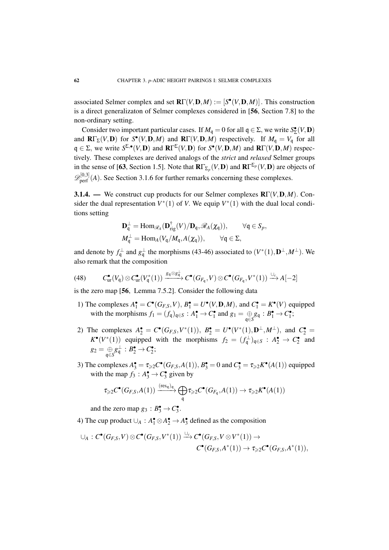associated Selmer complex and set  $\mathbf{R}\Gamma(V,\mathbf{D},M) := [S^{\bullet}(V,\mathbf{D},M)]$ . This construction is a direct generalizaton of Selmer complexes considered in [56, Section 7.8] to the non-ordinary setting.

Consider two important particular cases. If  $M_q = 0$  for all  $q \in \Sigma$ , we write  $S_{\Sigma}^{\bullet}(V, \mathbf{D})$ and  $\mathbf{R}\Gamma_{\Sigma}(V,\mathbf{D})$  for  $S^{\bullet}(V,\mathbf{D},M)$  and  $\mathbf{R}\Gamma(V,\mathbf{D},M)$  respectively. If  $M_q = V_q$  for all  $q \in \Sigma$ , we write  $S^{\Sigma,\bullet}(V,\mathbf{D})$  and  $\mathbf{R}\Gamma^{\Sigma}(V,\mathbf{D})$  for  $S^{\bullet}(V,\mathbf{D},M)$  and  $\mathbf{R}\Gamma(V,\mathbf{D},M)$  respectively. These complexes are derived analogs of the *strict* and *relaxed* Selmer groups in the sense of [63, Section 1.5]. Note that  $R\Gamma_{\Sigma_p}(V,\mathbf{D})$  and  $R\Gamma^{\Sigma_p}(V,\mathbf{D})$  are objects of  $\mathscr{D}_{\text{perf}}^{[0,3]}(A)$ . See Section 3.1.6 for further remarks concerning these complexes.

3.1.4. — We construct cup products for our Selmer complexes RΓ(*V*,D,*M*). Consider the dual representation  $V^*(1)$  of *V*. We equip  $V^*(1)$  with the dual local conditions setting

$$
\mathbf{D}_{\mathfrak{q}}^{\perp} = \text{Hom}_{\mathscr{R}_A}(\mathbf{D}_{\text{rig}}^{\dagger}(V)/\mathbf{D}_{\mathfrak{q}}, \mathscr{R}_A(\chi_{\mathfrak{q}})), \qquad \forall \mathfrak{q} \in S_p,
$$
  

$$
M_{\mathfrak{q}}^{\perp} = \text{Hom}_A(V_{\mathfrak{q}}/M_{\mathfrak{q}}, A(\chi_{\mathfrak{q}})), \qquad \forall \mathfrak{q} \in \Sigma,
$$

and denote by  $f_q^{\perp}$  and  $g_q^{\perp}$  the morphisms (43-46) associated to  $(V^*(1), D^{\perp}, M^{\perp})$ . We also remark that the composition

$$
(48) \qquad C_{\text{ur}}^{\bullet}(V_{\mathfrak{q}})\otimes C_{\text{ur}}^{\bullet}(V_{\mathfrak{q}}^{*}(1))\xrightarrow{g_{\mathfrak{q}}\otimes g_{\mathfrak{q}}^{\perp}} C^{\bullet}(G_{F_{\mathfrak{q}}},V)\otimes C^{\bullet}(G_{F_{\mathfrak{q}}},V^{*}(1))\xrightarrow{\cup_{c}} A[-2]
$$

is the zero map [56, Lemma 7.5.2]. Consider the following data

- 1) The complexes  $A_1^{\bullet} = C^{\bullet}(G_{F,S}, V), B_1^{\bullet} = U^{\bullet}(V, \mathbf{D}, M)$ , and  $C_1^{\bullet} = K^{\bullet}(V)$  equipped with the morphisms  $f_1 = (f_q)_{q \in S} : A_1^{\bullet} \to C_1^{\bullet}$  and  $g_1 = \bigoplus_{q \in S} g_q : B_1^{\bullet} \to C_1^{\bullet}$ ;
- 2) The complexes  $A_2^{\bullet} = C^{\bullet}(G_{F,S}, V^*(1)), B_2^{\bullet} = U^{\bullet}(V^*(1), \mathbf{D}^{\perp}, M^{\perp}),$  and  $C_2^{\bullet} =$  $K^{\bullet}(V^*(1))$  equipped with the morphisms  $f_2 = (f_q^{\perp})_{q \in S} : A_2^{\bullet} \to C_2^{\bullet}$  and  $g_2 = \bigoplus_{\mathfrak{q} \in S} g_{\mathfrak{q}}^{\perp} : B_2^{\bullet} \to C_2^{\bullet};$
- 3) The complexes  $A_3^{\bullet} = \tau_{\geq 2} C^{\bullet}(G_{F,S}, A(1)), B_3^{\bullet} = 0$  and  $C_3^{\bullet} = \tau_{\geq 2} K^{\bullet}(A(1))$  equipped with the map  $f_3: A_3^{\bullet} \to C_3^{\bullet}$  given by

$$
\tau_{\geqslant 2} C^{\bullet}(G_{F,S}, A(1)) \xrightarrow{\text{(res_q)}_q} \bigoplus_{\mathfrak{q}} \tau_{\geqslant 2} C^{\bullet}(G_{F_{\mathfrak{q}}}, A(1)) \to \tau_{\geqslant 2} K^{\bullet}(A(1))
$$

and the zero map  $g_3 : B_3^{\bullet} \to C_3^{\bullet}$ .

4) The cup product  $\cup_A : A_1^{\bullet} \otimes A_2^{\bullet} \rightarrow A_3^{\bullet}$  defined as the composition

$$
\cup_A : C^{\bullet}(G_{F,S}, V) \otimes C^{\bullet}(G_{F,S}, V^{*}(1)) \xrightarrow{\cup_c} C^{\bullet}(G_{F,S}, V \otimes V^{*}(1)) \to C^{\bullet}(G_{F,S}, A^{*}(1)) \to \tau_{\geqslant 2} C^{\bullet}(G_{F,S}, A^{*}(1)),
$$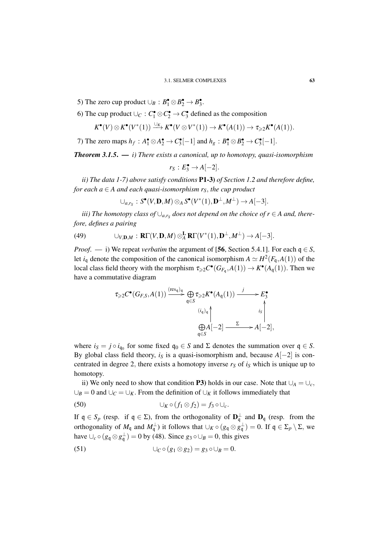- 5) The zero cup product  $\cup_B : B_1^{\bullet} \otimes B_2^{\bullet} \to B_3^{\bullet}$ .
- 6) The cup product  $\cup_C : C_1^{\bullet} \otimes C_2^{\bullet} \to C_3^{\bullet}$  defined as the composition

$$
K^{\bullet}(V) \otimes K^{\bullet}(V^{*}(1)) \xrightarrow{\cup_{K}} K^{\bullet}(V \otimes V^{*}(1)) \to K^{\bullet}(A(1)) \to \tau_{\geq 2} K^{\bullet}(A(1)).
$$

7) The zero maps  $h_f: A_1^{\bullet} \otimes A_2^{\bullet} \rightarrow C_3^{\bullet}[-1]$  and  $h_g: B_1^{\bullet} \otimes B_2^{\bullet} \rightarrow C_3^{\bullet}[-1]$ .

*Theorem 3.1.5*. — *i) There exists a canonical, up to homotopy, quasi-isomorphism*

$$
r_S: E_3^{\bullet} \to A[-2].
$$

*ii) The data 1-7) above satisfy conditions* P1-3) *of Section 1.2 and therefore define, for each*  $a \in A$  *and each quasi-isomorphism r<sub>S</sub>, the cup product* 

$$
\cup_{a,r_S}: S^{\bullet}(V,\mathbf{D},M) \otimes_A S^{\bullet}(V^*(1),\mathbf{D}^{\perp},M^{\perp}) \to A[-3].
$$

*iii)* The homotopy class of  $\cup_{a,r_S}$  does not depend on the choice of  $r \in A$  and, there*fore, defines a pairing*

(49) 
$$
\cup_{V,\mathbf{D},M}: \mathbf{R}\Gamma(V,\mathbf{D},M)\otimes_A^{\mathbf{L}}\mathbf{R}\Gamma(V^*(1),\mathbf{D}^{\perp},M^{\perp})\to A[-3].
$$

*Proof.* — i) We repeat *verbatim* the argument of [56, Section 5.4.1]. For each  $q \in S$ , let  $i_q$  denote the composition of the canonical isomorphism  $A \simeq H^2(F_q, A(1))$  of the local class field theory with the morphism  $\tau_{\geq 2} C^{\bullet}(G_{F_{\mathfrak{q}}}, A(1)) \to K^{\bullet}(A_{\mathfrak{q}}(1))$ . Then we have a commutative diagram

$$
\tau_{\geqslant 2} C^{\bullet}(G_{F,S}, A(1)) \xrightarrow{\text{(res_q)}_q} \bigoplus_{\mathfrak{q} \in S} \tau_{\geqslant 2} K^{\bullet}(A_{\mathfrak{q}}(1)) \xrightarrow{j} E_3^{\bullet}
$$
\n
$$
\bigoplus_{\mathfrak{q} \in S} A[-2] \xrightarrow{\Sigma} A[-2],
$$

where  $i_S = j \circ i_{\mathfrak{q}_0}$  for some fixed  $\mathfrak{q}_0 \in S$  and  $\Sigma$  denotes the summation over  $\mathfrak{q} \in S$ . By global class field theory, *i<sub>S</sub>* is a quasi-isomorphism and, because  $A[-2]$  is concentrated in degree 2, there exists a homotopy inverse  $r<sub>S</sub>$  of  $i<sub>S</sub>$  which is unique up to homotopy.

ii) We only need to show that condition P3) holds in our case. Note that  $∪<sub>A</sub> = ∪<sub>c</sub>$ ,  $∪<sub>B</sub> = 0$  and  $∪<sub>C</sub> = ∪<sub>K</sub>$ . From the definition of  $∪<sub>K</sub>$  it follows immediately that

(50) 
$$
\bigcup_K \circ (f_1 \otimes f_2) = f_3 \circ \bigcup_c
$$

If  $\mathfrak{q} \in S_p$  (resp. if  $\mathfrak{q} \in \Sigma$ ), from the orthogonality of  $\mathbf{D}^{\perp}$  and  $\mathbf{D}_{\mathfrak{q}}$  (resp. from the orthogonality of  $M_q$  and  $M_q^{\perp}$ ) it follows that  $\cup_K \circ (g_q \otimes g_q^{\perp}) = 0$ . If  $q \in \Sigma_p \setminus \Sigma$ , we have  $\bigcup_c \circ (g_q \otimes g_q^{\perp}) = 0$  by (48). Since  $g_3 \circ \bigcup_B = 0$ , this gives

(51) 
$$
\bigcup_C \circ (g_1 \otimes g_2) = g_3 \circ \bigcup_B = 0.
$$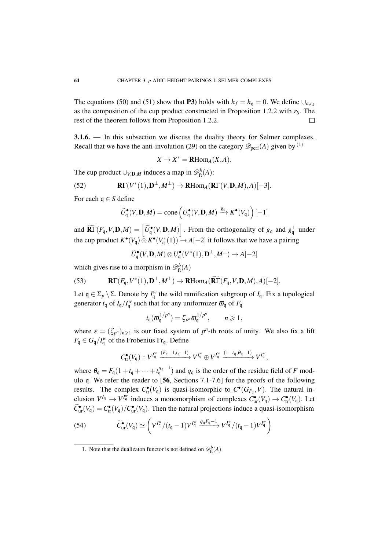The equations (50) and (51) show that P3) holds with  $h_f = h_g = 0$ . We define  $\bigcup_{a,r_s}$ as the composition of the cup product constructed in Proposition 1.2.2 with *rS*. The rest of the theorem follows from Proposition 1.2.2.  $\Box$ 

3.1.6. — In this subsection we discuss the duality theory for Selmer complexes. Recall that we have the anti-involution (29) on the category  $\mathscr{D}_{\text{perf}}(A)$  given by <sup>(1)</sup>

$$
X \to X^* = \mathbf{R}\mathrm{Hom}_A(X, A).
$$

The cup product  $\cup_{V,\mathbf{D},M}$  induces a map in  $\mathscr{D}_{\text{ft}}^b(A)$ :

(52) 
$$
\mathbf{R}\Gamma(V^*(1),\mathbf{D}^{\perp},M^{\perp})\to\mathbf{R}\mathrm{Hom}_A(\mathbf{R}\Gamma(V,\mathbf{D},M),A)[-3].
$$

For each q ∈ *S* define

$$
\widetilde{U}_{\mathfrak{q}}^{\bullet}(V, \mathbf{D}, M) = \mathrm{cone}\left(U_{\mathfrak{q}}^{\bullet}(V, \mathbf{D}, M) \xrightarrow{g_{\mathfrak{q}}} K^{\bullet}(V_{\mathfrak{q}})\right)[-1]
$$

and  $\widetilde{\mathbf{R}\Gamma}(F_{\mathfrak{q}},V,\mathbf{D},M) = \left[\widetilde{U}_{\mathfrak{q}}^{\bullet}(V,\mathbf{D},M)\right]$ . From the orthogonality of  $g_{\mathfrak{q}}$  and  $g_{\mathfrak{q}}^{\perp}$  under the cup product  $K^{\bullet}(V_q) \overset{\sim}{\otimes} K^{\bullet}(V_q^*(1)) \rightarrow A[-2]$  it follows that we have a pairing

 $\widetilde{U}_{\mathsf{q}}^{\bullet}(V, \mathbf{D}, M) \otimes U_{\mathsf{q}}^{\bullet}(V^*(1), \mathbf{D}^{\perp}, M^{\perp}) \rightarrow A[-2]$ 

which gives rise to a morphism in  $\mathcal{D}_{\text{ft}}^b(A)$ 

(53) 
$$
\mathbf{R}\Gamma(F_{\mathfrak{q}},V^*(1),\mathbf{D}^{\perp},M^{\perp}) \to \mathbf{R}\text{Hom}_A(\widetilde{\mathbf{R}\Gamma}(F_{\mathfrak{q}},V,\mathbf{D},M),A)[-2].
$$

Let  $\mathfrak{q} \in \Sigma_p \setminus \Sigma$ . Denote by  $I_q^w$  the wild ramification subgroup of  $I_q$ . Fix a topological generator  $t_q$  of  $I_q/I_q^w$  such that for any uniformizer  $\bar{\omega}_q$  of  $F_q$ 

$$
t_{\mathfrak{q}}(\varpi_{\mathfrak{q}}^{1/p^n}) = \zeta_{p^n}\varpi_{\mathfrak{q}}^{1/p^n}, \qquad n \geq 1,
$$

where  $\varepsilon = (\zeta_{p^n})_{n \geq 1}$  is our fixed system of  $p^n$ -th roots of unity. We also fix a lift  $F_{\mathfrak{q}} \in G_{\mathfrak{q}}/I_{\mathfrak{q}}^w$  of the Frobenius Fr<sub>q</sub>. Define

$$
C^{\bullet}_{\text{tr}}(V_{\mathfrak{q}}): V^{I_{\mathfrak{q}}^w} \xrightarrow{(F_{\mathfrak{q}}-1,t_{\mathfrak{q}}-1)} V^{I_{\mathfrak{q}}^w} \oplus V^{I_{\mathfrak{q}}^w} \xrightarrow{(1-t_{\mathfrak{q}},\theta_{\mathfrak{q}}-1)} V^{I_{\mathfrak{q}}^w},
$$

where  $\theta_q = F_q(1 + t_q + \cdots + t_q^{q_q-1})$  and  $q_q$  is the order of the residue field of *F* modulo q. We refer the reader to [56, Sections 7.1-7.6] for the proofs of the following results. The complex  $C_{tr}^{\bullet}(V_q)$  is quasi-isomorphic to  $C^{\bullet}(G_{F_q}, V)$ . The natural inclusion  $V^{I_q} \hookrightarrow V^{I_q^w}$  induces a monomorphism of complexes  $C_{ur}^{\bullet}(V_q) \to C_{tr}^{\bullet}(V_q)$ . Let  $\widetilde{C}_{ur}^{\bullet}(V_q) = C_{tr}^{\bullet}(V_q)/C_{ur}^{\bullet}(V_q)$ . Then the natural projections induce a quasi-isomorphism

(54) 
$$
\widetilde{C}_{ur}^{\bullet}(V_{\mathfrak{q}}) \simeq \left(V^{I_{\mathfrak{q}}^w}/(t_{\mathfrak{q}}-1)V^{I_{\mathfrak{q}}^w} \xrightarrow{q_{\mathfrak{q}} F_{\mathfrak{q}}-1} V^{I_{\mathfrak{q}}^w}/(t_{\mathfrak{q}}-1)V^{I_{\mathfrak{q}}^w}\right)
$$

<sup>1.</sup> Note that the dualizaton functor is not defined on  $\mathcal{D}_{\text{ft}}^b(A)$ .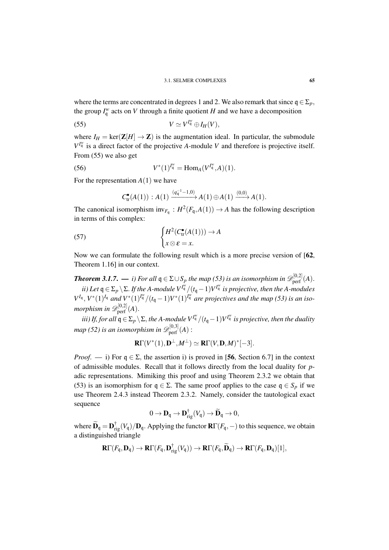where the terms are concentrated in degrees 1 and 2. We also remark that since  $q \in \Sigma_p$ , the group  $I_{\mathfrak{q}}^w$  acts on *V* through a finite quotient *H* and we have a decomposition

$$
(55) \t\t V \simeq V^{I_q^w} \oplus I_H(V),
$$

where  $I_H = \text{ker}(\mathbf{Z}[H] \to \mathbf{Z})$  is the augmentation ideal. In particular, the submodule  $V^{I_{\mathfrak{q}}^w}$  is a direct factor of the projective *A*-module *V* and therefore is projective itself. From (55) we also get

(56) 
$$
V^*(1)^{I_q^w} = \text{Hom}_A(V^{I_q^w}, A)(1).
$$

For the representation  $A(1)$  we have

$$
C_{\text{tr}}^{\bullet}(A(1)) : A(1) \xrightarrow{(q_{\mathfrak{q}}^{-1}-1,0)} A(1) \oplus A(1) \xrightarrow{(0,0)} A(1).
$$

The canonical isomorphism  $inv_{F_q}: H^2(F_q, A(1)) \to A$  has the following description in terms of this complex:

(57) 
$$
\begin{cases} H^2(C^{\bullet}_{tr}(A(1))) \to A \\ x \otimes \varepsilon = x. \end{cases}
$$

Now we can formulate the following result which is a more precise version of [62, Theorem 1.16] in our context.

*Theorem 3.1.7. — i)* For all  $\mathfrak{q} \in \Sigma \cup S_p$  the map (53) is an isomorphism in  $\mathscr{D}^{[0,2]}_{\text{perf}}(A)$ . *ii)* Let  $q \in \Sigma_p \setminus \Sigma$ . If the A-module  $V^{I_q^w}/(t_q-1)V^{I_q^w}$  is projective, then the A-modules  $V^{I_q}$ ,  $V^*(1)^{I_q}$  *and*  $V^*(1)^{I_q^w}/(t_q-1)V^*(1)^{I_q^w}$  *are projectives and the map (53) is an iso*morphism in  $\mathscr{D}^{[0,2]}_{\mathrm{perf}}(A).$ 

*iii) If, for all*  $q \in \Sigma_p \setminus \Sigma$ , the A-module  $V^{I^w_q}/(t_q-1)V^{I^w_q}$  is projective, then the duality map (52) is an isomorphism in  $\mathscr{D}^{[0,3]}_{\mathrm{perf}}(A)$  :

$$
\mathbf{R}\Gamma(V^*(1),\mathbf{D}^{\perp},M^{\perp})\simeq \mathbf{R}\Gamma(V,\mathbf{D},M)^*[-3].
$$

*Proof.* — i) For  $q \in \Sigma$ , the assertion i) is proved in [56, Section 6.7] in the context of admissible modules. Recall that it follows directly from the local duality for *p*adic representations. Mimiking this proof and using Theorem 2.3.2 we obtain that (53) is an isomorphism for  $q \in \Sigma$ . The same proof applies to the case  $q \in S_p$  if we use Theorem 2.4.3 instead Theorem 2.3.2. Namely, consider the tautological exact sequence

$$
0 \to \mathbf{D}_{\mathfrak{q}} \to \mathbf{D}_{\mathrm{rig}}^{\dagger}(V_{\mathfrak{q}}) \to \widetilde{\mathbf{D}}_{\mathfrak{q}} \to 0,
$$

where  $\widetilde{\mathbf{D}}_{\mathsf{q}} = \mathbf{D}_{\mathrm{rig}}^{\dagger}(V_{\mathsf{q}})/\mathbf{D}_{\mathsf{q}}$ . Applying the functor  $\mathbf{R}\Gamma(F_{\mathsf{q}},-)$  to this sequence, we obtain a distinguished triangle

$$
\mathbf{R}\Gamma(F_{\mathfrak{q}},\mathbf{D}_{\mathfrak{q}})\to\mathbf{R}\Gamma(F_{\mathfrak{q}},\mathbf{D}_{\mathrm{rig}}^{\dagger}(V_{\mathfrak{q}}))\to\mathbf{R}\Gamma(F_{\mathfrak{q}},\widetilde{\mathbf{D}}_{\mathfrak{q}})\to\mathbf{R}\Gamma(F_{\mathfrak{q}},\mathbf{D}_{\mathfrak{q}})[1],
$$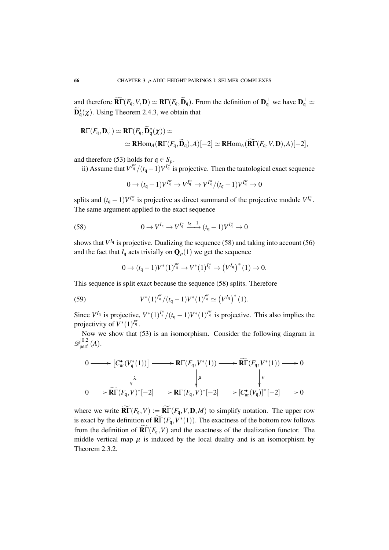and therefore  $\widehat{\textbf{R}\Gamma}(F_{\mathfrak{q}}, V, \textbf{D}) \simeq \textbf{R}\Gamma(F_{\mathfrak{q}}, \widetilde{\textbf{D}}_{\mathfrak{q}})$ . From the definition of  $\textbf{D}_{\mathfrak{q}}^{\perp}$  we have  $\textbf{D}_{\mathfrak{q}}^{\perp} \simeq$  $\widetilde{\mathbf{D}}_{q}^{*}(\chi)$ . Using Theorem 2.4.3, we obtain that

$$
\mathbf{R}\Gamma(F_{\mathfrak{q}},\mathbf{D}_{\nu}^{\perp}) \simeq \mathbf{R}\Gamma(F_{\mathfrak{q}},\widetilde{\mathbf{D}}_{\mathfrak{q}}^{*}(\chi)) \simeq
$$
  
 
$$
\simeq \mathbf{R}\text{Hom}_{A}(\mathbf{R}\Gamma(F_{\mathfrak{q}},\widetilde{\mathbf{D}}_{\mathfrak{q}}),A)[-2] \simeq \mathbf{R}\text{Hom}_{A}(\widetilde{\mathbf{R}\Gamma}(F_{\mathfrak{q}},V,\mathbf{D}),A)[-2],
$$

and therefore (53) holds for  $q \in S_p$ .

ii) Assume that  $V^{I_{\mathfrak{q}}^w}/(t_{\mathfrak{q}}-1)V^{I_{\mathfrak{q}}^w}$  is projective. Then the tautological exact sequence

$$
0 \to (t_{\mathfrak{q}}-1)V^{I_{\mathfrak{q}}^w} \to V^{I_{\mathfrak{q}}^w} \to V^{I_{\mathfrak{q}}^w}/(t_{\mathfrak{q}}-1)V^{I_{\mathfrak{q}}^w} \to 0
$$

splits and  $(t_q - 1)V^{I_q^w}$  is projective as direct summand of the projective module  $V^{I_q^w}$ . The same argument applied to the exact sequence

$$
(58) \t\t 0 \to V^{I_q} \to V^{I^{w}_{q}} \xrightarrow{t_q-1} (t_q-1)V^{I^{w}_{q}} \to 0
$$

shows that  $V^{I_q}$  is projective. Dualizing the sequence (58) and taking into account (56) and the fact that  $I_q$  acts trivially on  $\mathbf{Q}_p(1)$  we get the sequence

$$
0 \to (t_{\mathfrak{q}} - 1)V^*(1)^{I_{\mathfrak{q}}^w} \to V^*(1)^{I_{\mathfrak{q}}^w} \to (V^{I_{\mathfrak{q}}})^*(1) \to 0.
$$

This sequence is split exact because the sequence (58) splits. Therefore

(59) 
$$
V^*(1)^{I_q^w}/(t_q-1)V^*(1)^{I_q^w} \simeq (V^{I_q})^*(1).
$$

Since  $V^{I_q}$  is projective,  $V^*(1)^{I_q^w}/(t_q-1)V^*(1)^{I_q^w}$  is projective. This also implies the projectivity of  $V^*(1)$ <sup> $I^w_q$ </sup>.

Now we show that (53) is an isomorphism. Consider the following diagram in  $\mathscr{D}^{[0,2]}_{\text{perf}}(A).$ 

$$
0 \longrightarrow [C_{\text{ur}}^{\bullet}(V_{\mathfrak{q}}^{*}(1))] \longrightarrow \mathbf{R}\Gamma(F_{\mathfrak{q}}, V^{*}(1)) \longrightarrow \widetilde{\mathbf{R}\Gamma}(F_{\mathfrak{q}}, V^{*}(1)) \longrightarrow 0
$$
  
\n
$$
\downarrow^{\lambda} \qquad \qquad \downarrow^{\mu} \qquad \qquad \downarrow^{\nu}
$$
  
\n
$$
0 \longrightarrow \widetilde{\mathbf{R}\Gamma}(F_{\mathfrak{q}}, V)^{*}[-2] \longrightarrow \mathbf{R}\Gamma(F_{\mathfrak{q}}, V)^{*}[-2] \longrightarrow [C_{\text{ur}}^{\bullet}(V_{\mathfrak{q}})]^{*}[-2] \longrightarrow 0
$$

where we write  $\widetilde{\text{RT}}(F_{\text{q}}, V) := \widetilde{\text{RT}}(F_{\text{q}}, V, \text{D}, M)$  to simplify notation. The upper row is exact by the definition of  $\widetilde{\mathbf{R}\Gamma}(F_{\mathfrak{q}}, V^*(1))$ . The exactness of the bottom row follows from the definition of  $\overline{\mathbf{R}\Gamma}(F_{\mathfrak{q}},V)$  and the exactness of the dualization functor. The middle vertical map  $\mu$  is induced by the local duality and is an isomorphism by Theorem 2.3.2.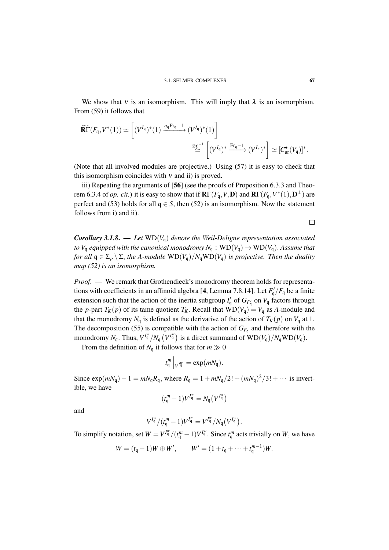We show that v is an isomorphism. This will imply that  $\lambda$  is an isomorphism. From (59) it follows that

$$
\widetilde{\mathbf{R}\Gamma}(F_{\mathfrak{q}}, V^*(1)) \simeq \left[ (V^{I_{\mathfrak{q}}})^*(1) \xrightarrow{q_{\mathfrak{q}} \mathrm{Fr}_{\mathfrak{q}} - 1} (V^{I_{\mathfrak{q}}})^*(1) \right] \simeq \simeq \simeq \left[ (V^{I_{\mathfrak{q}}})^* \xrightarrow{\mathrm{Fr}_{\mathfrak{q}} - 1} (V^{I_{\mathfrak{q}}})^* \right] \simeq [C^{\bullet}_{\text{ur}}(V_{\mathfrak{q}})]^*.
$$

(Note that all involved modules are projective.) Using (57) it is easy to check that this isomorphism coincides with  $v$  and ii) is proved.

iii) Repeating the arguments of [56] (see the proofs of Proposition 6.3.3 and Theorem 6.3.4 of *op. cit.*) it is easy to show that if  $\mathbf{R}\Gamma(F_{\mathfrak{q}},V,\mathbf{D})$  and  $\mathbf{R}\Gamma(F_{\mathfrak{q}},V^*(1),\mathbf{D}^{\perp})$  are perfect and (53) holds for all  $q \in S$ , then (52) is an isomorphism. Now the statement follows from i) and ii).

 $\Box$ 

*Corollary 3.1.8.* — *Let*  $WD(V_q)$  *denote the Weil-Deligne representation associated to*  $V_q$  *equipped with the canonical monodromy*  $N_q$  :  $WD(V_q) \rightarrow WD(V_q)$ . *Assume that for all*  $q \in \Sigma_p \setminus \Sigma$ , *the A-module*  $WD(V_q)/N_qWD(V_q)$  *is projective. Then the duality map (52) is an isomorphism.*

*Proof*. — We remark that Grothendieck's monodromy theorem holds for representations with coefficients in an affinoid algebra [4, Lemma 7.8.14]. Let  $F'_{\mathfrak{q}}/F_{\mathfrak{q}}$  be a finite extension such that the action of the inertia subgroup  $I'_{q}$  of  $G_{F'_{q}}$  on  $V_{q}$  factors through the *p*-part  $T_K(p)$  of its tame quotient  $T_K$ . Recall that  $WD(V_q) = V_q$  as *A*-module and that the monodromy  $N_q$  is defined as the derivative of the action of  $T_K(p)$  on  $V_q$  at 1. The decomposition (55) is compatible with the action of  $G_{F_q}$  and therefore with the monodromy  $N_q$ . Thus,  $V^{I_q^w}/N_q$   $(V^{I_q^w})$  is a direct summand of  $\text{WD}(V_q)/N_q\text{WD}(V_q)$ .

From the definition of  $N_q$  it follows that for  $m \gg 0$ 

$$
t_{\mathfrak{q}}^{m}\Big|_{V^{I_{\mathfrak{q}}^{w}}}=\exp(mN_{\mathfrak{q}}).
$$

Since  $\exp(mN_q) - 1 = mN_q R_q$ , where  $R_q = 1 + mN_q/2! + (mN_q)^2/3! + \cdots$  is invertible, we have

$$
(t^m_{\mathfrak{q}}-1)V^{I^w_{\mathfrak{q}}}=N_{\mathfrak{q}}(V^{I^w_{\mathfrak{q}}})
$$

and

$$
V^{I^w_{\mathfrak{q}}}/(t^{m}_{\mathfrak{q}}-1)V^{I^w_{\mathfrak{q}}}=V^{I^w_{\mathfrak{q}}}/N_{\mathfrak{q}}(V^{I^w_{\mathfrak{q}}}).
$$

To simplify notation, set  $W = V^{I_q^w}/(t_q^m - 1)V^{I_q^w}$ . Since  $t_q^m$  acts trivially on *W*, we have

$$
W = (t_q - 1)W \oplus W',
$$
  $W' = (1 + t_q + \dots + t_q^{m-1})W.$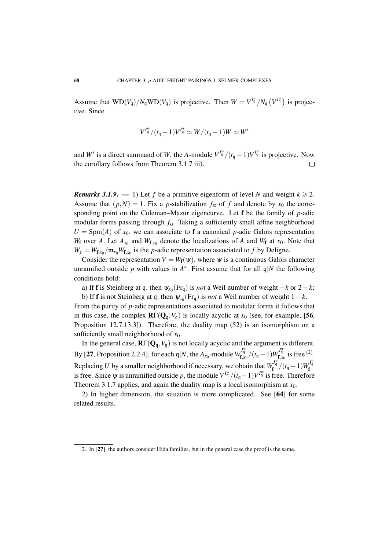Assume that  $WD(V_q)/N_qWD(V_q)$  is projective. Then  $W = V^{I_q^w}/N_q (V^{I_q^w})$  is projective. Since

$$
V^{I^w_{\mathfrak{q}}}/(t_{\mathfrak{q}}-1)V^{I^w_{\mathfrak{q}}}\simeq W/(t_{\mathfrak{q}}-1)W\simeq W'
$$

and *W*<sup>*i*</sup> is a direct summand of *W*, the *A*-module  $V^{I_{q}^{w}}/(t_{q}-1)V^{I_{q}^{w}}$  is projective. Now the corollary follows from Theorem 3.1.7 iii).  $\Box$ 

*Remarks 3.1.9.* — 1) Let f be a primitive eigenform of level N and weight  $k \ge 2$ . Assume that  $(p, N) = 1$ . Fix a *p*-stabilization  $f_\alpha$  of f and denote by  $x_0$  the corresponding point on the Coleman–Mazur eigencurve. Let f be the family of *p*-adic modular forms passing through  $f_\alpha$ . Taking a sufficiently small affine neighborhood  $U = \text{Spm}(A)$  of  $x_0$ , we can associate to f a canonical *p*-adic Galois representation *W*<sub>f</sub> over *A*. Let  $A_{x_0}$  and  $W_{f,x_0}$  denote the localizations of *A* and  $W_f$  at  $x_0$ . Note that  $W_f = W_{f,x_0}/m_{x_0}W_{f,x_0}$  is the *p*-adic representation associated to *f* by Deligne.

Consider the representation  $V = W_f(\psi)$ , where  $\psi$  is a continuous Galois character unramified outside p with values in  $A^*$ . First assume that for all  $\mathfrak{q}|N$  the following conditions hold:

a) If **f** is Steinberg at q, then  $\psi_{x_0}(\text{Fr}_q)$  is *not* a Weil number of weight  $-k$  or  $2-k$ ;

b) If **f** is not Steinberg at q, then  $\psi_{x_0}(\text{Fr}_q)$  is *not* a Weil number of weight  $1 - k$ . From the purity of *p*-adic representations associated to modular forms it follows that in this case, the complex  $\mathbb{R}\Gamma(Q_q, V_q)$  is locally acyclic at  $x_0$  (see, for example, [56, Proposition 12.7.13.3]). Therefore, the duality map (52) is an isomorphism on a sufficiently small neighborhood of *x*0.

In the general case,  $\mathbf{R}\Gamma(\mathbf{Q}_q, V_q)$  is not locally acyclic and the argument is different. By [27, Proposition 2.2.4], for each q|*N*, the  $A_{x_0}$ -module  $W_{f,x_0}^{I_q^{\omega}}/(t_q-1)W_{f,x_0}^{I_q^{\omega}}$  is free <sup>(2)</sup>. Replacing *U* by a smaller neighborhood if necessary, we obtain that  $W_f^{I_q^w}/(t_q-1)W_f^{I_q^w}$ is free. Since  $\psi$  is unramified outside *p*, the module  $V^{I_{\mathfrak{q}}^w}/(t_{\mathfrak{q}}-1)V^{I_{\mathfrak{q}}^w}$  is free. Therefore Theorem 3.1.7 applies, and again the duality map is a local isomorphism at  $x_0$ .

2) In higher dimension, the situation is more complicated. See [64] for some related results.

<sup>2.</sup> In [27], the authors consider Hida families, but in the general case the proof is the same.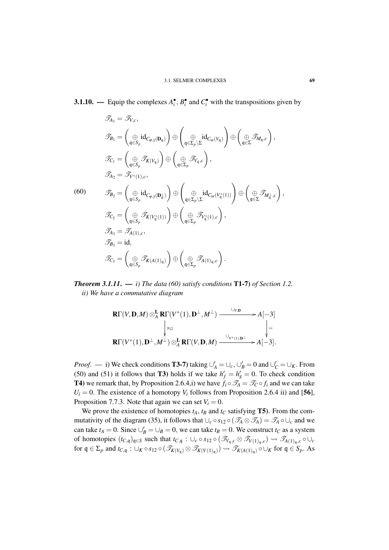**3.1.10.** — Equip the complexes  $A_i^{\bullet}$ ,  $B_i^{\bullet}$  and  $C_i^{\bullet}$  with the transpositions given by

$$
\mathcal{T}_{A_1} = \mathcal{T}_{V,c},
$$
\n
$$
\mathcal{T}_{B_1} = \left(\bigoplus_{\mathfrak{q}\in S_p} \mathrm{id}_{C_{\varphi,\gamma}(\mathbf{D}_{\mathfrak{q}})}\right) \oplus \left(\bigoplus_{\mathfrak{q}\in \Sigma_p\setminus \Sigma} \mathrm{id}_{C_{\mathrm{ur}}(V_{\mathfrak{q}})}\right) \oplus \left(\bigoplus_{\mathfrak{q}\in \Sigma} \mathcal{T}_{M_{\mathfrak{q}},c}\right),
$$
\n
$$
\mathcal{T}_{C_1} = \left(\bigoplus_{\mathfrak{q}\in S_p} \mathcal{T}_{K(V_{\mathfrak{q}})}\right) \oplus \left(\bigoplus_{\mathfrak{q}\in \Sigma_p} \mathcal{T}_{V_{\mathfrak{q}},c}\right),
$$
\n
$$
\mathcal{T}_{A_2} = \mathcal{T}_{V^*(1),c},
$$
\n(60)\n
$$
\mathcal{T}_{B_2} = \left(\bigoplus_{\mathfrak{q}\in S_p} \mathrm{id}_{C_{\mathfrak{q},\gamma}(\mathbf{D}_{\mathfrak{q}}^{\perp})}\right) \oplus \left(\bigoplus_{\mathfrak{q}\in \Sigma_p\setminus \Sigma} \mathrm{id}_{C_{\mathrm{ur}}(V_{\mathfrak{q}}^*(1))}\right) \oplus \left(\bigoplus_{\mathfrak{q}\in \Sigma} \mathcal{T}_{M_{\mathfrak{q}},c}\right),
$$
\n
$$
\mathcal{T}_{C_2} = \left(\bigoplus_{\mathfrak{q}\in S_p} \mathcal{T}_{K(V_{\mathfrak{q}}^*(1))}\right) \oplus \left(\bigoplus_{\mathfrak{q}\in \Sigma_p} \mathcal{T}_{V_{\mathfrak{q}}^*(1),c}\right),
$$
\n
$$
\mathcal{T}_{A_3} = \mathcal{T}_{A(1),c},
$$
\n
$$
\mathcal{T}_{B_3} = \mathrm{id},
$$
\n
$$
\mathcal{T}_{C_3} = \left(\bigoplus_{\mathfrak{q}\in S_p} \mathcal{T}_{K(A(1)_{\mathfrak{q}})}\right) \oplus \left(\bigoplus_{\mathfrak{q}\in \Sigma_p} \mathcal{T}_{A(1)_{\mathfrak{q}},c}\right).
$$

*Theorem 3.1.11*. — *i) The data (60) satisfy conditions* T1-7) *of Section 1.2. ii) We have a commutative diagram*

$$
\mathbf{R}\Gamma(V,\mathbf{D},M)\otimes_A^{\mathbf{L}}\mathbf{R}\Gamma(V^*(1),\mathbf{D}^{\perp},M^{\perp})\xrightarrow{\cup_{V,\mathbf{D}}}A[-3]
$$
\n
$$
\downarrow_{s_{12}}\qquad\qquad\downarrow_{\mathbf{R}\Gamma(V^*(1),\mathbf{D}^{\perp},M^{\perp})\otimes_A^{\mathbf{L}}\mathbf{R}\Gamma(V,\mathbf{D},M)\xrightarrow{\cup_{V^*(1),\mathbf{D}^{\perp}}\to A[-3].
$$

*Proof.* — i) We check conditions **T3-7**) taking  $\bigcup_{A}^{'} = \bigcup_{c}$ ,  $\bigcup_{B}' = 0$  and  $\bigcup_{C}' = \bigcup_{K}$ . From (50) and (51) it follows that **T3**) holds if we take  $h'_f = h'_g = 0$ . To check condition **T4**) we remark that, by Proposition 2.6.4,i) we have  $f_i \circ \mathcal{T}_A = \mathcal{T}_C \circ f_i$  and we can take  $U_i = 0$ . The existence of a homotopy  $V_i$  follows from Proposition 2.6.4 ii) and [56], Proposition 7.7.3. Note that again we can set  $V_i = 0$ .

We prove the existence of homotopies  $t_A$ ,  $t_B$  and  $t_C$  satisfying **T5**). From the commutativity of the diagram (35), it follows that  $\bigcup_c \circ s_{12} \circ (\mathcal{T}_A \otimes \mathcal{T}_A) = \mathcal{T}_A \circ \bigcup_c$  and we can take  $t_A = 0$ . Since  $\bigcup_B^{\prime} = \bigcup_B = 0$ , we can take  $t_B = 0$ . We construct  $t_C$  as a system of homotopies  $(t_{C,q})_{q\in S}$  such that  $t_{C,q}$  :  $\cup_c \circ s_{12} \circ (\mathcal{F}_{V_q,c} \otimes \mathcal{F}_{V(1)_q,c}) \leadsto \mathcal{F}_{A(1)_q,c} \circ \cup_c$ for  $\mathfrak{q} \in \Sigma_p$  and  $t_{C,\mathfrak{q}}$ :  $\cup_K \circ s_{12} \circ (\mathcal{T}_{K(V_{\mathfrak{q}})} \otimes \mathcal{T}_{K(V(1)_{\mathfrak{q}})}) \rightsquigarrow \mathcal{T}_{K(A(1)_{\mathfrak{q}})} \circ \cup_K$  for  $\mathfrak{q} \in S_p$ . As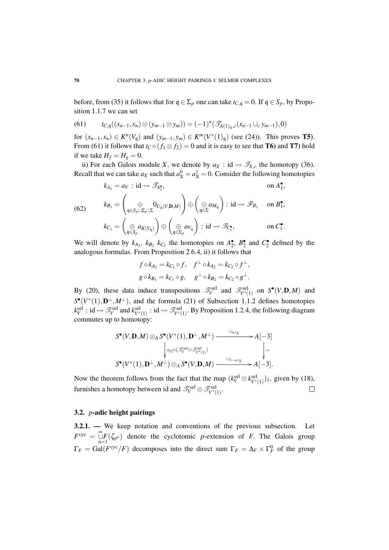before, from (35) it follows that for  $q \in \Sigma_p$  one can take  $t_{C,q} = 0$ . If  $q \in S_p$ , by Proposition 1.1.7 we can set

(61) 
$$
t_{C,q}((x_{n-1},x_n)\otimes (y_{m-1}\otimes y_m))=(-1)^n(\mathscr{T}_{A(1)_q,c}(x_{n-1}\cup_c y_{m-1}),0)
$$

for  $(x_{n-1}, x_n) \in K^n(V_q)$  and  $(y_{m-1}, y_m) \in K^m(V^*(1)_q)$  (see (24)). This proves **T5**). From (61) it follows that  $t_C \circ (f_1 \otimes f_2) = 0$  and it is easy to see that **T6**) and **T7**) hold if we take  $H_f = H_g = 0$ .

ii) For each Galois module *X*, we denote by  $a_X$  : id  $\rightsquigarrow$   $\mathcal{T}_{X,c}$  the homotopy (36). Recall that we can take  $a_X$  such that  $a_X^0 = a_X^1 = 0$ . Consider the following homotopies

(62) 
$$
k_{A_1} = a_V : id \rightsquigarrow \mathscr{T}_{A_1^{\bullet}}, \qquad \text{on } A_1^{\bullet},
$$

$$
k_{B_1} = \begin{pmatrix} \oplus & 0_{U_q(V, \mathbf{D}, M)} \\ \oplus & \oplus \\ \oplus & \oplus \end{pmatrix} \oplus \begin{pmatrix} \oplus & a_{M_q} \\ \oplus & \oplus \\ \oplus & \oplus \end{pmatrix} : id \rightsquigarrow \mathscr{F}_{B_1} \text{ on } B_1^{\bullet},
$$

$$
k_{C_1} = \begin{pmatrix} \oplus & a_{K(V_q)} \\ \oplus & \oplus \\ \oplus & \oplus \end{pmatrix} \oplus \begin{pmatrix} \oplus & a_{V_q} \\ \oplus & \oplus \\ \oplus & \oplus \end{pmatrix} : id \rightsquigarrow \mathscr{T}_{C_1^{\bullet}}, \text{ on } C_1^{\bullet}.
$$

We will denote by  $k_{A_2}$ ,  $k_{B_2}$ ,  $k_{C_2}$  the homotopies on  $A_2^{\bullet}$ ,  $B_2^{\bullet}$  and  $C_2^{\bullet}$  defined by the analogous formulas. From Proposition 2.6.4, ii) it follows that

$$
f \circ k_{A_1} = k_{C_1} \circ f
$$
,  $f^{\perp} \circ k_{A_2} = k_{C_2} \circ f^{\perp}$ ,  
\n $g \circ k_{B_1} = k_{C_1} \circ g$ ,  $g^{\perp} \circ k_{B_2} = k_{C_2} \circ g^{\perp}$ .

By (20), these data induce transpositions  $\mathcal{T}_V^{\text{sel}}$  and  $\mathcal{T}_{V^*(1)}^{\text{sel}}$  on  $S^{\bullet}(V, \mathbf{D}, M)$  and  $S^{\bullet}(V^*(1), D^{\perp}, M^{\perp})$ , and the formula (21) of Subsection 1.1.2 defines homotopies  $k_V^{\text{sel}}$ : id  $\leadsto \mathscr{T}_V^{\text{sel}}$  and  $k_{V^*(1)}^{\text{sel}}$ : id  $\leadsto \mathscr{T}_{V^*(1)}^{\text{sel}}$ . By Proposition 1.2.4, the following diagram commutes up to homotopy:

$$
S^{\bullet}(V, \mathbf{D}, M) \otimes_A S^{\bullet}(V^*(1), \mathbf{D}^{\perp}, M^{\perp}) \xrightarrow{\cup_{a,r_S}} A[-3] \downarrow \downarrow_{s_{12} \circ (\mathscr{T}_V^{\text{sel}} \otimes \mathscr{T}_{V^*(1)}^{\text{sel}})} A[\Big| =
$$
  

$$
S^{\bullet}(V^*(1), \mathbf{D}^{\perp}, M^{\perp}) \otimes_A S^{\bullet}(V, \mathbf{D}, M) \xrightarrow{\cup_{1-a,r_S}} A[-3].
$$

Now the theorem follows from the fact that the map  $(k_V^{\text{sel}} \otimes k_{V^*(1)}^{\text{sel}})_1$ , given by (18), furnishes a homotopy between id and  $\mathscr{T}_{V}^{\text{sel}} \otimes \mathscr{T}_{V^*(1)}^{\text{sel}}$ .  $\Box$ 

### 3.2. *p*-adic height pairings

3.2.1. — We keep notation and conventions of the previous subsection. Let  $F^{\text{cyc}} = \bigcup_{n=1}^{\infty} F(\zeta_{p^n})$  denote the cyclotomic *p*-extension of *F*. The Galois group  $\Gamma_F = \text{Gal}(F^{\text{cyc}}/F)$  decomposes into the direct sum  $\Gamma_F = \Delta_F \times \Gamma_F^0$  of the group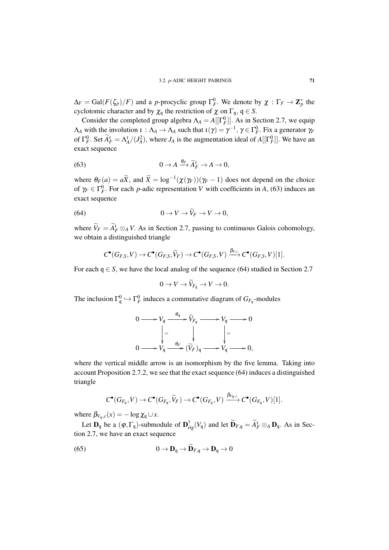$\Delta_F = \text{Gal}(F(\zeta_p)/F)$  and a *p*-procyclic group  $\Gamma_F^0$ . We denote by  $\chi : \Gamma_F \to \mathbb{Z}_p^*$  the cyclotomic character and by  $\chi_q$  the restriction of  $\chi$  on  $\Gamma_q$ ,  $q \in S$ .

Consider the completed group algebra  $\Lambda_A = A[[\Gamma_F^0]]$ . As in Section 2.7, we equip  $\Lambda_A$  with the involution  $\iota : \Lambda_A \to \Lambda_A$  such that  $\iota(\gamma) = \gamma^{-1}$ ,  $\gamma \in \Gamma_F^0$ . Fix a generator  $\gamma_F$ of  $\Gamma_F^0$ . Set  $\tilde{A}_F^1 = \Lambda_A^1/(J_A^2)$ , where  $J_A$  is the augmentation ideal of  $A[[\Gamma_F^0]]$ . We have an exact sequence

(63) 
$$
0 \to A \xrightarrow{\theta_F} \widetilde{A}_F^1 \to A \to 0,
$$

where  $\theta_F(a) = a\tilde{X}$ , and  $\tilde{X} = \log^{-1}(\chi(\gamma_F))(\gamma_F - 1)$  does not depend on the choice of  $\gamma_F \in \Gamma_F^0$ . For each *p*-adic representation *V* with coefficients in *A*, (63) induces an exact sequence

(64) 
$$
0 \to V \to V_F \to V \to 0,
$$

where  $V_F = A_F^1 \otimes_A V$ . As in Section 2.7, passing to continuous Galois cohomology, we obtain a distinguished triangle

$$
C^{\bullet}(G_{F,S},V) \to C^{\bullet}(G_{F,S},\widetilde{V}_F) \to C^{\bullet}(G_{F,S},V) \xrightarrow{\beta_{V,c}} C^{\bullet}(G_{F,S},V)[1].
$$

For each  $q \in S$ , we have the local analog of the sequence (64) studied in Section 2.7

$$
0 \to V \to \widetilde{V}_{F_{\mathfrak{q}}} \to V \to 0.
$$

The inclusion  $\Gamma_q^0 \hookrightarrow \Gamma_F^0$  induces a commutative diagram of  $G_{F_q}$ -modules

| $\stackrel{\mathfrak{q}}{\longrightarrow} \widetilde{V}_{F_{\mathfrak{q}}}$ -<br>$\longrightarrow 0$<br>$V_q$ -<br>$\mathfrak{a}$                                                                                                              |  |
|------------------------------------------------------------------------------------------------------------------------------------------------------------------------------------------------------------------------------------------------|--|
| $\vert$ =                                                                                                                                                                                                                                      |  |
| $\begin{array}{ccc}\n& & & \downarrow \\ \downarrow & & & \downarrow \\ V_{\mathsf{q}} & \xrightarrow{\theta_F} (\widetilde{V}_F)_{\mathsf{q}}\n\end{array}$<br>$V_{\mathfrak{q}}$ .<br>$\rightarrow$ $V_{\mathfrak{q}}$ -<br>$\rightarrow 0,$ |  |

where the vertical middle arrow is an isomorphism by the five lemma. Taking into account Proposition 2.7.2, we see that the exact sequence (64) induces a distinguished triangle

$$
C^{\bullet}(G_{F_{\mathfrak{q}}}, V) \to C^{\bullet}(G_{F_{\mathfrak{q}}}, \widetilde{V}_F) \to C^{\bullet}(G_{F_{\mathfrak{q}}}, V) \xrightarrow{\beta_{V_{\mathfrak{q}}, c}} C^{\bullet}(G_{F_{\mathfrak{q}}}, V)[1].
$$

where  $\beta_{V_q,c}(x) = -\log \chi_q \cup x$ .

Let  $\mathbf{D}_{\mathfrak{q}}$  be a  $(\varphi, \Gamma_{\mathfrak{q}})$ -submodule of  $\mathbf{D}_{\text{rig}}^{\dagger}(V_{\mathfrak{q}})$  and let  $\widetilde{\mathbf{D}}_{F,\mathfrak{q}} = \widetilde{A}_F^{\dagger} \otimes_A \mathbf{D}_{\mathfrak{q}}$ . As in Section 2.7, we have an exact sequence

(65) 
$$
0 \to \mathbf{D}_{q} \to \mathbf{D}_{F,q} \to \mathbf{D}_{q} \to 0
$$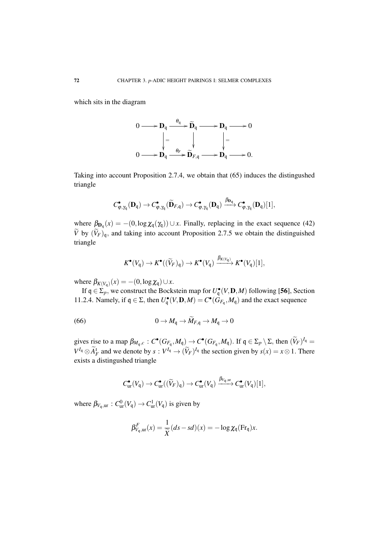which sits in the diagram



Taking into account Proposition 2.7.4, we obtain that (65) induces the distingushed triangle

$$
C_{\phi,\gamma_{q}}^{\bullet}(\mathbf{D}_{\mathfrak{q}})\to C_{\phi,\gamma_{q}}^{\bullet}(\widetilde{\mathbf{D}}_{F,\mathfrak{q}})\to C_{\phi,\gamma_{q}}^{\bullet}(\mathbf{D}_{\mathfrak{q}})\xrightarrow{\beta_{\mathbf{D}_{\mathfrak{q}}}}C_{\phi,\gamma_{q}}^{\bullet}(\mathbf{D}_{\mathfrak{q}})[1],
$$

where  $\beta_{\mathbf{D}_q}(x) = -(0, \log \chi_q(\gamma_q)) \cup x$ . Finally, replacing in the exact sequence (42)  $\tilde{V}$  by  $(\tilde{V}_F)_{\mathfrak{q}}$ , and taking into account Proposition 2.7.5 we obtain the distinguished triangle

$$
K^{\bullet}(V_{\mathfrak{q}}) \to K^{\bullet}((\widetilde{V}_F)_{\mathfrak{q}}) \to K^{\bullet}(V_{\mathfrak{q}}) \xrightarrow{\beta_{K(V_{\mathfrak{q}})}} K^{\bullet}(V_{\mathfrak{q}})[1],
$$

where  $\beta_{K(V_q)}(x) = -(0, \log \chi_q) \cup x$ .

If  $q \in \Sigma_p$ , we construct the Bockstein map for  $U_q^{\bullet}(V, \mathbf{D}, M)$  following [56], Section 11.2.4. Namely, if  $q \in \Sigma$ , then  $U_q^{\bullet}(V, \mathbf{D}, M) = C^{\bullet}(G_{F_q}, M_q)$  and the exact sequence

(66) 
$$
0 \to M_{\mathfrak{q}} \to \widetilde{M}_{F,\mathfrak{q}} \to M_{\mathfrak{q}} \to 0
$$

gives rise to a map  $\beta_{M_q,c}$ :  $C^{\bullet}(G_{F_q}, M_q) \to C^{\bullet}(G_{F_q}, M_q)$ . If  $q \in \Sigma_p \setminus \Sigma$ , then  $(\widetilde{V}_F)^{I_q} =$  $V^{I_q} \otimes \widetilde{A}^I_F$  and we denote by  $s : V^{I_q} \to (\widetilde{V}_F)^{I_q}$  the section given by  $s(x) = x \otimes 1$ . There exists a distingushed triangle

$$
C_{\text{ur}}^{\bullet}(V_{\mathfrak{q}}) \to C_{\text{ur}}^{\bullet}((\widetilde{V}_F)_{\mathfrak{q}}) \to C_{\text{ur}}^{\bullet}(V_{\mathfrak{q}}) \xrightarrow{\beta_{V_{\mathfrak{q}},\text{ur}}} C_{\text{ur}}^{\bullet}(V_{\mathfrak{q}})[1],
$$

where  $\beta_{V_q, \text{ur}} : C^0_{\text{ur}}(V_q) \to C^1_{\text{ur}}(V_q)$  is given by

$$
\beta_{V_{\mathfrak{q}},ur}^F(x) = \frac{1}{\widetilde{X}}(ds - sd)(x) = -\log \chi_{\mathfrak{q}}(\mathrm{Fr}_{\mathfrak{q}})x.
$$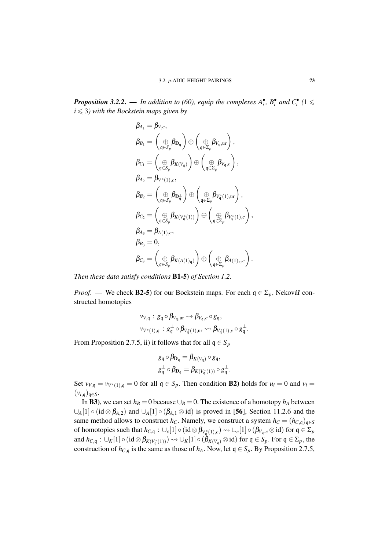*Proposition 3.2.2.* — In addition to (60), equip the complexes  $A_i^{\bullet}$ ,  $B_i^{\bullet}$  and  $C_i^{\bullet}$  (1  $\leq$  $i \leq 3$ *)* with the Bockstein maps given by

$$
\beta_{A_1} = \beta_{V,c},
$$
\n
$$
\beta_{B_1} = \left(\bigoplus_{\mathfrak{q} \in S_p} \beta_{D_{\mathfrak{q}}}\right) \oplus \left(\bigoplus_{\mathfrak{q} \in \Sigma_p} \beta_{V_{\mathfrak{q}},ur}\right),
$$
\n
$$
\beta_{C_1} = \left(\bigoplus_{\mathfrak{q} \in S_p} \beta_{K(V_{\mathfrak{q}})}\right) \oplus \left(\bigoplus_{\mathfrak{q} \in \Sigma_p} \beta_{V_{\mathfrak{q}},c}\right),
$$
\n
$$
\beta_{A_2} = \beta_{V^*(1),c},
$$
\n
$$
\beta_{B_2} = \left(\bigoplus_{\mathfrak{q} \in S_p} \beta_{D_{\mathfrak{q}}}\right) \oplus \left(\bigoplus_{\mathfrak{q} \in \Sigma_p} \beta_{V_{\mathfrak{q}}^*(1),ur}\right),
$$
\n
$$
\beta_{C_2} = \left(\bigoplus_{\mathfrak{q} \in S_p} \beta_{K(V_{\mathfrak{q}}^*(1))}\right) \oplus \left(\bigoplus_{\mathfrak{q} \in \Sigma_p} \beta_{V_{\mathfrak{q}}^*(1),c}\right),
$$
\n
$$
\beta_{A_3} = \beta_{A(1),c},
$$
\n
$$
\beta_{B_3} = 0,
$$
\n
$$
\beta_{C_3} = \left(\bigoplus_{\mathfrak{q} \in S_p} \beta_{K(A(1)_{\mathfrak{q}})}\right) \oplus \left(\bigoplus_{\mathfrak{q} \in \Sigma_p} \beta_{A(1)_{\mathfrak{q}},c}\right).
$$

*Then these data satisfy conditions* B1-5) *of Section 1.2.*

*Proof.* — We check **B2-5**) for our Bockstein maps. For each  $q \in \Sigma_p$ , Nekovář constructed homotopies

$$
\begin{aligned} \nu_{V,\mathfrak{q}} &: g_{\mathfrak{q}} \circ \beta_{V_{\mathfrak{q}},ur} \leadsto \beta_{V_{\mathfrak{q}},c} \circ g_{\mathfrak{q}}, \\ \nu_{V^*(1),\mathfrak{q}} &: g_{\mathfrak{q}}^{\perp} \circ \beta_{V_{\mathfrak{q}}^*(1),ur} \leadsto \beta_{V_{\mathfrak{q}}^*(1),c} \circ g_{\mathfrak{q}}^{\perp}. \end{aligned}
$$

From Proposition 2.7.5, ii) it follows that for all  $q \in S_p$ 

$$
g_{\mathfrak{q}} \circ \beta_{\mathbf{D}_{\mathfrak{q}}} = \beta_{K(V_{\mathfrak{q}})} \circ g_{\mathfrak{q}},
$$
  

$$
g_{\mathfrak{q}}^{\perp} \circ \beta_{\mathbf{D}_{\mathfrak{q}}} = \beta_{K(V_{\mathfrak{q}}^*(1))} \circ g_{\mathfrak{q}}^{\perp}.
$$

Set  $v_{V,q} = v_{V^*(1),q} = 0$  for all  $q \in S_p$ . Then condition **B2**) holds for  $u_i = 0$  and  $v_i = 0$  $(v_{i,\mathfrak{q}})_{\mathfrak{q}\in S}$ .

In **B3**), we can set  $h_B = 0$  because  $\bigcup_B = 0$ . The existence of a homotopy  $h_A$  between  $\bigcup_{A} [1] \circ (id \otimes \beta_{A,2})$  and  $\bigcup_{A} [1] \circ (\beta_{A,1} \otimes id)$  is proved in [56], Section 11.2.6 and the same method allows to construct *h<sub>C</sub>*. Namely, we construct a system  $h_C = (h_{C,q})_{q \in S}$ of homotopies such that  $h_{C,\mathfrak{q}} : \cup_c [1] \circ (\mathrm{id} \otimes \beta_{V_{\mathfrak{q}}^*(1),c}) \leadsto \cup_c [1] \circ (\beta_{V_{\mathfrak{q}},c} \otimes \mathrm{id})$  for  $\mathfrak{q} \in \Sigma_p$ and  $h_{C,q}: \cup_K[1] \circ (\mathrm{id} \otimes \beta_{K(V_q^*(1))) \leadsto \cup_K[1] \circ (\beta_{K(V_q)} \otimes \mathrm{id})$  for  $\mathfrak{q} \in S_p$ . For  $\mathfrak{q} \in \Sigma_p$ , the construction of  $h_{C,q}$  is the same as those of  $h_A$ . Now, let  $q \in S_p$ . By Proposition 2.7.5,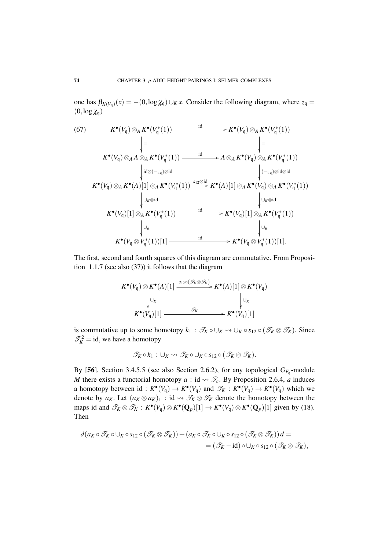one has  $\beta_{K(V_q)}(x) = -(0, \log \chi_q) \cup_K x$ . Consider the following diagram, where  $z_q =$  $(0, \log \chi_{\mathfrak{q}})$ 

(67) 
$$
K^{\bullet}(V_q) \otimes_A K^{\bullet}(V_q^*(1)) \xrightarrow{\text{id}} K^{\bullet}(V_q) \otimes_A K^{\bullet}(V_q^*(1))
$$
\n
$$
\downarrow = \qquad \qquad \downarrow
$$
\n
$$
K^{\bullet}(V_q) \otimes_A A \otimes_A K^{\bullet}(V_q^*(1)) \xrightarrow{\text{id}} A \otimes_A K^{\bullet}(V_q)(\otimes_A K^{\bullet}(V_q^*(1)))
$$
\n
$$
\downarrow \text{id} \otimes (-z_q) \otimes \text{id} \qquad \qquad \downarrow (-z_q) \otimes \text{id} \otimes \text{id}
$$
\n
$$
K^{\bullet}(V_q) \otimes_A K^{\bullet}(A)[1] \otimes_A K^{\bullet}(V_q^*(1)) \xrightarrow{\text{S12}} K^{\bullet}(A)[1] \otimes_A K^{\bullet}(V_q) \otimes_A K^{\bullet}(V_q^*(1))
$$
\n
$$
\downarrow \qquad \qquad \downarrow \qquad \qquad \downarrow \qquad \qquad \downarrow \qquad \qquad \downarrow \qquad \downarrow \qquad \qquad \downarrow \qquad \downarrow \qquad \downarrow \qquad \downarrow \qquad \downarrow \qquad \downarrow \qquad \downarrow \qquad \downarrow \qquad \downarrow \qquad \downarrow \qquad \downarrow \qquad \downarrow \qquad \downarrow \qquad \downarrow \qquad \downarrow \qquad \downarrow \qquad \downarrow \qquad \downarrow \qquad \downarrow \qquad \downarrow \qquad \downarrow \qquad \downarrow \qquad \downarrow \qquad \downarrow \qquad \downarrow \qquad \downarrow \qquad \downarrow \qquad \downarrow \qquad \downarrow \qquad \downarrow \qquad \downarrow \qquad \downarrow \qquad \downarrow \qquad \downarrow \qquad \downarrow \qquad \downarrow \qquad \downarrow \qquad \downarrow \qquad \downarrow \qquad \downarrow \qquad \downarrow \qquad \downarrow \qquad \downarrow \qquad \downarrow \qquad \downarrow \qquad \downarrow \qquad \downarrow \qquad \downarrow \qquad \downarrow \qquad \downarrow \qquad \downarrow \qquad \downarrow \qquad \downarrow \qquad \downarrow \qquad \downarrow \qquad \downarrow \qquad \downarrow \qquad \downarrow \qquad \downarrow \qquad \downarrow \qquad \downarrow \qquad \downarrow \qquad \downarrow \qquad \downarrow \qquad \downarrow \qquad \downarrow \qquad \downarrow
$$

The first, second and fourth squares of this diagram are commutative. From Proposition 1.1.7 (see also (37)) it follows that the diagram

$$
K^{\bullet}(V_q) \otimes K^{\bullet}(A)[1] \xrightarrow{\mathcal{S}_{12} \circ (\mathcal{J}_K \otimes \mathcal{J}_K)} K^{\bullet}(A)[1] \otimes K^{\bullet}(V_q)
$$
  
\n
$$
\downarrow \cup_K
$$
  
\n
$$
K^{\bullet}(V_q)[1] \xrightarrow{\mathcal{J}_K} K^{\bullet}(V_q)[1]
$$

is commutative up to some homotopy  $k_1 : \mathcal{T}_K \circ \cup_K \to \cup_K \circ s_{12} \circ (\mathcal{T}_K \otimes \mathcal{T}_K)$ . Since  $\mathcal{T}_K^2 = id$ , we have a homotopy

$$
\mathscr{T}_K \circ k_1 : \cup_K \leadsto \mathscr{T}_K \circ \cup_K \circ s_{12} \circ (\mathscr{T}_K \otimes \mathscr{T}_K).
$$

By [56], Section 3.4.5.5 (see also Section 2.6.2), for any topological  $G_{F_q}$ -module *M* there exists a functorial homotopy  $a : id \rightarrow \mathcal{I}_c$ . By Proposition 2.6.4, *a* induces a homotopy between id:  $K^{\bullet}(V_q) \to K^{\bullet}(V_q)$  and  $\mathscr{T}_K : K^{\bullet}(V_q) \to K^{\bullet}(V_q)$  which we denote by  $a_K$ . Let  $(a_K \otimes a_K)_1$ : id  $\rightsquigarrow \mathcal{T}_K \otimes \mathcal{T}_K$  denote the homotopy between the maps id and  $\mathcal{T}_K \otimes \mathcal{T}_K : K^{\bullet}(V_q) \otimes K^{\bullet}(\mathbf{Q}_p)[1] \to K^{\bullet}(V_q) \otimes K^{\bullet}(\mathbf{Q}_p)[1]$  given by (18). Then

$$
d(a_K \circ \mathcal{T}_K \circ \cup_K \circ s_{12} \circ (\mathcal{T}_K \otimes \mathcal{T}_K)) + (a_K \circ \mathcal{T}_K \circ \cup_K \circ s_{12} \circ (\mathcal{T}_K \otimes \mathcal{T}_K))d =
$$
  
=  $(\mathcal{T}_K - id) \circ \cup_K \circ s_{12} \circ (\mathcal{T}_K \otimes \mathcal{T}_K),$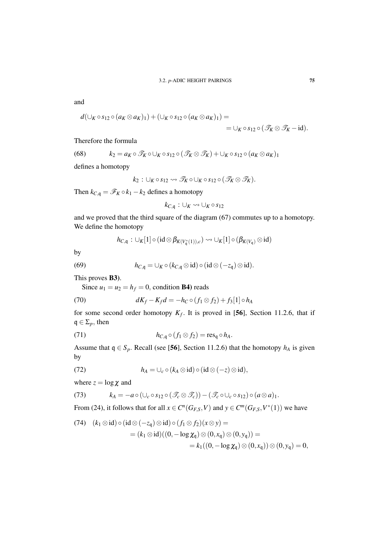and

$$
d(\bigcup_{K} \circ s_{12} \circ (a_{K} \otimes a_{K})_{1}) + (\bigcup_{K} \circ s_{12} \circ (a_{K} \otimes a_{K})_{1}) = \\ = \bigcup_{K} \circ s_{12} \circ (\mathscr{T}_{K} \otimes \mathscr{T}_{K} - id).
$$

Therefore the formula

(68) 
$$
k_2 = a_K \circ \mathcal{F}_K \circ \cup_K \circ s_{12} \circ (\mathcal{F}_K \otimes \mathcal{F}_K) + \cup_K \circ s_{12} \circ (a_K \otimes a_K)_1
$$

defines a homotopy

$$
k_2: \cup_K \circ s_{12} \leadsto \mathscr{T}_K \circ \cup_K \circ s_{12} \circ (\mathscr{T}_K \otimes \mathscr{T}_K).
$$

Then  $k_{C,q} = \mathscr{F}_K \circ k_1 - k_2$  defines a homotopy

$$
k_{C,\mathfrak{q}}:\cup_K\leadsto\cup_K\circ s_{12}
$$

and we proved that the third square of the diagram (67) commutes up to a homotopy. We define the homotopy

$$
h_{C,\mathfrak{q}}: \cup_K [1] \circ (\mathrm{id} \otimes \beta_{K(V_{\mathfrak{q}}^*(1)),c}) \rightsquigarrow \cup_K [1] \circ (\beta_{K(V_{\mathfrak{q}})} \otimes \mathrm{id})
$$

by

(69) 
$$
h_{C,\mathfrak{q}} = \cup_K \circ (k_{C,\mathfrak{q}} \otimes \mathrm{id}) \circ (\mathrm{id} \otimes (-z_{\mathfrak{q}}) \otimes \mathrm{id}).
$$

This proves B3).

Since  $u_1 = u_2 = h_f = 0$ , condition **B4**) reads

(70) 
$$
dK_f - K_f d = -h_C \circ (f_1 \otimes f_2) + f_3[1] \circ h_A
$$

for some second order homotopy  $K_f$ . It is proved in [56], Section 11.2.6, that if  $q \in \Sigma_p$ , then

(71) 
$$
h_{C,q} \circ (f_1 \otimes f_2) = \operatorname{res}_q \circ h_A.
$$

Assume that  $q \in S_p$ . Recall (see [56], Section 11.2.6) that the homotopy  $h_A$  is given by

(72) 
$$
h_A = \cup_c \circ (k_A \otimes id) \circ (id \otimes (-z) \otimes id),
$$

where  $z = \log \chi$  and

(73) 
$$
k_A = -a \circ (\cup_c \circ s_{12} \circ (\mathcal{F}_c \otimes \mathcal{F}_c)) - (\mathcal{F}_c \circ \cup_c \circ s_{12}) \circ (a \otimes a)_1.
$$

From (24), it follows that for all  $x \in C^n(G_{F,S}, V)$  and  $y \in C^m(G_{F,S}, V^*(1))$  we have

(74) 
$$
(k_1 \otimes id) \circ (id \otimes (-z_q) \otimes id) \circ (f_1 \otimes f_2)(x \otimes y) =
$$
  
\n
$$
= (k_1 \otimes id)((0, -\log \chi_q) \otimes (0, x_q) \otimes (0, y_q)) =
$$
\n
$$
= k_1((0, -\log \chi_q) \otimes (0, x_q)) \otimes (0, y_q) = 0,
$$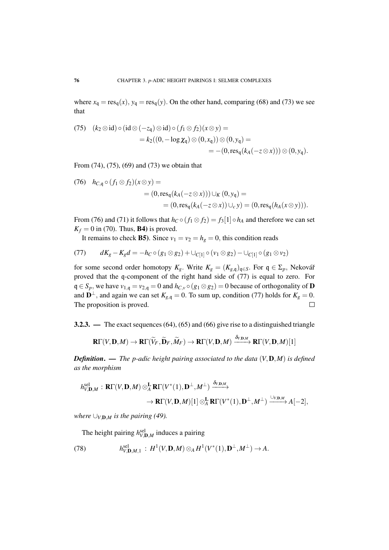where  $x_q = \text{res}_q(x)$ ,  $y_q = \text{res}_q(y)$ . On the other hand, comparing (68) and (73) we see that

(75) 
$$
(k_2 \otimes id) \circ (id \otimes (-z_q) \otimes id) \circ (f_1 \otimes f_2)(x \otimes y) =
$$
  
\t\t\t\t $= k_2((0, -\log \chi_q) \otimes (0, x_q)) \otimes (0, y_q) =$   
\t\t\t\t $= -(0, \text{res}_q(k_A(-z \otimes x))) \otimes (0, y_q).$ 

From (74), (75), (69) and (73) we obtain that

(76) 
$$
h_{C,q} \circ (f_1 \otimes f_2)(x \otimes y) =
$$
  
=  $(0, \text{res}_q(k_A(-z \otimes x))) \cup_K (0, y_q) =$   
=  $(0, \text{res}_q(k_A(-z \otimes x)) \cup_c y) = (0, \text{res}_q(h_A(x \otimes y))).$ 

From (76) and (71) it follows that  $h_C \circ (f_1 \otimes f_2) = f_3[1] \circ h_A$  and therefore we can set  $K_f = 0$  in (70). Thus, **B4**) is proved.

It remains to check **B5**). Since  $v_1 = v_2 = h_g = 0$ , this condition reads

(77) 
$$
dK_g - K_g d = -h_C \circ (g_1 \otimes g_2) + \cup_{C[1]} \circ (v_1 \otimes g_2) - \cup_{C[1]} \circ (g_1 \otimes v_2)
$$

for some second order homotopy  $K_g$ . Write  $K_g = (K_{g,q})_{q \in S}$ . For  $q \in \Sigma_p$ , Nekovář proved that the q-component of the right hand side of (77) is equal to zero. For  $q \in S_p$ , we have  $v_{1,q} = v_{2,q} = 0$  and  $h_{C,v} \circ (g_1 \otimes g_2) = 0$  because of orthogonality of **D** and  $\mathbf{D}^{\perp}$ , and again we can set  $K_{g,q} = 0$ . To sum up, condition (77) holds for  $K_g = 0$ . The proposition is proved.  $\Box$ 

3.2.3. — The exact sequences (64), (65) and (66) give rise to a distinguished triangle

$$
\mathbf{R}\Gamma(V,\mathbf{D},M)\to\mathbf{R}\Gamma(\widetilde{V}_F,\widetilde{\mathbf{D}}_F,\widetilde{M}_F)\to\mathbf{R}\Gamma(V,\mathbf{D},M)\xrightarrow{\delta_{V,\mathbf{D},M}}\mathbf{R}\Gamma(V,\mathbf{D},M)[1]
$$

*Definition*. — *The p-adic height pairing associated to the data* (*V*,D,*M*) *is defined as the morphism*

$$
h_{V,\mathbf{D},M}^{\mathrm{sel}} : \mathbf{R}\Gamma(V,\mathbf{D},M) \otimes_A^{\mathbf{L}} \mathbf{R}\Gamma(V^*(1),\mathbf{D}^{\perp},M^{\perp}) \xrightarrow{\delta_{V,\mathbf{D},M}} \\ \rightarrow \mathbf{R}\Gamma(V,\mathbf{D},M)[1] \otimes_A^{\mathbf{L}} \mathbf{R}\Gamma(V^*(1),\mathbf{D}^{\perp},M^{\perp}) \xrightarrow{\cup_{V,\mathbf{D},M}} A[-2],
$$

*where*  $\bigcup_{V,\mathbf{D},M}$  *is the pairing (49).* 

The height pairing  $h^{\text{sel}}_{V, \mathbf{D}, M}$  induces a pairing

(78) 
$$
h_{V, \mathbf{D}, M, 1}^{sel}: H^{1}(V, \mathbf{D}, M) \otimes_{A} H^{1}(V^{*}(1), \mathbf{D}^{\perp}, M^{\perp}) \to A.
$$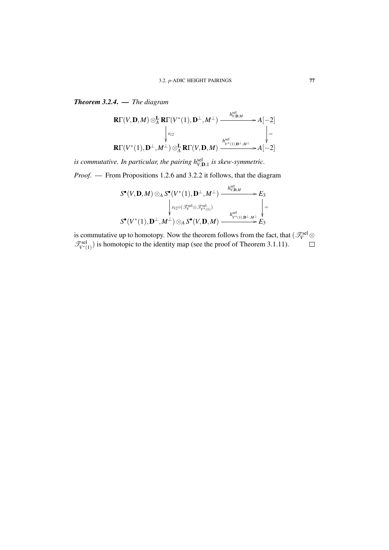sel

*Theorem 3.2.4*. — *The diagram*

$$
\mathbf{R}\Gamma(V,\mathbf{D},M)\otimes_A^{\mathbf{L}}\mathbf{R}\Gamma(V^*(1),\mathbf{D}^{\perp},M^{\perp})\xrightarrow{\qquad h_{V,\mathbf{D},M}^{\text{sel}}}\nA[-2]\n\downarrow\n\downarrow\n\Gamma(V^*(1),\mathbf{D}^{\perp},M^{\perp})\otimes_A^{\mathbf{L}}\mathbf{R}\Gamma(V,\mathbf{D},M)\xrightarrow{\qquad h_{V^*(1),\mathbf{D}^{\perp},M^{\perp}}^{\text{sel}}}\nA[-2]
$$

*is commutative. In particular, the pairing*  $h^{\text{sel}}_{V,D,1}$  *is skew-symmetric. Proof*. — From Propositions 1.2.6 and 3.2.2 it follows, that the diagram

$$
S^{\bullet}(V, \mathbf{D}, M) \otimes_A S^{\bullet}(V^*(1), \mathbf{D}^{\perp}, M^{\perp}) \xrightarrow{h_{V, \mathbf{D}, M}^{\text{sel}}} E_3
$$
  
\n
$$
\downarrow s_{12} \circ (\mathcal{F}_V^{\text{sel}} \otimes \mathcal{F}_{V^*(1)}^{\text{sel}}) \qquad \qquad \downarrow s_{V^*(1), \mathbf{D}^{\perp}, M^{\perp}} \downarrow =
$$
  
\n
$$
S^{\bullet}(V^*(1), \mathbf{D}^{\perp}, M^{\perp}) \otimes_A S^{\bullet}(V, \mathbf{D}, M) \xrightarrow{h_{V^*(1), \mathbf{D}^{\perp}, M^{\perp}}^{\text{sel}} E_3}
$$

is commutative up to homotopy. Now the theorem follows from the fact, that  $(\mathscr{T}^{\mathrm{sel}}_V\otimes$  $\mathcal{T}_{V^*(1)}^{\text{sel}}$  is homotopic to the identity map (see the proof of Theorem 3.1.11).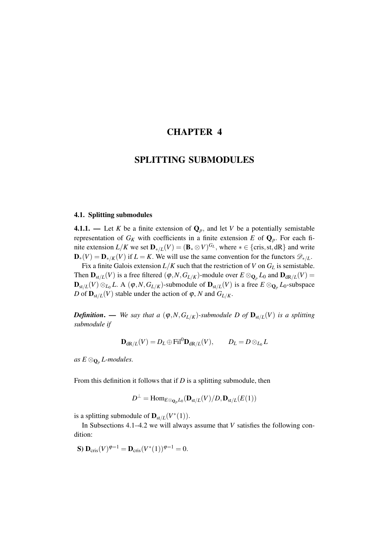# CHAPTER 4

# SPLITTING SUBMODULES

# 4.1. Splitting submodules

**4.1.1.** — Let *K* be a finite extension of  $\mathbf{Q}_p$ , and let *V* be a potentially semistable representation of  $G_K$  with coefficients in a finite extension *E* of  $\mathbf{Q}_p$ . For each finite extension  $L/K$  we set  $\mathbf{D}_{*/L}(V) = (\mathbf{B}_{*} \otimes V)^{G_L}$ , where  $* \in \{\text{cris}, \text{st}, \text{dR}\}\$  and write  $\mathbf{D}_{*}(V) = \mathbf{D}_{*}/K(V)$  if  $L = K$ . We will use the same convention for the functors  $\mathscr{D}_{*}/L$ .

Fix a finite Galois extension  $L/K$  such that the restriction of *V* on  $G_L$  is semistable. Then  $\mathbf{D}_{st/L}(V)$  is a free filtered  $(\varphi, N, G_{L/K})$ -module over  $E \otimes_{\mathbf{Q}_p} L_0$  and  $\mathbf{D}_{dR/L}(V)$  = D<sub>st/*L*</sub>(*V*) ⊗<sub>*L*0</sub> *L*. A ( $\varphi$ ,*N*, *G*<sub>*L*/*K*</sub>)-submodule of D<sub>st/*L*</sub>(*V*) is a free  $E \otimes_{\mathbf{Q}_p} L_0$ -subspace *D* of  $D_{st/L}(V)$  stable under the action of  $\varphi$ , *N* and  $G_{L/K}$ .

*Definition.* — *We say that a*  $(\varphi, N, G_{L/K})$ -submodule D of  $D_{st/L}(V)$  is a splitting *submodule if*

$$
\mathbf{D}_{\mathrm{dR}/L}(V) = D_L \oplus \mathrm{Fil}^0 \mathbf{D}_{\mathrm{dR}/L}(V), \qquad D_L = D \otimes_{L_0} L
$$

*as*  $E \otimes_{\mathbf{Q}_p} L$ -modules.

From this definition it follows that if *D* is a splitting submodule, then

$$
D^{\perp}=\mathrm{Hom}_{E\otimes_{\mathbf{Q}_p}L_0}(\mathbf{D}_{\mathrm{st}/L}(V)/D,\mathbf{D}_{\mathrm{st}/L}(E(1))
$$

is a splitting submodule of  $\mathbf{D}_{st/L}(V^*(1))$ .

In Subsections 4.1–4.2 we will always assume that *V* satisfies the following condition:

**S**) 
$$
\mathbf{D}_{\mathrm{cris}}(V)^{\varphi=1} = \mathbf{D}_{\mathrm{cris}}(V^*(1))^{\varphi=1} = 0.
$$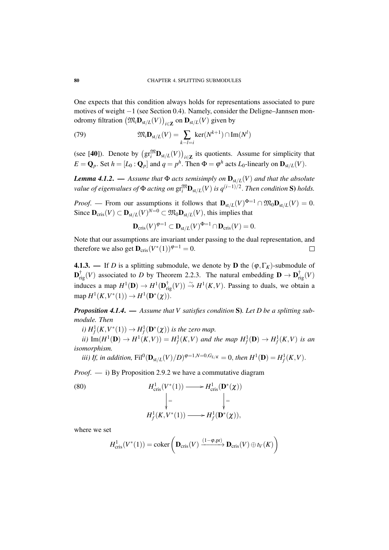One expects that this condition always holds for representations associated to pure motives of weight −1 (see Section 0.4). Namely, consider the Deligne–Jannsen monodromy filtration  $\left(\mathfrak{M}_i\mathbf{D}_{\mathrm{st}/L}(V)\right)_{i\in\mathbf{Z}}$  on  $\mathbf{D}_{\mathrm{st}/L}(V)$  given by

(79) 
$$
\mathfrak{M}_i \mathbf{D}_{st/L}(V) = \sum_{k-l=i} \ker(N^{k+1}) \cap \text{Im}(N^l)
$$

(see [40]). Denote by  $(\text{gr}^{\mathfrak{M}}_{i} \mathbf{D}_{st/L}(V))_{i \in \mathbb{Z}}$  its quotients. Assume for simplicity that  $E = \mathbf{Q}_p$ . Set  $h = [L_0 : \mathbf{Q}_p]$  and  $q = p^h$ . Then  $\Phi = \phi^h$  acts  $L_0$ -linearly on  $\mathbf{D}_{st/L}(V)$ .

*Lemma 4.1.2.* — *Assume that*  $\Phi$  *acts semisimply on*  $\mathbf{D}_{st/L}(V)$  *and that the absolute*  $v$ alue of eigenvalues of  $\Phi$  acting on  $\mathrm{gr}^{\mathfrak{M}}_{i} \mathbf{D}_{\mathrm{st}/L}(V)$  is  $q^{(i-1)/2}.$  Then condition  $\mathbf S$ ) holds.

*Proof.* — From our assumptions it follows that  $\mathbf{D}_{st/L}(V)^{\Phi=1} \cap \mathfrak{M}_0 \mathbf{D}_{st/L}(V) = 0$ . Since  $D_{\text{cris}}(V) \subset D_{\text{st}/L}(V)^{N=0} \subset \mathfrak{M}_0 D_{\text{st}/L}(V)$ , this implies that

$$
\mathbf{D}_{\mathrm{cris}}(V)^{\varphi=1} \subset \mathbf{D}_{\mathrm{st}/L}(V)^{\Phi=1} \cap \mathbf{D}_{\mathrm{cris}}(V) = 0.
$$

Note that our assumptions are invariant under passing to the dual representation, and therefore we also get  $\mathbf{D}_{\mathrm{cris}}(V^*(1))^{\varphi=1} = 0$ .  $\Box$ 

**4.1.3.** — If *D* is a splitting submodule, we denote by **D** the  $(\varphi, \Gamma_K)$ -submodule of  $\mathbf{D}^{\dagger}_{\text{rig}}(V)$  associated to *D* by Theorem 2.2.3. The natural embedding  $\mathbf{D} \to \mathbf{D}^{\dagger}_{\text{rig}}(V)$ induces a map  $H^1(\mathbf{D}) \to H^1(\mathbf{D}_{\text{rig}}^{\dagger}(V)) \overset{\sim}{\to} H^1(K, V)$ . Passing to duals, we obtain a  $map H<sup>1</sup>(K, V^*(1)) \rightarrow H<sup>1</sup>(D^*(\chi)).$ 

*Proposition 4.1.4*. — *Assume that V satisfies condition* S)*. Let D be a splitting submodule. Then*

*i*)  $H_f^1(K, V^*(1)) \to H_f^1(\mathbf{D}^*(\chi))$  *is the zero map.* 

*ii*)  $\text{Im}(H^1(\mathbf{D}) \to H^1(K, V)) = H^1_f(K, V)$  and the map  $H^1_f(\mathbf{D}) \to H^1_f(K, V)$  is an *isomorphism.*

*iii)* If, in addition,  $\text{Fil}^0(\mathbf{D}_{\text{st}/L}(V)/D)^{\varphi=1,N=0,G_{L/K}} = 0$ , then  $H^1(\mathbf{D}) = H^1_f(K, V)$ .

*Proof*. — i) By Proposition 2.9.2 we have a commutative diagram

(80)  
\n
$$
H_{\text{cris}}^1(V^*(1)) \longrightarrow H_{\text{cris}}^1(\mathbf{D}^*(\chi))
$$
\n
$$
\Big| = \Big|
$$
\n
$$
H_f^1(K, V^*(1)) \longrightarrow H_f^1(\mathbf{D}^*(\chi)),
$$

where we set

$$
H_{\mathrm{cris}}^1(V^*(1)) = \mathrm{coker}\left(\mathbf{D}_{\mathrm{cris}}(V) \xrightarrow{(1-\varphi,\mathrm{pr})} \mathbf{D}_{\mathrm{cris}}(V) \oplus t_V(K)\right)
$$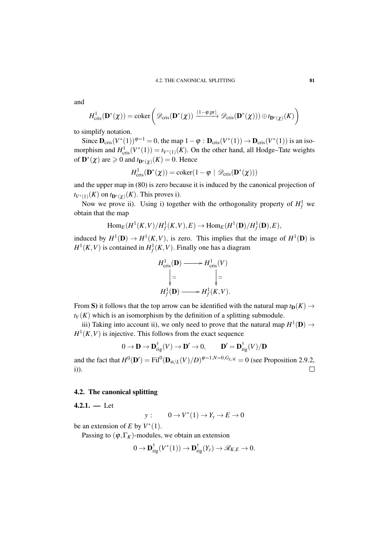and

$$
H^1_{\mathrm{cris}}(\mathbf{D}^*(\chi)) = \mathrm{coker}\left(\mathscr{D}_{\mathrm{cris}}(\mathbf{D}^*(\chi)) \xrightarrow{(1-\varphi,\mathrm{pr})} \mathscr{D}_{\mathrm{cris}}(\mathbf{D}^*(\chi))) \oplus t_{\mathbf{D}^*(\chi)}(K)\right)
$$

to simplify notation.

Since  $\mathbf{D}_{\text{cris}}(V^*(1))^{\varphi=1} = 0$ , the map  $1 - \varphi : \mathbf{D}_{\text{cris}}(V^*(1)) \to \mathbf{D}_{\text{cris}}(V^*(1))$  is an isomorphism and  $H^1_{\text{cris}}(V^*(1)) = t_{V^*(1)}(K)$ . On the other hand, all Hodge–Tate weights of  $\mathbf{D}^*(\chi)$  are  $\geq 0$  and  $t_{\mathbf{D}^*(\chi)}(K) = 0$ . Hence

$$
H^1_{\text{cris}}(\mathbf{D}^*(\chi)) = \text{coker}(1 - \varphi \mid \mathscr{D}_{\text{cris}}(\mathbf{D}^*(\chi)))
$$

and the upper map in (80) is zero because it is induced by the canonical projection of  $t_{V^*(1)}(K)$  on  $t_{\mathbf{D}^*(\chi)}(K)$ . This proves i).

Now we prove ii). Using i) together with the orthogonality property of  $H_f^1$  we obtain that the map

$$
\text{Hom}_E(H^1(K,V)/H^1_f(K,V),E)\to \text{Hom}_E(H^1(\mathbf{D})/H^1_f(\mathbf{D}),E),
$$

induced by  $H^1(\mathbf{D}) \to H^1(K, V)$ , is zero. This implies that the image of  $H^1(\mathbf{D})$  is  $H^1(K, V)$  is contained in  $H^1_f(K, V)$ . Finally one has a diagram

$$
H_{\text{cris}}^{1}(\mathbf{D}) \longrightarrow H_{\text{cris}}^{1}(V)
$$

$$
\downarrow \simeq \qquad \qquad \downarrow \simeq
$$

$$
H_{f}^{1}(\mathbf{D}) \longrightarrow H_{f}^{1}(K, V).
$$

From S) it follows that the top arrow can be identified with the natural map  $t_D(K) \rightarrow$  $t_V(K)$  which is an isomorphism by the definition of a splitting submodule.

iii) Taking into account ii), we only need to prove that the natural map  $H^1(\mathbf{D}) \to$  $H^1(K, V)$  is injective. This follows from the exact sequence

$$
0 \to \mathbf{D} \to \mathbf{D}_{\mathrm{rig}}^{\dagger}(V) \to \mathbf{D}' \to 0, \qquad \mathbf{D}' = \mathbf{D}_{\mathrm{rig}}^{\dagger}(V)/\mathbf{D}
$$

and the fact that  $H^0(\mathbf{D}') = \text{Fil}^0(\mathbf{D}_{\text{st}/L}(V)/D)^{\varphi=1,N=0, G_{L/K}} = 0$  (see Proposition 2.9.2, i)).  $\Box$ 

## 4.2. The canonical splitting

 $4.2.1. - Let$ 

$$
y: \qquad 0 \to V^*(1) \to Y_y \to E \to 0
$$

be an extension of *E* by  $V^*(1)$ .

Passing to  $(\varphi, \Gamma_K)$ -modules, we obtain an extension

$$
0 \to \mathbf{D}_{\mathrm{rig}}^{\dagger}(V^*(1)) \to \mathbf{D}_{\mathrm{rig}}^{\dagger}(Y_y) \to \mathscr{R}_{K,E} \to 0.
$$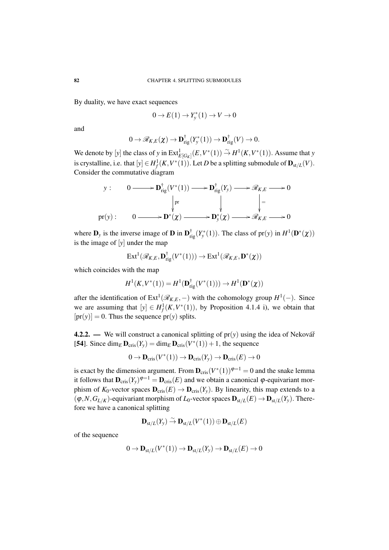By duality, we have exact sequences

$$
0 \to E(1) \to Y_{y}^{*}(1) \to V \to 0
$$

and

$$
0 \to \mathscr{R}_{K,E}(\chi) \to \mathbf{D}_{\mathrm{rig}}^{\dagger}(Y_{y}^{*}(1)) \to \mathbf{D}_{\mathrm{rig}}^{\dagger}(V) \to 0.
$$

We denote by [*y*] the class of *y* in  $\text{Ext}_{E[G_K]}^1(E, V^*(1)) \overset{\sim}{\rightarrow} H^1(K, V^*(1)).$  Assume that *y* is crystalline, i.e. that  $[y] \in H_f^1(K, V^*(1))$ . Let *D* be a splitting submodule of  $\mathbf{D}_{st/L}(V)$ . Consider the commutative diagram

$$
y: \quad 0 \longrightarrow \mathbf{D}_{\mathrm{rig}}^{\dagger}(V^*(1)) \longrightarrow \mathbf{D}_{\mathrm{rig}}^{\dagger}(Y_y) \longrightarrow \mathscr{R}_{K,E} \longrightarrow 0
$$
  
\n
$$
\downarrow \text{pr} \quad \qquad \downarrow \quad \qquad \downarrow \text{pr}
$$
  
\n
$$
\text{pr}(y): \quad 0 \longrightarrow \mathbf{D}^*(\chi) \longrightarrow \mathbf{D}^*_{y}(\chi) \longrightarrow \mathscr{R}_{K,E} \longrightarrow 0
$$

where  $\mathbf{D}_y$  is the inverse image of **D** in  $\mathbf{D}_{\text{rig}}^{\dagger}(Y_y^*(1))$ . The class of  $\text{pr}(y)$  in  $H^1(\mathbf{D}^*(\chi))$ is the image of [*y*] under the map

$$
\mathrm{Ext}^{1}(\mathscr{R}_{K,E},\mathbf{D}_{\mathrm{rig}}^{\dagger}(V^{*}(1))) \to \mathrm{Ext}^{1}(\mathscr{R}_{K,E},\mathbf{D}^{*}(\chi))
$$

which coincides with the map

$$
H^1(K, V^*(1)) = H^1(\mathbf{D}_{\mathrm{rig}}^\dagger(V^*(1))) \to H^1(\mathbf{D}^*(\chi))
$$

after the identification of  $Ext^1(\mathcal{R}_{K,E},-)$  with the cohomology group  $H^1(-)$ . Since we are assuming that  $[y] \in H_f^1(K, V^*(1))$ , by Proposition 4.1.4 i), we obtain that  $[pr(y)] = 0$ . Thus the sequence  $pr(y)$  splits.

4.2.2. — We will construct a canonical splitting of  $pr(y)$  using the idea of Nekovář [54]. Since  $\dim_E \mathbf{D}_{\text{cris}}(Y_y) = \dim_E \mathbf{D}_{\text{cris}}(V^*(1)) + 1$ , the sequence

$$
0 \to \mathbf{D}_{\mathrm{cris}}(V^*(1)) \to \mathbf{D}_{\mathrm{cris}}(Y_y) \to \mathbf{D}_{\mathrm{cris}}(E) \to 0
$$

is exact by the dimension argument. From  $\mathbf{D}_{\text{cris}}(V^*(1))^{\varphi=1} = 0$  and the snake lemma it follows that  $D_{\text{cris}}(Y_y)^{\varphi=1} = D_{\text{cris}}(E)$  and we obtain a canonical  $\varphi$ -equivariant morphism of  $K_0$ -vector spaces  $\mathbf{D}_{\text{cris}}(E) \to \mathbf{D}_{\text{cris}}(Y_\nu)$ . By linearity, this map extends to a  $(\varphi, N, G_{L/K})$ -equivariant morphism of  $L_0$ -vector spaces  $\mathbf{D}_{st/L}(E) \to \mathbf{D}_{st/L}(Y_y)$ . Therefore we have a canonical splitting

$$
\mathbf{D}_{\mathrm{st}/L}(Y_{y})\overset{\sim}{\to}\mathbf{D}_{\mathrm{st}/L}(V^{*}(1))\oplus\mathbf{D}_{\mathrm{st}/L}(E)
$$

of the sequence

$$
0 \to \mathbf{D}_{\mathrm{st}/L}(V^*(1)) \to \mathbf{D}_{\mathrm{st}/L}(Y_y) \to \mathbf{D}_{\mathrm{st}/L}(E) \to 0
$$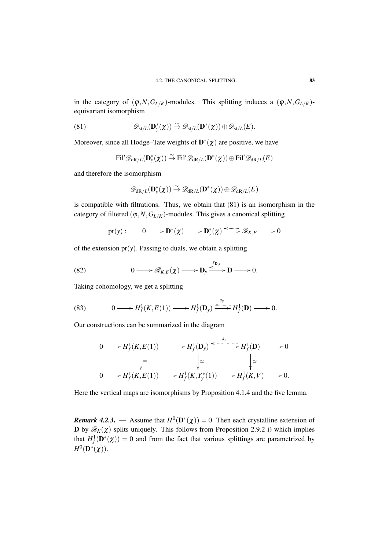in the category of  $(\varphi, N, G_{L/K})$ -modules. This splitting induces a  $(\varphi, N, G_{L/K})$ equivariant isomorphism

(81) 
$$
\mathscr{D}_{st/L}(\mathbf{D}_{y}^{*}(\boldsymbol{\chi})) \overset{\sim}{\to} \mathscr{D}_{st/L}(\mathbf{D}^{*}(\boldsymbol{\chi})) \oplus \mathscr{D}_{st/L}(E).
$$

Moreover, since all Hodge–Tate weights of  $\mathbf{D}^*(\chi)$  are positive, we have

$$
\textnormal{Fil}^i\mathscr{D}_{\textnormal{dR}/L}(\mathbf{D}^*_y(\chi))\stackrel{\sim}{\to} \textnormal{Fil}^i\mathscr{D}_{\textnormal{dR}/L}(\mathbf{D}^*(\chi))\oplus \textnormal{Fil}^i\mathscr{D}_{\textnormal{dR}/L}(E)
$$

and therefore the isomorphism

$$
\mathscr{D}_{\mathrm{dR}/L}(\mathbf{D}^*_y(\boldsymbol{\chi})) \overset{\sim}{\to} \mathscr{D}_{\mathrm{dR}/L}(\mathbf{D}^*(\boldsymbol{\chi})) \oplus \mathscr{D}_{\mathrm{dR}/L}(E)
$$

is compatible with filtrations. Thus, we obtain that (81) is an isomorphism in the category of filtered  $(\varphi, N, G_{L/K})$ -modules. This gives a canonical splitting

$$
\mathrm{pr}(\mathrm{y}): \qquad 0 \longrightarrow \mathbf{D}^*(\chi) \longrightarrow \mathbf{D}^*_{\mathrm{y}}(\chi) \xrightarrow{\text{symm}} \mathscr{R}_{K,E} \longrightarrow 0
$$

of the extension  $pr(y)$ . Passing to duals, we obtain a splitting

(82) 
$$
0 \longrightarrow \mathscr{R}_{K,E}(\chi) \longrightarrow \mathbf{D}_y \stackrel{s_{\mathbf{D},y}}{\longrightarrow} \mathbf{D} \longrightarrow 0.
$$

Taking cohomology, we get a splitting

(83) 
$$
0 \longrightarrow H_f^1(K, E(1)) \longrightarrow H_f^1(\mathbf{D}_y) \xrightarrow{s_y} H_f^1(\mathbf{D}) \longrightarrow 0.
$$

Our constructions can be summarized in the diagram

$$
0 \longrightarrow H_f^1(K, E(1)) \longrightarrow H_f^1(\mathbf{D}_y) \xrightarrow{\begin{array}{c} s_y \\ \longleftarrow \\ H_f^1(\mathbf{D}) \longrightarrow 0 \end{array}} H_f^1(\mathbf{D}) \longrightarrow 0
$$
  
\n
$$
\Big| = \Big| \Big| \cong \Big| \cong \Big| \cong
$$
  
\n
$$
0 \longrightarrow H_f^1(K, E(1)) \longrightarrow H_f^1(K, Y_y^*(1)) \longrightarrow H_f^1(K, V) \longrightarrow 0.
$$

Here the vertical maps are isomorphisms by Proposition 4.1.4 and the five lemma.

*Remark 4.2.3.* — Assume that  $H^0(D^*(\chi)) = 0$ . Then each crystalline extension of **D** by  $\mathscr{R}_K(\chi)$  splits uniquely. This follows from Proposition 2.9.2 i) which implies that  $H^1_f(\mathbf{D}^*(\chi)) = 0$  and from the fact that various splittings are parametrized by  $H^0(\mathbf{D}^*(\boldsymbol{\chi})).$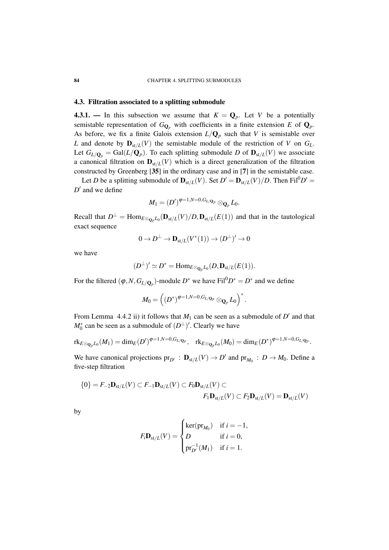#### 4.3. Filtration associated to a splitting submodule

4.3.1. — In this subsection we assume that  $K = \mathbf{Q}_p$ . Let *V* be a potentially semistable representation of  $G_{\mathbf{Q}_p}$  with coefficients in a finite extension *E* of  $\mathbf{Q}_p$ . As before, we fix a finite Galois extension  $L/Q_p$  such that *V* is semistable over *L* and denote by  $\mathbf{D}_{st/L}(V)$  the semistable module of the restriction of *V* on  $G_L$ . Let  $G_{L/\mathbf{Q}_p} = \text{Gal}(L/\mathbf{Q}_p)$ . To each splitting submodule *D* of  $\mathbf{D}_{st/L}(V)$  we associate a canonical filtration on  $D_{st/L}(V)$  which is a direct generalization of the filtration constructed by Greenberg [35] in the ordinary case and in [7] in the semistable case.

Let *D* be a splitting submodule of  $\mathbf{D}_{st/L}(V)$ . Set  $D' = \mathbf{D}_{st/L}(V)/D$ . Then Fil<sup>0</sup> $D' =$  $D'$  and we define

$$
M_1=(D')^{\phi=1,N=0,G_{L/\mathbf Q_p}}\otimes_{\mathbf Q_p}L_0.
$$

Recall that  $D^{\perp} = \text{Hom}_{E \otimes_{\mathbb{Q}_p} L_0}(\mathbf{D}_{st/L}(V)/D, \mathbf{D}_{st/L}(E(1))$  and that in the tautological exact sequence

$$
0 \to D^\perp \to \mathbf{D}_{\mathrm{st}/L}(V^*(1)) \to (D^\perp)^\prime \to 0
$$

we have

$$
(D^{\perp})' \simeq D^* = \mathrm{Hom}_{E \otimes_{\mathbf{Q}_p} L_0}(D, \mathbf{D}_{st/L}(E(1)).
$$

For the filtered  $(\varphi, N, G_{L/\mathbf{Q}_p})$ -module  $D^*$  we have  $\text{Fil}^0D^* = D^*$  and we define

$$
M_0=\left((D^*)^{\phi=1,N=0,G_{L/\mathbf{Q}_P}}\otimes_{\mathbf{Q}_P}L_0\right)^*.
$$

From Lemma 4.4.2 ii) it follows that  $M_1$  can be seen as a submodule of  $D'$  and that  $M_0^*$  can be seen as a submodule of  $(D^{\perp})'$ . Clearly we have

$$
\mathrm{rk}_{E\otimes_{\mathbf{Q}_p}L_0}(M_1)=\mathrm{dim}_E(D')^{\varphi=1,N=0,G_{L/\mathbf{Q}_p}},\ \ \mathrm{rk}_{E\otimes_{\mathbf{Q}_p}L_0}(M_0)=\mathrm{dim}_E(D^*)^{\varphi=1,N=0,G_{L/\mathbf{Q}_p}}.
$$

We have canonical projections  $pr_{D'}$ :  $D_{st/L}(V) \rightarrow D'$  and  $pr_{M_0}$ :  $D \rightarrow M_0$ . Define a five-step filtration

$$
\{0\} = F_{-2} \mathbf{D}_{st/L}(V) \subset F_{-1} \mathbf{D}_{st/L}(V) \subset F_0 \mathbf{D}_{st/L}(V) \subset
$$
  

$$
F_1 \mathbf{D}_{st/L}(V) \subset F_2 \mathbf{D}_{st/L}(V) = \mathbf{D}_{st/L}(V)
$$

by

$$
F_i \mathbf{D}_{st/L}(V) = \begin{cases} \ker(\mathrm{pr}_{M_0}) & \text{if } i = -1, \\ D & \text{if } i = 0, \\ \mathrm{pr}_{D'}^{-1}(M_1) & \text{if } i = 1. \end{cases}
$$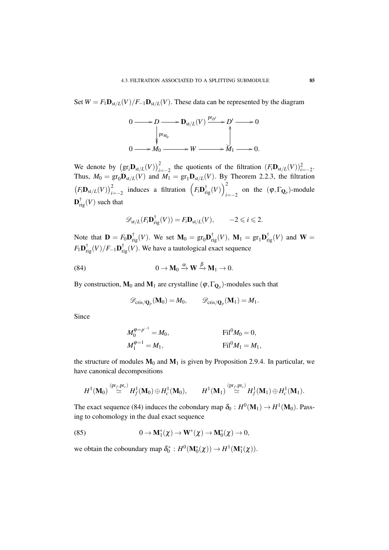Set  $W = F_1 \mathbf{D}_{st/L}(V)/F_{-1} \mathbf{D}_{st/L}(V)$ . These data can be represented by the diagram

$$
0 \longrightarrow D \longrightarrow D_{\mathrm{st}/L}(V) \xrightarrow{\mathrm{pr}_{D'}} D' \longrightarrow 0
$$
  

$$
\downarrow \qquad \qquad \downarrow
$$
  

$$
0 \longrightarrow M_0 \longrightarrow W \longrightarrow M_1 \longrightarrow 0.
$$

We denote by  $(\text{gr}_i \mathbf{D}_{st/L}(V))_{i=-2}^2$  the quotients of the filtration  $(F_i \mathbf{D}_{st/L}(V))_{i=-2}^2$ . Thus,  $M_0 = \text{gr}_0 \mathbf{D}_{\text{st}/L}(V)$  and  $M_1 = \text{gr}_1 \mathbf{D}_{\text{st}/L}(V)$ . By Theorem 2.2.3, the filtration  $\left(F_i \mathbf{D}_{st/L}(V)\right)_{i=-2}^2$  induces a filtration  $\left(F_i \mathbf{D}_{rig}^\dagger(V)\right)_{i=-2}^2$  $\sum_{i=-2}$  on the  $(\varphi, \Gamma_{\mathbf{Q}_p})$ -module  $\mathbf{D}^{\dagger}_{\mathrm{rig}}(V)$  such that

$$
\mathscr{D}_{\mathrm{st}/L}(F_i \mathbf{D}_{\mathrm{rig}}^\dagger(V)) = F_i \mathbf{D}_{\mathrm{st}/L}(V), \qquad -2 \leqslant i \leqslant 2.
$$

Note that  $\mathbf{D} = F_0 \mathbf{D}_{\text{rig}}^{\dagger}(V)$ . We set  $\mathbf{M}_0 = \text{gr}_0 \mathbf{D}_{\text{rig}}^{\dagger}(V)$ ,  $\mathbf{M}_1 = \text{gr}_1 \mathbf{D}_{\text{rig}}^{\dagger}(V)$  and  $\mathbf{W} =$  $F_1\mathbf{D}_{\mathrm{rig}}^\dagger(V)/F_{-1}\mathbf{D}_{\mathrm{rig}}^\dagger(V).$  We have a tautological exact sequence

(84) 
$$
0 \to \mathbf{M}_0 \xrightarrow{\alpha} \mathbf{W} \xrightarrow{\beta} \mathbf{M}_1 \to 0.
$$

By construction,  $\mathbf{M}_0$  and  $\mathbf{M}_1$  are crystalline  $(\boldsymbol{\varphi}, \Gamma_{\mathbf{Q}_p})$ -modules such that

$$
\mathscr{D}_{\mathrm{cris}/\mathbf{Q}_p}(\mathbf{M}_0)=M_0,\qquad \mathscr{D}_{\mathrm{cris}/\mathbf{Q}_p}(\mathbf{M}_1)=M_1.
$$

Since

$$
M_0^{\varphi=p^{-1}} = M_0,
$$
 Fil<sup>0</sup>M<sub>0</sub> = 0,  

$$
M_1^{\varphi=1} = M_1,
$$
 Fil<sup>0</sup>M<sub>1</sub> = M<sub>1</sub>,

the structure of modules  $M_0$  and  $M_1$  is given by Proposition 2.9.4. In particular, we have canonical decompositions

$$
H^1(\mathbf{M}_0) \stackrel{\text{(pr}_f,\text{pr}_c)}{\simeq} H^1_f(\mathbf{M}_0) \oplus H^1_c(\mathbf{M}_0), \qquad H^1(\mathbf{M}_1) \stackrel{\text{(pr}_f,\text{pr}_c)}{\simeq} H^1_f(\mathbf{M}_1) \oplus H^1_c(\mathbf{M}_1).
$$

The exact sequence (84) induces the cobondary map  $\delta_0 : H^0(\mathbf{M}_1) \to H^1(\mathbf{M}_0)$ . Passing to cohomology in the dual exact sequence

(85) 
$$
0 \to \mathbf{M}_1^*(\chi) \to \mathbf{W}^*(\chi) \to \mathbf{M}_0^*(\chi) \to 0,
$$

we obtain the coboundary map  $\delta_0^* : H^0(\mathbf{M}_0^*(\chi)) \to H^1(\mathbf{M}_1^*(\chi)).$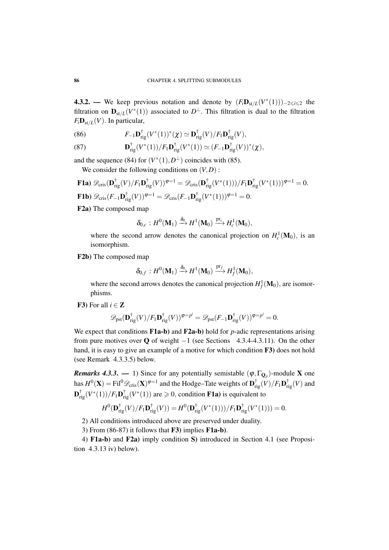**4.3.2.** — We keep previous notation and denote by  $(F_i \mathbf{D}_{st/L}(V^*(1)))_{-2 \leq i \leq 2}$  the filtration on  $\mathbf{D}_{st/L}(V^*(1))$  associated to  $D^{\perp}$ . This filtration is dual to the filtration  $F_i \mathbf{D}_{st/L}(V)$ . In particular,

(86) 
$$
F_{-1}\mathbf{D}_{\mathrm{rig}}^{\dagger}(V^*(1))^*(\chi) \simeq \mathbf{D}_{\mathrm{rig}}^{\dagger}(V)/F_1\mathbf{D}_{\mathrm{rig}}^{\dagger}(V),
$$

(87) 
$$
\mathbf{D}_{\mathrm{rig}}^{\dagger}(V^*(1))/F_1\mathbf{D}_{\mathrm{rig}}^{\dagger}(V^*(1)) \simeq (F_{-1}\mathbf{D}_{\mathrm{rig}}^{\dagger}(V))^*(\chi),
$$

and the sequence (84) for  $(V^*(1), D^{\perp})$  coincides with (85). We consider the following conditions on  $(V, D)$ :

**F1a)** 
$$
\mathscr{D}_{\text{cris}}(\mathbf{D}_{\text{rig}}^{\dagger}(V)/F_1\mathbf{D}_{\text{rig}}^{\dagger}(V))^{\varphi=1} = \mathscr{D}_{\text{cris}}(\mathbf{D}_{\text{rig}}^{\dagger}(V^*(1)))/F_1\mathbf{D}_{\text{rig}}^{\dagger}(V^*(1)))^{\varphi=1} = 0.
$$
  
\n**F1b)**  $\mathscr{D}_{\text{cris}}(F_{-1}\mathbf{D}_{\text{rig}}^{\dagger}(V))^{\varphi=1} = \mathscr{D}_{\text{cris}}(F_{-1}\mathbf{D}_{\text{rig}}^{\dagger}(V^*(1)))^{\varphi=1} = 0.$ 

F2a) The composed map

$$
\delta_{0,c}: H^0(\mathbf{M}_1) \xrightarrow{\delta_0} H^1(\mathbf{M}_0) \xrightarrow{\mathrm{pr}_c} H^1_c(\mathbf{M}_0),
$$

where the second arrow denotes the canonical projection on  $H_c^1(\mathbf{M}_0)$ , is an isomorphism.

F2b) The composed map

$$
\delta_{0,f}:H^0(\mathbf{M}_1)\xrightarrow{\delta_0} H^1(\mathbf{M}_0)\xrightarrow{\mathrm{pr}_f} H^1_f(\mathbf{M}_0),
$$

where the second arrows denotes the canonical projection  $H_f^1(\mathbf{M}_0)$ , are isomorphisms.

F3) For all  $i \in \mathbb{Z}$ 

$$
\mathscr{D}_\text{pst}(\mathbf{D}^\dagger_\text{rig}(V)/F_1\mathbf{D}^\dagger_\text{rig}(V))^{\varphi=p^i} = \mathscr{D}_\text{pst}(F_{-1}\mathbf{D}^\dagger_\text{rig}(V))^{\varphi=p^i} = 0.
$$

We expect that conditions **F1a-b**) and **F2a-b**) hold for *p*-adic representations arising from pure motives over Q of weight  $-1$  (see Sections 4.3.4-4.3.11). On the other hand, it is easy to give an example of a motive for which condition F3) does not hold (see Remark 4.3.3.5) below.

*Remarks 4.3.3.* — 1) Since for any potentially semistable  $(\varphi, \Gamma_{\mathbf{Q}_p})$ -module X one has  $H^0(\mathbf{X}) = \text{Fil}^0 \mathscr{D}_{\text{cris}}(\mathbf{X})^{\varphi=1}$  and the Hodge–Tate weights of  $\mathbf{D}^\dagger_{\text{rig}}(V)/F_1 \mathbf{D}^\dagger_{\text{rig}}(V)$  and  $\mathbf{D}^{\dagger}_{\text{rig}}(V^*(1))/F_1\mathbf{D}^{\dagger}_{\text{rig}}(V^*(1))$  are  $\geq 0$ , condition **F1a**) is equivalent to

$$
H^{0}(\mathbf{D}_{\mathrm{rig}}^{\dagger}(V)/F_{1}\mathbf{D}_{\mathrm{rig}}^{\dagger}(V)) = H^{0}(\mathbf{D}_{\mathrm{rig}}^{\dagger}(V^{*}(1)))/F_{1}\mathbf{D}_{\mathrm{rig}}^{\dagger}(V^{*}(1))) = 0.
$$

2) All conditions introduced above are preserved under duality.

3) From (86-87) it follows that F3) implies F1a-b).

4) F1a-b) and F2a) imply condition S) introduced in Section 4.1 (see Proposition 4.3.13 iv) below).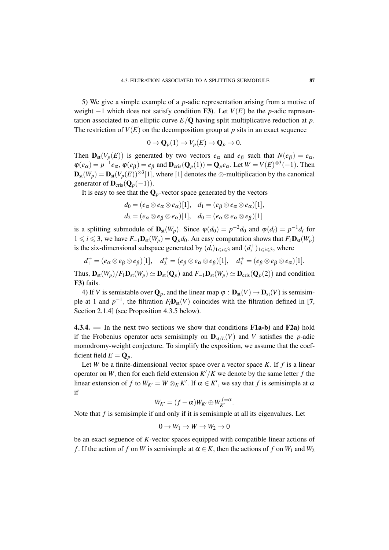5) We give a simple example of a *p*-adic representation arising from a motive of weight  $-1$  which does not satisfy condition **F3**). Let  $V(E)$  be the *p*-adic representation associated to an elliptic curve  $E/\mathbf{Q}$  having split multiplicative reduction at p. The restriction of  $V(E)$  on the decomposition group at p sits in an exact sequence

$$
0 \to \mathbf{Q}_p(1) \to V_p(E) \to \mathbf{Q}_p \to 0.
$$

Then  $\mathbf{D}_{st}(V_p(E))$  is generated by two vectors  $e_\alpha$  and  $e_\beta$  such that  $N(e_\beta) = e_\alpha$ ,  $\varphi(e_{\alpha}) = p^{-1}e_{\alpha}, \varphi(e_{\beta}) = e_{\beta}$  and  $\mathbf{D}_{\text{cris}}(\mathbf{Q}_p(1)) = \mathbf{Q}_p e_{\alpha}$ . Let  $W = V(E)^{\otimes 3}(-1)$ . Then  $\mathbf{D}_{st}(W_p) = \mathbf{D}_{st}(V_p(E))^{\otimes 3}[1]$ , where [1] denotes the ⊗-multiplication by the canonical generator of  $\mathbf{D}_{\text{cris}}(\mathbf{Q}_p(-1))$ .

It is easy to see that the  $\mathbf{Q}_p$ -vector space generated by the vectors

$$
d_0 = (e_\alpha \otimes e_\alpha \otimes e_\alpha)[1], \quad d_1 = (e_\beta \otimes e_\alpha \otimes e_\alpha)[1],
$$
  

$$
d_2 = (e_\alpha \otimes e_\beta \otimes e_\alpha)[1], \quad d_0 = (e_\alpha \otimes e_\alpha \otimes e_\beta)[1]
$$

is a splitting submodule of  $\mathbf{D}_{st}(W_p)$ . Since  $\varphi(d_0) = p^{-2}d_0$  and  $\varphi(d_i) = p^{-1}d_i$  for 1 ≤ *i* ≤ 3, we have  $F_{-1}$ **D**<sub>st</sub>( $W_p$ ) = **Q**<sub>*p*</sub> $d_0$ . An easy computation shows that  $F_1$ **D**<sub>st</sub>( $W_p$ ) is the six-dimensional subspace generated by  $(d_i)_{1 \leq i \leq 3}$  and  $(d_i^+)_{1 \leq i \leq 3}$ , where

$$
d_1^+ = (e_\alpha \otimes e_\beta \otimes e_\beta)[1], \quad d_2^+ = (e_\beta \otimes e_\alpha \otimes e_\beta)[1], \quad d_3^+ = (e_\beta \otimes e_\beta \otimes e_\alpha)[1].
$$

Thus,  $\mathbf{D}_{st}(W_p)/F_1\mathbf{D}_{st}(W_p) \simeq \mathbf{D}_{st}(\mathbf{Q}_p)$  and  $F_{-1}\mathbf{D}_{st}(W_p) \simeq \mathbf{D}_{cris}(\mathbf{Q}_p(2))$  and condition F3) fails.

4) If *V* is semistable over  $\mathbf{Q}_p$ , and the linear map  $\varphi : \mathbf{D}_{st}(V) \to \mathbf{D}_{st}(V)$  is semisimple at 1 and  $p^{-1}$ , the filtration  $F_i\mathbf{D}_{st}(V)$  coincides with the filtration defined in [7, Section 2.1.4] (see Proposition 4.3.5 below).

4.3.4. — In the next two sections we show that conditions F1a-b) and F2a) hold if the Frobenius operator acts semisimply on  $\mathbf{D}_{st/L}(V)$  and *V* satisfies the *p*-adic monodromy-weight conjecture. To simplify the exposition, we assume that the coefficient field  $E = \mathbf{Q}_p$ .

Let *W* be a finite-dimensional vector space over a vector space *K*. If  $f$  is a linear operator on *W*, then for each field extension  $K'/K$  we denote by the same letter f the linear extension of *f* to  $W_{K'} = W \otimes_K K'$ . If  $\alpha \in K'$ , we say that *f* is semisimple at  $\alpha$ if

$$
W_{K'}=(f-\alpha)W_{K'}\oplus W_{K'}^{f=\alpha}.
$$

Note that *f* is semisimple if and only if it is semisimple at all its eigenvalues. Let

$$
0 \to W_1 \to W \to W_2 \to 0
$$

be an exact seguence of *K*-vector spaces equipped with compatible linear actions of *f*. If the action of *f* on *W* is semisimple at  $\alpha \in K$ , then the actions of *f* on  $W_1$  and  $W_2$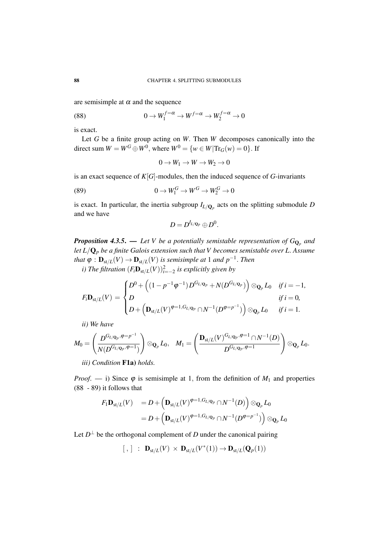are semisimple at  $\alpha$  and the sequence

(88) 
$$
0 \to W_1^{f=\alpha} \to W^{f=\alpha} \to W_2^{f=\alpha} \to 0
$$

is exact.

Let *G* be a finite group acting on *W*. Then *W* decomposes canonically into the direct sum  $W = W^G \oplus W^0$ , where  $W^0 = \{w \in W | \text{Tr}_G(w) = 0\}$ . If

$$
0 \to W_1 \to W \to W_2 \to 0
$$

is an exact sequence of *K*[*G*]-modules, then the induced sequence of *G*-invariants

(89) 
$$
0 \to W_1^G \to W^G \to W_2^G \to 0
$$

is exact. In particular, the inertia subgroup  $I_{L/\mathbf{Q}_p}$  acts on the splitting submodule *D* and we have

$$
D=D^{I_{L/\mathbf{Q}_p}}\oplus D^0.
$$

*Proposition 4.3.5*. — *Let V be a potentially semistable representation of G*Q*<sup>p</sup> and let L*/Q*<sup>p</sup> be a finite Galois extension such that V becomes semistable over L*. *Assume* that  $\varphi$  :  $\mathbf{D}_{\text{st}/L}(V) \to \mathbf{D}_{\text{st}/L}(V)$  *is semisimple at* 1 *and p*<sup>−1</sup>. *Then* 

*i)* The filtration  $(F_i \mathbf{D}_{st/L}(V))_{i=-2}^2$  is explicitly given by

$$
F_i \mathbf{D}_{st/L}(V) = \begin{cases} D^0 + \left( (1 - p^{-1} \varphi^{-1}) D^{G_{L/\mathbf{Q}_p}} + N(D^{G_{L/\mathbf{Q}_p}}) \right) \otimes_{\mathbf{Q}_p} L_0 & \text{if } i = -1, \\ D & \text{if } i = 0, \\ D + \left( \mathbf{D}_{st/L}(V)^{\varphi=1, G_{L/\mathbf{Q}_p}} \cap N^{-1}(D^{\varphi=p^{-1}}) \right) \otimes_{\mathbf{Q}_p} L_0 & \text{if } i = 1. \end{cases}
$$

*ii) We have*

$$
M_0=\left(\frac{D^{G_{L/\mathbf{Q}_p},\varphi=p^{-1}}}{N(D^{G_{L/\mathbf{Q}_p},\varphi=1})}\right)\otimes_{\mathbf{Q}_p} L_0,\quad M_1=\left(\frac{\mathbf{D}_{\mathrm{st}/L}(V)^{G_{L/\mathbf{Q}_p},\varphi=1}\cap N^{-1}(D)}{D^{G_{L/\mathbf{Q}_p},\varphi=1}}\right)\otimes_{\mathbf{Q}_p} L_0.
$$

*iii) Condition* F1a) *holds.*

*Proof.* — i) Since  $\varphi$  is semisimple at 1, from the definition of  $M_1$  and properties (88 - 89) it follows that

$$
F_1 \mathbf{D}_{\mathrm{st}/L}(V) = D + \left( \mathbf{D}_{\mathrm{st}/L}(V)^{\varphi=1, G_{L/\mathbf{Q}_p}} \cap N^{-1}(D) \right) \otimes_{\mathbf{Q}_p} L_0
$$
  
= 
$$
D + \left( \mathbf{D}_{\mathrm{st}/L}(V)^{\varphi=1, G_{L/\mathbf{Q}_p}} \cap N^{-1}(D^{\varphi=p^{-1}}) \right) \otimes_{\mathbf{Q}_p} L_0
$$

Let  $D^{\perp}$  be the orthogonal complement of *D* under the canonical pairing

$$
[~,~] \ : \ \mathbf{D}_{\mathrm{st}/L}(V) \, \times \, \mathbf{D}_{\mathrm{st}/L}(V^*(1)) \to \mathbf{D}_{\mathrm{st}/L}(\mathbf{Q}_p(1))
$$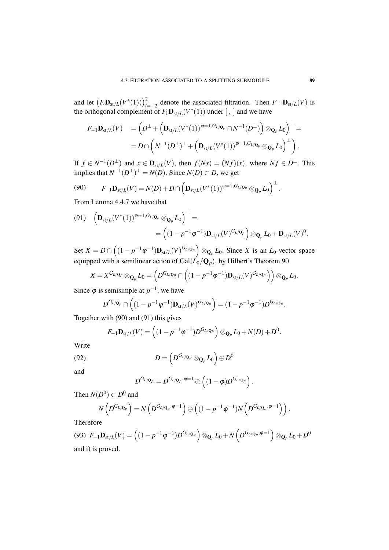and let  $(F_i \mathbf{D}_{st/L}(V^*(1)))_{i=-2}^2$  denote the associated filtration. Then  $F_{-1} \mathbf{D}_{st/L}(V)$  is the orthogonal complement of  $F_1 \mathbf{D}_{st/L}(V^*(1))$  under [, ] and we have

$$
F_{-1}\mathbf{D}_{st/L}(V) = \left(D^{\perp} + \left(\mathbf{D}_{st/L}(V^*(1))^{\varphi=1, G_{L/\mathbf{Q}_p}} \cap N^{-1}(D^{\perp})\right) \otimes_{\mathbf{Q}_p} L_0\right)^{\perp} =
$$
  
=  $D \cap \left(N^{-1}(D^{\perp})^{\perp} + \left(\mathbf{D}_{st/L}(V^*(1))^{\varphi=1, G_{L/\mathbf{Q}_p}} \otimes_{\mathbf{Q}_p} L_0\right)^{\perp}\right).$ 

If  $f \in N^{-1}(D^{\perp})$  and  $x \in \mathbf{D}_{st/L}(V)$ , then  $f(Nx) = (Nf)(x)$ , where  $Nf \in D^{\perp}$ . This implies that  $N^{-1}(D^{\perp})^{\perp} = N(D)$ . Since  $N(D) \subset D$ , we get

$$
(90) \tF_{-1}\mathbf{D}_{\mathrm{st}/L}(V) = N(D) + D \cap \left(\mathbf{D}_{\mathrm{st}/L}(V^*(1))^{\varphi=1, G_{L/\mathbf{Q}_p}} \otimes_{\mathbf{Q}_p} L_0\right)^{\perp}.
$$

From Lemma 4.4.7 we have that

$$
(91) \quad \left(\mathbf{D}_{\mathrm{st}/L}(V^*(1))^{\varphi=1,G_{L/\mathbf{Q}_p}}\otimes_{\mathbf{Q}_p}L_0\right)^\perp = \newline = \left((1-p^{-1}\varphi^{-1})\mathbf{D}_{\mathrm{st}/L}(V)^{G_{L/\mathbf{Q}_p}}\right)\otimes_{\mathbf{Q}_p}L_0 + \mathbf{D}_{\mathrm{st}/L}(V)^0.
$$

Set  $X = D \cap ((1 - p^{-1} \varphi^{-1}) \mathbf{D}_{st/L}(V)^{G_{L/\mathbf{Q}_p}}) \otimes_{\mathbf{Q}_p} L_0$ . Since X is an  $L_0$ -vector space equipped with a semilinear action of  $\operatorname{Gal}(L_0/{\mathbf Q}_p),$  by Hilbert's Theorem 90

$$
X=X^{G_{L/\mathbf{Q}_p}}\otimes_{\mathbf{Q}_p}L_0=\left(D^{G_{L/\mathbf{Q}_p}}\cap \left((1-p^{-1}\phi^{-1})\mathbf{D}_{\mathrm{st}/L}(V)^{G_{L/\mathbf{Q}_p}}\right)\right)\otimes_{\mathbf{Q}_p}L_0.
$$

Since  $\varphi$  is semisimple at  $p^{-1}$ , we have

$$
D^{G_{L/\mathbf{Q}_p}} \cap \left( (1-p^{-1}\varphi^{-1}) \mathbf{D}_{st/L}(V)^{G_{L/\mathbf{Q}_p}} \right) = (1-p^{-1}\varphi^{-1})D^{G_{L/\mathbf{Q}_p}}.
$$

Together with (90) and (91) this gives

$$
F_{-1}\mathbf{D}_{\mathrm{st}/L}(V) = \left((1-p^{-1}\varphi^{-1})D^{G_{L/\mathbf{Q}_p}}\right)\otimes_{\mathbf{Q}_p} L_0 + N(D) + D^0.
$$

Write

(92) 
$$
D = \left( D^{G_{L/\mathbf{Q}_p}} \otimes_{\mathbf{Q}_p} L_0 \right) \oplus D^0
$$

and

$$
D^{G_{L/\mathbf{Q}_p}} = D^{G_{L/\mathbf{Q}_p},\varphi=1} \oplus \left( (1-\varphi)D^{G_{L/\mathbf{Q}_p}} \right).
$$

Then  $N(D^0) \subset D^0$  and

$$
N\left(D^{G_{L/\mathbf{Q}_p}}\right)=N\left(D^{G_{L/\mathbf{Q}_p},\varphi=1}\right)\oplus\left((1-p^{-1}\varphi^{-1})N\left(D^{G_{L/\mathbf{Q}_p},\varphi=1}\right)\right).
$$

Therefore

(93) 
$$
F_{-1} \mathbf{D}_{st/L}(V) = \left( (1 - p^{-1} \varphi^{-1}) D^{G_{L/\mathbf{Q}_p}} \right) \otimes_{\mathbf{Q}_p} L_0 + N \left( D^{G_{L/\mathbf{Q}_p}, \varphi = 1} \right) \otimes_{\mathbf{Q}_p} L_0 + D^0
$$
  
and i) is proved.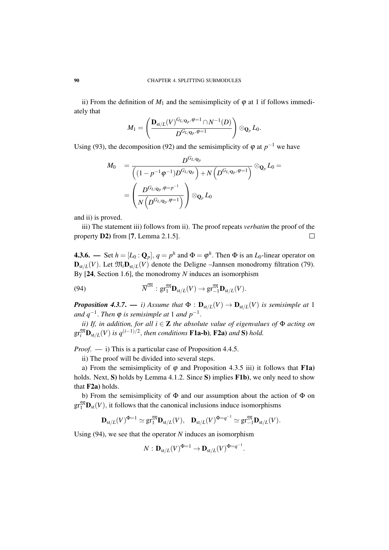ii) From the definition of  $M_1$  and the semisimplicity of  $\varphi$  at 1 if follows immediately that

$$
M_1=\left(\frac{\mathbf{D}_{\mathrm{st}/L}(V)^{G_{L/\mathbf{Q}_p},\varphi=1}\cap N^{-1}(D)}{D^{G_{L/\mathbf{Q}_p},\varphi=1}}\right)\otimes_{\mathbf{Q}_p} L_0.
$$

Using (93), the decomposition (92) and the semisimplicity of  $\varphi$  at  $p^{-1}$  we have

$$
\begin{array}{ll} M_0&=\displaystyle\frac{D^{G_{L/\mathbf{Q}_p}}}{\left((1-p^{-1}\varphi^{-1})D^{G_{L/\mathbf{Q}_p}}\right)+N\left(D^{G_{L/\mathbf{Q}_p},\varphi=1}\right)}\otimes_{\mathbf{Q}_p}L_0=\\ &=\displaystyle\left(\frac{D^{G_{L/\mathbf{Q}_p},\varphi=p^{-1}}}{N\left(D^{G_{L/\mathbf{Q}_p},\varphi=1}\right)}\right)\otimes_{\mathbf{Q}_p}L_0\end{array}
$$

and ii) is proved.

iii) The statement iii) follows from ii). The proof repeats *verbatim* the proof of the property D2) from [7, Lemma 2.1.5].  $\Box$ 

**4.3.6.** — Set  $h = [L_0 : \mathbf{Q}_p]$ ,  $q = p^h$  and  $\Phi = \phi^h$ . Then  $\Phi$  is an  $L_0$ -linear operator on  $\mathbf{D}_{st/L}(V)$ . Let  $\mathfrak{M}_i \mathbf{D}_{st/L}(V)$  denote the Deligne –Jannsen monodromy filtration (79). By [24, Section 1.6], the monodromy *N* induces an isomorphism

(94) 
$$
\overline{N}^{\mathfrak{M}}: \mathrm{gr}_{1}^{\mathfrak{M}}\mathbf{D}_{\mathrm{st}/L}(V) \to \mathrm{gr}_{-1}^{\mathfrak{M}}\mathbf{D}_{\mathrm{st}/L}(V).
$$

*Proposition 4.3.7.* — *i*) Assume that  $\Phi : \mathbf{D}_{st/L}(V) \to \mathbf{D}_{st/L}(V)$  is semisimple at 1 *and q*−<sup>1</sup> . *Then* ϕ *is semisimple at* 1 *and p*−<sup>1</sup> .

*ii) If, in addition, for all i* ∈ Z *the absolute value of eigenvalues of* Φ *acting on*  $gr_i^{\mathfrak{M}} \mathbf{D}_{st/L}(V)$  *is*  $q^{(i-1)/2}$ *, then conditions* **F1a-b**), **F2a**) *and* **S**) *hold.* 

*Proof.* — i) This is a particular case of Proposition 4.4.5.

ii) The proof will be divided into several steps.

a) From the semisimplicity of  $\varphi$  and Proposition 4.3.5 iii) it follows that **F1a**) holds. Next, S) holds by Lemma 4.1.2. Since S) implies F1b), we only need to show that F2a) holds.

b) From the semisimplicity of  $\Phi$  and our assumption about the action of  $\Phi$  on  $gr_1^{\mathfrak{M}}\mathbf{D}_{st}(V)$ , it follows that the canonical inclusions induce isomorphisms

$$
\mathbf{D}_{\mathrm{st}/L}(V)^{\Phi=1}\simeq \mathrm{gr}^{\mathfrak{M}}_{1}\mathbf{D}_{\mathrm{st}/L}(V),\quad \mathbf{D}_{\mathrm{st}/L}(V)^{\Phi=q^{-1}}\simeq \mathrm{gr}^{\mathfrak{M}}_{-1}\mathbf{D}_{\mathrm{st}/L}(V).
$$

Using (94), we see that the operator *N* induces an isomorphism

$$
N: \mathbf{D}_{\mathrm{st}/L}(V)^{\Phi=1} \to \mathbf{D}_{\mathrm{st}/L}(V)^{\Phi=q^{-1}}.
$$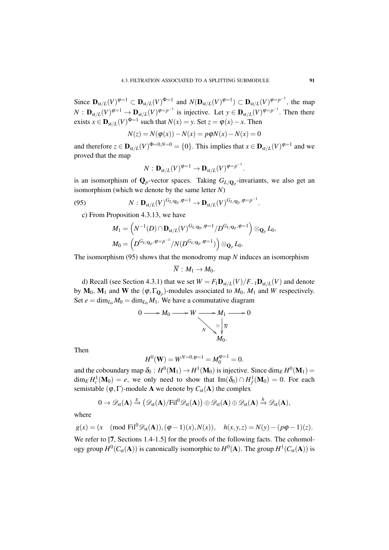Since  $\mathbf{D}_{st/L}(V)^{\varphi=1} \subset \mathbf{D}_{st/L}(V)^{\Phi=1}$  and  $N(\mathbf{D}_{st/L}(V)^{\varphi=1}) \subset \mathbf{D}_{st/L}(V)^{\varphi=p^{-1}}$ , the map  $N: \mathbf{D}_{\text{st}/L}(V)^{\varphi=1} \to \mathbf{D}_{\text{st}/L}(V)^{\varphi=p^{-1}}$  is injective. Let  $y \in \mathbf{D}_{\text{st}/L}(V)^{\varphi=p^{-1}}$ . Then there exists  $x \in \mathbf{D}_{st/L}(V)^{\Phi=1}$  such that  $N(x) = y$ . Set  $z = \varphi(x) - x$ . Then

$$
N(z) = N(\varphi(x)) - N(x) = p\varphi N(x) - N(x) = 0
$$

and therefore  $z \in \mathbf{D}_{st/L}(V)^{\Phi=0,N=0} = \{0\}$ . This implies that  $x \in \mathbf{D}_{st/L}(V)^{\phi=1}$  and we proved that the map

$$
N: \mathbf{D}_{\mathrm{st}/L}(V)^{\varphi=1} \to \mathbf{D}_{\mathrm{st}/L}(V)^{\varphi=p^{-1}}.
$$

is an isomorphism of  $\mathbf{Q}_p$ -vector spaces. Taking  $G_{L/\mathbf{Q}_p}$ -invariants, we also get an isomorphism (which we denote by the same letter *N*)

(95) 
$$
N: \mathbf{D}_{\mathrm{st}/L}(V)^{G_{L/\mathbf{Q}_p}, \varphi=1} \to \mathbf{D}_{\mathrm{st}/L}(V)^{G_{L/\mathbf{Q}_p}, \varphi=p^{-1}}.
$$

c) From Proposition 4.3.13, we have

$$
M_1 = \left(N^{-1}(D) \cap \mathbf{D}_{\mathrm{st}/L}(V)^{G_{L/\mathbf{Q}_p}, \varphi = 1} / D^{G_{L/\mathbf{Q}_p}, \varphi = 1}\right) \otimes_{\mathbf{Q}_p} L_0,
$$
  

$$
M_0 = \left(D^{G_{L/\mathbf{Q}_p}, \varphi = p^{-1}} / N(D^{G_{L/\mathbf{Q}_p}, \varphi = 1})\right) \otimes_{\mathbf{Q}_p} L_0.
$$

The isomorphism (95) shows that the monodromy map *N* induces an isomorphism

$$
\overline{N}:M_1\to M_0.
$$

d) Recall (see Section 4.3.1) that we set  $W = F_1 \mathbf{D}_{st/L}(V)/F_{-1} \mathbf{D}_{st/L}(V)$  and denote by  $M_0$ ,  $M_1$  and W the  $(\varphi, \Gamma_{\mathbf{Q}_p})$ -modules associated to  $M_0$ ,  $M_1$  and W respectively. Set  $e = \dim_{L_0} M_0 = \dim_{L_0} M_1$ . We have a commutative diagram

$$
0 \longrightarrow M_0 \longrightarrow W \longrightarrow M_1 \longrightarrow 0
$$
  

$$
N \searrow \downarrow \overline{N}
$$
  

$$
M_0.
$$

Then

$$
H^{0}(\mathbf{W}) = W^{N=0, \varphi=1} = M_{0}^{\varphi=1} = 0.
$$

and the coboundary map  $\delta_0: H^0(M_1) \to H^1(M_0)$  is injective. Since  $\dim_E H^0(M_1)$  $\dim_E H_c^1(\mathbf{M}_0) = e$ , we only need to show that  $\text{Im}(\delta_0) \cap H_f^1(\mathbf{M}_0) = 0$ . For each semistable  $(\varphi, \Gamma)$ -module **A** we denote by  $C_{st}(A)$  the complex

$$
0\rightarrow \mathscr{D}_{st}(\mathbf{A})\xrightarrow{g} \left(\mathscr{D}_{st}(\mathbf{A})/Fil^0\mathscr{D}_{st}(\mathbf{A})\right)\oplus \mathscr{D}_{st}(\mathbf{A})\oplus \mathscr{D}_{st}(\mathbf{A})\xrightarrow{h} \mathscr{D}_{st}(\mathbf{A}),
$$

where

$$
g(x) = (x \pmod{Fil^{0}\mathscr{D}_{st}(\mathbf{A}))}, (\phi - 1)(x), N(x)), \quad h(x, y, z) = N(y) - (p\phi - 1)(z).
$$

We refer to [7, Sections 1.4-1.5] for the proofs of the following facts. The cohomology group  $H^0(C_{st}(\mathbf{A}))$  is canonically isomorphic to  $H^0(\mathbf{A})$ . The group  $H^1(C_{st}(\mathbf{A}))$  is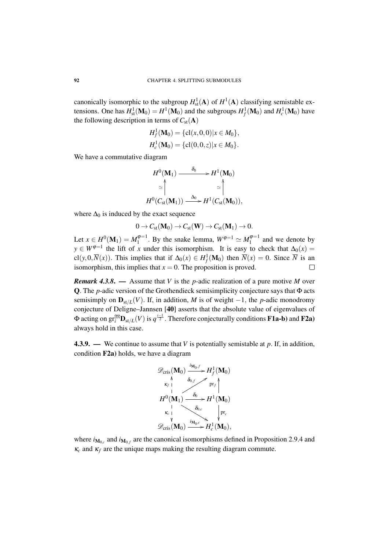canonically isomorphic to the subgroup  $H^1_{st}(\mathbf{A})$  of  $H^1(\mathbf{A})$  classifying semistable extensions. One has  $H^1_{st}(\mathbf{M}_0) = H^1(\mathbf{M}_0)$  and the subgroups  $H^1_f(\mathbf{M}_0)$  and  $H^1_c(\mathbf{M}_0)$  have the following description in terms of  $C_{st}({\bf A})$ 

$$
H_f^1(\mathbf{M}_0) = \{ cl(x, 0, 0) | x \in M_0 \},
$$
  

$$
H_c^1(\mathbf{M}_0) = \{ cl(0, 0, z) | x \in M_0 \}.
$$

We have a commutative diagram

$$
H^{0}(\mathbf{M}_{1}) \xrightarrow{\delta_{0}} H^{1}(\mathbf{M}_{0})
$$
  
\n
$$
\simeq \uparrow \qquad \simeq \uparrow
$$
  
\n
$$
H^{0}(C_{\text{st}}(\mathbf{M}_{1})) \xrightarrow{\Delta_{0}} H^{1}(C_{\text{st}}(\mathbf{M}_{0})),
$$

where  $\Delta_0$  is induced by the exact sequence

$$
0 \to C_{st}(\mathbf{M}_0) \to C_{st}(\mathbf{W}) \to C_{st}(\mathbf{M}_1) \to 0.
$$

Let  $x \in H^0(\mathbf{M}_1) = M_1^{\varphi=1}$  $1^{(\varphi=1)}$ . By the snake lemma,  $W^{\varphi=1} \simeq M_1^{\varphi=1}$  $1^{(\psi - 1)}$  and we denote by  $y \in W^{\varphi=1}$  the lift of *x* under this isomorphism. It is easy to check that  $\Delta_0(x) =$ cl(*y*,0, $\overline{N}(x)$ ). This implies that if  $\Delta_0(x) \in H_f^1(\mathbf{M}_0)$  then  $\overline{N}(x) = 0$ . Since  $\overline{N}$  is an isomorphism, this implies that  $x = 0$ . The proposition is proved.  $\Box$ 

*Remark 4.3.8*. — Assume that *V* is the *p*-adic realization of a pure motive *M* over Q. The *p*-adic version of the Grothendieck semisimplicity conjecture says that Φ acts semisimply on  $\mathbf{D}_{st/L}(V)$ . If, in addition, *M* is of weight −1, the *p*-adic monodromy conjecture of Deligne–Jannsen [40] asserts that the absolute value of eigenvalues of  $\Phi$  acting on  $\text{gr}_i^{\mathfrak{M}}\textbf{D}_{\text{st}/L}(V)$  is  $q^{\frac{i-1}{2}}$ . Therefore conjecturally conditions **F1a-b**) and **F2a**) always hold in this case.

4.3.9. — We continue to assume that *V* is potentially semistable at *p*. If, in addition, condition F2a) holds, we have a diagram



where  $i_{\mathbf{M}_{0,c}}$  and  $i_{\mathbf{M}_{0,f}}$  are the canonical isomorphisms defined in Proposition 2.9.4 and  $\kappa_c$  and  $\kappa_f$  are the unique maps making the resulting diagram commute.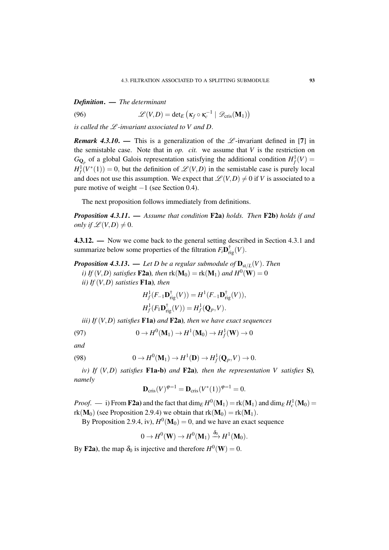*Definition*. — *The determinant*

(96)  $\mathscr{L}(V,D) = \det_E \left( \kappa_f \circ \kappa_c^{-1} \mid \mathscr{D}_{\text{cris}}(\mathbf{M}_1) \right)$ 

*is called the*  $L$ *-invariant associated to V and D.* 

*Remark 4.3.10.* — This is a generalization of the  $\mathcal{L}$ -invariant defined in [7] in the semistable case. Note that in  $op.$  *cit.* we assume that  $V$  is the restriction on  $G_{\mathbf{Q}_p}$  of a global Galois representation satisfying the additional condition  $H^1_f(V)$  $H_f^1(V^*(1)) = 0$ , but the definition of  $\mathscr{L}(V,D)$  in the semistable case is purely local and does not use this assumption. We expect that  $\mathscr{L}(V,D) \neq 0$  if *V* is associated to a pure motive of weight −1 (see Section 0.4).

The next proposition follows immediately from definitions.

*Proposition 4.3.11*. — *Assume that condition* F2a) *holds. Then* F2b) *holds if and only if*  $\mathscr{L}(V,D) \neq 0$ .

4.3.12. — Now we come back to the general setting described in Section 4.3.1 and summarize below some properties of the filtration  $F_i \mathbf{D}_{rig}^{\dagger}(V)$ .

*Proposition 4.3.13.* — *Let D be a regular submodule of*  $\mathbf{D}_{st/L}(V)$ *. Then i)* If  $(V, D)$  satisfies **F2a**), then  $\text{rk}(\mathbf{M}_0) = \text{rk}(\mathbf{M}_1)$  and  $H^0(\mathbf{W}) = 0$ *ii) If* (*V*,*D*) *satisties* F1a)*, then*

$$
H_f^1(F_{-1}\mathbf{D}_{\mathrm{rig}}^{\dagger}(V)) = H^1(F_{-1}\mathbf{D}_{\mathrm{rig}}^{\dagger}(V)),
$$
  

$$
H_f^1(F_1\mathbf{D}_{\mathrm{rig}}^{\dagger}(V)) = H_f^1(\mathbf{Q}_p, V).
$$

*iii) If* (*V*,*D*) *satisfies* F1a) *and* F2a)*, then we have exact sequences*

(97) 
$$
0 \to H^0(\mathbf{M}_1) \to H^1(\mathbf{M}_0) \to H^1_f(\mathbf{W}) \to 0
$$

*and*

(98) 
$$
0 \to H^0(\mathbf{M}_1) \to H^1(\mathbf{D}) \to H^1_f(\mathbf{Q}_p, V) \to 0.
$$

*iv)* If  $(V, D)$  *satisfies* F1a-b) *and* F2a)*, then the representation* V *satisfies* S)*, namely*

$$
\mathbf{D}_{\mathrm{cris}}(V)^{\varphi=1} = \mathbf{D}_{\mathrm{cris}}(V^*(1))^{\varphi=1} = 0.
$$

*Proof.* — i) From **F2a**) and the fact that  $\dim_E H^0(M_1) = \text{rk}(M_1)$  and  $\dim_E H^1_c(M_0) =$  $rk(M_0)$  (see Proposition 2.9.4) we obtain that  $rk(M_0) = rk(M_1)$ .

By Proposition 2.9.4, iv),  $H^0(M_0) = 0$ , and we have an exact sequence

$$
0 \to H^0(\mathbf{W}) \to H^0(\mathbf{M}_1) \xrightarrow{\delta_0} H^1(\mathbf{M}_0).
$$

By **F2a**), the map  $\delta_0$  is injective and therefore  $H^0(\mathbf{W}) = 0$ .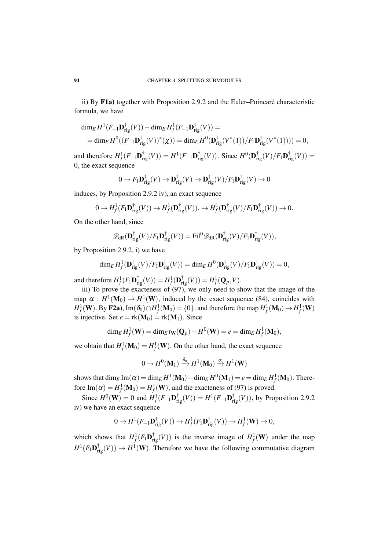ii) By F1a) together with Proposition 2.9.2 and the Euler–Poincaré characteristic formula, we have

$$
\dim_E H^1(F_{-1}\mathbf{D}_{\mathrm{rig}}^{\dagger}(V)) - \dim_E H^1_f(F_{-1}\mathbf{D}_{\mathrm{rig}}^{\dagger}(V)) =
$$
  
= 
$$
\dim_E H^0((F_{-1}\mathbf{D}_{\mathrm{rig}}^{\dagger}(V))^*(\chi)) = \dim_E H^0(\mathbf{D}_{\mathrm{rig}}^{\dagger}(V^*(1))/F_1\mathbf{D}_{\mathrm{rig}}^{\dagger}(V^*(1)))) = 0,
$$

and therefore  $H^1_f(F_{-1}\mathbf{D}_{\text{rig}}^{\dagger}(V)) = H^1(F_{-1}\mathbf{D}_{\text{rig}}^{\dagger}(V))$ . Since  $H^0(\mathbf{D}_{\text{rig}}^{\dagger}(V)/F_1\mathbf{D}_{\text{rig}}^{\dagger}(V)) =$ 0, the exact sequence

$$
0 \to F_1 \mathbf{D}_{\mathrm{rig}}^{\dagger}(V) \to \mathbf{D}_{\mathrm{rig}}^{\dagger}(V) \to \mathbf{D}_{\mathrm{rig}}^{\dagger}(V)/F_1 \mathbf{D}_{\mathrm{rig}}^{\dagger}(V) \to 0
$$

induces, by Proposition 2.9.2 iv), an exact sequence

$$
0 \to H^1_f(F_1 \mathbf{D}_{\mathrm{rig}}^{\dagger}(V)) \to H^1_f(\mathbf{D}_{\mathrm{rig}}^{\dagger}(V)). \to H^1_f(\mathbf{D}_{\mathrm{rig}}^{\dagger}(V)/F_1 \mathbf{D}_{\mathrm{rig}}^{\dagger}(V)) \to 0.
$$

On the other hand, since

$$
\mathscr{D}_{\mathrm{dR}}(\mathbf{D}_{\mathrm{rig}}^{\dagger}(V)/F_{1}\mathbf{D}_{\mathrm{rig}}^{\dagger}(V)) = \mathrm{Fil}^{0} \mathscr{D}_{\mathrm{dR}}(\mathbf{D}_{\mathrm{rig}}^{\dagger}(V)/F_{1}\mathbf{D}_{\mathrm{rig}}^{\dagger}(V)),
$$

by Proposition 2.9.2, i) we have

$$
\dim_E H_f^1(\mathbf{D}_{\mathrm{rig}}^{\dagger}(V)/F_1\mathbf{D}_{\mathrm{rig}}^{\dagger}(V)) = \dim_E H^0(\mathbf{D}_{\mathrm{rig}}^{\dagger}(V)/F_1\mathbf{D}_{\mathrm{rig}}^{\dagger}(V)) = 0,
$$

and therefore  $H^1_f(F_1\mathbf{D}_{\text{rig}}^{\dagger}(V)) = H^1_f(\mathbf{D}_{\text{rig}}^{\dagger}(V)) = H^1_f(\mathbf{Q}_p, V)$ .

iii) To prove the exacteness of (97), we only need to show that the image of the map  $\alpha$ :  $H^1(\mathbf{M}_0) \to H^1(\mathbf{W})$ , induced by the exact sequence (84), coincides with  $H^1_f(\mathbf{W})$ . By **F2a**), Im $(\delta_0) \cap H^1_f(\mathbf{M}_0) = \{0\}$ , and therefore the map  $H^1_f(\mathbf{M}_0) \to H^1_f(\mathbf{W})$ is injective. Set  $e = \text{rk}(\mathbf{M}_0) = \text{rk}(\mathbf{M}_1)$ . Since

$$
\dim_E H^1_f(\mathbf{W}) = \dim_E t_{\mathbf{W}}(\mathbf{Q}_p) - H^0(\mathbf{W}) = e = \dim_E H^1_f(\mathbf{M}_0),
$$

we obtain that  $H_f^1(\mathbf{M}_0) = H_f^1(\mathbf{W})$ . On the other hand, the exact sequence

$$
0 \to H^0(\mathbf{M}_1) \xrightarrow{\delta_0} H^1(\mathbf{M}_0) \xrightarrow{\alpha} H^1(\mathbf{W})
$$

shows that  $\dim_E \text{Im}(\alpha) = \dim_E H^1(\mathbf{M}_0) - \dim_E H^0(\mathbf{M}_1) = e = \dim_E H^1_f(\mathbf{M}_0)$ . Therefore Im( $\alpha$ ) =  $H^1_f(\mathbf{M}_0) = H^1_f(\mathbf{W})$ , and the exacteness of (97) is proved.

Since  $H^0$ (**W**) = 0 and  $H^1_f$ (*F*<sub>−1</sub>**D**<sub>rig</sub>(*V*)) =  $H^1$ (*F*<sub>−1</sub>**D**<sub>rig</sub>(*V*)), by Proposition 2.9.2 iv) we have an exact sequence

$$
0 \to H^1(F_{-1}\mathbf{D}_{\mathrm{rig}}^{\dagger}(V)) \to H_f^1(F_1\mathbf{D}_{\mathrm{rig}}^{\dagger}(V)) \to H_f^1(\mathbf{W}) \to 0,
$$

which shows that  $H^1_f(F_1\mathbf{D}_{\text{rig}}^{\dagger}(V))$  is the inverse image of  $H^1_f(\mathbf{W})$  under the map  $H^1(F_1\mathbf{D}_{\mathrm{rig}}^{\dagger}(V)) \to H^1(\mathbf{W})$ . Therefore we have the following commutative diagram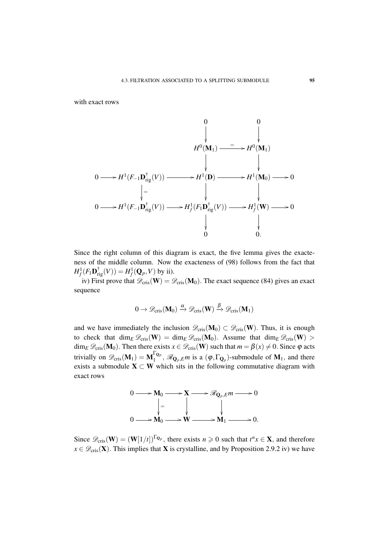with exact rows

$$
H^{0}(\mathbf{M}_{1}) \longrightarrow H^{0}(\mathbf{M}_{1})
$$
\n
$$
\downarrow \qquad \qquad \downarrow
$$
\n
$$
0 \longrightarrow H^{1}(F_{-1}\mathbf{D}_{\mathrm{rig}}^{\dagger}(V)) \longrightarrow H^{1}(\mathbf{D}) \longrightarrow H^{1}(\mathbf{M}_{0}) \longrightarrow 0
$$
\n
$$
\downarrow \qquad \qquad \downarrow
$$
\n
$$
0 \longrightarrow H^{1}(F_{-1}\mathbf{D}_{\mathrm{rig}}^{\dagger}(V)) \longrightarrow H^{1}_{f}(F_{1}\mathbf{D}_{\mathrm{rig}}^{\dagger}(V)) \longrightarrow H^{1}_{f}(\mathbf{W}) \longrightarrow 0
$$
\n
$$
\downarrow \qquad \qquad \downarrow
$$
\n
$$
0 \qquad \qquad 0.
$$

Since the right column of this diagram is exact, the five lemma gives the exacteness of the middle column. Now the exacteness of (98) follows from the fact that  $H_f^1(F_1 \mathbf{D}_{\text{rig}}^{\dagger}(V)) = H_f^1(\mathbf{Q}_p, V)$  by ii).

iv) First prove that  $\mathscr{D}_{\text{cris}}(\mathbf{W}) = \mathscr{D}_{\text{cris}}(\mathbf{M}_0)$ . The exact sequence (84) gives an exact sequence

$$
0 \to \mathscr{D}_{\mathrm{cris}}(\mathbf{M}_0) \xrightarrow{\alpha} \mathscr{D}_{\mathrm{cris}}(\mathbf{W}) \xrightarrow{\beta} \mathscr{D}_{\mathrm{cris}}(\mathbf{M}_1)
$$

and we have immediately the inclusion  $\mathscr{D}_{\text{cris}}(\mathbf{M}_0) \subset \mathscr{D}_{\text{cris}}(\mathbf{W})$ . Thus, it is enough to check that dim<sub>E</sub>  $\mathcal{D}_{\text{cris}}(\mathbf{W}) = \dim_E \mathcal{D}_{\text{cris}}(\mathbf{M}_0)$ . Assume that  $\dim_E \mathcal{D}_{\text{cris}}(\mathbf{W}) >$  $\dim_E \mathscr{D}_{cris}(\mathbf{M}_0)$ . Then there exists  $x \in \mathscr{D}_{cris}(\mathbf{W})$  such that  $m = \beta(x) \neq 0$ . Since  $\varphi$  acts trivially on  $\mathscr{D}_{\text{cris}}(\mathbf{M}_1) = \mathbf{M}_1^{\Gamma_{\mathbf{Q}_p}}$  $\mathcal{L}_1^{\mathbf{Q}_p}$ ,  $\mathcal{R}_{\mathbf{Q}_p,E}$ *m* is a  $(\varphi,\Gamma_{\mathbf{Q}_p})$ -submodule of  $\mathbf{M}_1$ , and there exists a submodule  $\mathbf{X} \subset \mathbf{W}$  which sits in the following commutative diagram with exact rows



Since  $\mathscr{D}_{\text{cris}}(\mathbf{W}) = (\mathbf{W}[1/t])^{\Gamma_{\mathbf{Q}_p}}$ , there exists  $n \geq 0$  such that  $t^n x \in \mathbf{X}$ , and therefore  $x \in \mathscr{D}_{\text{cris}}(\mathbf{X})$ . This implies that **X** is crystalline, and by Proposition 2.9.2 iv) we have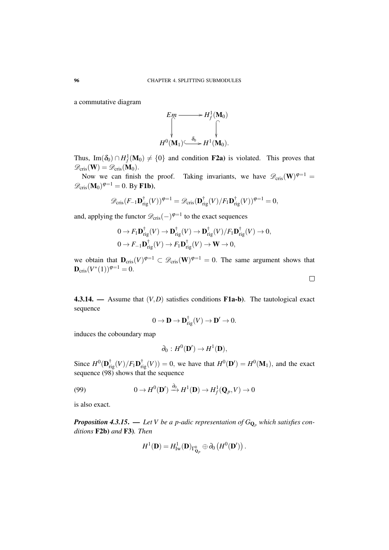a commutative diagram



Thus, Im( $\delta_0$ ) ∩  $H^1_f(\mathbf{M}_0) \neq \{0\}$  and condition **F2a**) is violated. This proves that  $\mathscr{D}_{\mathrm{cris}}(\mathbf{W}) = \mathscr{D}_{\mathrm{cris}}(\mathbf{M}_0).$ 

Now we can finish the proof. Taking invariants, we have  $\mathscr{D}_{\text{cris}}(\mathbf{W})^{\varphi=1}$  $\mathscr{D}_{\mathrm{cris}}(\mathbf{M}_0)^{\varphi=1} = 0.$  By **F1b**),

$$
\mathscr{D}_{\mathrm{cris}}(F_{-1}\mathbf{D}_{\mathrm{rig}}^{\dagger}(V))^{\varphi=1} = \mathscr{D}_{\mathrm{cris}}(\mathbf{D}_{\mathrm{rig}}^{\dagger}(V)/F_1\mathbf{D}_{\mathrm{rig}}^{\dagger}(V))^{\varphi=1} = 0,
$$

and, applying the functor  $\mathscr{D}_{\text{cris}}(-)^{\varphi=1}$  to the exact sequences

$$
0 \to F_1 \mathbf{D}_{\mathrm{rig}}^{\dagger}(V) \to \mathbf{D}_{\mathrm{rig}}^{\dagger}(V) \to \mathbf{D}_{\mathrm{rig}}^{\dagger}(V)/F_1 \mathbf{D}_{\mathrm{rig}}^{\dagger}(V) \to 0,
$$
  

$$
0 \to F_{-1} \mathbf{D}_{\mathrm{rig}}^{\dagger}(V) \to F_1 \mathbf{D}_{\mathrm{rig}}^{\dagger}(V) \to \mathbf{W} \to 0,
$$

we obtain that  $D_{\text{cris}}(V)^{\varphi=1} \subset \mathscr{D}_{\text{cris}}(W)^{\varphi=1} = 0$ . The same argument shows that  ${\bf D}_{\rm cris}(V^*(1))^{\varphi=1}=0.$ 

4.3.14. — Assume that  $(V, D)$  satisfies conditions  $F1a-b$ ). The tautological exact sequence

$$
0 \to \mathbf{D} \to \mathbf{D}_{\mathrm{rig}}^{\dagger}(V) \to \mathbf{D}' \to 0.
$$

induces the coboundary map

$$
\partial_0: H^0(\mathbf{D}') \to H^1(\mathbf{D}),
$$

Since  $H^0(\mathbf{D}_{\text{rig}}^{\dagger}(V)/F_1\mathbf{D}_{\text{rig}}^{\dagger}(V)) = 0$ , we have that  $H^0(\mathbf{D}') = H^0(\mathbf{M}_1)$ , and the exact sequence (98) shows that the sequence

(99) 
$$
0 \to H^0(\mathbf{D}') \xrightarrow{\partial_0} H^1(\mathbf{D}) \to H^1_f(\mathbf{Q}_p, V) \to 0
$$

is also exact.

*Proposition 4.3.15.* — Let V be a p-adic representation of  $G_{\mathbf{Q}_p}$  which satisfies con*ditions* F2b) *and* F3)*. Then*

$$
H^1(\mathbf{D})=H^1_{\mathrm{Iw}}(\mathbf{D})_{\Gamma^0_{\mathbf{Q}_p}}\oplus \partial_0\left(H^0(\mathbf{D}')\right).
$$

 $\Box$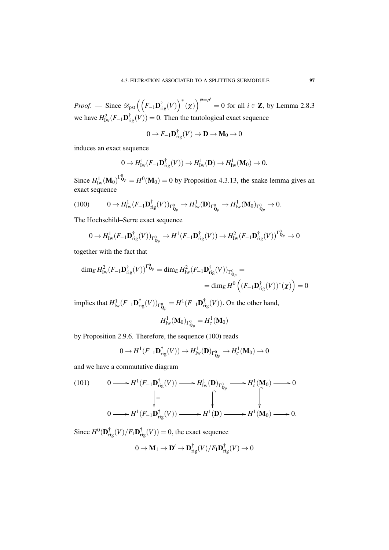*Proof.* — Since  $\mathscr{D}_{\text{pst}}\left(\left(F_{-1} \mathbf{D}_{\text{rig}}^{\dagger}(V)\right)^{*}(\chi)\right)^{\varphi=p^{i}}$  $= 0$  for all  $i \in \mathbb{Z}$ , by Lemma 2.8.3 we have  $H_{\text{Iw}}^2(F_{-1} \mathbf{D}_{\text{rig}}^{\dagger}(V)) = 0$ . Then the tautological exact sequence

$$
0\to F_{-1}\mathbf{D}_{rig}^\dagger(V)\to \mathbf{D}\to \mathbf{M}_0\to 0
$$

induces an exact sequence

$$
0 \to H^1_{\mathrm{Iw}}(F_{-1}\mathbf{D}_{\mathrm{rig}}^{\dagger}(V)) \to H^1_{\mathrm{Iw}}(\mathbf{D}) \to H^1_{\mathrm{Iw}}(\mathbf{M}_0) \to 0.
$$

Since  $H^1_{\text{Iw}}(\textbf{M}_0)^{\Gamma^0_{\text{Q}_p}} = H^0(\textbf{M}_0) = 0$  by Proposition 4.3.13, the snake lemma gives an exact sequence

$$
(100) \t\t 0 \to H^1_{\mathrm{Iw}}(F_{-1}\mathbf{D}_{\mathrm{rig}}^{\dagger}(V))_{\Gamma^0_{\mathbf{Q}_p}} \to H^1_{\mathrm{Iw}}(\mathbf{D})_{\Gamma^0_{\mathbf{Q}_p}} \to H^1_{\mathrm{Iw}}(\mathbf{M}_0)_{\Gamma^0_{\mathbf{Q}_p}} \to 0.
$$

The Hochschild–Serre exact sequence

$$
0 \to H^1_{\mathrm{Iw}}(F_{-1}\mathbf{D}_{\mathrm{rig}}^{\dagger}(V))_{\Gamma^0_{\mathbf{Q}_p}} \to H^1(F_{-1}\mathbf{D}_{\mathrm{rig}}^{\dagger}(V)) \to H^2_{\mathrm{Iw}}(F_{-1}\mathbf{D}_{\mathrm{rig}}^{\dagger}(V))^{\Gamma^0_{\mathbf{Q}_p}} \to 0
$$

together with the fact that

$$
\dim_E H^2_{\text{Iw}}(F_{-1}\mathbf{D}_{\text{rig}}^\dagger(V))^{\Gamma^0_{\mathbf{Q}_p}} = \dim_E H^2_{\text{Iw}}(F_{-1}\mathbf{D}_{\text{rig}}^\dagger(V))_{\Gamma^0_{\mathbf{Q}_p}} =
$$
  

$$
= \dim_E H^0\left((F_{-1}\mathbf{D}_{\text{rig}}^\dagger(V))^*(\chi)\right) = 0
$$

implies that  $H^1_{\text{Iw}}(F_{-1} \mathbf{D}_{\text{rig}}^{\dagger}(V))_{\Gamma^0_{\mathbf{Q}_p}} = H^1(F_{-1} \mathbf{D}_{\text{rig}}^{\dagger}(V))$ . On the other hand,

$$
H^1_{\mathrm{Iw}}(\mathbf{M}_0)_{\Gamma^0_{\mathbf{Q}_p}} = H^1_c(\mathbf{M}_0)
$$

by Proposition 2.9.6. Therefore, the sequence (100) reads

$$
0 \to H^1(F_{-1}\mathbf{D}_{\mathrm{rig}}^{\dagger}(V)) \to H^1_{\mathrm{Iw}}(\mathbf{D})_{\Gamma^0_{\mathbf{Q}_p}} \to H^1_c(\mathbf{M}_0) \to 0
$$

and we have a commutative diagram

(101) 
$$
0 \longrightarrow H^{1}(F_{-1}\mathbf{D}_{\mathrm{rig}}^{\dagger}(V)) \longrightarrow H^{1}_{\mathrm{Iw}}(\mathbf{D})_{\Gamma_{\mathbf{Q}_{p}}^{0}} \longrightarrow H^{1}_{c}(\mathbf{M}_{0}) \longrightarrow 0
$$
\n
$$
\downarrow = \qquad \qquad \downarrow \qquad \qquad \downarrow
$$
\n
$$
0 \longrightarrow H^{1}(F_{-1}\mathbf{D}_{\mathrm{rig}}^{\dagger}(V)) \longrightarrow H^{1}(\mathbf{D}) \longrightarrow H^{1}(\mathbf{M}_{0}) \longrightarrow 0.
$$

Since  $H^0(\mathbf{D}_{\text{rig}}^{\dagger}(V)/F_1\mathbf{D}_{\text{rig}}^{\dagger}(V)) = 0$ , the exact sequence

$$
0 \to \mathbf{M}_1 \to \mathbf{D}' \to \mathbf{D}_{\mathrm{rig}}^{\dagger}(V)/F_1 \mathbf{D}_{\mathrm{rig}}^{\dagger}(V) \to 0
$$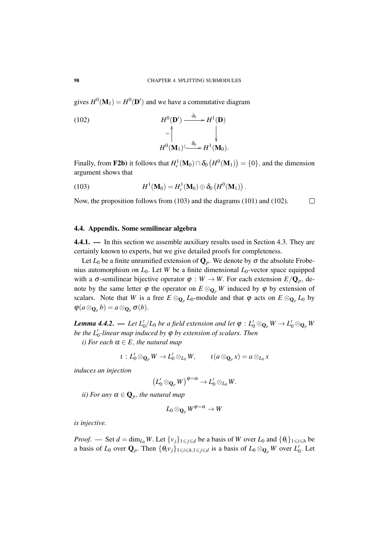gives  $H^0(\mathbf{M}_1) = H^0(\mathbf{D}')$  and we have a commutative diagram

(102) 
$$
H^{0}(\mathbf{D}') \xrightarrow{\partial_{0}} H^{1}(\mathbf{D})
$$

$$
= \begin{vmatrix} \downarrow & \downarrow \\ H^{0}(\mathbf{M}_{1}) \xrightarrow{\delta_{0}} H^{1}(\mathbf{M}_{0}). \end{vmatrix}
$$

Finally, from F2b) it follows that  $H_c^1(\mathbf{M}_0) \cap \delta_0(H^0(\mathbf{M}_1)) = \{0\}$ , and the dimension argument shows that

(103) 
$$
H^1(\mathbf{M}_0) = H_c^1(\mathbf{M}_0) \oplus \delta_0 \left( H^0(\mathbf{M}_1) \right).
$$

Now, the proposition follows from (103) and the diagrams (101) and (102).  $\Box$ 

### 4.4. Appendix. Some semilinear algebra

4.4.1. — In this section we assemble auxiliary results used in Section 4.3. They are certainly known to experts, but we give detailed proofs for completeness.

Let  $L_0$  be a finite unramified extension of  $\mathbf{Q}_p$ . We denote by  $\sigma$  the absolute Frobenius automorphism on  $L_0$ . Let *W* be a finite dimensional  $L_0$ -vector space equipped with a  $\sigma$ -semilinear bijective operator  $\varphi : W \to W$ . For each extension  $E/Q_p$ , denote by the same letter  $\varphi$  the operator on  $E \otimes_{\mathbf{Q}_p} W$  induced by  $\varphi$  by extension of scalars. Note that *W* is a free  $E \otimes_{\mathbf{Q}_p} L_0$ -module and that  $\varphi$  acts on  $E \otimes_{\mathbf{Q}_p} L_0$  by  $\varphi(a\otimes_{\mathbf{Q}_p} b) = a\otimes_{\mathbf{Q}_p} \sigma(b).$ 

*Lemma 4.4.2. — Let*  $L'_0/L_0$  be a field extension and let  $\varphi : L'_0 \otimes_{\mathbf{Q}_p} W \to L'_0 \otimes_{\mathbf{Q}_p} W$ *be the L*<sup>'</sup><sub>0</sub>-linear map induced by φ by extension of scalars. Then

*i*) For each  $\alpha \in E$ , the natural map

$$
\iota: L_0'\otimes_{\mathbf{Q}_p} W \to L_0'\otimes_{L_0} W, \qquad \iota(a\otimes_{\mathbf{Q}_p} x) = a\otimes_{L_0} x
$$

*induces an injection*

$$
\big(L'_0\otimes_{\mathbf{Q}_p}W\big)^{\phi=\alpha}\to L'_0\otimes_{L_0}W.
$$

*ii)* For any  $\alpha \in \mathbf{Q}_p$ , the natural map

$$
L_0\otimes_{\mathbf{Q}_p}W^{\phi=\alpha}\to W
$$

*is injective.*

*Proof.* — Set  $d = \dim_{L_0} W$ . Let  $\{v_i\}_{1 \leq i \leq d}$  be a basis of *W* over  $L_0$  and  $\{\theta_i\}_{1 \leq i \leq h}$  be a basis of  $L_0$  over  $\mathbf{Q}_p$ . Then  $\{\theta_i v_j\}_{1\leq i\leq h, 1\leq j\leq d}$  is a basis of  $L_0 \otimes_{\mathbf{Q}_p} W$  over  $L'_0$ . Let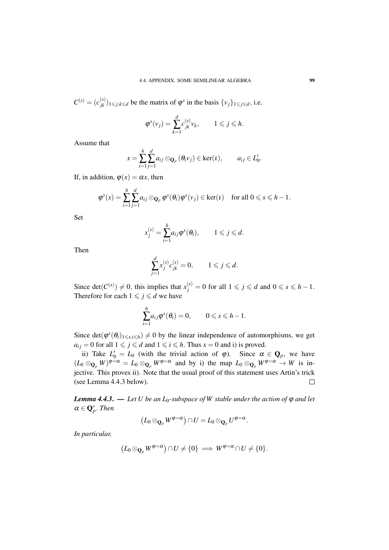$C^{(s)} = (c_{jk}^{(s)})_{1 \le j,k \le d}$  be the matrix of  $\varphi^s$  in the basis  $\{v_j\}_{1 \le j \le d}$ , i.e.

$$
\varphi^s(\nu_j) = \sum_{k=1}^d c_{jk}^{(s)} \nu_k, \qquad 1 \leqslant j \leqslant h.
$$

Assume that

$$
x = \sum_{i=1}^{h} \sum_{j=1}^{d} a_{ij} \otimes_{\mathbf{Q}_p} (\theta_i v_j) \in \ker(\iota), \qquad a_{ij} \in L'_0.
$$

If, in addition,  $\varphi(x) = \alpha x$ , then

$$
\boldsymbol{\varphi}^s(x) = \sum_{i=1}^h \sum_{j=1}^d a_{ij} \otimes_{\mathbf{Q}_p} \boldsymbol{\varphi}^s(\theta_i) \boldsymbol{\varphi}^s(\nu_j) \in \ker(\iota) \quad \text{for all } 0 \leqslant s \leqslant h-1.
$$

Set

$$
x_j^{(s)} = \sum_{i=1}^h a_{ij} \varphi^s(\theta_i), \qquad 1 \leqslant j \leqslant d.
$$

Then

$$
\sum_{j=1}^d x_j^{(s)} c_{jk}^{(s)} = 0, \qquad 1 \leqslant j \leqslant d.
$$

Since det $(C^{(s)}) \neq 0$ , this implies that  $x_j^{(s)} = 0$  for all  $1 \leq j \leq d$  and  $0 \leq s \leq h - 1$ . Therefore for each  $1 \leq j \leq d$  we have

$$
\sum_{i=1}^h a_{ij} \varphi^s(\theta_i) = 0, \qquad 0 \leq s \leq h-1.
$$

Since det $(\varphi^{s}(\theta_i)_{1\leq s,i\leq h})\neq 0$  by the linear independence of automorphisms, we get  $a_{ij} = 0$  for all  $1 \leq j \leq d$  and  $1 \leq i \leq h$ . Thus  $x = 0$  and i) is proved.

ii) Take  $L'_0 = L_0$  (with the trivial action of  $\varphi$ ). Since  $\alpha \in \mathbf{Q}_p$ , we have  $(L_0 \otimes_{\mathbf{Q}_p} W)^{\varphi=\alpha} = L_0 \otimes_{\mathbf{Q}_p} W^{\varphi=\alpha}$  and by i) the map  $L_0 \otimes_{\mathbf{Q}_p} W^{\varphi=\alpha} \to W$  is injective. This proves ii). Note that the usual proof of this statement uses Artin's trick (see Lemma 4.4.3 below).  $\Box$ 

*Lemma 4.4.3.* — *Let U be an L*<sub>0</sub>*-subspace of W stable under the action of*  $\varphi$  *and let*  $\alpha \in \mathbf{Q}_p^*$ . *Then* 

$$
\big(L_0\otimes_{\mathbf{Q}_p} W^{\varphi=\alpha}\big)\cap U=L_0\otimes_{\mathbf{Q}_p} U^{\varphi=\alpha}.
$$

*In particular,*

$$
(L_0\otimes_{\mathbf{Q}_p} W^{\varphi=\alpha})\cap U\neq \{0\}\implies W^{\varphi=\alpha}\cap U\neq \{0\}.
$$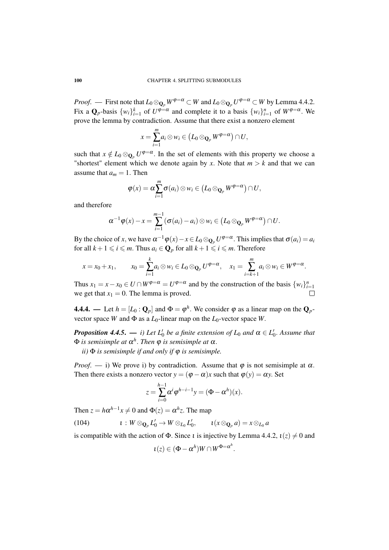*Proof.* — First note that  $L_0\otimes_{\mathbf{Q}_p}W^{\varphi=\alpha}\subset W$  and  $L_0\otimes_{\mathbf{Q}_p}U^{\varphi=\alpha}\subset W$  by Lemma 4.4.2. Fix a  $\mathbf{Q}_p$ -basis  $\{w_i\}_{i=1}^k$  of  $U^{\varphi=\alpha}$  and complete it to a basis  $\{w_i\}_{i=1}^n$  of  $W^{\varphi=\alpha}$ . We prove the lemma by contradiction. Assume that there exist a nonzero element

$$
x=\sum_{i=1}^m a_i\otimes w_i\in (L_0\otimes_{\mathbf{Q}_p}W^{\varphi=\alpha})\cap U,
$$

such that  $x \notin L_0 \otimes_{\mathbf{Q}_p} U^{\varphi=\alpha}$ . In the set of elements with this property we choose a "shortest" element which we denote again by x. Note that  $m > k$  and that we can assume that  $a_m = 1$ . Then

$$
\varphi(x)=\alpha\sum_{i=1}^m\sigma(a_i)\otimes w_i\in (L_0\otimes_{\mathbf{Q}_p}W^{\varphi=\alpha})\cap U,
$$

and therefore

$$
\alpha^{-1}\varphi(x)-x=\sum_{i=1}^{m-1}(\sigma(a_i)-a_i)\otimes w_i\in (L_0\otimes_{\mathbf{Q}_p}W^{\varphi=\alpha})\cap U.
$$

By the choice of *x*, we have  $\alpha^{-1}\varphi(x) - x \in L_0 \otimes_{\mathbf{Q}_p} U^{\varphi=\alpha}$ . This implies that  $\sigma(a_i) = a_i$ for all  $k + 1 \leq i \leq m$ . Thus  $a_i \in \mathbf{Q}_p$  for all  $k + 1 \leq i \leq m$ . Therefore

$$
x = x_0 + x_1, \qquad x_0 = \sum_{i=1}^k a_i \otimes w_i \in L_0 \otimes_{\mathbf{Q}_p} U^{\varphi = \alpha}, \quad x_1 = \sum_{i=k+1}^m a_i \otimes w_i \in W^{\varphi = \alpha}.
$$

Thus  $x_1 = x - x_0 \in U \cap W^{\varphi = \alpha} = U^{\varphi = \alpha}$  and by the construction of the basis  $\{w_i\}_{i=1}^n$ we get that  $x_1 = 0$ . The lemma is proved.  $\Box$ 

**4.4.4.** — Let  $h = [L_0 : \mathbf{Q}_p]$  and  $\Phi = \phi^h$ . We consider  $\phi$  as a linear map on the  $\mathbf{Q}_p$ vector space *W* and  $\Phi$  as a  $L_0$ -linear map on the  $L_0$ -vector space *W*.

*Proposition 4.4.5.*  $\longrightarrow$  *i)* Let  $L'_0$  be a finite extension of  $L_0$  and  $\alpha \in L'_0$ . Assume that Φ *is semisimple at* α *h* . *Then* ϕ *is semisimple at* α.

*ii)* Φ *is semisimple if and only if* ϕ *is semisimple.*

*Proof.* — i) We prove i) by contradiction. Assume that  $\varphi$  is not semisimple at  $\alpha$ . Then there exists a nonzero vector  $y = (\varphi - \alpha)x$  such that  $\varphi(y) = \alpha y$ . Set

$$
z=\sum_{i=0}^{h-1}\alpha^i\varphi^{h-i-1}y=(\Phi-\alpha^h)(x).
$$

Then  $z = h\alpha^{h-1}x \neq 0$  and  $\Phi(z) = \alpha^h z$ . The map

(104)  $\iota : W \otimes_{\mathbf{Q}_p} L'_0 \to W \otimes_{L_0} L'_0, \qquad \iota(x \otimes_{\mathbf{Q}_p} a) = x \otimes_{L_0} a$ 

is compatible with the action of  $\Phi$ . Since *t* is injective by Lemma 4.4.2,  $t(z) \neq 0$  and

$$
\iota(z)\in (\Phi-\alpha^h)W\cap W^{\Phi=\alpha^h}
$$

.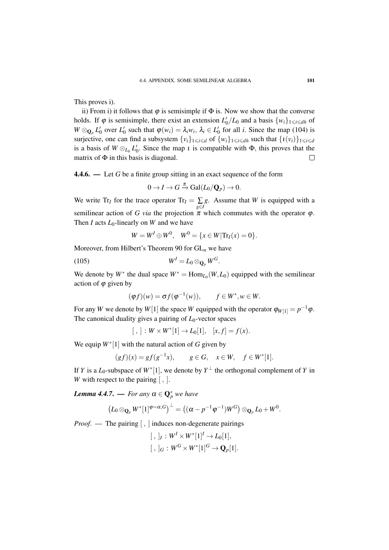This proves i).

ii) From i) it follows that  $\varphi$  is semisimple if  $\Phi$  is. Now we show that the converse holds. If  $\varphi$  is semisimple, there exist an extension  $L'_0/L_0$  and a basis  $\{w_i\}_{1 \leq i \leq d}$  of  $W \otimes_{\mathbf{Q}_p} L'_0$  over  $L'_0$  such that  $\varphi(w_i) = \lambda_i w_i$ ,  $\lambda_i \in L'_0$  for all *i*. Since the map (104) is surjective, one can find a subsystem  $\{v_i\}_{1\leq i\leq d}$  of  $\{w_i\}_{1\leq i\leq d}$  such that  $\{u(v_i)\}_{1\leq i\leq d}$ is a basis of  $W \otimes_{L_0} L'_0$ . Since the map *t* is compatible with  $\Phi$ , this proves that the matrix of  $\Phi$  in this basis is diagonal.  $\Box$ 

4.4.6. — Let *G* be a finite group sitting in an exact sequence of the form

$$
0 \to I \to G \xrightarrow{\pi} \text{Gal}(L_0/\mathbf{Q}_p) \to 0.
$$

We write  $Tr_I$  for the trace operator  $Tr_I = \sum_{g \in I}$ *g*. Assume that *W* is equipped with a semilinear action of *G via* the projection  $\pi$  which commutes with the operator  $\varphi$ . Then *I* acts  $L_0$ -linearly on *W* and we have

$$
W = WI \oplus W0
$$
,  $W0 = \{x \in W | \text{Tr}_I(x) = 0\}.$ 

Moreover, from Hilbert's Theorem 90 for GL*<sup>n</sup>* we have

$$
(105) \t\t\t WI = L0 \otimes_{\mathbf{Q}_p} WG.
$$

We denote by  $W^*$  the dual space  $W^* = \text{Hom}_{L_0}(W, L_0)$  equipped with the semilinear action of  $\varphi$  given by

$$
(\varphi f)(w) = \sigma f(\varphi^{-1}(w)), \qquad f \in W^*, w \in W.
$$

For any *W* we denote by *W*[1] the space *W* equipped with the operator  $\varphi_{W[1]} = p^{-1}\varphi$ . The canonical duality gives a pairing of *L*0-vector spaces

 $[ , ] : W \times W^*[1] \to L_0[1], [x, f] = f(x).$ 

We equip *W*<sup>∗</sup> [1] with the natural action of *G* given by

$$
(gf)(x) = gf(g^{-1}x), \quad g \in G, \quad x \in W, \quad f \in W^*[1].
$$

If *Y* is a *L*<sub>0</sub>-subspace of  $W^*[1]$ , we denote by  $Y^{\perp}$  the orthogonal complement of *Y* in *W* with respect to the pairing [, ].

*Lemma 4.4.7.* — *For any*  $\alpha \in \mathbb{Q}_p^*$  *we have* 

$$
(L_0\otimes_{\mathbf{Q}_p} W^*[1]^{\varphi=\alpha,G})^{\perp}=\big((\alpha-p^{-1}\varphi^{-1})W^G\big)\otimes_{\mathbf{Q}_p} L_0+W^0.
$$

*Proof.* — The pairing  $\left[ \right, \right]$  induces non-degenerate pairings

$$
[ , ]_I : W^I \times W^*[1]^I \to L_0[1],
$$
  

$$
[ , ]_G : W^G \times W^*[1]^G \to \mathbf{Q}_p[1].
$$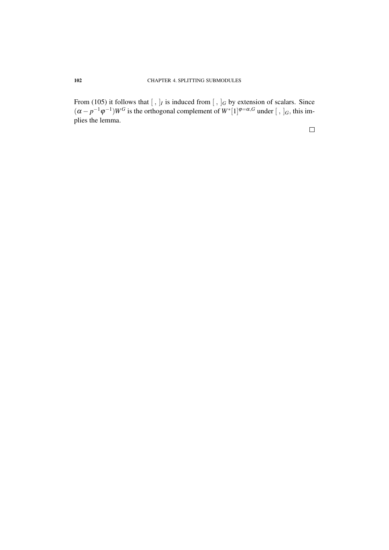From (105) it follows that  $[ , ]_I$  is induced from  $[ , ]_G$  by extension of scalars. Since  $(\alpha - p^{-1}\varphi^{-1})W^G$  is the orthogonal complement of  $W^*[1]^{\varphi = \alpha, G}$  under  $[, ]_G$ , this implies the lemma.

 $\Box$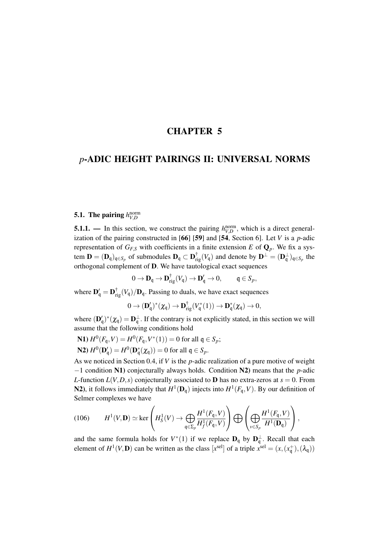## CHAPTER 5

## *p*-ADIC HEIGHT PAIRINGS II: UNIVERSAL NORMS

# 5.1. The pairing  $h_{V,D}^{\text{norm}}$

**5.1.1.** — In this section, we construct the pairing  $h_{V,D}^{\text{norm}}$ , which is a direct generalization of the pairing constructed in [66] [59] and [54, Section 6]. Let *V* is a *p*-adic representation of  $G_{F,S}$  with coefficients in a finite extension *E* of  $\mathbf{Q}_p$ . We fix a system  $\mathbf{D} = (\mathbf{D}_\mathfrak{q})_{\mathfrak{q} \in S_p}$  of submodules  $\mathbf{D}_\mathfrak{q} \subset \mathbf{D}_{\mathrm{rig}}^{\dagger}(V_\mathfrak{q})$  and denote by  $\mathbf{D}^{\perp} = (\mathbf{D}_\mathfrak{q}^{\perp})_{\mathfrak{q} \in S_p}$  the orthogonal complement of D. We have tautological exact sequences

$$
0 \to \mathbf{D}_{\mathfrak{q}} \to \mathbf{D}_{\mathrm{rig}}^{\dagger}(V_{\mathfrak{q}}) \to \mathbf{D}_{\mathfrak{q}}' \to 0, \quad \mathfrak{q} \in S_p,
$$

where  $\mathbf{D}_{\mathbf{q}}' = \mathbf{D}_{\text{rig}}^{\dagger}(V_{\mathbf{q}})/\mathbf{D}_{\mathbf{q}}$ . Passing to duals, we have exact sequences

$$
0 \to (\mathbf{D}'_{\mathfrak{q}})^*(\chi_{\mathfrak{q}}) \to \mathbf{D}^{\dagger}_{\mathrm{rig}}(V_{\mathfrak{q}}^*(1)) \to \mathbf{D}^*_{\mathfrak{q}}(\chi_{\mathfrak{q}}) \to 0,
$$

where  $(\mathbf{D}'_{\mathbf{q}})^*(\chi_{\mathbf{q}}) = \mathbf{D}_{\mathbf{q}}^{\perp}$ . If the contrary is not explicitly stated, in this section we will assume that the following conditions hold

N1) 
$$
H^0(F_q, V) = H^0(F_q, V^*(1)) = 0
$$
 for all  $q \in S_p$ ;  
N2)  $H^0(\mathbf{D}_q') = H^0(\mathbf{D}_q^*(\chi_q)) = 0$  for all  $q \in S_p$ .

As we noticed in Section 0.4, if *V* is the *p*-adic realization of a pure motive of weight −1 condition N1) conjecturally always holds. Condition N2) means that the *p*-adic *L*-function  $L(V, D, s)$  conjecturally associated to **D** has no extra-zeros at  $s = 0$ . From N2), it follows immediately that  $H^1(\mathbf{D}_q)$  injects into  $H^1(F_q, V)$ . By our definition of Selmer complexes we have

(106) 
$$
H^{1}(V,\mathbf{D}) \simeq \ker\left(H_{S}^{1}(V) \to \bigoplus_{\mathfrak{q} \in \Sigma_{p}} \frac{H^{1}(F_{\mathfrak{q}},V)}{H_{f}^{1}(F_{\mathfrak{q}},V)}\right) \bigoplus \left(\bigoplus_{\nu \in S_{p}} \frac{H^{1}(F_{\mathfrak{q}},V)}{H^{1}(\mathbf{D}_{\mathfrak{q}})}\right),
$$

and the same formula holds for  $V^*(1)$  if we replace  $\mathbf{D}_{q}$  by  $\mathbf{D}_{q}^{\perp}$ . Recall that each element of  $H^1(V, \mathbf{D})$  can be written as the class  $[x^{\text{sel}}]$  of a triple  $x^{\text{sel}} = (x, (x^+_{\mathsf{q}}), (\lambda_{\mathsf{q}}))$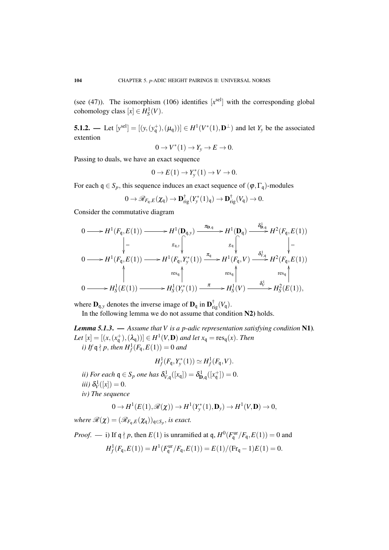(see  $(47)$ ). The isomorphism  $(106)$  identifies  $[x<sup>sel</sup>]$  with the corresponding global cohomology class  $[x] \in H_S^1(V)$ .

5.1.2. — Let  $[y^{\text{sel}}] = [(y, (y^+_{\mathsf{q}}), (\mu_{\mathsf{q}}))] \in H^1(V^*(1), \mathbf{D}^{\perp})$  and let  $Y_y$  be the associated extention

$$
0 \to V^*(1) \to Y_y \to E \to 0.
$$

Passing to duals, we have an exact sequence

$$
0 \to E(1) \to Y_{\mathcal{Y}}^*(1) \to V \to 0.
$$

For each  $q \in S_p$ , this sequence induces an exact sequence of  $(\varphi, \Gamma_q)$ -modules

$$
0 \to \mathscr{R}_{F_{\mathfrak{q}},E}(\chi_{\mathfrak{q}}) \to \mathbf{D}_{\mathrm{rig}}^{\dagger}(Y_{y}^{*}(1)_{\mathfrak{q}}) \to \mathbf{D}_{\mathrm{rig}}^{\dagger}(V_{\mathfrak{q}}) \to 0.
$$

Consider the commutative diagram

$$
0 \longrightarrow H^{1}(F_{\mathfrak{q}}, E(1)) \longrightarrow H^{1}(\mathbf{D}_{\mathfrak{q},y}) \longrightarrow H^{1}(\mathbf{D}_{\mathfrak{q}}) \longrightarrow H^{1}(\mathbf{D}_{\mathfrak{q}}) \longrightarrow H^{2}(F_{\mathfrak{q}}, E(1))
$$
  
\n
$$
\downarrow = \underset{0 \longrightarrow H^{1}(F_{\mathfrak{q}}, E(1)) \longrightarrow H^{1}(F_{\mathfrak{q}}, Y_{y}^{*}(1)) \longrightarrow H^{1}(F_{\mathfrak{q}}, Y_{y}^{*}(1)) \longrightarrow H^{1}(F_{\mathfrak{q}}, V) \longrightarrow H^{2}(F_{\mathfrak{q}}, E(1))
$$
  
\n
$$
\uparrow \underset{res_{\mathfrak{q}}}{\uparrow} \underset{res_{\mathfrak{q}}}{\uparrow} \uparrow \underset{res_{\mathfrak{q}}}{\downarrow} H^{2}(F_{\mathfrak{q}}, E(1))
$$
  
\n
$$
\uparrow \underset{res_{\mathfrak{q}}}{\uparrow} \downarrow \underset{res_{\mathfrak{q}}}{\downarrow} \downarrow
$$
  
\n
$$
0 \longrightarrow H^{1}_{S}(E(1)) \longrightarrow H^{1}_{S}(Y_{y}^{*}(1)) \longrightarrow H^{1}_{S}(V) \longrightarrow H^{2}_{S}(E(1)),
$$

where  $\mathbf{D}_{\mathfrak{q},y}$  denotes the inverse image of  $\mathbf{D}_{\mathfrak{q}}$  in  $\mathbf{D}_{\mathrm{rig}}^{\dagger}(V_{\mathfrak{q}})$ .

In the following lemma we do not assume that condition N2) holds.

*Lemma 5.1.3*. — *Assume that V is a p-adic representation satisfying condition* N1)*. Let*  $[x] = [(x, (x_q^+), (\lambda_q))] \in H^1(V, \mathbf{D})$  *and let*  $x_q = \text{res}_q(x)$ *. Then i*) If  $\mathfrak{q} \nmid p$ , then  $H_f^1(F_{\mathfrak{q}}, E(1)) = 0$  and

$$
H_f^1(F_{\mathfrak{q}}, Y_{\mathfrak{y}}^*(1)) \simeq H_f^1(F_{\mathfrak{q}}, V).
$$

*ii)* For each  $q \in S_p$  one has  $\delta_{V,q}^1([x_q]) = \delta_{\mathbf{D},q}^1([x_q^+]) = 0$ . *iii*)  $\delta_V^1([x]) = 0$ . *iv) The sequence*

$$
0 \to H^1(E(1), \mathscr{R}(\chi)) \to H^1(Y^*_{\mathbf{y}}(1), \mathbf{D}_{\mathbf{y}}) \to H^1(V, \mathbf{D}) \to 0,
$$

*where*  $\mathscr{R}(\boldsymbol{\chi}) = (\mathscr{R}_{F_{\mathsf{q}},E}(\boldsymbol{\chi}_{\mathsf{q}}))_{\mathsf{q}\in S_p}$ , is exact.

*Proof.* — i) If 
$$
\mathfrak{q} \nmid p
$$
, then  $E(1)$  is unramified at  $\mathfrak{q}$ ,  $H^0(F_{\mathfrak{q}}^{\text{ur}}/F_{\mathfrak{q}}, E(1)) = 0$  and  

$$
H^1_f(F_{\mathfrak{q}}, E(1)) = H^1(F_{\mathfrak{q}}^{\text{ur}}/F_{\mathfrak{q}}, E(1)) = E(1)/(Fr_{\mathfrak{q}} - 1)E(1) = 0.
$$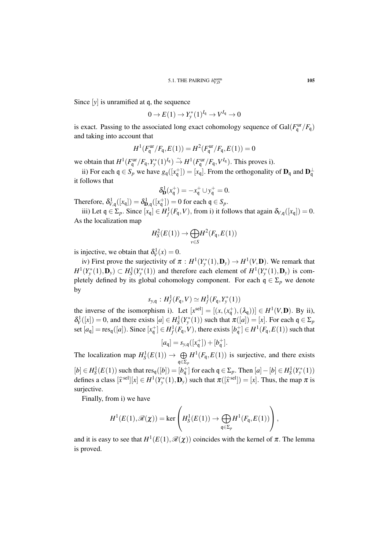Since [*y*] is unramified at q, the sequence

$$
0 \to E(1) \to Y_{\mathbf{y}}^*(1)^{I_{\mathfrak{q}}} \to V^{I_{\mathfrak{q}}} \to 0
$$

is exact. Passing to the associated long exact cohomology sequence of  $Gal(F_q^{\text{ur}}/F_q)$ and taking into account that

$$
H^1(F_{\mathfrak{q}}^{\text{ur}}/F_{\mathfrak{q}}, E(1)) = H^2(F_{\mathfrak{q}}^{\text{ur}}/F_{\mathfrak{q}}, E(1)) = 0
$$

we obtain that  $H^1(F_q^{\text{ur}}/F_q, Y_y^*(1)^{I_q}) \overset{\sim}{\rightarrow} H^1(F_q^{\text{ur}}/F_q, V^{I_q})$ . This proves i).

ii) For each  $q \in S_p$  we have  $g_q([x_q^+]) = [x_q]$ . From the orthogonality of  $\mathbf{D}_q$  and  $\mathbf{D}_q^{\perp}$ it follows that

$$
\delta_{\mathbf{D}}^1(x_{\mathfrak{q}}^+) = -x_{\mathfrak{q}}^+ \cup y_{\mathfrak{q}}^+ = 0.
$$

Therefore,  $\delta_{V,q}^1([x_q]) = \delta_{\mathbf{D},q}^1([x_q^+]) = 0$  for each  $\mathfrak{q} \in S_p$ .

iii) Let  $q \in \Sigma_p$ . Since  $[x_q] \in H^1_f(F_q, V)$ , from i) it follows that again  $\delta_{V,q}([x_q]) = 0$ . As the localization map

$$
H_S^2(E(1)) \to \bigoplus_{v \in S} H^2(F_{\mathfrak{q}}, E(1))
$$

is injective, we obtain that  $\delta_V^1(x) = 0$ .

iv) First prove the surjectivity of  $\pi : H^1(Y^*_{y}(1), \mathbf{D}_y) \to H^1(V, \mathbf{D})$ . We remark that  $H^1(Y^*_{y}(1), \mathbf{D}_y) \subset H^1_S(Y^*_{y}(1))$  and therefore each element of  $H^1(Y^*_{y}(1), \mathbf{D}_y)$  is completely defined by its global cohomology component. For each  $q \in \Sigma_p$  we denote by

$$
s_{y,q}: H^1_f(F_{\mathfrak{q}}, V) \simeq H^1_f(F_{\mathfrak{q}}, Y^*(1))
$$

the inverse of the isomorphism i). Let  $[x^{sel}] = [(x, (x^+<sub>q</sub>), (\lambda<sub>q</sub>))] \in H<sup>1</sup>(V, D)$ . By ii),  $\delta_V^1([x]) = 0$ , and there exists  $[a] \in H_S^1(Y_y^*(1))$  such that  $\pi([a]) = [x]$ . For each  $\mathfrak{q} \in \Sigma_p$ set  $[a_q] = \text{res}_q([a])$ . Since  $[x_q^+] \in H_f^1(F_q, V)$ , there exists  $[b_q^+] \in H^1(F_q, E(1))$  such that

$$
[a_{\mathfrak{q}}] = s_{y,\mathfrak{q}}([x_{\mathfrak{q}}^+]) + [b_{\mathfrak{q}}^+].
$$

The localization map  $H_S^1(E(1)) \to \bigoplus$ q∈Σ*<sup>p</sup>*  $H^1(F_q, E(1))$  is surjective, and there exists  $[b] \in H_S^1(E(1))$  such that  $res_q([b]) = [b_q^+]$  for each  $q \in \Sigma_p$ . Then  $[a] - [b] \in H_S^1(Y_y^*(1))$ defines a class  $[\hat{x}^{\text{sel}}][x] \in H^1(Y^*_{\hat{y}}(1), \mathbf{D}_y)$  such that  $\pi([\hat{x}^{\text{sel}}]) = [x]$ . Thus, the map  $\pi$  is

surjective.

Finally, from i) we have

$$
H^1(E(1), \mathscr{R}(\chi)) = \ker \left( H_S^1(E(1)) \to \bigoplus_{{\mathfrak{q}} \in \Sigma_p} H^1(F_{\mathfrak{q}}, E(1)) \right),
$$

 $\overline{ }$ 

and it is easy to see that  $H^1(E(1), \mathcal{R}(\chi))$  coincides with the kernel of  $\pi$ . The lemma is proved.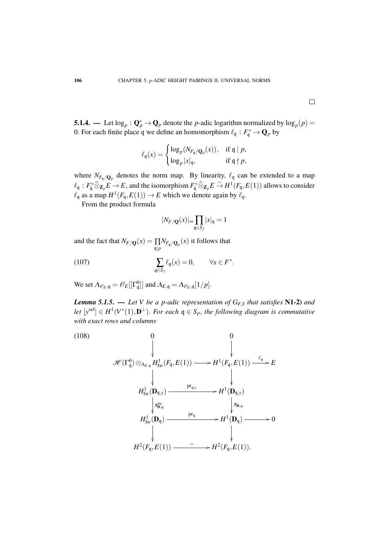**5.1.4.** — Let  $\log_p$  :  $\mathbf{Q}_p^* \to \mathbf{Q}_p$  denote the *p*-adic logarithm normalized by  $\log_p(p)$  = 0. For each finite place q we define an homomorphism  $\ell_{\mathfrak{q}} : F_{\mathfrak{q}}^* \to \mathbf{Q}_p$  by

$$
\ell_{\mathfrak{q}}(x) = \begin{cases} \log_p(N_{F_{\mathfrak{q}}/\mathbf{Q}_p}(x)), & \text{if } \mathfrak{q} \mid p, \\ \log_p |x|_{\mathfrak{q}}, & \text{if } \mathfrak{q} \nmid p, \end{cases}
$$

where  $N_{F_q/Q_p}$  denotes the norm map. By linearity,  $\ell_q$  can be extended to a map  $\ell_{\mathfrak{q}} : F_{\mathfrak{q}}^* \widehat{\otimes} \mathbf{z}_p E \to E$ , and the isomorphism  $F_{\mathfrak{q}}^* \widehat{\otimes} \mathbf{z}_p E \stackrel{\sim}{\to} H^1(F_{\mathfrak{q}}, E(1))$  allows to consider  $\ell_{\mathfrak{q}}$  as a map  $H^1(F_{\mathfrak{q}}, E(1)) \to E$  which we denote again by  $\ell_{\mathfrak{q}}$ .

From the product formula

$$
|N_{F/{\mathbf Q}}(x)|_\infty \prod_{{\mathfrak q}\in S_f} |x|_{\mathfrak q}=1
$$

and the fact that  $N_{F/\mathbf{Q}}(x) = \prod_{\mathfrak{q} \mid p} N_{F_{\mathfrak{q}}/\mathbf{Q}_p}(x)$  it follows that

(107) 
$$
\sum_{\mathfrak{q} \in S_f} \ell_{\mathfrak{q}}(x) = 0, \qquad \forall x \in F^*.
$$

We set  $\Lambda_{\mathscr{O}_E,\mathfrak{q}} = \mathscr{O}_E[[\Gamma^0_{\mathfrak{q}}]]$  and  $\Lambda_{E,\mathfrak{q}} = \Lambda_{\mathscr{O}_E,\mathfrak{q}}[1/p].$ 

*Lemma 5.1.5.* — *Let V be a p-adic representation of*  $G_{F,S}$  *that satisfies* N1-2) *and let*  $[y^{\text{sel}}] \in H^1(V^*(1), \mathbf{D}^{\perp})$ . *For each*  $\mathfrak{q} \in S_p$ , *the following diagram is commutative with exact rows and columns*

(108)  
\n
$$
\theta
$$
\n
$$
\mathscr{H}(\Gamma_q^0) \otimes_{\Lambda_{E,q}} H^1_{\mathrm{Iw}}(F_q, E(1)) \longrightarrow H^1(F_q, E(1)) \xrightarrow{\ell_q} E
$$
\n
$$
\downarrow \qquad \qquad \downarrow
$$
\n
$$
H^1_{\mathrm{Iw}}(\mathbf{D}_{q,y}) \longrightarrow H^1(\mathbf{D}_{q,y})
$$
\n
$$
\downarrow_{\mathbf{D},q} \qquad \qquad \downarrow_{\mathbf{D},q}
$$
\n
$$
H^1_{\mathrm{Iw}}(\mathbf{D}_q) \longrightarrow H^1(\mathbf{D}_q) \longrightarrow 0
$$
\n
$$
\downarrow_{\mathbf{D},q} H^1(\mathbf{D}_q) \longrightarrow 0
$$
\n
$$
\downarrow_{\mathbf{H}^2(F_q, E(1))} \qquad \qquad = \qquad H^2(F_q, E(1)).
$$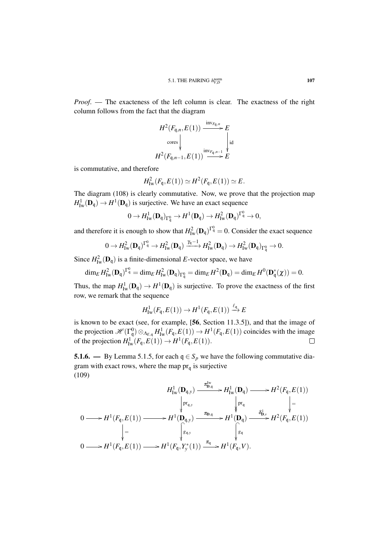*Proof*. — The exacteness of the left column is clear. The exactness of the right column follows from the fact that the diagram

$$
H^{2}(F_{\mathfrak{q},n}, E(1)) \xrightarrow{\text{inv}_{F_{\mathfrak{q}},n}} E
$$
  
\n
$$
\downarrow^{\text{cores}} \downarrow^{\text{inv}_{F_{\mathfrak{q}},n-1}} E
$$
  
\n
$$
H^{2}(F_{\mathfrak{q},n-1}, E(1)) \xrightarrow{\text{inv}_{F_{\mathfrak{q}},n-1}} E
$$

is commutative, and therefore

$$
H_{\mathrm{Iw}}^2(F_{\mathfrak{q}}, E(1)) \simeq H^2(F_{\mathfrak{q}}, E(1)) \simeq E.
$$

The diagram (108) is clearly commutative. Now, we prove that the projection map  $H^1_{\text{Iw}}(\mathbf{D}_{\mathfrak{q}}) \to H^1(\mathbf{D}_{\mathfrak{q}})$  is surjective. We have an exact sequence

$$
0 \to H^1_{\mathrm{Iw}}(\mathbf{D}_\mathfrak{q})_{\Gamma^0_\mathfrak{q}} \to H^1(\mathbf{D}_\mathfrak{q}) \to H^2_{\mathrm{Iw}}(\mathbf{D}_\mathfrak{q})^{\Gamma^0_\mathfrak{q}} \to 0,
$$

and therefore it is enough to show that  $H_{\text{Iw}}^2(\mathbf{D}_\mathfrak{q})^{\Gamma_\mathfrak{q}^0} = 0$ . Consider the exact sequence

$$
0 \to H^2_{\mathrm{Iw}}(\mathbf{D}_\mathfrak{q})^{\Gamma^0_\mathfrak{q}} \to H^2_{\mathrm{Iw}}(\mathbf{D}_\mathfrak{q}) \xrightarrow{\gamma_\mathfrak{q}-1} H^2_{\mathrm{Iw}}(\mathbf{D}_\mathfrak{q}) \to H^2_{\mathrm{Iw}}(\mathbf{D}_\mathfrak{q})_{\Gamma^0_\mathfrak{q}} \to 0.
$$

Since  $H_{\text{Iw}}^2(\mathbf{D}_q)$  is a finite-dimensional *E*-vector space, we have

$$
\dim_E H^2_{\mathrm{Iw}}(\mathbf{D}_\mathfrak{q})^{\Gamma_\mathfrak{q}^0} = \dim_E H^2_{\mathrm{Iw}}(\mathbf{D}_\mathfrak{q})_{\Gamma_\mathfrak{q}^0} = \dim_E H^2(\mathbf{D}_\mathfrak{q}) = \dim_E H^0(\mathbf{D}_\mathfrak{q}^*(\chi)) = 0.
$$

Thus, the map  $H^1_{\text{Iw}}(\mathbf{D}_q) \to H^1(\mathbf{D}_q)$  is surjective. To prove the exactness of the first row, we remark that the sequence

$$
H^1_{\mathrm{Iw}}(F_{\mathfrak{q}}, E(1)) \to H^1(F_{\mathfrak{q}}, E(1)) \xrightarrow{\ell_{\mathfrak{q}}} E
$$

is known to be exact (see, for example, [56, Section 11.3.5]), and that the image of the projection  $\mathscr{H}(\Gamma^0_q) \otimes_{\Lambda_{E,q}} H^1_{\text{Iw}}(F_q, E(1)) \to H^1(F_q, E(1))$  coincides with the image of the projection  $H^1_{\text{Iw}}(F_{\mathfrak{q}}, E(1)) \to H^1(F_{\mathfrak{q}}, E(1)).$ 

**5.1.6.** — By Lemma 5.1.5, for each  $q \in S_p$  we have the following commutative diagram with exact rows, where the map  $pr_q$  is surjective (109)

$$
H^1_{\text{Iw}}(\mathbf{D}_{\mathbf{q},y}) \xrightarrow{\pi_{\mathbf{D},\mathbf{q}}^{\mathbf{Iw}}} H^1_{\text{Iw}}(\mathbf{D}_{\mathbf{q}}) \longrightarrow H^2(F_{\mathbf{q}}, E(1))
$$
\n
$$
0 \longrightarrow H^1(F_{\mathbf{q}}, E(1)) \longrightarrow H^1(\mathbf{D}_{\mathbf{q},y}) \xrightarrow{\pi_{\mathbf{D},\mathbf{q}}^{\mathbf{Iw}}} H^1(\mathbf{D}_{\mathbf{q}}) \xrightarrow{\delta_{\mathbf{D},y}^{\mathbf{Iw}}} H^2(F_{\mathbf{q}}, E(1))
$$
\n
$$
\downarrow = \qquad \qquad \downarrow \qquad \qquad \downarrow
$$
\n
$$
0 \longrightarrow H^1(F_{\mathbf{q}}, E(1)) \longrightarrow H^1(F_{\mathbf{q}}, Y^*_y(1)) \xrightarrow{\pi_{\mathbf{q}}^{\mathbf{Iw}}} H^1(F_{\mathbf{q}}, V).
$$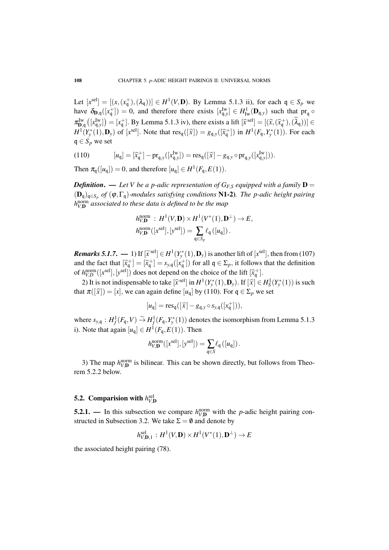Let  $[x^{sel}] = [(x, (x_q^+), (\lambda_q))] \in H^1(V, \mathbf{D})$ . By Lemma 5.1.3 ii), for each  $q \in S_p$  we have  $\delta_{D,q}([x_q^+]) = 0$ , and therefore there exists  $[x_{q,y}^{\text{Iw}}] \in H^1_{\text{Iw}}(\mathbf{D}_{q,y})$  such that  $\text{pr}_q \circ$  $\pi_{\text{D,q}}^{\text{Iw}}([\mathbf{x}_{q}^{\text{Iw}}]) = [x_{q}^{+}]$ . By Lemma 5.1.3 iv), there exists a lift  $[\hat{x}^{\text{sel}}] = [(\hat{x}, (\hat{x}_{q}^{+}), (\hat{\lambda}_{q}))] \in$  $H^1(Y^*_{y}(1), \mathbf{D}_y)$  of [*x*<sup>sel</sup>]. Note that  $res_q([\hat{x}]) = g_{q,y}([\hat{x}_q^+])$  in  $H^1(F_q, Y^*_{y}(1))$ . For each  $q \in S_p$  we set

(110) 
$$
[u_{\mathfrak{q}}] = [\hat{x}_{\mathfrak{q}}^+] - \mathrm{pr}_{\mathfrak{q},y}([x_{\mathfrak{q},y}^{Iw}]) = \mathrm{res}_{\mathfrak{q}}([\hat{x}] - g_{\mathfrak{q},y} \circ \mathrm{pr}_{\mathfrak{q},y}([x_{\mathfrak{q},y}^{Iw}])).
$$

Then  $\pi_{\mathfrak{q}}([u_{\mathfrak{q}}]) = 0$ , and therefore  $[u_{\mathfrak{q}}] \in H^1(F_{\mathfrak{q}}, E(1))$ .

*Definition.* — Let V be a p-adic representation of  $G_{F,S}$  equipped with a family  $D =$ (Dq)q∈*S<sup>p</sup> of* (ϕ,Γq)*-modules satisfying conditions* N1-2)*. The p-adic height pairing h* norm *V*,D *associated to these data is defined to be the map*

$$
h_{V,\mathbf{D}}^{\text{norm}} : H^1(V,\mathbf{D}) \times H^1(V^*(1),\mathbf{D}^\perp) \to E,
$$
  

$$
h_{V,\mathbf{D}}^{\text{norm}}([x^{\text{sel}}],[y^{\text{sel}}]) = \sum_{\mathbf{q} \in S_p} \ell_{\mathbf{q}}([u_{\mathbf{q}}]).
$$

*Remarks 5.1.7.* — 1) If  $[\tilde{x}^{\text{sel}}] \in H^1(Y^*(1), \mathbf{D}_y)$  is another lift of  $[x^{\text{sel}}]$ , then from (107)<br>and the fact that  $[\tilde{x}^{\text{el}}] = [\tilde{x}^{\text{el}}] = a$  ([*x*<sup>+1</sup>) for all  $\tilde{x} \in \tilde{Y}$  is follows that the definition and the fact that  $[\hat{x}_{\text{q}}^+] = [\tilde{x}_{\text{q}}^+] = s_{y,\text{q}}([x_{\text{q}}^+])$  for all  $\mathfrak{q} \in \Sigma_p$ , it follows that the definition of  $h_{V,D}^{\text{norm}}([x^{\text{sel}}], [y^{\text{sel}}])$  does not depend on the choice of the lift  $[\hat{x}_{\text{q}}^+]$ .

2) It is not indispensable to take  $[\hat{x}^{\text{sel}}]$  in  $H^1(Y_y^*(1), \mathbf{D}_y)$ . If  $[\hat{x}] \in H^1_S(Y_y^*(1))$  is such  $\pi([\hat{x}])$ .  $[\hat{y}]$  we see again define  $[\hat{y}]$  by (110). For  $\pi \in \Sigma$  we set that  $\pi([\hat{x}] ) = [x]$ , we can again define  $[u_q]$  by (110). For  $q \in \Sigma_p$  we set

$$
[u_{\mathfrak{q}}] = \text{res}_{\mathfrak{q}}([\widehat{x}] - g_{\mathfrak{q},y} \circ s_{y,\mathfrak{q}}([x_{\mathfrak{q}}^+])),
$$

where  $s_{y,q}: H^1_f(F_q, V) \stackrel{\sim}{\to} H^1_f(F_q, Y^*(1))$  denotes the isomorphism from Lemma 5.1.3 i). Note that again  $[u_q] \in H^1(F_q, E(1))$ . Then

$$
h_{V,\mathbf{D}}^{\text{norm}}([x^{\text{sel}}],[y^{\text{sel}}]) = \sum_{\mathbf{q}\in S} \ell_{\mathbf{q}}([u_{\mathbf{q}}])\,.
$$

3) The map  $h_{V,\mathbf{D}}^{\text{norm}}$  is bilinear. This can be shown directly, but follows from Theorem 5.2.2 below.

# 5.2. Comparision with  $h^{\text{sel}}_{V, \mathbf{D}}$

**5.2.1.** — In this subsection we compare  $h_{V,\mathbf{D}}^{\text{norm}}$  with the *p*-adic height pairing constructed in Subsection 3.2. We take  $\Sigma = \emptyset$  and denote by

$$
h_{V,\mathbf{D},1}^{\mathrm{sel}}\,:\,H^1(V,\mathbf{D})\times H^1(V^*(1),\mathbf{D}^\perp)\rightarrow E
$$

the associated height pairing (78).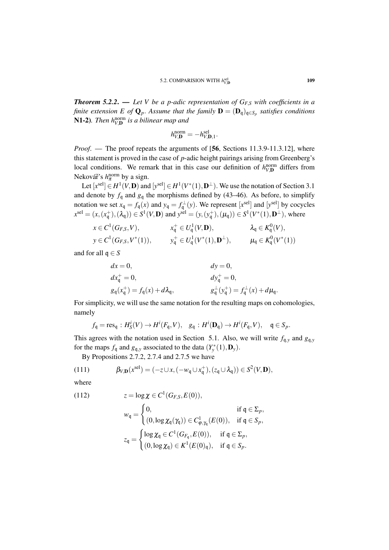*Theorem 5.2.2*. — *Let V be a p-adic representation of GF*,*<sup>S</sup> with coefficients in a finite extension E of* Q*p*. *Assume that the family* D = (Dq)q∈*S<sup>p</sup> satisfies conditions* **N1-2**). Then h<sub>V,</sub>**D** is a bilinear map and

$$
h_{V,\mathbf{D}}^{\text{norm}} = -h_{V,\mathbf{D},1}^{\text{sel}}.
$$

*Proof.* — The proof repeats the arguments of [56, Sections 11.3.9-11.3.12], where this statement is proved in the case of *p*-adic height pairings arising from Greenberg's local conditions. We remark that in this case our definition of  $h_{V,\mathbf{D}}^{\text{norm}}$  differs from Nekovář's *h*<sub>π</sub><sup>norm</sup> by a sign.

Let  $[x^{\text{sel}}] \in H^1(V, \mathbf{D})$  and  $[y^{\text{sel}}] \in H^1(V^*(1), \mathbf{D}^{\perp})$ . We use the notation of Section 3.1 and denote by  $f_q$  and  $g_q$  the morphisms defined by (43–46). As before, to simplify notation we set  $x_q = f_q(x)$  and  $y_q = f_q^{\perp}(y)$ . We represent  $[x^{\text{sel}}]$  and  $[y^{\text{sel}}]$  by cocycles  $x^{\text{sel}} = (x, (x^{\text{+}}_{\text{q}}), (\lambda_{\text{q}})) \in S^1(V, \mathbf{D})$  and  $y^{\text{sel}} = (y, (y^{\text{+}}_{\text{q}}), (\mu_{\text{q}})) \in S^1(V^*(1), \mathbf{D}^{\perp})$ , where

$$
x \in C^{1}(G_{F,S}, V), \qquad x_{\mathfrak{q}}^{+} \in U_{\mathfrak{q}}^{1}(V, \mathbf{D}), \qquad \lambda_{\mathfrak{q}} \in K_{\mathfrak{q}}^{0}(V), y \in C^{1}(G_{F,S}, V^{*}(1)), \qquad y_{\mathfrak{q}}^{+} \in U_{\mathfrak{q}}^{1}(V^{*}(1), \mathbf{D}^{\perp}), \qquad \mu_{\mathfrak{q}} \in K_{\mathfrak{q}}^{0}(V^{*}(1))
$$

and for all  $q \in S$ 

$$
dx = 0, \t dy = 0,\n dxq+ = 0, \t dyq+ = 0,\n gq(xq+) = fq(x) + d\lambdaq, \t gq+(yq+) = fq+(x) + d\muq.
$$

For simplicity, we will use the same notation for the resulting maps on cohomologies, namely

$$
f_{\mathfrak{q}} = \operatorname{res}_{\mathfrak{q}} : H_S^i(V) \to H^i(F_{\mathfrak{q}}, V), \quad g_{\mathfrak{q}} : H^i(\mathbf{D}_{\mathfrak{q}}) \to H^i(F_{\mathfrak{q}}, V), \quad \mathfrak{q} \in S_p.
$$

This agrees with the notation used in Section 5.1. Also, we will write  $f_{q,y}$  and  $g_{q,y}$ for the maps  $f_q$  and  $g_{q,y}$  associated to the data  $(Y^*_y(1), \mathbf{D}_y)$ .

By Propositions 2.7.2, 2.7.4 and 2.7.5 we have

(111) 
$$
\beta_{V,\mathbf{D}}(x^{\text{sel}}) = (-z \cup x, (-w_{\mathfrak{q}} \cup x_{\mathfrak{q}}^+), (z_{\mathfrak{q}} \cup \lambda_{\mathfrak{q}})) \in S^2(V,\mathbf{D}),
$$

where

(112) 
$$
z = \log \chi \in C^{1}(G_{F,S}, E(0)),
$$

$$
w_{\mathfrak{q}} = \begin{cases} 0, & \text{if } \mathfrak{q} \in \Sigma_{p}, \\ (0, \log \chi_{\mathfrak{q}}(\gamma_{\mathfrak{q}})) \in C^{1}_{\phi, \gamma_{\mathfrak{q}}}(E(0)), & \text{if } \mathfrak{q} \in S_{p}, \end{cases}
$$

$$
z_{\mathfrak{q}} = \begin{cases} \log \chi_{\mathfrak{q}} \in C^{1}(G_{F_{\mathfrak{q}}}, E(0)), & \text{if } \mathfrak{q} \in \Sigma_{p}, \\ (0, \log \chi_{\mathfrak{q}}) \in K^{1}(E(0)_{\mathfrak{q}}), & \text{if } \mathfrak{q} \in S_{p}. \end{cases}
$$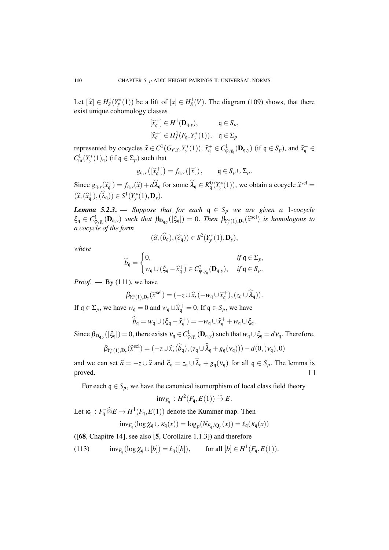Let  $[\hat{x}] \in H_S^1(Y^*(1))$  be a lift of  $[x] \in H_S^1(V)$ . The diagram (109) shows, that there exist unique cohomology classes

$$
\begin{aligned} [\widehat{x}_{\mathfrak{q}}^+] &\in H^1(\mathbf{D}_{\mathfrak{q},y}), & \mathfrak{q} &\in S_p, \\ [\widehat{x}_{\mathfrak{q}}^+] &\in H^1_f(F_{\mathfrak{q}}, Y^*_y(1)), & \mathfrak{q} &\in \Sigma_p \end{aligned}
$$

represented by cocycles  $\hat{x} \in C^1(G_{F,S}, Y^*_y(1)), \hat{x}^+_q \in C^1_{\phi, \gamma_q}(\mathbf{D}_{q,y})$  (if  $q \in S_p$ ), and  $\hat{x}^+_q \in C^1(Y^*_s(1))$ ,  $\hat{x}^+_s \in C^1(\mathbf{D}_{F,S}, Y^*_y(1))$  $C^1_{\text{ur}}(Y^*_{\mathcal{Y}}(1)_{\mathfrak{q}})$  (if  $\mathfrak{q} \in \Sigma_p$ ) such that

$$
g_{\mathfrak{q},y}\left(\left[\widehat{x}_{\mathfrak{q}}^{+}\right]\right)=f_{\mathfrak{q},y}\left(\left[\widehat{x}\right]\right), \qquad \mathfrak{q} \in S_p \cup \Sigma_p.
$$

Since  $g_{q,y}(\hat{x}_q^+) = f_{q,y}(\hat{x}) + d\hat{\lambda}_q$  for some  $\hat{\lambda}_q \in K_q^0(Y_y^*(1))$ , we obtain a cocycle  $\hat{x}^{\text{sel}} =$  $(\widehat{x}, (\widehat{x}_{\mathsf{q}}^+),(\widehat{\lambda}_{\mathsf{q}})) \in S^1(Y_{\mathsf{y}}^*(1),\mathbf{D}_{\mathsf{y}}).$ 

*Lemma 5.2.3.* — *Suppose that for each*  $q \in S_p$  *we are given a* 1*-cocycle*  $\xi_{\mathsf{q}} \in C^1_{\varphi, \gamma_{\mathsf{q}}}(\mathbf{D}_{\mathsf{q},y})$  *such that*  $\beta_{\mathbf{D}_{\mathsf{q},y}}([\xi_{\mathsf{q}}]) = 0$ . Then  $\beta_{Y^*_y(1),\mathbf{D}_y}(\widehat{x}^{\text{sel}})$  *is homologous to a cocycle of the form*

$$
(\widehat{a},(\widehat{b}_{\mathfrak{q}}),(\widehat{c}_{\mathfrak{q}})) \in S^2(Y^*_{y}(1),\mathbf{D}_y),
$$

*where*

$$
\widehat{b}_{\mathfrak{q}} = \begin{cases} 0, & \text{if } \mathfrak{q} \in \Sigma_p, \\ w_{\mathfrak{q}} \cup (\xi_{\mathfrak{q}} - \widehat{x}_{\mathfrak{q}}^+) \in C^2_{\varphi, \gamma_{\mathfrak{q}}}(\mathbf{D}_{\mathfrak{q},y}), & \text{if } \mathfrak{q} \in S_p. \end{cases}
$$

*Proof.* — By  $(111)$ , we have

$$
\beta_{Y_{\mathbf{y}}^*(1),\mathbf{D}_{\mathbf{y}}}(\widehat{x}^{\text{sel}}) = (-z \cup \widehat{x}, (-w_{\mathbf{q}} \cup \widehat{x}_{\mathbf{q}}^+), (z_{\mathbf{q}} \cup \widehat{\lambda}_{\mathbf{q}})).
$$

If  $q \in \Sigma_p$ , we have  $w_q = 0$  and  $w_q \cup \hat{x}_q^+ = 0$ , If  $q \in S_p$ , we have

$$
\widehat{b}_{\mathfrak{q}} = w_{\mathfrak{q}} \cup (\xi_{\mathfrak{q}} - \widehat{x}_{\mathfrak{q}}^+) = -w_{\mathfrak{q}} \cup \widehat{x}_{\mathfrak{q}}^+ + w_{\mathfrak{q}} \cup \xi_{\mathfrak{q}}.
$$

Since  $\beta_{\mathbf{D}_{q,y}}([\xi_q]) = 0$ , there exists  $v_q \in C^1_{\phi,\gamma_q}(\mathbf{D}_{q,y})$  such that  $w_q \cup \xi_q = d v_q$ . Therefore,

$$
\beta_{Y_{\mathbf{y}}^*(1),\mathbf{D}_{\mathbf{y}}}(\widehat{x}^{\text{sel}}) = (-z \cup \widehat{x}, (\widehat{b}_{\mathbf{q}}), (z_{\mathbf{q}} \cup \widehat{\lambda}_{\mathbf{q}} + g_{\mathbf{q}}(\mathbf{v}_{\mathbf{q}}))) - d(0, (\mathbf{v}_{\mathbf{q}}), 0)
$$

and we can set  $\hat{a} = -z \cup \hat{x}$  and  $\hat{c}_{\mathfrak{q}} = z_{\mathfrak{q}} \cup \lambda_{\mathfrak{q}} + g_{\mathfrak{q}}(v_{\mathfrak{q}})$  for all  $\mathfrak{q} \in S_p$ . The lemma is proved.

For each  $q \in S_p$ , we have the canonical isomorphism of local class field theory

$$
\text{inv}_{F_{\mathfrak{q}}}: H^2(F_{\mathfrak{q}}, E(1)) \overset{\sim}{\to} E.
$$

Let  $\kappa_{\mathfrak{q}} : F_{\mathfrak{q}}^* \widehat{\otimes} E \to H^1(F_{\mathfrak{q}}, E(1))$  denote the Kummer map. Then

$$
inv_{F_q}(\log \chi_q \cup \kappa_q(x)) = \log_p(N_{F_q/Q_p}(x)) = \ell_q(\kappa_q(x))
$$

([68, Chapitre 14], see also [5, Corollaire 1.1.3]) and therefore

(113)  $inv_{F_q}(\log \chi_q \cup [b]) = \ell_q([b]),$  for all  $[b] \in H^1(F_q, E(1)).$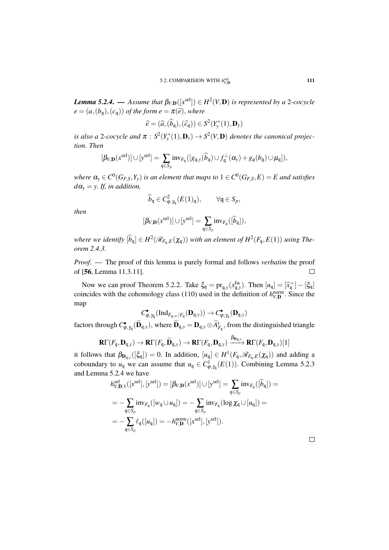*Lemma 5.2.4.* — Assume that  $\beta_{V,\mathbf{D}}([x^{\text{sel}}]) \in H^2(V,\mathbf{D})$  is represented by a 2-cocycle  $e = (a,(b_{\mathfrak{q}}),(c_{\mathfrak{q}}))$  *of the form*  $e = \pi(\widehat{e})$ *, where* 

$$
\widehat{e} = (\widehat{a}, (\widehat{b}_{\mathfrak{q}}), (\widehat{c}_{\mathfrak{q}})) \in S^2(Y^*_{y}(1), \mathbf{D}_y)
$$

*is also a* 2-cocycle and  $\pi$  :  $S^2(Y^*_y(1), \mathbf{D}_y) \to S^2(V, \mathbf{D})$  denotes the canonical projec*tion. Then*

$$
[\beta_{V,\mathbf{D}}(x^{\text{sel}})] \cup [y^{\text{sel}}] = \sum_{\mathfrak{q} \in S_p} \text{inv}_{\mathcal{F}_{\mathfrak{q}}}([g_{\mathfrak{q},y}(\widehat{b}_{\mathfrak{q}}) \cup \mathit{f}^{\perp}_{\mathfrak{q}}(\alpha_y) + g_{\mathfrak{q}}(b_{\mathfrak{q}}) \cup \mu_{\mathfrak{q}}]),
$$

where  $\alpha_y\in C^0(G_{F,S},Y_y)$  is an element that maps to  $1\in C^0(G_{F,S},E)=E$  and satisfies  $d\alpha$ <sup>*y*</sup> = *y*. *If, in addition,* 

$$
\widehat{b}_{\mathfrak{q}} \in C^2_{\varphi,\gamma_{\mathfrak{q}}}(E(1)_{\mathfrak{q}}), \qquad \forall \mathfrak{q} \in S_p,
$$

*then*

$$
[\beta_{V,\mathbf{D}}(x^{\text{sel}})] \cup [y^{\text{sel}}] = \sum_{\mathfrak{q} \in S_p} \text{inv}_{F_{\mathfrak{q}}}([\widehat{b}_{\mathfrak{q}}]),
$$

*where we identify*  $[\widehat{b}_q] \in H^2(\mathscr{R}_{F_q,E}(\chi_q))$  *with an element of*  $H^2(F_q,E(1))$  *using Theorem 2.4.3.*

*Proof*. — The proof of this lemma is purely formal and follows *verbatim* the proof of [56, Lemma 11.3.11].  $\Box$ 

Now we can proof Theorem 5.2.2. Take  $\xi_q = \text{pr}_{q,y}(x_{q,y}^{\text{Iw}})$ . Then  $[u_q] = [\hat{x}_q^+] - [\xi_q]$ coincides with the cohomology class (110) used in the definition of  $h_{V,\mathbf{D}}^{\text{norm}}$ . Since the map

$$
C_{\varphi,\gamma_{\mathfrak{q}}}^{\bullet}(\mathrm{Ind}_{F_{\mathfrak{q},\infty}/F_{\mathfrak{q}}}(\mathbf{D}_{\mathfrak{q},y}))\rightarrow C_{\varphi,\gamma_{\mathfrak{q}}}^{\bullet}(\mathbf{D}_{\mathfrak{q},y})
$$

factors through  $C_{\varphi,\gamma_{\mathsf{q}}}^{\bullet}(\widetilde{\mathbf{D}}_{\mathsf{q},y})$ , where  $\widetilde{\mathbf{D}}_{\mathsf{q},y} = \mathbf{D}_{\mathsf{q},y} \otimes \widetilde{A}_{F_{\mathsf{q}}}^{\mathsf{t}}$ , from the distinguished triangle

$$
\mathbf{R}\Gamma(F_{\mathfrak{q}},\mathbf{D}_{\mathfrak{q},y}) \to \mathbf{R}\Gamma(F_{\mathfrak{q}},\widetilde{\mathbf{D}}_{\mathfrak{q},y}) \to \mathbf{R}\Gamma(F_{\mathfrak{q}},\mathbf{D}_{\mathfrak{q},y}) \xrightarrow{\beta_{\mathbf{D}_{\mathfrak{q},y}}} \mathbf{R}\Gamma(F_{\mathfrak{q}},\mathbf{D}_{\mathfrak{q},y})[1]
$$

it follows that  $\beta_{D_{q,y}}(\lbrack \xi_q \rbrack) = 0$ . In addition,  $[u_q] \in H^1(F_q, \mathscr{R}_{F_q,E}(\chi_q))$  and adding a coboundary to  $u_q$  we can assume that  $u_q \in C^1_{\phi, \gamma_q}(E(1))$ . Combining Lemma 5.2.3 and Lemma 5.2.4 we have

$$
h_{V,\mathbf{D},1}^{\text{sel}}([x^{\text{sel}}],[y^{\text{sel}}]) = [\beta_{V,\mathbf{D}}(x^{\text{sel}})] \cup [y^{\text{sel}}] = \sum_{\mathbf{q} \in S_p} \text{inv}_{F_{\mathbf{q}}}([\widehat{b}_{\mathbf{q}}]) =
$$
  
= 
$$
-\sum_{\mathbf{q} \in S_p} \text{inv}_{F_{\mathbf{q}}}([w_{\mathbf{q}} \cup u_{\mathbf{q}}]) = -\sum_{\mathbf{q} \in S_p} \text{inv}_{F_{\mathbf{q}}}(\log \chi_{\mathbf{q}} \cup [u_{\mathbf{q}}]) =
$$
  
= 
$$
-\sum_{\mathbf{q} \in S_p} \ell_{\mathbf{q}}([u_{\mathbf{q}}]) = -h_{V,\mathbf{D}}^{\text{norm}}([x^{\text{sel}}],[y^{\text{sel}}]).
$$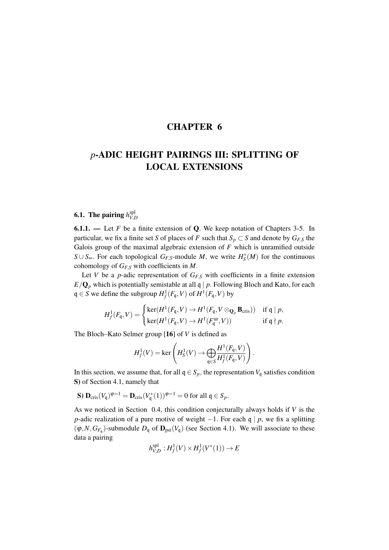## CHAPTER 6

# *p*-ADIC HEIGHT PAIRINGS III: SPLITTING OF LOCAL EXTENSIONS

#### **6.1.** The pairing  $h_{VI}^{\text{spl}}$ *V*,*D*

**6.1.1.** — Let  $F$  be a finite extension of  $Q$ . We keep notation of Chapters 3-5. In particular, we fix a finite set *S* of places of *F* such that  $S_p \subset S$  and denote by  $G_{F,S}$  the Galois group of the maximal algebraic extension of *F* which is unramified outside *S*∪ *S*∞. For each topological *G<sub>F,S</sub>*-module *M*, we write  $H_S^*(M)$  for the continuous cohomology of *GF*,*<sup>S</sup>* with coefficients in *M*.

Let *V* be a *p*-adic representation of  $G_{F,S}$  with coefficients in a finite extension  $E/\mathbf{Q}_p$  which is potentially semistable at all q | *p*. Following Bloch and Kato, for each q ∈ *S* we define the subgroup  $H_f^1(F_q, V)$  of  $H^1(F_q, V)$  by

$$
H_f^1(F_{\mathfrak{q}}, V) = \begin{cases} \ker(H^1(F_{\mathfrak{q}}, V) \to H^1(F_{\mathfrak{q}}, V \otimes_{\mathbf{Q}_p} \mathbf{B}_{\mathrm{cris}})) & \text{if } \mathfrak{q} \mid p, \\ \ker(H^1(F_{\mathfrak{q}}, V) \to H^1(F_{\mathfrak{q}}^{\mathrm{ur}}, V)) & \text{if } \mathfrak{q} \nmid p. \end{cases}
$$

The Bloch–Kato Selmer group [16] of *V* is defined as

$$
H_f^1(V) = \ker \left(H_S^1(V) \to \bigoplus_{\mathfrak{q} \in S} \frac{H^1(F_{\mathfrak{q}}, V)}{H_f^1(F_{\mathfrak{q}}, V)}\right).
$$

In this section, we assume that, for all  $q \in S_p$ , the representation  $V_q$  satisfies condition S) of Section 4.1, namely that

**S**) 
$$
\mathbf{D}_{\mathrm{cris}}(V_q)^{\varphi=1} = \mathbf{D}_{\mathrm{cris}}(V_q^*(1))^{\varphi=1} = 0
$$
 for all  $q \in S_p$ .

As we noticed in Section 0.4, this condition conjecturally always holds if *V* is the *p*-adic realization of a pure motive of weight  $-1$ . For each q | *p*, we fix a splitting  $(\varphi, N, G_{F_q})$ -submodule  $D_q$  of  $\mathbf{D}_{\text{pst}}(V_q)$  (see Section 4.1). We will associate to these data a pairing

$$
h_{V,D}^{\text{spl}}: H^1_f(V) \times H^1_f(V^*(1)) \to E
$$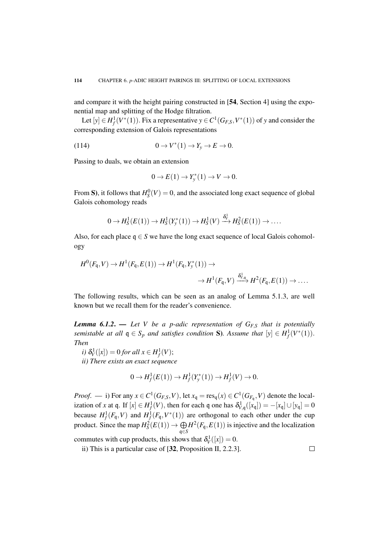and compare it with the height pairing constructed in [54, Section 4] using the exponential map and splitting of the Hodge filtration.

Let  $[y] \in H_f^1(V^*(1))$ . Fix a representative  $y \in C^1(G_{F,S}, V^*(1))$  of *y* and consider the corresponding extension of Galois representations

(114) 
$$
0 \to V^*(1) \to Y_y \to E \to 0.
$$

Passing to duals, we obtain an extension

$$
0 \to E(1) \to Y_{\mathcal{Y}}^*(1) \to V \to 0.
$$

From S), it follows that  $H_S^0(V) = 0$ , and the associated long exact sequence of global Galois cohomology reads

$$
0 \to H_S^1(E(1)) \to H_S^1(Y^*_{\mathbf{y}}(1)) \to H_S^1(V) \xrightarrow{\delta_V^1} H_S^2(E(1)) \to \dots
$$

Also, for each place  $q \in S$  we have the long exact sequence of local Galois cohomology

$$
H^0(F_q, V) \to H^1(F_q, E(1)) \to H^1(F_q, Y^*_{\mathcal{Y}}(1)) \to
$$
  

$$
\to H^1(F_q, V) \xrightarrow{\delta_{V,q}^1} H^2(F_q, E(1)) \to \dots
$$

The following results, which can be seen as an analog of Lemma 5.1.3, are well known but we recall them for the reader's convenience.

*Lemma 6.1.2.* — Let V be a p-adic representation of  $G_{F,S}$  that is potentially *semistable at all*  $q \in S_p$  *and satisfies condition* S). Assume that  $[y] \in H_f^1(V^*(1))$ . *Then*

$$
i) \delta_V^1([x]) = 0 \text{ for all } x \in H^1_f(V);
$$

*ii) There exists an exact sequence*

$$
0 \to H_f^1(E(1)) \to H_f^1(Y^*_{y}(1)) \to H_f^1(V) \to 0.
$$

*Proof.* — i) For any  $x \in C^1(G_{F,S}, V)$ , let  $x_q = \text{res}_q(x) \in C^1(G_{F_q}, V)$  denote the localization of *x* at q. If  $[x] \in H_f^1(V)$ , then for each q one has  $\delta_{V,q}^1([x_q]) = -[x_q] \cup [y_q] = 0$ because  $H_f^1(F_q, V)$  and  $H_f^1(F_q, V^*(1))$  are orthogonal to each other under the cup product. Since the map  $H_S^2(E(1)) \to \bigoplus$ q∈*S*  $H^2(F_q, E(1))$  is injective and the localization commutes with cup products, this shows that  $\delta_V^1([x]) = 0$ .

ii) This is a particular case of [32, Proposition II, 2.2.3].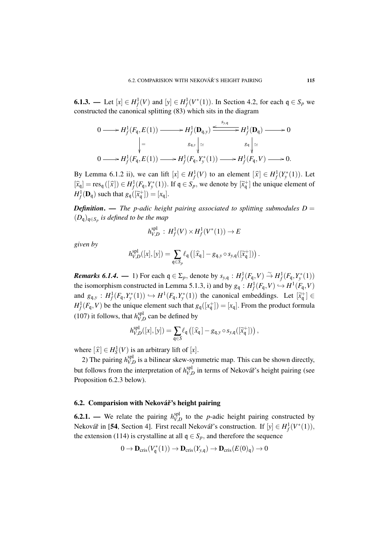**6.1.3.** — Let  $[x] \in H_f^1(V)$  and  $[y] \in H_f^1(V^*(1))$ . In Section 4.2, for each  $\mathfrak{q} \in S_p$  we constructed the canonical splitting (83) which sits in the diagram

$$
0 \longrightarrow H_f^1(F_q, E(1)) \longrightarrow H_f^1(\mathbf{D}_{q,y}) \xrightarrow{s_{y,q}} H_f^1(\mathbf{D}_q) \longrightarrow 0
$$
  
\n
$$
\Big| = \begin{array}{c} g_{q,y} \\ \downarrow \cong \\ 0 \longrightarrow H_f^1(F_q, E(1)) \longrightarrow H_f^1(F_q, Y_y^*(1)) \longrightarrow H_f^1(F_q, V) \longrightarrow 0. \end{array}
$$

By Lemma 6.1.2 ii), we can lift  $[x] \in H_f^1(V)$  to an element  $[\hat{x}] \in H_f^1(Y^*(1))$ . Let  $[\hat{x}_q] = \text{res}_q([\hat{x}]) \in H_f^1(F_q, Y^*(1))$ . If  $q \in S_p$ , we denote by  $[\hat{x}_q^+]$  the unique element of  $H_f^1(\mathbf{D}_q)$  such that  $g_q([\widetilde{x}_q^+]) = [x_q].$ 

*Definition.* — *The p-adic height pairing associated to splitting submodules*  $D =$ (*D*q)q∈*S<sup>p</sup> is defined to be the map*

$$
h_{V,D}^{\text{spl}} : H_f^1(V) \times H_f^1(V^*(1)) \to E
$$

*given by*

$$
h_{V,D}^{\text{spl}}([x],[y]) = \sum_{\mathfrak{q} \in S_p} \ell_{\mathfrak{q}} \left( [\widehat{x}_{\mathfrak{q}}] - g_{\mathfrak{q},y} \circ s_{y,\mathfrak{q}}([\widetilde{x}_{\mathfrak{q}}^+]) \right).
$$

*Remarks 6.1.4.* — 1) For each  $q \in \Sigma_p$ , denote by  $s_{y,q} : H^1_f(F_q, V) \overset{\sim}{\to} H^1_f(F_q, Y^*(1))$ the isomorphism constructed in Lemma 5.1.3, i) and by  $g_q : H^1_f(F_q, V) \hookrightarrow H^1(F_q, V)$ and  $g_{q,y}$ :  $H^1_f(F_q, Y^*(1)) \hookrightarrow H^1(F_q, Y^*(1))$  the canonical embeddings. Let  $[\tilde{x}^+_q] \in H^1(F_q, Y)$  beginning the set of the set of the set of the set of the set of the set of the set of the set of the set of the set of the set  $H_f^1(F_q, V)$  be the unique element such that  $g_q([x_q^+]) = [x_q]$ . From the product formula (107) it follows, that  $h_{VI}^{spl}$  $V_{V,D}^{\text{sp1}}$  can be defined by

$$
h_{V,D}^{\text{spl}}([x],[y]) = \sum_{\mathfrak{q} \in S} \ell_{\mathfrak{q}} \left( [\widehat{x}_{\mathfrak{q}}] - g_{\mathfrak{q},y} \circ s_{y,\mathfrak{q}}([\widetilde{x}_{\mathfrak{q}}^+]) \right),
$$

where  $[\hat{x}] \in H_S^1(V)$  is an arbitrary lift of  $[x]$ .

2) The pairing  $h_{V}^{\text{spl}}$  $V_{V,D}^{\text{spl}}$  is a bilinear skew-symmetric map. This can be shown directly, but follows from the interpretation of  $h_{V}^{\text{spl}}$  $V_{V,D}^{\text{sp1}}$  in terms of Nekovář's height pairing (see Proposition 6.2.3 below).

## 6.2. Comparision with Nekovář's height pairing

**6.2.1.** — We relate the pairing  $h_{VI}^{\text{spl}}$  $V_{V,D}^{\text{spl}}$  to the *p*-adic height pairing constructed by Nekovář in [54, Section 4]. First recall Nekovář's construction. If  $[y] \in H_f^1(V^*(1)),$ the extension (114) is crystalline at all  $q \in S_p$ , and therefore the sequence

$$
0 \to \mathbf{D}_{\mathrm{cris}}(V_{\mathfrak{q}}^*(1)) \to \mathbf{D}_{\mathrm{cris}}(Y_{y,\mathfrak{q}}) \to \mathbf{D}_{\mathrm{cris}}(E(0)_{\mathfrak{q}}) \to 0
$$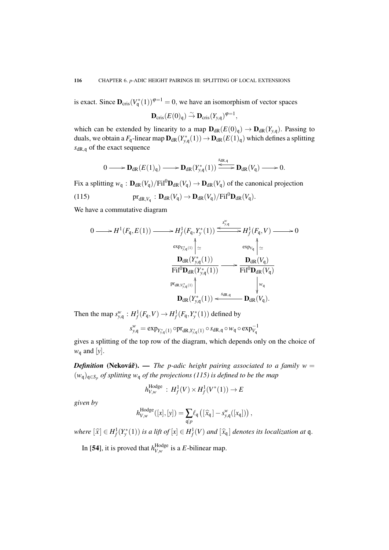is exact. Since  $\mathbf{D}_{\text{cris}}(V_{\mathfrak{q}}^*(1))^{\varphi=1} = 0$ , we have an isomorphism of vector spaces

$$
\mathbf{D}_{\mathrm{cris}}(E(0)_{\mathfrak{q}}) \stackrel{\sim}{\to} \mathbf{D}_{\mathrm{cris}}(Y_{y,\mathfrak{q}})^{\varphi=1},
$$

which can be extended by linearity to a map  $\mathbf{D}_{dR}(E(0)_{q}) \to \mathbf{D}_{dR}(Y_{y,q})$ . Passing to duals, we obtain a  $F_q$ -linear map  $D_{\text{dR}}(Y_{y,q}^*(1)) \to D_{\text{dR}}(E(1)_q)$  which defines a splitting *s*dR,<sup>q</sup> of the exact sequence

$$
0 \longrightarrow {\bf D}_{\mathrm{dR}}(E(1)_{\mathfrak{q}}) \longrightarrow {\bf D}_{\mathrm{dR}}(Y^*_{y,{\mathfrak{q}}}(1)) \stackrel{s_{\mathrm{dR},\mathfrak{q}}}{\longrightarrow} {\bf D}_{\mathrm{dR}}(V_{\mathfrak{q}}) \longrightarrow 0.
$$

Fix a splitting  $w_q$ :  $\mathbf{D}_{dR}(V_q)/\text{Fil}^0\mathbf{D}_{dR}(V_q) \rightarrow \mathbf{D}_{dR}(V_q)$  of the canonical projection

(115) 
$$
\mathrm{pr}_{\mathrm{dR},V_{\mathfrak{q}}}:\mathbf{D}_{\mathrm{dR}}(V_{\mathfrak{q}})\to\mathbf{D}_{\mathrm{dR}}(V_{\mathfrak{q}})/\mathrm{Fil}^0\mathbf{D}_{\mathrm{dR}}(V_{\mathfrak{q}}).
$$

We have a commutative diagram

$$
0 \longrightarrow H^{1}(F_{\mathfrak{q}}, E(1)) \longrightarrow H^{1}_{f}(F_{\mathfrak{q}}, Y_{y}^{*}(1)) \xrightarrow{\leq \sum_{y, \mathfrak{q}}^{y, \mathfrak{q}}} H^{1}_{f}(F_{\mathfrak{q}}, V) \longrightarrow 0
$$
  
\n
$$
\xrightarrow{\exp_{Y_{y, \mathfrak{q}}^{*}(1)}} \left| \simeq \right. \qquad \exp_{V_{\mathfrak{q}}}\left| \simeq \right.
$$
  
\n
$$
\frac{\mathbf{D}_{\mathrm{dR}}(Y_{y, \mathfrak{q}}^{*}(1))}{\mathrm{Fil}^{0}\mathbf{D}_{\mathrm{dR}}(Y_{y, \mathfrak{q}}^{*}(1))} \longrightarrow \frac{\mathbf{D}_{\mathrm{dR}}(V_{\mathfrak{q}})}{\mathrm{Fil}^{0}\mathbf{D}_{\mathrm{dR}}(V_{\mathfrak{q}})}
$$
  
\n
$$
\xrightarrow{\Pr_{\mathrm{dR}, V_{y, \mathfrak{q}}^{*}(1)}} \left| \bigcup_{w_{\mathfrak{q}}} V_{\mathfrak{q}} \right|_{w_{\mathfrak{q}}} \downarrow w_{\mathfrak{q}}
$$
  
\n
$$
\mathbf{D}_{\mathrm{dR}}(Y_{y, \mathfrak{q}}^{*}(1)) \xleftarrow{\leq \sum_{y, \mathfrak{q}}^{s_{\mathrm{dR}, \mathfrak{q}}} \mathbf{D}_{\mathrm{dR}}(V_{\mathfrak{q}}).
$$

Then the map  $s_{y,q}^w : H_f^1(F_q, V) \to H_f^1(F_q, Y_y^*(1))$  defined by

$$
s^w_{y,\mathfrak{q}} = \text{exp}_{Y^*_{y,\mathfrak{q}}(1)} \circ \text{pr}_{\text{dR},Y^*_{y,\mathfrak{q}}(1)} \circ s_{\text{dR},\mathfrak{q}} \circ w_{\mathfrak{q}} \circ \text{exp}_{V_{\mathfrak{q}}}^{-1}
$$

gives a splitting of the top row of the diagram, which depends only on the choice of *w*<sup>q</sup> and [*y*].

*Definition* (Nekovář). — *The p-adic height pairing associated to a family*  $w =$ (*w*q)q∈*S<sup>p</sup> of splitting w*<sup>q</sup> *of the projections (115) is defined to be the map*

$$
h_{V,w}^{\text{Hodge}}: H_f^1(V) \times H_f^1(V^*(1)) \to E
$$

*given by*

$$
h_{V,w}^{\text{Hodge}}([x],[y]) = \sum_{\mathfrak{q}|p} \ell_{\mathfrak{q}} \left( [\widehat{x}_{\mathfrak{q}}] - s_{y,\mathfrak{q}}^w([x_{\mathfrak{q}}]) \right),
$$

 $where \; [\hat{x}] \in H^1_f(Y^*_y(1))$  *is a lift of*  $[x] \in H^1_f(V)$  *and*  $[\hat{x}_\mathfrak{q}]$  *denotes its localization at*  $\mathfrak{q}$ .

In [54], it is proved that  $h_{V,w}^{\text{Hodge}}$  $U_{V,w}^{\text{nauge}}$  is a *E*-bilinear map.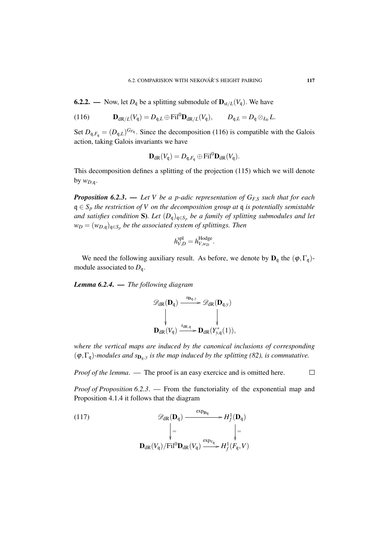**6.2.2.** — Now, let  $D_q$  be a splitting submodule of  $\mathbf{D}_{st/L}(V_q)$ . We have

(116) 
$$
\mathbf{D}_{dR/L}(V_q) = D_{q,L} \oplus \mathrm{Fil}^0 \mathbf{D}_{dR/L}(V_q), \qquad D_{q,L} = D_q \otimes_{L_0} L.
$$

Set  $D_{\mathfrak{q},F_{\mathfrak{q}}} = (D_{\mathfrak{q},L})^{G_{F_{\mathfrak{q}}}}$ . Since the decomposition (116) is compatible with the Galois action, taking Galois invariants we have

$$
\mathbf{D}_{\mathrm{dR}}(V_{\mathfrak{q}}) = D_{\mathfrak{q},F_{\mathfrak{q}}} \oplus \mathrm{Fil}^{0} \mathbf{D}_{\mathrm{dR}}(V_{\mathfrak{q}}).
$$

This decomposition defines a splitting of the projection (115) which we will denote by  $w_{D,q}$ .

*Proposition 6.2.3*. — *Let V be a p-adic representation of GF*,*<sup>S</sup> such that for each* q ∈ *S<sup>p</sup> the restriction of V on the decomposition group at* q *is potentially semistable and satisfies condition* S)*. Let* (*D*q)q∈*S<sup>p</sup> be a family of splitting submodules and let w<sup>D</sup>* = (*wD*,q)q∈*S<sup>p</sup> be the associated system of splittings. Then*

$$
h_{V,D}^{\rm spl}=h_{V,w_D}^{\rm Hodge}.
$$

We need the following auxiliary result. As before, we denote by  $D_q$  the  $(\varphi, \Gamma_q)$ module associated to *D*q.

*Lemma 6.2.4*. — *The following diagram*

$$
\mathscr{D}_{dR}(\mathbf{D}_{q}) \xrightarrow{\text{sp}_{q,y}} \mathscr{D}_{dR}(\mathbf{D}_{q,y})
$$
\n
$$
\downarrow \qquad \qquad \downarrow
$$
\n
$$
\mathbf{D}_{dR}(V_{q}) \xrightarrow{\text{sa}_{R,q}} \mathbf{D}_{dR}(Y_{y,q}^{*}(1)),
$$

*where the vertical maps are induced by the canonical inclusions of corresponding*  $(\varphi, \Gamma_{\mathfrak{q}})$ *-modules and s* $_{\mathbf{D}_{\mathfrak{q}},y}$  *is the map induced by the splitting (82), is commutative.* 

*Proof of the lemma.* — The proof is an easy exercice and is omitted here.  $\Box$ 

*Proof of Proposition 6.2.3*. — From the functoriality of the exponential map and Proposition 4.1.4 it follows that the diagram

(117)  
\n
$$
\mathscr{D}_{dR}(\mathbf{D}_{q}) \xrightarrow{\exp_{\mathbf{D}_{q}}} H^{1}_{f}(\mathbf{D}_{q})
$$
\n
$$
\Big| = \Big|_{\mathbf{D}_{dR}(V_{q})/Fil^{0}\mathbf{D}_{dR}(V_{q})} \xrightarrow{\exp_{V_{q}}} H^{1}_{f}(F_{q}, V)
$$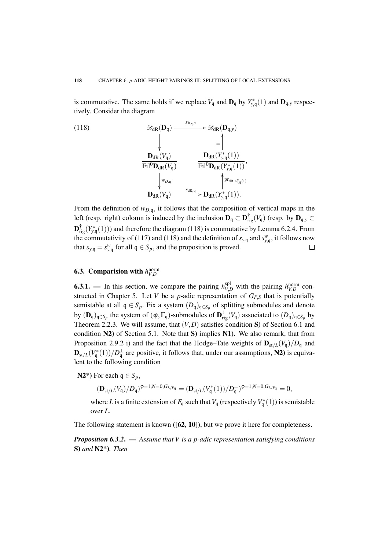is commutative. The same holds if we replace  $V_q$  and  $\mathbf{D}_q$  by  $Y^*_{y,q}(1)$  and  $\mathbf{D}_{q,y}$  respectively. Consider the diagram

(118)  
\n
$$
\mathscr{D}_{\text{dR}}(\mathbf{D}_{\text{q}}) \xrightarrow{\mathbf{s}_{\mathbf{D}_{\text{q},y}}} \mathscr{D}_{\text{dR}}(\mathbf{D}_{\text{q},y})
$$
\n
$$
\downarrow \qquad \qquad \downarrow \qquad \qquad \downarrow \qquad \qquad \downarrow \qquad \qquad \downarrow
$$
\n
$$
\mathbf{D}_{\text{dR}}(V_{\text{q}}) \qquad \qquad \mathbf{D}_{\text{dR}}(Y_{y,\text{q}}^*(1))
$$
\n
$$
\downarrow \qquad \qquad \downarrow \qquad \qquad \downarrow \qquad \qquad \downarrow \qquad \qquad \downarrow \qquad \qquad \downarrow \qquad \qquad \downarrow \qquad \downarrow \qquad \downarrow \qquad \downarrow \qquad \downarrow \qquad \downarrow \qquad \downarrow \qquad \downarrow \qquad \downarrow \qquad \downarrow \qquad \downarrow \qquad \downarrow \qquad \downarrow \qquad \downarrow \qquad \downarrow \qquad \downarrow \qquad \downarrow \qquad \downarrow \qquad \downarrow \qquad \downarrow \qquad \downarrow \qquad \downarrow \qquad \downarrow \qquad \downarrow \qquad \downarrow \qquad \downarrow \qquad \downarrow \qquad \downarrow \qquad \downarrow \qquad \downarrow \qquad \downarrow \qquad \downarrow \qquad \downarrow \qquad \downarrow \qquad \downarrow \qquad \downarrow \qquad \downarrow \qquad \downarrow \qquad \downarrow \qquad \downarrow \qquad \downarrow \qquad \downarrow \qquad \downarrow \qquad \downarrow \qquad \downarrow \qquad \downarrow \qquad \downarrow \qquad \downarrow \qquad \downarrow \qquad \downarrow \qquad \downarrow \qquad \downarrow \qquad \downarrow \qquad \downarrow \qquad \downarrow \qquad \downarrow \qquad \downarrow \qquad \downarrow \qquad \downarrow \qquad \downarrow \qquad \downarrow \qquad \downarrow \qquad \downarrow \qquad \downarrow \qquad \downarrow \qquad \downarrow \qquad \downarrow \qquad \downarrow \qquad \downarrow \qquad \downarrow \qquad \downarrow \qquad \downarrow \qquad \downarrow \qquad \downarrow \qquad \downarrow \qquad \downarrow \qquad \downarrow \qquad \downarrow \qquad \downarrow \qquad \downarrow \qquad \downarrow \qquad \downarrow \qquad \downarrow \qquad \downarrow \qquad \downarrow \qquad
$$

From the definition of  $w_{D,q}$ , it follows that the composition of vertical maps in the left (resp. right) colomn is induced by the inclusion  $D_q \subset D_{\text{rig}}^{\dagger}(V_q)$  (resp. by  $D_{q,y} \subset$  $\mathbf{D}^{\dagger}_{\text{rig}}(Y_{y,\mathfrak{q}}^*(1))$ ) and therefore the diagram (118) is commutative by Lemma 6.2.4. From the commutativity of (117) and (118) and the definition of  $s_{y,q}$  and  $s_{y,q}^w$ , it follows now that  $s_{y,q} = s_{y,q}^w$  for all  $q \in S_p$ , and the proposition is proved.  $\Box$ 

# 6.3. Comparision with  $h_{V,D}^{\text{norm}}$

**6.3.1.** — In this section, we compare the pairing  $h_{V,D}^{spl}$  with the pairing  $h_{V,D}^{norm}$  constructed in Chapter 5. Let *V* be a *p*-adic representation of  $G_{FS}$  that is potentially semistable at all  $q \in S_p$ . Fix a system  $(D_q)_{q \in S_p}$  of splitting submodules and denote by  $(D_q)_{q \in S_p}$  the system of  $(\varphi, \Gamma_q)$ -submodules of  $D_{rig}^{\dagger}(V_q)$  associated to  $(D_q)_{q \in S_p}$  by Theorem 2.2.3. We will assume, that (*V*,*D*) satisfies condition S) of Section 6.1 and condition N2) of Section 5.1. Note that S) implies N1). We also remark, that from Proposition 2.9.2 i) and the fact that the Hodge–Tate weights of  $\mathbf{D}_{st/L}(V_q)/D_q$  and  ${\bf D}_{st/L}(V_{\mathfrak{q}}^*(1))/D_{\mathfrak{q}}^{\perp}$  are positive, it follows that, under our assumptions, N2) is equivalent to the following condition

N2\*) For each  $q \in S_p$ ,

$$
(\mathbf{D}_{st/L}(V_{\mathfrak{q}})/D_{\mathfrak{q}})^{\phi=1,N=0,G_{L/F_{\mathfrak{q}}}}=(\mathbf{D}_{st/L}(V_{\mathfrak{q}}^*(1))/D_{\mathfrak{q}}^{\perp})^{\phi=1,N=0,G_{L/F_{\mathfrak{q}}}}=0,
$$

where *L* is a finite extension of  $F_{\mathfrak{q}}$  such that  $V_{\mathfrak{q}}$  (respectively  $V_{\mathfrak{q}}^*(1)$ ) is semistable over *L*.

The following statement is known  $([62, 10])$ , but we prove it here for completeness.

*Proposition 6.3.2*. — *Assume that V is a p-adic representation satisfying conditions* S) *and* N2\*)*. Then*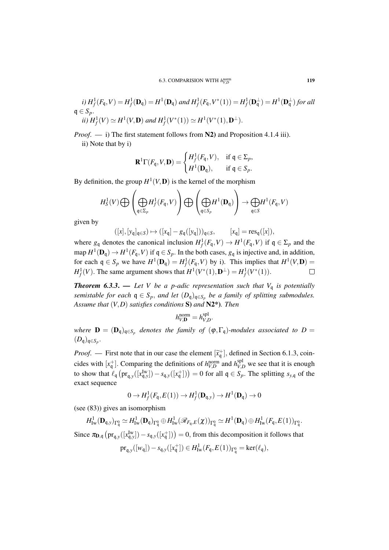$$
i) H_f^1(F_{\mathfrak{q}}, V) = H_f^1(\mathbf{D}_{\mathfrak{q}}) = H^1(\mathbf{D}_{\mathfrak{q}}) \text{ and } H_f^1(F_{\mathfrak{q}}, V^*(1)) = H_f^1(\mathbf{D}_{\mathfrak{q}}^{\perp}) = H^1(\mathbf{D}_{\mathfrak{q}}^{\perp}) \text{ for all } \mathfrak{q} \in S_p.
$$
  
\n
$$
ii) H_f^1(V) \simeq H^1(V, \mathbf{D}) \text{ and } H_f^1(V^*(1)) \simeq H^1(V^*(1), \mathbf{D}^{\perp}).
$$

*Proof.* — i) The first statement follows from N2) and Proposition 4.1.4 iii).

ii) Note that by i)

$$
\mathbf{R}^1\Gamma(F_{\mathfrak{q}},V,\mathbf{D})=\begin{cases}H^1_f(F_{\mathfrak{q}},V),&\text{if }\mathfrak{q}\in\Sigma_p,\\H^1(\mathbf{D}_{\mathfrak{q}}),&\text{if }\mathfrak{q}\in S_p.\end{cases}
$$

By definition, the group  $H^1(V, \mathbf{D})$  is the kernel of the morphism

$$
H_S^1(V) \bigoplus \left( \bigoplus_{\mathfrak{q} \in \Sigma_p} H_f^1(F_{\mathfrak{q}}, V) \right) \bigoplus \left( \bigoplus_{\mathfrak{q} \in S_p} H^1(\mathbf{D}_{\mathfrak{q}}) \right) \to \bigoplus_{\mathfrak{q} \in S} H^1(F_{\mathfrak{q}}, V)
$$

given by

$$
([x],[y_{\mathfrak{q}}]_{\mathfrak{q}\in S})\mapsto ([x_{\mathfrak{q}}]-g_{\mathfrak{q}}([y_{\mathfrak{q}}]))_{\mathfrak{q}\in S},\qquad [x_{\mathfrak{q}}]=res_{\mathfrak{q}}([x]),
$$

where  $g_q$  denotes the canonical inclusion  $H^1_f(F_q, V) \to H^1(F_q, V)$  if  $q \in \Sigma_p$  and the map  $H^1(\mathbf{D}_\mathfrak{q}) \to H^1(F_\mathfrak{q}, V)$  if  $\mathfrak{q} \in S_p$ . In the both cases,  $g_\mathfrak{q}$  is injective and, in addition, for each  $q \in S_p$  we have  $H^1(\mathbf{D}_q) = H^1_f(F_q, V)$  by i). This implies that  $H^1(V, \mathbf{D}) =$ *H*<sup>1</sup><sub>*f*</sub>(*V*). The same argument shows that  $H^1(V^*(1), \mathbf{D}^{\perp}) = H^1_f(V^*(1)).$  $\Box$ 

**Theorem 6.3.3.** — Let V be a p-adic representation such that  $V_q$  is potentially *semistable for each*  $q \in S_p$ , *and let*  $(D_q)_{q \in S_p}$  *be a family of splitting submodules. Assume that* (*V*,*D*) *satisfies conditions* S) *and* N2\*)*. Then*

$$
h_{V,\mathbf{D}}^{\text{norm}} = h_{V,D}^{\text{spl}}.
$$

*where*  $\mathbf{D} = (\mathbf{D}_{\mathsf{q}})_{\mathsf{q} \in S_p}$  denotes the family of  $(\varphi, \Gamma_{\mathsf{q}})$ *-modules associated to*  $D =$  $(D_{\mathfrak{q}})_{\mathfrak{q} \in S_p}$ .

*Proof.* — First note that in our case the element  $[\tilde{x}_{\text{t}}^+]$ , defined in Section 6.1.3, coincides with  $[x_q^+]$ . Comparing the definitions of  $h_{V,D}^{\text{norm}}$  and  $h_{V,D}^{\text{spl}}$  we see that it is enough to show that  $\ell_{\mathfrak{q}}\left(\text{pr}_{\mathfrak{q},y}([x_{\mathfrak{q},y}^{I_w}]) - s_{\mathfrak{q},y}([x_{\mathfrak{q}}^+])\right) = 0$  for all  $\mathfrak{q} \in S_p$ . The splitting  $s_{y,\mathfrak{q}}$  of the exact sequence

$$
0 \to H^1_f(F_{\mathfrak{q}}, E(1)) \to H^1_f(\mathbf{D}_{\mathfrak{q},y}) \to H^1(\mathbf{D}_{\mathfrak{q}}) \to 0
$$

(see (83)) gives an isomorphism

$$
H^1_{\mathrm{Iw}}(\mathbf{D}_{\mathfrak{q},y})_{\Gamma^0_{\mathfrak{q}}}\simeq H^1_{\mathrm{Iw}}(\mathbf{D}_{\mathfrak{q}})_{\Gamma^0_{\mathfrak{q}}}\oplus H^1_{\mathrm{Iw}}(\mathscr{R}_{F_{\mathfrak{q}},E}(\chi))_{\Gamma^0_{\mathfrak{q}}}\simeq H^1(\mathbf{D}_{\mathfrak{q}})\oplus H^1_{\mathrm{Iw}}(F_{\mathfrak{q}},E(1))_{\Gamma^0_{\mathfrak{q}}}.
$$

Since  $\pi_{D,q}$   $\left(\text{pr}_{q,y}([x_{q,y}^{\text{Iw}}]) - s_{q,y}([x_q^{\pm}])\right) = 0$ , from this decomposition it follows that

$$
\mathrm{pr}_{\mathfrak{q},\mathbf{y}}([\mathbf{w}_\mathfrak{q}]) - s_{\mathfrak{q},\mathbf{y}}([\mathbf{x}_\mathfrak{q}^+]) \in H^1_{\mathrm{Iw}}(F_\mathfrak{q}, E(1))_{\Gamma^0_\mathfrak{q}} = \ker(\ell_\mathfrak{q}),
$$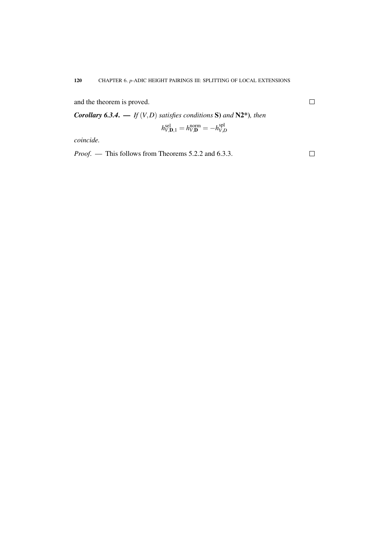and the theorem is proved.

*Corollary 6.3.4.* — *If*  $(V, D)$  *satisfies conditions* S) *and* N2\*)*, then* 

$$
h_{V,\mathbf{D},1}^{\text{sel}} = h_{V,\mathbf{D}}^{\text{norm}} = -h_{V,\mathbf{D}}^{\text{spl}}
$$

*coincide.*

*Proof*. — This follows from Theorems 5.2.2 and 6.3.3.

 $\Box$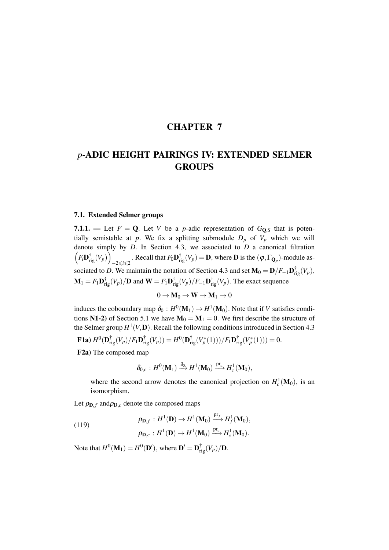# CHAPTER 7

# *p*-ADIC HEIGHT PAIRINGS IV: EXTENDED SELMER GROUPS

## 7.1. Extended Selmer groups

7.1.1. — Let  $F = Q$ . Let *V* be a *p*-adic representation of  $G_{Q,S}$  that is potentially semistable at *p*. We fix a splitting submodule  $D_p$  of  $V_p$  which we will denote simply by *D*. In Section 4.3, we associated to *D* a canonical filtration  $\left(F_i\mathbf{D}_{\mathrm{rig}}^{\dagger}(V_p)\right)$  $-2 \le i \le 2$ . Recall that  $F_0$ **D**<sup>†</sup><sub>rig</sub>(*V<sub>p</sub>*) = **D**, where **D** is the (φ, Γ<sub>**Q**<sub>*p*</sub>)</sub>-module associated to *D*. We maintain the notation of Section 4.3 and set  $\mathbf{M}_0 = \mathbf{D}/F_{-1}\mathbf{D}_{\text{rig}}^{\dagger}(V_p)$ ,  $\mathbf{M}_1 = F_1 \mathbf{D}_{\text{rig}}^{\dagger}(V_p) / \mathbf{D}$  and  $\mathbf{W} = F_1 \mathbf{D}_{\text{rig}}^{\dagger}(V_p) / F_{-1} \mathbf{D}_{\text{rig}}^{\dagger}(V_p)$ . The exact sequence

$$
0\to \mathbf{M}_0\to \mathbf{W}\to \mathbf{M}_1\to 0
$$

induces the coboundary map  $\delta_0: H^0(\mathbf{M}_1) \to H^1(\mathbf{M}_0)$ . Note that if *V* satisfies conditions N1-2) of Section 5.1 we have  $M_0 = M_1 = 0$ . We first describe the structure of the Selmer group  $H^1(V, \mathbf{D})$ . Recall the following conditions introduced in Section 4.3

**F1a)** 
$$
H^0(\mathbf{D}_{\mathrm{rig}}^{\dagger}(V_p)/F_1\mathbf{D}_{\mathrm{rig}}^{\dagger}(V_p)) = H^0(\mathbf{D}_{\mathrm{rig}}^{\dagger}(V_p^*(1)))/F_1\mathbf{D}_{\mathrm{rig}}^{\dagger}(V_p^*(1))) = 0.
$$

F2a) The composed map

$$
\delta_{0,c}: H^0(\mathbf{M}_1) \xrightarrow{\delta_0} H^1(\mathbf{M}_0) \xrightarrow{\mathrm{pr}_c} H^1_c(\mathbf{M}_0),
$$

where the second arrow denotes the canonical projection on  $H_c^1(\mathbf{M}_0)$ , is an isomorphism.

Let  $\rho_{\text{D},f}$  and  $\rho_{\text{D},c}$  denote the composed maps

(119) 
$$
\rho_{\mathbf{D},f}: H^1(\mathbf{D}) \to H^1(\mathbf{M}_0) \xrightarrow{\text{pr}_f} H^1_f(\mathbf{M}_0),
$$

$$
\rho_{\mathbf{D},c}: H^1(\mathbf{D}) \to H^1(\mathbf{M}_0) \xrightarrow{\text{pr}_c} H^1_c(\mathbf{M}_0).
$$

Note that  $H^0(\mathbf{M}_1) = H^0(\mathbf{D}')$ , where  $\mathbf{D}' = \mathbf{D}_{\mathrm{rig}}^{\dagger}(V_p)/\mathbf{D}$ .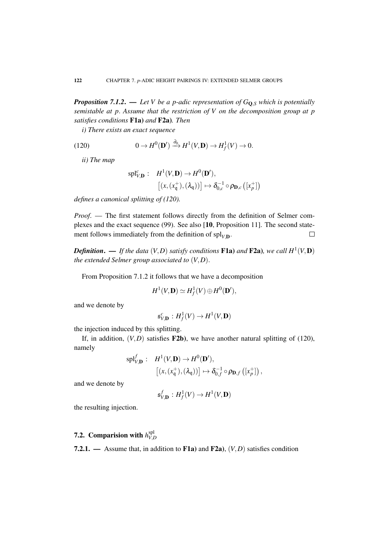*Proposition 7.1.2.* — *Let V be a p-adic representation of*  $G_{\mathbf{Q},S}$  *which is potentially semistable at p*. *Assume that the restriction of V on the decomposition group at p satisfies conditions* F1a) *and* F2a)*. Then*

*i) There exists an exact sequence*

(120) 
$$
0 \to H^0(\mathbf{D}') \xrightarrow{\partial_0} H^1(V, \mathbf{D}) \to H^1_f(V) \to 0.
$$

*ii) The map*

$$
\mathrm{spl}_{V,\mathbf{D}}^c: H^1(V,\mathbf{D}) \to H^0(\mathbf{D}'),\left[ (x,(x_{\mathfrak{q}}^+),(\lambda_{\mathfrak{q}})) \right] \mapsto \delta_{0,c}^{-1} \circ \rho_{\mathbf{D},c} ([x_p^+])
$$

*defines a canonical splitting of (120).*

*Proof*. — The first statement follows directly from the definition of Selmer complexes and the exact sequence (99). See also [10, Proposition 11]. The second statement follows immediately from the definition of  $\text{spl}_{V,D}$ .  $\Box$ 

**Definition.** — If the data  $(V, D)$  satisfy conditions **F1a**) and **F2a**), we call  $H^1(V, D)$ *the extended Selmer group associated to* (*V*,*D*).

From Proposition 7.1.2 it follows that we have a decomposition

$$
H^1(V,\mathbf{D})\simeq H^1_f(V)\oplus H^0(\mathbf{D}'),
$$

and we denote by

$$
\mathfrak{s}^c_{V,\mathbf{D}}: H^1_f(V) \to H^1(V,\mathbf{D})
$$

the injection induced by this splitting.

If, in addition,  $(V, D)$  satisfies **F2b**), we have another natural splitting of (120), namely

$$
\mathrm{spl}_{V,\mathbf{D}}^f: H^1(V,\mathbf{D}) \to H^0(\mathbf{D}'),\left[ (x,(x_{\mathfrak{q}}^+),(\lambda_{\mathfrak{q}})) \right] \mapsto \delta_{0,f}^{-1} \circ \rho_{\mathbf{D},f} \left( [x_p^+]\right)
$$

,

and we denote by

$$
\mathfrak{s}^f_{V,{\bf D}}:H^1_f(V)\to H^1(V,{\bf D})
$$

the resulting injection.

#### 7.2. Comparision with  $h_{VI}^{\text{spl}}$ *V*,*D*

7.2.1. — Assume that, in addition to F1a) and F2a), (*V*,*D*) satisfies condition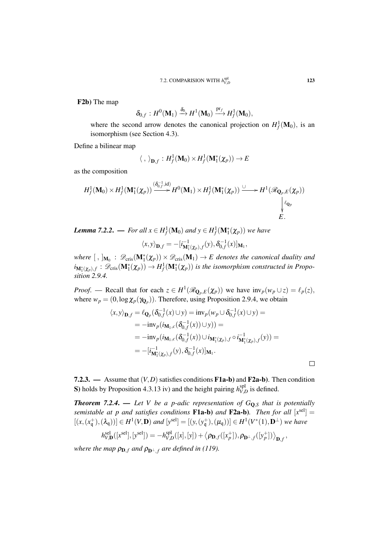F2b) The map

$$
\delta_{0,f}:H^0(\mathbf{M}_1)\xrightarrow{\delta_0} H^1(\mathbf{M}_0)\xrightarrow{\mathrm{pr}_f} H^1_f(\mathbf{M}_0),
$$

where the second arrow denotes the canonical projection on  $H_f^1(\mathbf{M}_0)$ , is an isomorphism (see Section 4.3).

Define a bilinear map

$$
\langle\;,\;\rangle_{{\bf D},f}:H^1_f({\bf M}_0)\times H^1_f({\bf M}^*_1(\chi_p))\to E
$$

as the composition

$$
H_f^1(\mathbf{M}_0) \times H_f^1(\mathbf{M}_1^*(\chi_p)) \xrightarrow{( \delta_{0,f}^{-1},\mathrm{id})} H^0(\mathbf{M}_1) \times H_f^1(\mathbf{M}_1^*(\chi_p)) \xrightarrow{\cup} H^1(\mathscr{R}_{\mathbf{Q}_p,E}(\chi_p))
$$
  

$$
\downarrow e_p
$$
  

$$
E.
$$

*Lemma 7.2.2.* — *For all*  $x \in H_f^1(\mathbf{M}_0)$  *and*  $y \in H_f^1(\mathbf{M}_1^*(\chi_p))$  *we have* 

$$
\langle x, y \rangle_{\mathbf{D},f} = -[i_{\mathbf{M}_1^*(\chi_p),f}^{-1}(y), \delta_{0,f}^{-1}(x)]_{\mathbf{M}_1},
$$

where  $[~,~]_{M_0}$  :  $\mathscr{D}_{\text{cris}}(\mathbf{M}_1^*(\chi_p)) \times \mathscr{D}_{\text{cris}}(\mathbf{M}_1) \to E$  denotes the canonical duality and  $i_{\mathbf{M}_{1}^{*}(\chi_{p}),f}: \mathscr{D}_{\text{cris}}(\mathbf{M}_{1}^{*}(\chi_{p})) \to H^{1}_{f}(\mathbf{M}_{1}^{*}(\chi_{p}))$  *is the isomorphism constructed in Proposition 2.9.4.*

*Proof.* — Recall that for each  $z \in H^1(\mathcal{R}_{\mathbf{Q}_p,E}(\chi_p))$  we have  $\text{inv}_p(w_p \cup z) = \ell_p(z)$ , where  $w_p = (0, \log \chi_p(\gamma_{\mathbf{Q}_p}))$ . Therefore, using Proposition 2.9.4, we obtain

$$
\langle x, y \rangle_{\mathbf{D}, f} = \ell_{\mathbf{Q}_p}(\delta_{0, f}^{-1}(x) \cup y) = \text{inv}_p(w_p \cup \delta_{0, f}^{-1}(x) \cup y) =
$$
  
\n
$$
= -\text{inv}_p(i_{\mathbf{M}_1, c}(\delta_{0, f}^{-1}(x)) \cup y)) =
$$
  
\n
$$
= -\text{inv}_p(i_{\mathbf{M}_1, c}(\delta_{0, f}^{-1}(x)) \cup i_{\mathbf{M}_1^*(\chi_p), f} \circ i_{\mathbf{M}_1^*(\chi_p), f}^{-1}(y)) =
$$
  
\n
$$
= -[i_{\mathbf{M}_1^*(\chi_p), f}^{-1}(y), \delta_{0, f}^{-1}(x)]_{\mathbf{M}_1}.
$$

7.2.3. — Assume that  $(V, D)$  satisfies conditions **F1a-b**) and **F2a-b**). Then condition S) holds by Proposition 4.3.13 iv) and the height pairing  $h_{VI}^{spl}$  $v_{V,D}^{\text{sp1}}$  is defined.

*Theorem 7.2.4.* — Let V be a p-adic representation of  $G_{\mathbf{Q},S}$  that is potentially *semistable at p and satisfies conditions*  $F1a-b$ *) and*  $F2a-b$ *). Then for all*  $[x^{sel}] =$  $[(x, (x_q^+),(\lambda_q))] \in H^1(V,\mathbf{D})$  and  $[y^{\text{sel}}] = [(y, (y_q^+),(\mu_q))] \in H^1(V^*(1),\mathbf{D}^{\perp})$  we have  $h_{V,D}^{\text{sel}}([x^{\text{sel}}], [y^{\text{sel}}]) = -h_{V,l}^{\text{spl}}$  $V_{V,D}^{\text{spl}}([x],[y]) + \big\langle \boldsymbol{\rho}_{\mathbf{D},f}([x^{+}_p]), \boldsymbol{\rho}_{\mathbf{D}^{\perp},f}([y^{+}_p]) \big\rangle_{\mathbf{D},f},$ 

*where the map*  $\rho_{\mathbf{D},f}$  *and*  $\rho_{\mathbf{D}^{\perp},f}$  *are defined in (119).*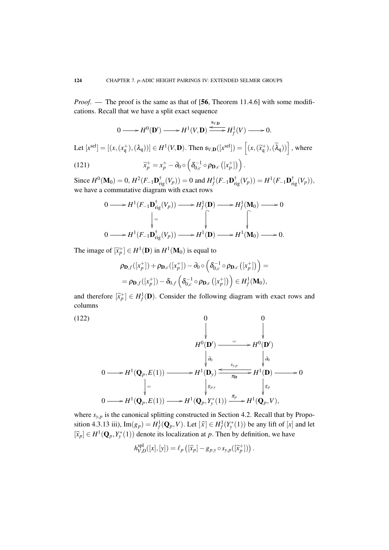*Proof.* — The proof is the same as that of [56, Theorem 11.4.6] with some modifications. Recall that we have a split exact sequence

$$
0 \longrightarrow H^{0}(\mathbf{D}') \longrightarrow H^{1}(V, \mathbf{D}) \xrightarrow{\mathfrak{s}_{V, \mathbf{D}}} H^{1}_{f}(V) \longrightarrow 0.
$$
  
Let  $[x^{\text{sel}}] = [(x, (x_{\mathsf{q}}^{+}), (\lambda_{\mathsf{q}}))] \in H^{1}(V, \mathbf{D})$ . Then  $\mathfrak{s}_{V, \mathbf{D}}([x^{\text{sel}}]) = [(x, (\widetilde{x}_{\mathsf{q}}^{+}), (\widetilde{\lambda}_{\mathsf{q}}))]$ , where

(121) 
$$
\widetilde{x}_p^+ = x_p^+ - \partial_0 \circ \left( \delta_{0,c}^{-1} \circ \rho_{\mathbf{D},c} \left( [x_p^+ ] \right) \right).
$$

Since  $H^0(\mathbf{M}_0) = 0$ ,  $H^2(F_{-1}\mathbf{D}_{\text{rig}}^{\dagger}(V_p)) = 0$  and  $H^1_f(F_{-1}\mathbf{D}_{\text{rig}}^{\dagger}(V_p)) = H^1(F_{-1}\mathbf{D}_{\text{rig}}^{\dagger}(V_p))$ , we have a commutative diagram with exact rows

$$
0 \longrightarrow H^{1}(F_{-1}\mathbf{D}_{\mathrm{rig}}^{\dagger}(V_{p})) \longrightarrow H_{f}^{1}(\mathbf{D}) \longrightarrow H_{f}^{1}(\mathbf{M}_{0}) \longrightarrow 0
$$

$$
\downarrow = \qquad \qquad \downarrow \qquad \qquad \downarrow
$$

$$
0 \longrightarrow H^{1}(F_{-1}\mathbf{D}_{\mathrm{rig}}^{\dagger}(V_{p})) \longrightarrow H^{1}(\mathbf{D}) \longrightarrow H^{1}(\mathbf{M}_{0}) \longrightarrow 0.
$$

The image of  $[\tilde{x}_p^+] \in H^1(\mathbf{D})$  in  $H^1(\mathbf{M}_0)$  is equal to

$$
\rho_{\mathbf{D},f}([x_p^+]) + \rho_{\mathbf{D},c}([x_p^+]) - \partial_0 \circ \left( \delta_{0,c}^{-1} \circ \rho_{\mathbf{D},c} ([x_p^+]) \right) = \n= \rho_{\mathbf{D},f}([x_p^+]) - \delta_{0,f} \left( \delta_{0,c}^{-1} \circ \rho_{\mathbf{D},c} ([x_p^+]) \right) \in H_f^1(\mathbf{M}_0),
$$

and therefore  $[\tilde{x}_p^+] \in H^1_f(\mathbf{D})$ . Consider the following diagram with exact rows and columns

(122)  
\n
$$
\begin{array}{ccc}\n & & 0 & 0 \\
 & & \downarrow & \\
 & H^{0}(\mathbf{D}') & = & H^{0}(\mathbf{D}') \\
 & & \downarrow & \\
0 & & \downarrow & \\
0 & & \downarrow & \\
0 & & \downarrow & \\
0 & & \downarrow & \\
0 & & \downarrow & \\
0 & & \downarrow & \\
0 & & \downarrow & \\
0 & & \downarrow & \\
0 & \downarrow & \\
0 & \downarrow & \\
0 & \downarrow & \\
0 & \downarrow & \\
0 & \downarrow & \\
0 & \downarrow & \\
0 & \downarrow & \\
0 & \downarrow & \\
0 & \downarrow & \\
0 & \downarrow & \\
0 & \downarrow & \\
0 & \downarrow & \\
0 & \downarrow & \\
0 & \downarrow & \\
0 & \downarrow & \\
0 & \downarrow & \\
0 & \downarrow & \\
0 & \downarrow & \\
0 & \downarrow & \\
0 & \downarrow & \\
0 & \downarrow & \\
0 & \downarrow & \\
0 & \downarrow & \\
0 & \downarrow & \\
0 & \downarrow & \\
0 & \downarrow & \\
0 & \downarrow & \\
0 & \downarrow & \\
0 & \downarrow & \\
0 & \downarrow & \\
0 & \downarrow & \\
0 & \downarrow & \\
0 & \downarrow & \\
0 & \downarrow & \\
0 & \downarrow & \\
0 & \downarrow & \\
0 & \downarrow & \\
0 & \downarrow & \\
0 & \downarrow & \\
0 & \downarrow & \\
0 & \downarrow & \\
0 & \downarrow & \\
0 & \downarrow & \\
0 & \downarrow & \\
0 & \downarrow & \\
0 & \downarrow & \\
0 & \downarrow & \\
0 & \downarrow & \\
0 & \downarrow & \\
0 & \downarrow & \\
0 & \downarrow & \\
0 & \downarrow & \\
0 & \downarrow & \\
0 & \downarrow & \\
0 & \downarrow & \\
0 & \downarrow & \\
0 & \downarrow & \\
0 & \downarrow & \\
0 & \downarrow & \\
0 & \downarrow & \\
0 & \downarrow & \\
0 & \downarrow & \\
0 & \downarrow & \\
0 & \downarrow & \\
0 & \downarrow & \\
0 & \downarrow & \\
0 & \downarrow & \\
0 & \downarrow & \\
0 & \downarrow & \\
0 & \downarrow & \\
0 & \downarrow & \\
0 & \downarrow & \\
0 & \downarrow & \\
0 & \downarrow & \\
0 & \downarrow & \\
0 & \downarrow & \\
0 & \downarrow & \\
0 & \downarrow & \\
0 & \downarrow & \\
0 & \downarrow & \\
0 & \downarrow & \\
0 & \downarrow & \\
0 & \downarrow & \\
0 & \downarrow & \\
0 & \downarrow & \\
0 & \downarrow & \\
0 & \downarrow & \\
0 & \downarrow & \\
0 & \downarrow & \\
0 & \downarrow & \\
0 & \
$$

where  $s_{y,p}$  is the canonical splitting constructed in Section 4.2. Recall that by Proposition 4.3.13 iii),  $\text{Im}(g_p) = H_f^1(\mathbf{Q}_p, V)$ . Let  $[\hat{x}] \in H_f^1(Y_y^*(1))$  be any lift of  $[x]$  and let  $[\hat{x}_p] \in H^1(\mathbf{Q}_p, Y^*_{\mathbf{y}}(1))$  denote its localization at *p*. Then by definition, we have

$$
h_{V,D}^{spl}([x],[y]) = \ell_p \left( [\widehat{x}_p] - g_{p,y} \circ s_{y,p}([\widetilde{x}_p^+]) \right).
$$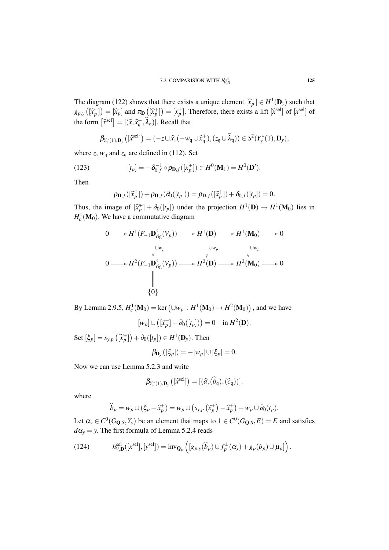The diagram (122) shows that there exists a unique element  $[\hat{x}^+_\uparrow] \in H^1(\mathbf{D}_y)$  such that  $(\hat{x}^+_\uparrow)$  =  $[\hat{x}^+_\uparrow]$  =  $[\hat{x}^+_\uparrow]$  =  $[\hat{x}^+_\uparrow]$  =  $[\hat{x}^+_\uparrow]$  =  $[\hat{x}^+_\uparrow]$  =  $[\hat{x}^+_\uparrow]$  =  $[\hat{x}^+_\uparrow]$  =  $[\hat{x}^$  $g_{p,y}\left(\widehat{x}_p^+\right) = \widehat{x}_p$  and  $\pi_\mathbf{D}\left(\widehat{x}_p^+\right) = \widehat{x}_p^+$ . Therefore, there exists a lift  $\widehat{x}^{\text{sel}}$  of  $\widehat{x}^{\text{sel}}$  of  $\widehat{x}^{\text{sel}}$ the form  $\left[ \hat{x}^{\text{sel}} \right] = \left[ (\hat{x}, \hat{x}^{\text{+}}_{\text{q}}, \hat{\lambda}_{\text{q}}) \right]$ . Recall that

$$
\beta_{Y_{y}^{*}(1), \mathbf{D}_{y}}\left([\widehat{x}^{sel}]\right) = (-z \cup \widehat{x}, (-w_{\mathfrak{q}} \cup \widehat{x}_{\mathfrak{q}}^{+}), (z_{\mathfrak{q}} \cup \widehat{\lambda}_{\mathfrak{q}})) \in S^{2}(Y_{y}^{*}(1), \mathbf{D}_{y}),
$$

where *z*,  $w_q$  and  $z_q$  are defined in (112). Set

(123) 
$$
[t_p] = -\delta_{0,f}^{-1} \circ \rho_{\mathbf{D},f}([x_p^+]) \in H^0(\mathbf{M}_1) = H^0(\mathbf{D}').
$$

Then

$$
\rho_{\mathbf{D},f}([\widetilde{x}_p^+]) + \rho_{\mathbf{D},f}(\partial_0([t_p])) = \rho_{\mathbf{D},f}([\widetilde{x}_p^+]) + \delta_{0,f}([t_p]) = 0.
$$

Thus, the image of  $[\tilde{x}_p^+] + \partial_0([t_p])$  under the projection  $H^1(\mathbf{D}) \to H^1(\mathbf{M}_0)$  lies in  $H_c^1(\mathbf{M}_0)$ . We have a commutative diagram

$$
0 \longrightarrow H^{1}(F_{-1}\mathbf{D}_{\mathrm{rig}}^{\dagger}(V_{p})) \longrightarrow H^{1}(\mathbf{D}) \longrightarrow H^{1}(\mathbf{M}_{0}) \longrightarrow 0
$$
  
\n
$$
\downarrow \qquad \qquad \downarrow \qquad \qquad \downarrow \qquad \qquad \downarrow \qquad \qquad \downarrow
$$
  
\n
$$
0 \longrightarrow H^{2}(F_{-1}\mathbf{D}_{\mathrm{rig}}^{\dagger}(V_{p})) \longrightarrow H^{2}(\mathbf{D}) \longrightarrow H^{2}(\mathbf{M}_{0}) \longrightarrow 0
$$
  
\n
$$
\downarrow \qquad \qquad \downarrow
$$
  
\n
$$
\{0\}
$$

By Lemma 2.9.5,  $H_c^1(\mathbf{M}_0) = \ker \left( \cup w_p : H^1(\mathbf{M}_0) \to H^2(\mathbf{M}_0) \right)$ , and we have

$$
[w_p] \cup ([\widetilde{x}_p^+] + \partial_0([t_p])) = 0 \quad \text{in } H^2(\mathbf{D}).
$$

Set  $[\xi_p] = s_{y,p}([\tilde{x}_p^+]) + \partial_0([t_p]) \in H^1(\mathbf{D}_y)$ . Then

$$
\beta_{\mathbf{D}_y}([\xi_p]) = -[w_p] \cup [\xi_p] = 0.
$$

Now we can use Lemma 5.2.3 and write

$$
\beta_{Y_{y}^{*}(1),\mathbf{D}_{y}}\left(\left[\widehat{x}^{\text{sel}}\right]\right)=[\left(\widehat{a},\left(\widehat{b}_{\mathfrak{q}}\right),\left(\widehat{c}_{\mathfrak{q}}\right)\right)],
$$

where

$$
\widehat{b}_p = w_p \cup (\xi_p - \widehat{x}_p^+) = w_p \cup (s_{y,p}(\widetilde{x}_p^+) - \widehat{x}_p^+) + w_p \cup \partial_0(t_p).
$$

Let  $\alpha_y \in C^0(G_{\mathbf{Q},S}, Y_y)$  be an element that maps to  $1 \in C^0(G_{\mathbf{Q},S}, E) = E$  and satisfies  $d\alpha$ <sup>*y*</sup> = *y*. The first formula of Lemma 5.2.4 reads

(124) 
$$
h_{V,\mathbf{D}}^{\text{sel}}([x^{\text{sel}}],[y^{\text{sel}}]) = \text{inv}_{\mathbf{Q}_p}\left([g_{p,y}(\widehat{b}_p) \cup f_p^{\perp}(\alpha_y) + g_p(b_p) \cup \mu_p]\right).
$$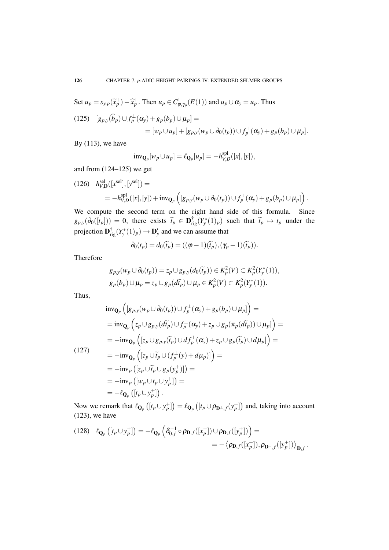Set  $u_p = s_{y,p}(\tilde{x}_p^+) - \hat{x}_p^+$ . Then  $u_p \in C^1_{\varphi, \gamma_p}(E(1))$  and  $u_p \cup \alpha_y = u_p$ . Thus

$$
(125) \quad [g_{p,y}(\widehat{b}_p) \cup f_p^{\perp}(\alpha_y) + g_p(b_p) \cup \mu_p] =
$$
  
= 
$$
[w_p \cup u_p] + [g_{p,y}(w_p \cup \partial_0(t_p)) \cup f_p^{\perp}(\alpha_y) + g_p(b_p) \cup \mu_p].
$$

By  $(113)$ , we have

$$
\text{inv}_{\mathbf{Q}_p}[w_p \cup u_p] = \ell_{\mathbf{Q}_p}[u_p] = -h_{V,D}^{\text{spl}}([x],[y]),
$$

and from (124–125) we get

 $h_{V,D}^{\text{sel}}([x^{\text{sel}}], [y^{\text{sel}}]) =$  $=-h_{V,I}^{\text{spl}}$  $V_{V,D}^{\text{spl}}([x],[y]) + \text{inv}_{\mathbf{Q}_p} \left( [g_{p,y}(w_p \cup \partial_0(t_p)) \cup f_p^{\perp}(\alpha_y) + g_p(b_p) \cup \mu_p \right) \right).$ 

We compute the second term on the right hand side of this formula. Since  $g_{p,y}(\partial_0([t_p])) = 0$ , there exists  $\widetilde{t}_p \in \mathbf{D}^{\dagger}_{\text{rig}}(Y^*(1)_p)$  such that  $\widetilde{t}_p \mapsto t_p$  under the projection  $\mathbf{D}^{\dagger}_{\mathrm{rig}}(Y_{y}^{*}(1)_{p}) \to \mathbf{D}'_{y}$  and we can assume that

$$
\partial_0(t_p) = d_0(\widetilde{t}_p) = ((\varphi - 1)(\widetilde{t}_p), (\gamma_p - 1)(\widetilde{t}_p)).
$$

Therefore

$$
g_{p,y}(w_p \cup \partial_0(t_p)) = z_p \cup g_{p,y}(d_0(\widetilde{t}_p)) \in K_p^2(V) \subset K_p^2(Y_y^*(1)),
$$
  
\n
$$
g_p(b_p) \cup \mu_p = z_p \cup g_p(d\widetilde{t}_p) \cup \mu_p \in K_p^2(V) \subset K_p^2(Y_y^*(1)).
$$

Thus,

$$
\begin{split}\n& \text{inv}_{\mathbf{Q}_p} \left( [g_{p,y}(w_p \cup \partial_0(t_p)) \cup f_p^{\perp}(\alpha_y) + g_p(b_p) \cup \mu_p] \right) = \\
& = \text{inv}_{\mathbf{Q}_p} \left( z_p \cup g_{p,y}(d\widetilde{t}_p) \cup f_p^{\perp}(\alpha_y) + z_p \cup g_p(\pi_p(d\widetilde{t}_p)) \cup \mu_p] \right) = \\
& = -\text{inv}_{\mathbf{Q}_p} \left( [z_p \cup g_{p,y}(\widetilde{t}_p) \cup df_p^{\perp}(\alpha_y) + z_p \cup g_p(\widetilde{t}_p) \cup d\mu_p] \right) = \\
& = -\text{inv}_{\mathbf{Q}_p} \left( [z_p \cup \widetilde{t}_p \cup (f_p^{\perp}(y) + d\mu_p)] \right) = \\
& = -\text{inv}_p \left( [z_p \cup \widetilde{t}_p \cup g_p(y_p^+)] \right) = \\
& = -\text{inv}_p \left( [w_p \cup t_p \cup y_p^+] \right) = \\
& = -\ell_{\mathbf{Q}_p} \left( [t_p \cup y_p^+] \right).\n\end{split}
$$

Now we remark that  $\ell_{\mathbf{Q}_p}([t_p \cup y_p^+] ) = \ell_{\mathbf{Q}_p}([t_p \cup \rho_{\mathbf{D}^{\perp},f}(y_p^+])$  and, taking into account (123), we have

(128) 
$$
\ell_{\mathbf{Q}_p}([t_p \cup y_p^+]) = -\ell_{\mathbf{Q}_p} \left( \delta_{0,f}^{-1} \circ \rho_{\mathbf{D},f}([x_p^+]) \cup \rho_{\mathbf{D},f}([y_p^+]) \right) = \\ = - \langle \rho_{\mathbf{D},f}([x_p^+]), \rho_{\mathbf{D}^{\perp},f}([y_p^+]) \rangle_{\mathbf{D},f}.
$$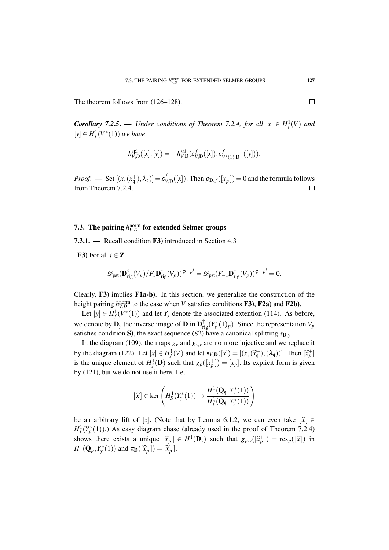The theorem follows from (126–128).

*Corollary 7.2.5.* **—** *Under conditions of Theorem 7.2.4, for all* $[x] \in H_f^1(V)$ *and*  $[y]$  ∈  $H_f^1(V^*(1))$  *we have* 

$$
h_{V,D}^{spl}([x],[y]) = -h_{V,\mathbf{D}}^{sel}(\mathfrak{s}_{V,\mathbf{D}}^{f}([x]), \mathfrak{s}_{V^*(1),\mathbf{D}^{\perp}}^{f}([y])).
$$

*Proof.* — Set  $[(x, (x_q^+), \lambda_q)] = s_V^f$  $V_{V,\mathbf{D}}^{f}([x])$ . Then  $\rho_{\mathbf{D},f}([x_p^+])=0$  and the formula follows from Theorem 7.2.4.  $\Box$ 

# 7.3. The pairing  $h_{V,D}^{\text{norm}}$  for extended Selmer groups

7.3.1. — Recall condition F3) introduced in Section 4.3

F3) For all  $i \in \mathbb{Z}$ 

$$
\mathscr{D}_\text{pst}(\mathbf{D}^\dagger_\text{rig}(V_p)/F_1\mathbf{D}^\dagger_\text{rig}(V_p))^{\varphi=p^i} = \mathscr{D}_\text{pst}(F_{-1}\mathbf{D}^\dagger_\text{rig}(V_p))^{\varphi=p^i} = 0.
$$

Clearly,  $\bf{F3}$  implies  $\bf{F1a-b}$ . In this section, we generalize the construction of the height pairing  $h_{V,D}^{\text{norm}}$  to the case when *V* satisfies conditions **F3**), **F2a**) and **F2b**).

Let  $[y] \in H_f^1(V^*(1))$  and let  $Y_y$  denote the associated extention (114). As before, we denote by  $\mathbf{D}_y$  the inverse image of  $\mathbf{D}$  in  $\mathbf{D}_{\text{rig}}^{\dagger}(Y_y^*(1)_p)$ . Since the representation  $V_p$ satisfies condition S), the exact sequence (82) have a canonical splitting  $s_{D,y}$ .

In the diagram (109), the maps  $g_y$  and  $g_{y,y}$  are no more injective and we replace it by the diagram (122). Let  $[x] \in H_f^1(V)$  and let  $\mathfrak{s}_{V,\mathbf{D}}([x]) = [(x,(\tilde{x}_\mathbf{q}^+),(\tilde{\lambda}_\mathbf{q}^-))]$ . Then  $[\tilde{x}_p^+]$ is the unique element of  $H^1_f(\mathbf{D})$  such that  $g_p([\tilde{x}_p^+]) = [x_p]$ . Its explicit form is given<br>by (121) by we do not use it has Let by (121), but we do not use it here. Let

$$
[\widehat{x}] \in \ker\left(H_S^1(Y^*_{\mathbf{y}}(1)) \to \frac{H^1(\mathbf{Q}_{\mathbf{q}}, Y^*_{\mathbf{y}}(1))}{H_f^1(\mathbf{Q}_{\mathbf{q}}, Y^*_{\mathbf{y}}(1))}\right)
$$

be an arbitrary lift of [x]. (Note that by Lemma 6.1.2, we can even take  $\lceil \hat{x} \rceil \in$  $H_f^1(Y^*_{y}(1))$ .) As easy diagram chase (already used in the proof of Theorem 7.2.4) shows there exists a unique  $[\hat{x}_p^+] \in H^1(\mathbf{D}_y)$  such that  $g_{p,y}([\hat{x}_p^+]) = \text{res}_p([\hat{x}])$  in  $H^1(\mathbf{O}_p, \mathbf{Y}^*(1))$  and  $\pi$  ( $[\hat{x}_p^+]$ )  $[\hat{x}_p^+]$  $H^1(\mathbf{Q}_p, Y^*_y(1))$  and  $\pi_{\mathbf{D}}([\widehat{x}_p^+]) = [\widetilde{x}_p^+]$ .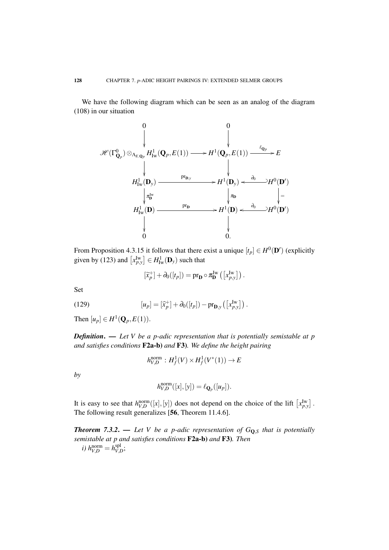We have the following diagram which can be seen as an analog of the diagram (108) in our situation

$$
\mathscr{H}(\Gamma^0_{\mathbf{Q}_p}) \otimes_{\Lambda_{E,\mathbf{Q}_p}} H^1_{\mathrm{Iw}}(\mathbf{Q}_p, E(1)) \longrightarrow H^1(\mathbf{Q}_p, E(1)) \xrightarrow{\ell_{\mathbf{Q}_p}} E
$$
\n
$$
\downarrow \qquad \qquad \downarrow
$$
\n
$$
H^1_{\mathrm{Iw}}(\mathbf{D}_y) \xrightarrow{\text{pr}_{\mathbf{D},y}} H^1(\mathbf{D}_y) \xrightarrow{\partial_0} H^0(\mathbf{D}')
$$
\n
$$
\downarrow \pi^{\mathrm{Iw}}_{\mathbf{D}}
$$
\n
$$
H^1_{\mathrm{Iw}}(\mathbf{D}) \xrightarrow{\text{pr}_{\mathbf{D}}} H^1(\mathbf{D}) \xrightarrow{\partial_0} H^0(\mathbf{D}')
$$
\n
$$
\downarrow \qquad \qquad \downarrow
$$
\n
$$
\downarrow \qquad \qquad \downarrow
$$
\n
$$
\downarrow \qquad \qquad \downarrow
$$
\n
$$
\downarrow \qquad \qquad \downarrow
$$
\n
$$
\downarrow \qquad \qquad \downarrow
$$
\n
$$
\downarrow \qquad \qquad \downarrow
$$
\n
$$
\downarrow \qquad \qquad \downarrow
$$
\n
$$
\downarrow
$$
\n
$$
\downarrow
$$
\n
$$
\downarrow
$$
\n
$$
\downarrow
$$
\n
$$
\downarrow
$$
\n
$$
\downarrow
$$
\n
$$
\downarrow
$$
\n
$$
\downarrow
$$
\n
$$
\downarrow
$$
\n
$$
\downarrow
$$
\n
$$
\downarrow
$$
\n
$$
\downarrow
$$
\n
$$
\downarrow
$$
\n
$$
\downarrow
$$
\n
$$
\downarrow
$$
\n
$$
\downarrow
$$
\n
$$
\downarrow
$$
\n
$$
\downarrow
$$
\n
$$
\downarrow
$$
\n
$$
\downarrow
$$
\n
$$
\downarrow
$$
\n
$$
\downarrow
$$
\n
$$
\downarrow
$$
\n
$$
\downarrow
$$
\n
$$
\downarrow
$$
\n
$$
\downarrow
$$
\n
$$
\downarrow
$$
\n
$$
\downarrow
$$

From Proposition 4.3.15 it follows that there exist a unique  $[t_p] \in H^0(\mathbf{D}')$  (explicitly given by (123) and  $\left[ x_{p,y}^{\text{Iw}} \right] \in H_{\text{Iw}}^1(\mathbf{D}_y)$  such that

$$
[\widetilde{x}_p^+] + \partial_0([t_p]) = \text{pr}_{\mathbf{D}} \circ \pi_{\mathbf{D}}^{\text{Iw}} ([x_{p,y}^{\text{Iw}}]).
$$

Set

(129) 
$$
[u_p] = [\widehat{x}_p^+] + \partial_0([t_p]) - \mathrm{pr}_{\mathbf{D},y}\left([x_{p,y}^{\mathrm{Iw}}]\right).
$$

Then  $[u_p] \in H^1(\mathbf{Q}_p, E(1))$ .

*Definition*. — *Let V be a p-adic representation that is potentially semistable at p and satisfies conditions* F2a-b) *and* F3)*. We define the height pairing*

$$
h_{V,D}^{\text{norm}}: H_f^1(V) \times H_f^1(V^*(1)) \to E
$$

*by*

$$
h_{V,D}^{\text{norm}}([x],[y]) = \ell_{\mathbf{Q}_p}([u_p]).
$$

It is easy to see that  $h_{V,D}^{\text{norm}}([x],[y])$  does not depend on the choice of the lift  $[x_{p,y}^{\text{Iw}}]$ . The following result generalizes [56, Theorem 11.4.6].

*Theorem 7.3.2. — Let V be a p-adic representation of*  $G_{\mathbf{Q},S}$  *that is potentially semistable at p and satisfies conditions* F2a-b) *and* F3)*. Then i*)  $h_{V,D}^{\text{norm}} = h_{V,I}^{\text{spl}}$ *V*,*D* ;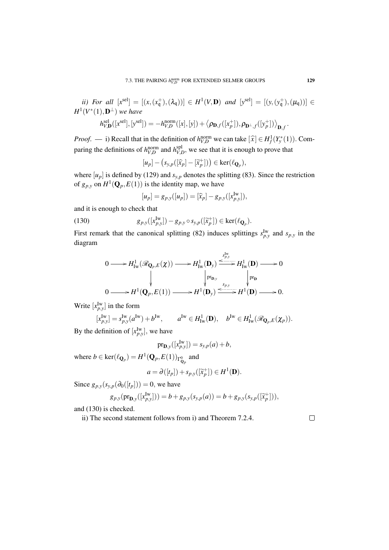*ii)* For all  $[x^{sel}] = [(x, (x^+_{q}), (\lambda_q))] \in H^1(V, \mathbf{D})$  and  $[y^{sel}] = [(y, (y^+_{q}), (\mu_q))] \in$  $H^1(V^*(1),\mathbf{D}^{\perp})$  we have

$$
h_{V,\mathbf{D}}^{\text{sel}}([x^{\text{sel}}], [y^{\text{sel}}]) = -h_{V,D}^{\text{norm}}([x], [y]) + \langle \rho_{\mathbf{D},f}([x^+_p]), \rho_{\mathbf{D}^\perp,f}([y^+_p]) \rangle_{\mathbf{D},f}.
$$

*Proof.* — i) Recall that in the definition of  $h_{V,D}^{\text{norm}}$  we can take  $[\hat{x}] \in H_f^1(Y_y^*(1))$ . Comparing the definitions of  $h_{V,D}^{\text{norm}}$  and  $h_{V,I}^{\text{spl}}$  $V_{V,D}^{\text{spl}}$ , we see that it is enough to prove that

$$
[u_p] - (s_{y,p}([\widehat{x}_p] - [\widetilde{x}_p^+])) \in \ker(\ell_{\mathbf{Q}_p}),
$$

where  $[u_p]$  is defined by (129) and  $s_{y,p}$  denotes the splitting (83). Since the restriction of  $g_{p,y}$  on  $H^1(\mathbf{Q}_p, E(1))$  is the identity map, we have

$$
[u_p] = g_{p,y}([u_p]) = [\widehat{x}_p] - g_{p,y}([x_{p,y}^{\mathrm{Iw}}]),
$$

and it is enough to check that

(130) 
$$
g_{p,y}([x_{p,y}^{\mathrm{Iw}}]) - g_{p,y} \circ s_{y,p}([\widetilde{x}_p^+]) \in \ker(\ell_{\mathbf{Q}_p}).
$$

First remark that the canonical splitting (82) induces splittings  $s_{p,y}^{\text{Iw}}$  and  $s_{p,y}$  in the diagram

$$
0 \longrightarrow H^1_{\mathrm{Iw}}(\mathscr{R}_{\mathbf{Q}_p,E}(\chi)) \longrightarrow H^1_{\mathrm{Iw}}(\mathbf{D}_y) \xrightarrow{\underset{p,\mathrm{y}}{\underset{p,\mathrm{y}}{\longrightarrow}}} H^1_{\mathrm{Iw}}(\mathbf{D}) \longrightarrow 0
$$
  

$$
\downarrow \qquad \qquad \downarrow \qquad \qquad \downarrow \qquad \qquad \downarrow \qquad \qquad \downarrow \qquad \qquad \downarrow \qquad \qquad \downarrow \qquad \downarrow \qquad \downarrow \qquad \downarrow \qquad \downarrow \qquad \downarrow \qquad \downarrow \qquad \downarrow \qquad \downarrow \qquad \downarrow \qquad \downarrow \qquad \downarrow \qquad \downarrow \qquad \downarrow \qquad \downarrow \qquad \downarrow \qquad \downarrow \qquad \downarrow \qquad \downarrow \qquad \downarrow \qquad \downarrow \qquad \downarrow \qquad \downarrow \qquad \downarrow \qquad \downarrow \qquad \downarrow \qquad \downarrow \qquad \downarrow \qquad \downarrow \qquad \downarrow \qquad \downarrow \qquad \downarrow \qquad \downarrow \qquad \downarrow \qquad \downarrow \qquad \downarrow \qquad \downarrow \qquad \downarrow \qquad \downarrow \qquad \downarrow \qquad \downarrow \qquad \downarrow \qquad \downarrow \qquad \downarrow \qquad \downarrow \qquad \downarrow \qquad \downarrow \qquad \downarrow \qquad \downarrow \qquad \downarrow \qquad \downarrow \qquad \downarrow \qquad \downarrow \qquad \downarrow \qquad \downarrow \qquad \downarrow \qquad \downarrow \qquad \downarrow \qquad \downarrow \qquad \downarrow \qquad \downarrow \qquad \downarrow \qquad \downarrow \qquad \downarrow \qquad \downarrow \qquad \downarrow \qquad \downarrow \qquad \downarrow \qquad \downarrow \qquad \downarrow \qquad \downarrow \qquad \downarrow \qquad \downarrow \qquad \downarrow \qquad \downarrow \qquad \downarrow \qquad \downarrow \qquad \downarrow \qquad \downarrow \qquad \downarrow \qquad \downarrow \qquad \downarrow \qquad \downarrow \qquad \downarrow \qquad \downarrow \qquad \downarrow \qquad \downarrow \qquad \downarrow \qquad \downarrow \qquad \downarrow \qquad \downarrow \qquad \downarrow \qquad \downarrow \qquad \downarrow \qquad \downarrow \qquad \downarrow \qquad \downarrow \qquad \downarrow \qquad \downarrow \qquad \downarrow \q
$$

Write  $[x_{p,y}^{\text{Iw}}]$  in the form

$$
[x^{\mathrm{Iw}}_{p,y}] = s^{\mathrm{Iw}}_{p,y}(a^{\mathrm{Iw}}) + b^{\mathrm{Iw}}, \qquad a^{\mathrm{Iw}} \in H^1_{\mathrm{Iw}}(\mathbf{D}), \quad b^{\mathrm{Iw}} \in H^1_{\mathrm{Iw}}(\mathscr{R}_{\mathbf{Q}_p,E}(\chi_p)).
$$

By the definition of  $[x_{p,y}^{\text{Iw}}]$ , we have

$$
\mathrm{pr}_{\mathbf{D},\mathbf{y}}([x_{p,\mathbf{y}}^{\mathrm{Iw}}]) = s_{\mathbf{y},p}(a) + b,
$$

where  $b \in \text{ker}(\ell_{\mathbf{Q}_p}) = H^1(\mathbf{Q}_p, E(1))_{\Gamma_{\mathbf{Q}_p}^0}$  and

$$
a = \partial([t_p]) + s_{p,y}([\widetilde{x}_p^+]) \in H^1(\mathbf{D}).
$$

Since  $g_{p,y}(s_{y,p}(\partial_0([t_p])) = 0$ , we have

$$
g_{p,y}(\text{pr}_{\mathbf{D},y}([x_{p,y}^{\text{Iw}}])) = b + g_{p,y}(s_{y,p}(a)) = b + g_{p,y}(s_{y,p}([\widetilde{x}_p^+])),
$$

and (130) is checked.

ii) The second statement follows from i) and Theorem 7.2.4.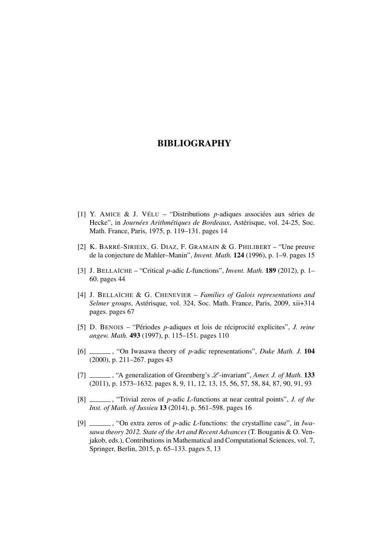- [1] Y. AMICE & J. VÉLU "Distributions *p*-adiques associées aux séries de Hecke", in *Journées Arithmétiques de Bordeaux*, Astérisque, vol. 24-25, Soc. Math. France, Paris, 1975, p. 119–131. pages 14
- [2] K. BARRÉ-SIRIEIX, G. DIAZ, F. GRAMAIN & G. PHILIBERT "Une preuve de la conjecture de Mahler–Manin", *Invent. Math.* 124 (1996), p. 1–9. pages 15
- [3] J. BELLAÏCHE "Critical *p*-adic *L*-functions", *Invent. Math.* 189 (2012), p. 1– 60. pages 44
- [4] J. BELLAÏCHE & G. CHENEVIER *Families of Galois representations and Selmer groups*, Astérisque, vol. 324, Soc. Math. France, Paris, 2009, xii+314 pages. pages 67
- [5] D. BENOIS "Périodes *p*-adiques et lois de réciprocité explicites", *J. reine angew. Math.* 493 (1997), p. 115–151. pages 110
- [6] , "On Iwasawa theory of *p*-adic representations", *Duke Math. J.* 104 (2000), p. 211–267. pages 43
- [7] , "A generalization of Greenberg's L -invariant", *Amer. J. of Math.* 133 (2011), p. 1573–1632. pages 8, 9, 11, 12, 13, 15, 56, 57, 58, 84, 87, 90, 91, 93
- [8] , "Trivial zeros of *p*-adic *L*-functions at near central points", *J. of the Inst. of Math. of Jussieu* 13 (2014), p. 561–598. pages 16
- [9] , "On extra zeros of *p*-adic *L*-functions: the crystalline case", in *Iwasawa theory 2012. State of the Art and Recent Advances* (T. Bouganis & O. Venjakob, eds.), Contributions in Mathematical and Computational Sciences, vol. 7, Springer, Berlin, 2015, p. 65–133. pages 5, 13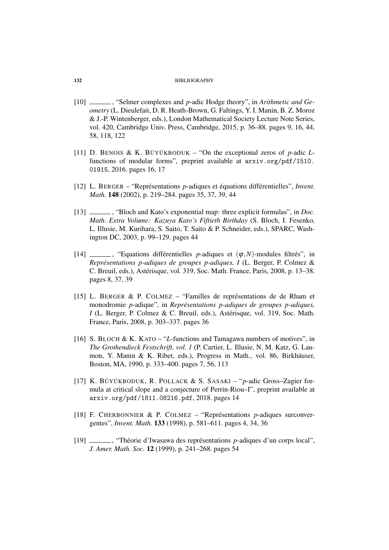- [10] , "Selmer complexes and *p*-adic Hodge theory", in *Arithmetic and Geometry* (L. Dieulefait, D. R. Heath-Brown, G. Faltings, Y. I. Manin, B. Z. Moroz & J.-P. Wintenberger, eds.), London Mathematical Society Lecture Note Series, vol. 420, Cambridge Univ. Press, Cambridge, 2015, p. 36–88. pages 9, 16, 44, 58, 118, 122
- [11] D. BENOIS & K. BÜYÜKBODUK "On the exceptional zeros of *p*-adic *L*functions of modular forms", preprint available at arxiv.org/pdf/1510. 01915, 2016. pages 16, 17
- [12] L. BERGER "Représentations *p*-adiques et équations différentielles", *Invent. Math.* 148 (2002), p. 219–284. pages 35, 37, 39, 44
- [13] , "Bloch and Kato's exponential map: three explicit formulas", in *Doc. Math. Extra Volume: Kazuya Kato's Fiftieth Birthday* (S. Bloch, I. Fesenko, L. Illusie, M. Kurihara, S. Saito, T. Saito & P. Schneider, eds.), SPARC, Washington DC, 2003, p. 99–129. pages 44
- [14]  $\ldots$ , "Equations differentielles *p*-adiques et  $(\varphi, N)$ -modules filtrés", in *Représentations p-adiques de groupes p-adiques, I* (L. Berger, P. Colmez & C. Breuil, eds.), Astérisque, vol. 319, Soc. Math. France, Paris, 2008, p. 13–38. pages 8, 37, 39
- [15] L. BERGER & P. COLMEZ "Familles de représentations de de Rham et monodromie *p*-adique", in *Représentations p-adiques de groupes p-adiques, I* (L. Berger, P. Colmez & C. Breuil, eds.), Astérisque, vol. 319, Soc. Math. France, Paris, 2008, p. 303–337. pages 36
- [16] S. BLOCH & K. KATO "*L*-functions and Tamagawa numbers of motives", in *The Grothendieck Festschrift, vol. 1* (P. Cartier, L. Illusie, N. M. Katz, G. Laumon, Y. Manin & K. Ribet, eds.), Progress in Math., vol. 86, Birkhäuser, Boston, MA, 1990, p. 333–400. pages 7, 56, 113
- [17] K. BÜYÜKBODUK, R. POLLACK & S. SASAKI "*p*-adic Gross–Zagier formula at critical slope and a conjecture of Perrin-Riou–I", preprint available at arxiv.org/pdf/1811.08216.pdf, 2018. pages 14
- [18] F. CHERBONNIER & P. COLMEZ "Représentations *p*-adiques surconvergentes", *Invent. Math.* 133 (1998), p. 581–611. pages 4, 34, 36
- [19] , "Théorie d'Iwasawa des représentations *p*-adiques d'un corps local", *J. Amer. Math. Soc.* 12 (1999), p. 241–268. pages 54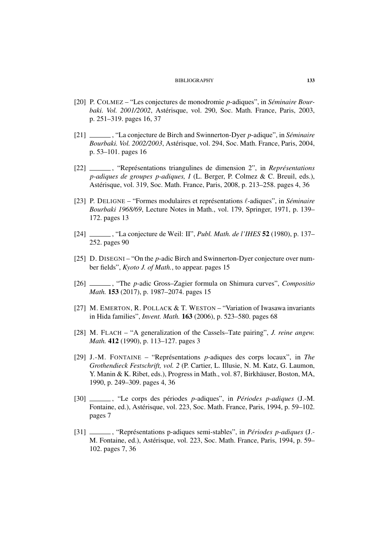- [20] P. COLMEZ "Les conjectures de monodromie *p*-adiques", in *Séminaire Bourbaki. Vol. 2001/2002*, Astérisque, vol. 290, Soc. Math. France, Paris, 2003, p. 251–319. pages 16, 37
- [21] , "La conjecture de Birch and Swinnerton-Dyer *p*-adique", in *Séminaire Bourbaki. Vol. 2002/2003*, Astérisque, vol. 294, Soc. Math. France, Paris, 2004, p. 53–101. pages 16
- [22] , "Représentations triangulines de dimension 2", in *Représentations p-adiques de groupes p-adiques, I* (L. Berger, P. Colmez & C. Breuil, eds.), Astérisque, vol. 319, Soc. Math. France, Paris, 2008, p. 213–258. pages 4, 36
- [23] P. DELIGNE "Formes modulaires et représentations `-adiques", in *Séminaire Bourbaki 1968/69*, Lecture Notes in Math., vol. 179, Springer, 1971, p. 139– 172. pages 13
- [24] , "La conjecture de Weil: II", *Publ. Math. de l'IHES* 52 (1980), p. 137– 252. pages 90
- [25] D. DISEGNI "On the *p*-adic Birch and Swinnerton-Dyer conjecture over number fields", *Kyoto J. of Math.*, to appear. pages 15
- [26] , "The *p*-adic Gross–Zagier formula on Shimura curves", *Compositio Math.* 153 (2017), p. 1987–2074. pages 15
- [27] M. EMERTON, R. POLLACK & T. WESTON "Variation of Iwasawa invariants in Hida families", *Invent. Math.* 163 (2006), p. 523–580. pages 68
- [28] M. FLACH "A generalization of the Cassels–Tate pairing", *J. reine angew. Math.* 412 (1990), p. 113–127. pages 3
- [29] J.-M. FONTAINE "Représentations *p*-adiques des corps locaux", in *The Grothendieck Festschrift, vol. 2* (P. Cartier, L. Illusie, N. M. Katz, G. Laumon, Y. Manin & K. Ribet, eds.), Progress in Math., vol. 87, Birkhäuser, Boston, MA, 1990, p. 249–309. pages 4, 36
- [30] , "Le corps des périodes *p*-adiques", in *Périodes p-adiques* (J.-M. Fontaine, ed.), Astérisque, vol. 223, Soc. Math. France, Paris, 1994, p. 59–102. pages 7
- [31] , "Représentations p-adiques semi-stables", in *Périodes p-adiques* (J.- M. Fontaine, ed.), Astérisque, vol. 223, Soc. Math. France, Paris, 1994, p. 59– 102. pages 7, 36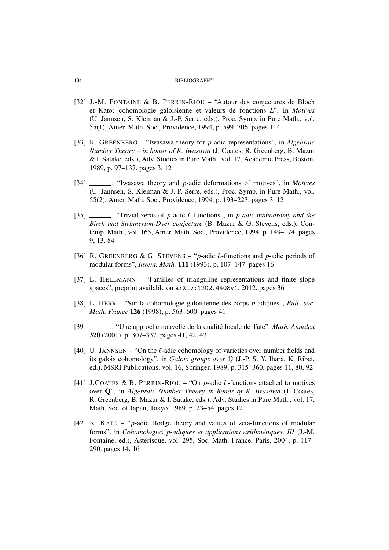- [32] J.-M. FONTAINE & B. PERRIN-RIOU "Autour des conjectures de Bloch et Kato; cohomologie galoisienne et valeurs de fonctions *L*", in *Motives* (U. Jannsen, S. Kleiman & J.-P. Serre, eds.), Proc. Symp. in Pure Math., vol. 55(1), Amer. Math. Soc., Providence, 1994, p. 599–706. pages 114
- [33] R. GREENBERG "Iwasawa theory for *p*-adic representations", in *Algebraic Number Theory – in honor of K. Iwasawa* (J. Coates, R. Greenberg, B. Mazur & I. Satake, eds.), Adv. Studies in Pure Math., vol. 17, Academic Press, Boston, 1989, p. 97–137. pages 3, 12
- [34]  $\quad$ , "Iwasawa theory and *p*-adic deformations of motives", in *Motives* (U. Jannsen, S. Kleiman & J.-P. Serre, eds.), Proc. Symp. in Pure Math., vol. 55(2), Amer. Math. Soc., Providence, 1994, p. 193–223. pages 3, 12
- [35] \_\_\_\_\_, "Trivial zeros of *p*-adic *L*-functions", in *p-adic monodromy and the Birch and Swinnerton-Dyer conjecture* (B. Mazur & G. Stevens, eds.), Contemp. Math., vol. 165, Amer. Math. Soc., Providence, 1994, p. 149–174. pages 9, 13, 84
- [36] R. GREENBERG & G. STEVENS "*p*-adic *L*-functions and *p*-adic periods of modular forms", *Invent. Math.* 111 (1993), p. 107–147. pages 16
- [37] E. HELLMANN "Families of trianguline representations and finite slope spaces", preprint available on arXiv:1202.4408v1, 2012. pages 36
- [38] L. HERR "Sur la cohomologie galoisienne des corps *p*-adiques", *Bull. Soc. Math. France* 126 (1998), p. 563–600. pages 41
- [39] , "Une approche nouvelle de la dualité locale de Tate", *Math. Annalen* 320 (2001), p. 307–337. pages 41, 42, 43
- [40] U. JANNSEN "On the  $\ell$ -adic cohomology of varieties over number fields and its galois cohomology", in *Galois groups over* Q (J.-P. S. Y. Ihara, K. Ribet, ed.), MSRI Publications, vol. 16, Springer, 1989, p. 315–360. pages 11, 80, 92
- [41] J.COATES & B. PERRIN-RIOU "On *p*-adic *L*-functions attached to motives over Q", in *Algebraic Number Theory–in honor of K. Iwasawa* (J. Coates, R. Greenberg, B. Mazur & I. Satake, eds.), Adv. Studies in Pure Math., vol. 17, Math. Soc. of Japan, Tokyo, 1989, p. 23–54. pages 12
- [42] K. KATO "*p*-adic Hodge theory and values of zeta-functions of modular forms", in *Cohomologies p-adiques et applications arithmétiques. III* (J.-M. Fontaine, ed.), Astérisque, vol. 295, Soc. Math. France, Paris, 2004, p. 117– 290. pages 14, 16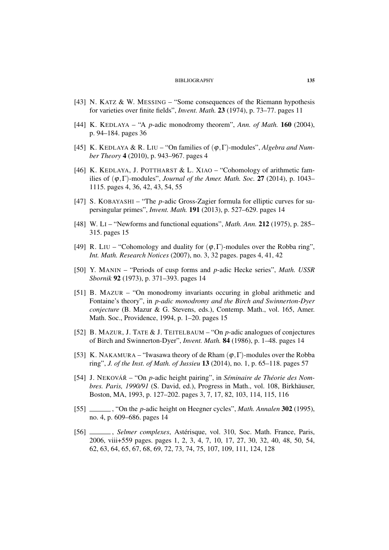- [43] N. KATZ & W. MESSING "Some consequences of the Riemann hypothesis for varieties over finite fields", *Invent. Math.* 23 (1974), p. 73–77. pages 11
- [44] K. KEDLAYA "A *p*-adic monodromy theorem", *Ann. of Math.* 160 (2004), p. 94–184. pages 36
- [45] K. KEDLAYA & R. LIU "On families of (ϕ,Γ)-modules", *Algebra and Number Theory* 4 (2010), p. 943–967. pages 4
- [46] K. KEDLAYA, J. POTTHARST & L. XIAO "Cohomology of arithmetic families of  $(\varphi, \Gamma)$ -modules", *Journal of the Amer. Math. Soc.* 27 (2014), p. 1043– 1115. pages 4, 36, 42, 43, 54, 55
- [47] S. KOBAYASHI "The *p*-adic Gross-Zagier formula for elliptic curves for supersingular primes", *Invent. Math.* 191 (2013), p. 527–629. pages 14
- [48] W. LI "Newforms and functional equations", *Math. Ann.* 212 (1975), p. 285– 315. pages 15
- [49] R. LIU "Cohomology and duality for  $(\varphi, \Gamma)$ -modules over the Robba ring", *Int. Math. Research Notices* (2007), no. 3, 32 pages. pages 4, 41, 42
- [50] Y. MANIN "Periods of cusp forms and *p*-adic Hecke series", *Math. USSR Sbornik* 92 (1973), p. 371–393. pages 14
- [51] B. MAZUR "On monodromy invariants occuring in global arithmetic and Fontaine's theory", in *p-adic monodromy and the Birch and Swinnerton-Dyer conjecture* (B. Mazur & G. Stevens, eds.), Contemp. Math., vol. 165, Amer. Math. Soc., Providence, 1994, p. 1–20. pages 15
- [52] B. MAZUR, J. TATE & J. TEITELBAUM "On *p*-adic analogues of conjectures of Birch and Swinnerton-Dyer", *Invent. Math.* 84 (1986), p. 1–48. pages 14
- [53] K. NAKAMURA "Iwasawa theory of de Rham  $(\varphi, \Gamma)$ -modules over the Robba ring", *J. of the Inst. of Math. of Jussieu* 13 (2014), no. 1, p. 65–118. pages 57
- [54] J. NEKOVÁŘ "On *p*-adic height pairing", in *Séminaire de Théorie des Nombres. Paris, 1990/91* (S. David, ed.), Progress in Math., vol. 108, Birkhäuser, Boston, MA, 1993, p. 127–202. pages 3, 7, 17, 82, 103, 114, 115, 116
- [55] , "On the *p*-adic height on Heegner cycles", *Math. Annalen* 302 (1995), no. 4, p. 609–686. pages 14
- [56] , *Selmer complexes*, Astérisque, vol. 310, Soc. Math. France, Paris, 2006, viii+559 pages. pages 1, 2, 3, 4, 7, 10, 17, 27, 30, 32, 40, 48, 50, 54, 62, 63, 64, 65, 67, 68, 69, 72, 73, 74, 75, 107, 109, 111, 124, 128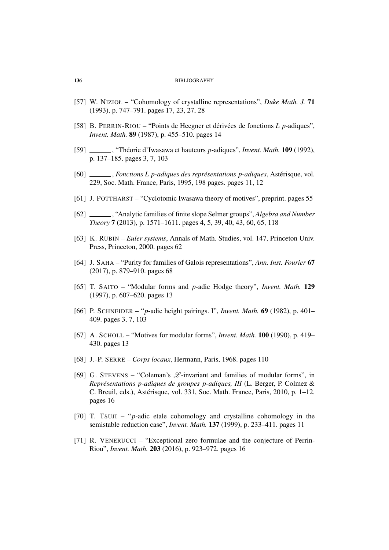- [57] W. NIZIOŁ "Cohomology of crystalline representations", *Duke Math. J.* 71 (1993), p. 747–791. pages 17, 23, 27, 28
- [58] B. PERRIN-RIOU "Points de Heegner et dérivées de fonctions *L p*-adiques", *Invent. Math.* 89 (1987), p. 455–510. pages 14
- [59] , "Théorie d'Iwasawa et hauteurs *p*-adiques", *Invent. Math.* 109 (1992), p. 137–185. pages 3, 7, 103
- [60] , *Fonctions L p-adiques des représentations p-adiques*, Astérisque, vol. 229, Soc. Math. France, Paris, 1995, 198 pages. pages 11, 12
- [61] J. POTTHARST "Cyclotomic Iwasawa theory of motives", preprint. pages 55
- [62] , "Analytic families of finite slope Selmer groups", *Algebra and Number Theory* 7 (2013), p. 1571–1611. pages 4, 5, 39, 40, 43, 60, 65, 118
- [63] K. RUBIN *Euler systems*, Annals of Math. Studies, vol. 147, Princeton Univ. Press, Princeton, 2000. pages 62
- [64] J. SAHA "Purity for families of Galois representations", *Ann. Inst. Fourier* 67 (2017), p. 879–910. pages 68
- [65] T. SAITO "Modular forms and *p*-adic Hodge theory", *Invent. Math.* 129 (1997), p. 607–620. pages 13
- [66] P. SCHNEIDER "*p*-adic height pairings. I", *Invent. Math.* 69 (1982), p. 401– 409. pages 3, 7, 103
- [67] A. SCHOLL "Motives for modular forms", *Invent. Math.* 100 (1990), p. 419– 430. pages 13
- [68] J.-P. SERRE *Corps locaux*, Hermann, Paris, 1968. pages 110
- [69] G. STEVENS "Coleman's  $\mathcal{L}$ -invariant and families of modular forms", in *Représentations p-adiques de groupes p-adiques, III* (L. Berger, P. Colmez & C. Breuil, eds.), Astérisque, vol. 331, Soc. Math. France, Paris, 2010, p. 1–12. pages 16
- [70] T. TSUJI "*p*-adic etale cohomology and crystalline cohomology in the semistable reduction case", *Invent. Math.* 137 (1999), p. 233–411. pages 11
- [71] R. VENERUCCI "Exceptional zero formulae and the conjecture of Perrin-Riou", *Invent. Math.* 203 (2016), p. 923–972. pages 16